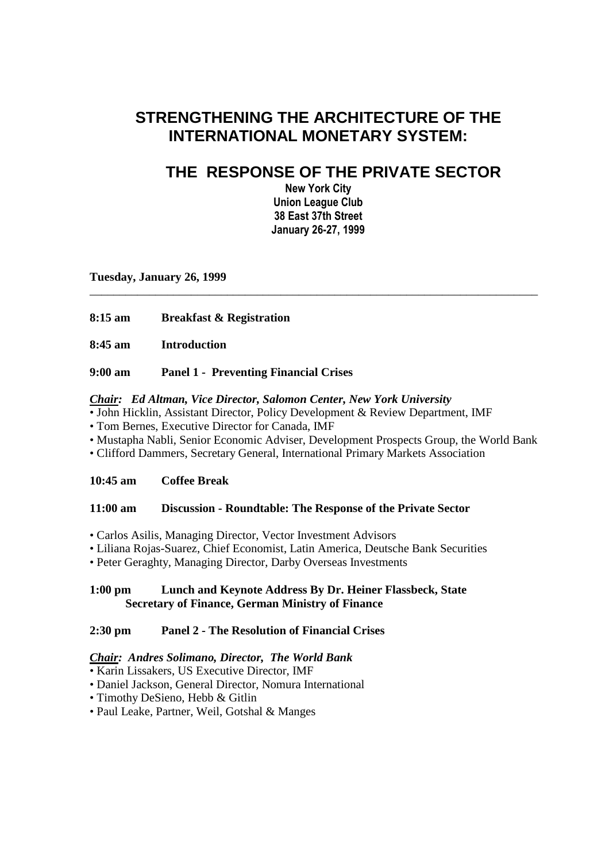# **STRENGTHENING THE ARCHITECTURE OF THE INTERNATIONAL MONETARY SYSTEM:**

# **THE RESPONSE OF THE PRIVATE SECTOR**

New York City Union League Club 38 East 37th Street January 26-27, 1999

\_\_\_\_\_\_\_\_\_\_\_\_\_\_\_\_\_\_\_\_\_\_\_\_\_\_\_\_\_\_\_\_\_\_\_\_\_\_\_\_\_\_\_\_\_\_\_\_\_\_\_\_\_\_\_\_\_\_\_\_\_\_\_\_\_\_\_\_\_\_\_\_\_\_\_

**Tuesday, January 26, 1999**

**8:15 am Breakfast & Registration** 

**8:45 am Introduction** 

# **9:00 am Panel 1 - Preventing Financial Crises**

## *Chair: Ed Altman, Vice Director, Salomon Center, New York University*

• John Hicklin, Assistant Director, Policy Development & Review Department, IMF

- Tom Bernes, Executive Director for Canada, IMF
- Mustapha Nabli, Senior Economic Adviser, Development Prospects Group, the World Bank
- Clifford Dammers, Secretary General, International Primary Markets Association

**10:45 am Coffee Break** 

### **11:00 am Discussion - Roundtable: The Response of the Private Sector**

- Carlos Asilis, Managing Director, Vector Investment Advisors
- Liliana Rojas-Suarez, Chief Economist, Latin America, Deutsche Bank Securities
- Peter Geraghty, Managing Director, Darby Overseas Investments

# **1:00 pm Lunch and Keynote Address By Dr. Heiner Flassbeck, State Secretary of Finance, German Ministry of Finance**

# **2:30 pm Panel 2 - The Resolution of Financial Crises**

### *Chair: Andres Solimano, Director, The World Bank*

• Karin Lissakers, US Executive Director, IMF

- Daniel Jackson, General Director, Nomura International
- Timothy DeSieno, Hebb & Gitlin
- Paul Leake, Partner, Weil, Gotshal & Manges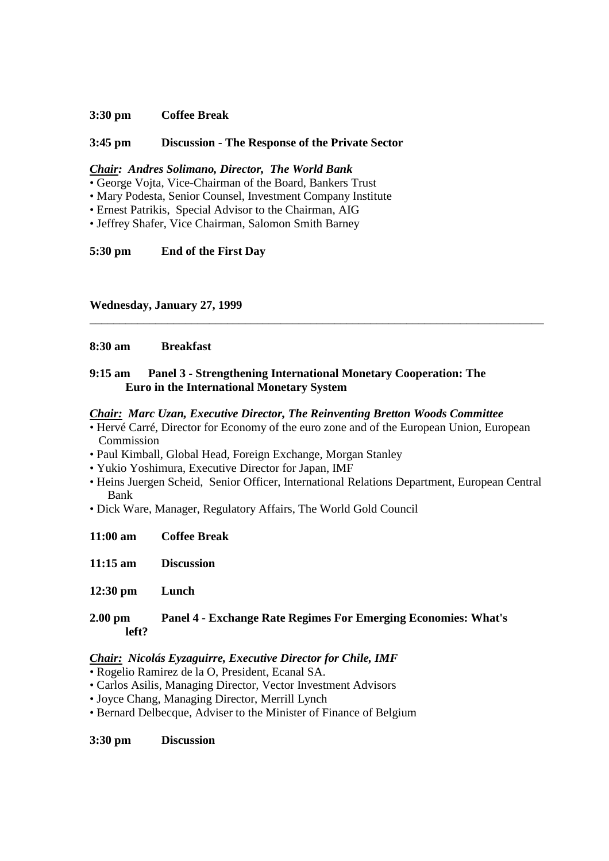# **3:30 pm Coffee Break**

## **3:45 pm Discussion - The Response of the Private Sector**

### *Chair: Andres Solimano, Director, The World Bank*

- George Vojta, Vice-Chairman of the Board, Bankers Trust
- Mary Podesta, Senior Counsel, Investment Company Institute
- Ernest Patrikis, Special Advisor to the Chairman, AIG
- Jeffrey Shafer, Vice Chairman, Salomon Smith Barney

### **5:30 pm End of the First Day**

### **Wednesday, January 27, 1999**

### **8:30 am Breakfast**

# **9:15 am Panel 3 - Strengthening International Monetary Cooperation: The Euro in the International Monetary System**

### *Chair: Marc Uzan, Executive Director, The Reinventing Bretton Woods Committee*

• Hervé Carré, Director for Economy of the euro zone and of the European Union, European Commission

\_\_\_\_\_\_\_\_\_\_\_\_\_\_\_\_\_\_\_\_\_\_\_\_\_\_\_\_\_\_\_\_\_\_\_\_\_\_\_\_\_\_\_\_\_\_\_\_\_\_\_\_\_\_\_\_\_\_\_\_\_\_\_\_\_\_\_\_\_\_\_\_\_\_\_\_

- Paul Kimball, Global Head, Foreign Exchange, Morgan Stanley
- Yukio Yoshimura, Executive Director for Japan, IMF
- Heins Juergen Scheid, Senior Officer, International Relations Department, European Central Bank
- Dick Ware, Manager, Regulatory Affairs, The World Gold Council
- **11:00 am Coffee Break**
- **11:15 am Discussion**
- **12:30 pm Lunch**

### **2.00 pm Panel 4 - Exchange Rate Regimes For Emerging Economies: What's left?**

### *Chair: Nicolás Eyzaguirre, Executive Director for Chile, IMF*

- Rogelio Ramirez de la O, President, Ecanal SA.
- Carlos Asilis, Managing Director, Vector Investment Advisors
- Joyce Chang, Managing Director, Merrill Lynch
- Bernard Delbecque, Adviser to the Minister of Finance of Belgium

### **3:30 pm Discussion**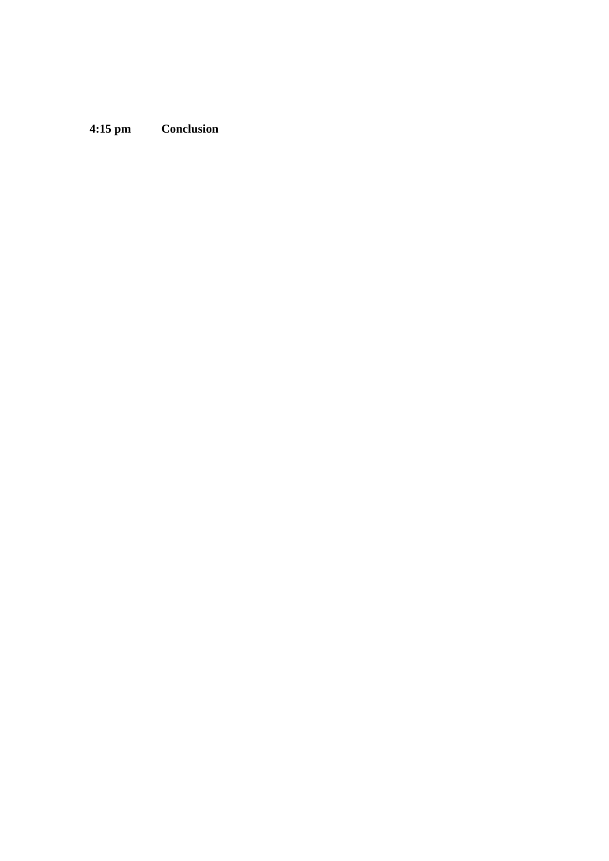**4:15 pm Conclusion**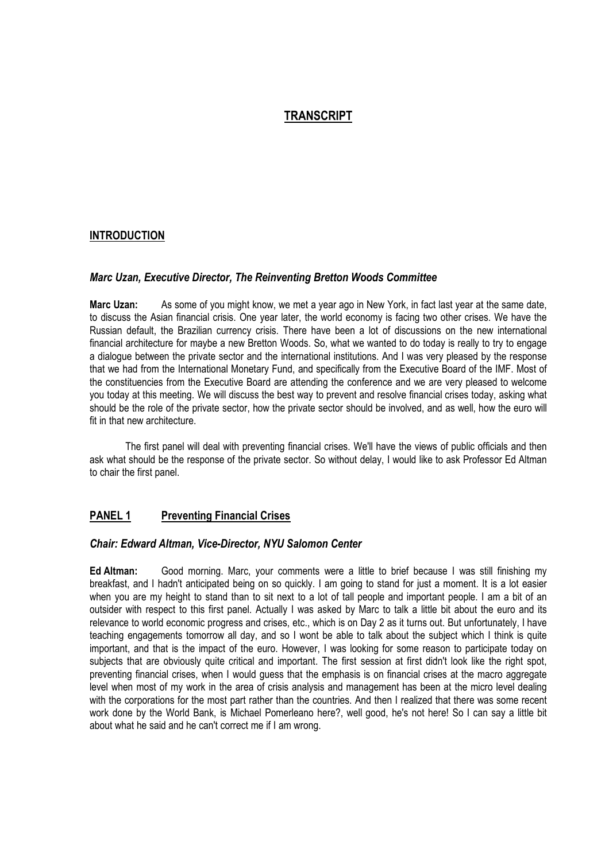# **TRANSCRIPT**

## INTRODUCTION

### Marc Uzan, Executive Director, The Reinventing Bretton Woods Committee

Marc Uzan: As some of you might know, we met a year ago in New York, in fact last year at the same date, to discuss the Asian financial crisis. One year later, the world economy is facing two other crises. We have the Russian default, the Brazilian currency crisis. There have been a lot of discussions on the new international financial architecture for maybe a new Bretton Woods. So, what we wanted to do today is really to try to engage a dialogue between the private sector and the international institutions. And I was very pleased by the response that we had from the International Monetary Fund, and specifically from the Executive Board of the IMF. Most of the constituencies from the Executive Board are attending the conference and we are very pleased to welcome you today at this meeting. We will discuss the best way to prevent and resolve financial crises today, asking what should be the role of the private sector, how the private sector should be involved, and as well, how the euro will fit in that new architecture.

 The first panel will deal with preventing financial crises. We'll have the views of public officials and then ask what should be the response of the private sector. So without delay, I would like to ask Professor Ed Altman to chair the first panel.

# PANEL 1 Preventing Financial Crises

### Chair: Edward Altman, Vice-Director, NYU Salomon Center

Ed Altman: Good morning. Marc, your comments were a little to brief because I was still finishing my breakfast, and I hadn't anticipated being on so quickly. I am going to stand for just a moment. It is a lot easier when you are my height to stand than to sit next to a lot of tall people and important people. I am a bit of an outsider with respect to this first panel. Actually I was asked by Marc to talk a little bit about the euro and its relevance to world economic progress and crises, etc., which is on Day 2 as it turns out. But unfortunately, I have teaching engagements tomorrow all day, and so I wont be able to talk about the subject which I think is quite important, and that is the impact of the euro. However, I was looking for some reason to participate today on subjects that are obviously quite critical and important. The first session at first didn't look like the right spot, preventing financial crises, when I would guess that the emphasis is on financial crises at the macro aggregate level when most of my work in the area of crisis analysis and management has been at the micro level dealing with the corporations for the most part rather than the countries. And then I realized that there was some recent work done by the World Bank, is Michael Pomerleano here?, well good, he's not here! So I can say a little bit about what he said and he can't correct me if I am wrong.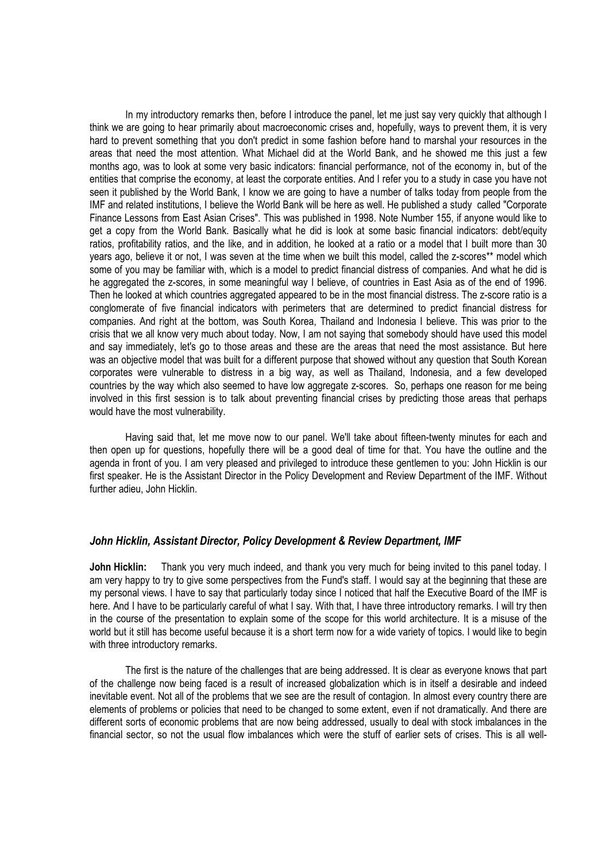In my introductory remarks then, before I introduce the panel, let me just say very quickly that although I think we are going to hear primarily about macroeconomic crises and, hopefully, ways to prevent them, it is very hard to prevent something that you don't predict in some fashion before hand to marshal your resources in the areas that need the most attention. What Michael did at the World Bank, and he showed me this just a few months ago, was to look at some very basic indicators: financial performance, not of the economy in, but of the entities that comprise the economy, at least the corporate entities. And I refer you to a study in case you have not seen it published by the World Bank, I know we are going to have a number of talks today from people from the IMF and related institutions, I believe the World Bank will be here as well. He published a study called "Corporate Finance Lessons from East Asian Crises". This was published in 1998. Note Number 155, if anyone would like to get a copy from the World Bank. Basically what he did is look at some basic financial indicators: debt/equity ratios, profitability ratios, and the like, and in addition, he looked at a ratio or a model that I built more than 30 years ago, believe it or not, I was seven at the time when we built this model, called the z-scores\*\* model which some of you may be familiar with, which is a model to predict financial distress of companies. And what he did is he aggregated the z-scores, in some meaningful way I believe, of countries in East Asia as of the end of 1996. Then he looked at which countries aggregated appeared to be in the most financial distress. The z-score ratio is a conglomerate of five financial indicators with perimeters that are determined to predict financial distress for companies. And right at the bottom, was South Korea, Thailand and Indonesia I believe. This was prior to the crisis that we all know very much about today. Now, I am not saying that somebody should have used this model and say immediately, let's go to those areas and these are the areas that need the most assistance. But here was an objective model that was built for a different purpose that showed without any question that South Korean corporates were vulnerable to distress in a big way, as well as Thailand, Indonesia, and a few developed countries by the way which also seemed to have low aggregate z-scores. So, perhaps one reason for me being involved in this first session is to talk about preventing financial crises by predicting those areas that perhaps would have the most vulnerability.

 Having said that, let me move now to our panel. We'll take about fifteen-twenty minutes for each and then open up for questions, hopefully there will be a good deal of time for that. You have the outline and the agenda in front of you. I am very pleased and privileged to introduce these gentlemen to you: John Hicklin is our first speaker. He is the Assistant Director in the Policy Development and Review Department of the IMF. Without further adieu, John Hicklin.

### John Hicklin, Assistant Director, Policy Development & Review Department, IMF

John Hicklin: Thank you very much indeed, and thank you very much for being invited to this panel today. I am very happy to try to give some perspectives from the Fund's staff. I would say at the beginning that these are my personal views. I have to say that particularly today since I noticed that half the Executive Board of the IMF is here. And I have to be particularly careful of what I say. With that, I have three introductory remarks. I will try then in the course of the presentation to explain some of the scope for this world architecture. It is a misuse of the world but it still has become useful because it is a short term now for a wide variety of topics. I would like to begin with three introductory remarks.

 The first is the nature of the challenges that are being addressed. It is clear as everyone knows that part of the challenge now being faced is a result of increased globalization which is in itself a desirable and indeed inevitable event. Not all of the problems that we see are the result of contagion. In almost every country there are elements of problems or policies that need to be changed to some extent, even if not dramatically. And there are different sorts of economic problems that are now being addressed, usually to deal with stock imbalances in the financial sector, so not the usual flow imbalances which were the stuff of earlier sets of crises. This is all well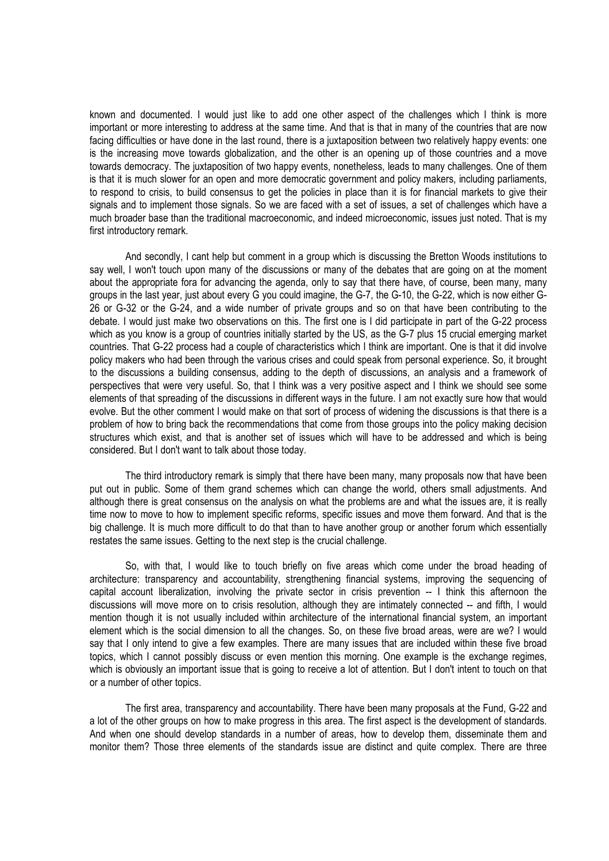known and documented. I would just like to add one other aspect of the challenges which I think is more important or more interesting to address at the same time. And that is that in many of the countries that are now facing difficulties or have done in the last round, there is a juxtaposition between two relatively happy events: one is the increasing move towards globalization, and the other is an opening up of those countries and a move towards democracy. The juxtaposition of two happy events, nonetheless, leads to many challenges. One of them is that it is much slower for an open and more democratic government and policy makers, including parliaments, to respond to crisis, to build consensus to get the policies in place than it is for financial markets to give their signals and to implement those signals. So we are faced with a set of issues, a set of challenges which have a much broader base than the traditional macroeconomic, and indeed microeconomic, issues just noted. That is my first introductory remark.

 And secondly, I cant help but comment in a group which is discussing the Bretton Woods institutions to say well, I won't touch upon many of the discussions or many of the debates that are going on at the moment about the appropriate fora for advancing the agenda, only to say that there have, of course, been many, many groups in the last year, just about every G you could imagine, the G-7, the G-10, the G-22, which is now either G-26 or G-32 or the G-24, and a wide number of private groups and so on that have been contributing to the debate. I would just make two observations on this. The first one is I did participate in part of the G-22 process which as you know is a group of countries initially started by the US, as the G-7 plus 15 crucial emerging market countries. That G-22 process had a couple of characteristics which I think are important. One is that it did involve policy makers who had been through the various crises and could speak from personal experience. So, it brought to the discussions a building consensus, adding to the depth of discussions, an analysis and a framework of perspectives that were very useful. So, that I think was a very positive aspect and I think we should see some elements of that spreading of the discussions in different ways in the future. I am not exactly sure how that would evolve. But the other comment I would make on that sort of process of widening the discussions is that there is a problem of how to bring back the recommendations that come from those groups into the policy making decision structures which exist, and that is another set of issues which will have to be addressed and which is being considered. But I don't want to talk about those today.

 The third introductory remark is simply that there have been many, many proposals now that have been put out in public. Some of them grand schemes which can change the world, others small adjustments. And although there is great consensus on the analysis on what the problems are and what the issues are, it is really time now to move to how to implement specific reforms, specific issues and move them forward. And that is the big challenge. It is much more difficult to do that than to have another group or another forum which essentially restates the same issues. Getting to the next step is the crucial challenge.

 So, with that, I would like to touch briefly on five areas which come under the broad heading of architecture: transparency and accountability, strengthening financial systems, improving the sequencing of capital account liberalization, involving the private sector in crisis prevention -- I think this afternoon the discussions will move more on to crisis resolution, although they are intimately connected -- and fifth, I would mention though it is not usually included within architecture of the international financial system, an important element which is the social dimension to all the changes. So, on these five broad areas, were are we? I would say that I only intend to give a few examples. There are many issues that are included within these five broad topics, which I cannot possibly discuss or even mention this morning. One example is the exchange regimes, which is obviously an important issue that is going to receive a lot of attention. But I don't intent to touch on that or a number of other topics.

 The first area, transparency and accountability. There have been many proposals at the Fund, G-22 and a lot of the other groups on how to make progress in this area. The first aspect is the development of standards. And when one should develop standards in a number of areas, how to develop them, disseminate them and monitor them? Those three elements of the standards issue are distinct and quite complex. There are three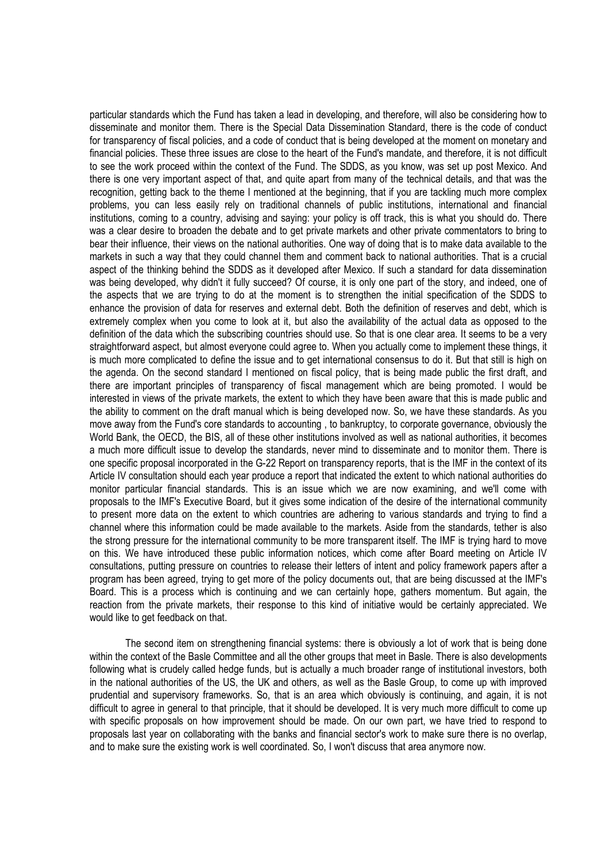particular standards which the Fund has taken a lead in developing, and therefore, will also be considering how to disseminate and monitor them. There is the Special Data Dissemination Standard, there is the code of conduct for transparency of fiscal policies, and a code of conduct that is being developed at the moment on monetary and financial policies. These three issues are close to the heart of the Fund's mandate, and therefore, it is not difficult to see the work proceed within the context of the Fund. The SDDS, as you know, was set up post Mexico. And there is one very important aspect of that, and quite apart from many of the technical details, and that was the recognition, getting back to the theme I mentioned at the beginning, that if you are tackling much more complex problems, you can less easily rely on traditional channels of public institutions, international and financial institutions, coming to a country, advising and saying: your policy is off track, this is what you should do. There was a clear desire to broaden the debate and to get private markets and other private commentators to bring to bear their influence, their views on the national authorities. One way of doing that is to make data available to the markets in such a way that they could channel them and comment back to national authorities. That is a crucial aspect of the thinking behind the SDDS as it developed after Mexico. If such a standard for data dissemination was being developed, why didn't it fully succeed? Of course, it is only one part of the story, and indeed, one of the aspects that we are trying to do at the moment is to strengthen the initial specification of the SDDS to enhance the provision of data for reserves and external debt. Both the definition of reserves and debt, which is extremely complex when you come to look at it, but also the availability of the actual data as opposed to the definition of the data which the subscribing countries should use. So that is one clear area. It seems to be a very straightforward aspect, but almost everyone could agree to. When you actually come to implement these things, it is much more complicated to define the issue and to get international consensus to do it. But that still is high on the agenda. On the second standard I mentioned on fiscal policy, that is being made public the first draft, and there are important principles of transparency of fiscal management which are being promoted. I would be interested in views of the private markets, the extent to which they have been aware that this is made public and the ability to comment on the draft manual which is being developed now. So, we have these standards. As you move away from the Fund's core standards to accounting , to bankruptcy, to corporate governance, obviously the World Bank, the OECD, the BIS, all of these other institutions involved as well as national authorities, it becomes a much more difficult issue to develop the standards, never mind to disseminate and to monitor them. There is one specific proposal incorporated in the G-22 Report on transparency reports, that is the IMF in the context of its Article IV consultation should each year produce a report that indicated the extent to which national authorities do monitor particular financial standards. This is an issue which we are now examining, and we'll come with proposals to the IMF's Executive Board, but it gives some indication of the desire of the international community to present more data on the extent to which countries are adhering to various standards and trying to find a channel where this information could be made available to the markets. Aside from the standards, tether is also the strong pressure for the international community to be more transparent itself. The IMF is trying hard to move on this. We have introduced these public information notices, which come after Board meeting on Article IV consultations, putting pressure on countries to release their letters of intent and policy framework papers after a program has been agreed, trying to get more of the policy documents out, that are being discussed at the IMF's Board. This is a process which is continuing and we can certainly hope, gathers momentum. But again, the reaction from the private markets, their response to this kind of initiative would be certainly appreciated. We would like to get feedback on that.

 The second item on strengthening financial systems: there is obviously a lot of work that is being done within the context of the Basle Committee and all the other groups that meet in Basle. There is also developments following what is crudely called hedge funds, but is actually a much broader range of institutional investors, both in the national authorities of the US, the UK and others, as well as the Basle Group, to come up with improved prudential and supervisory frameworks. So, that is an area which obviously is continuing, and again, it is not difficult to agree in general to that principle, that it should be developed. It is very much more difficult to come up with specific proposals on how improvement should be made. On our own part, we have tried to respond to proposals last year on collaborating with the banks and financial sector's work to make sure there is no overlap, and to make sure the existing work is well coordinated. So, I won't discuss that area anymore now.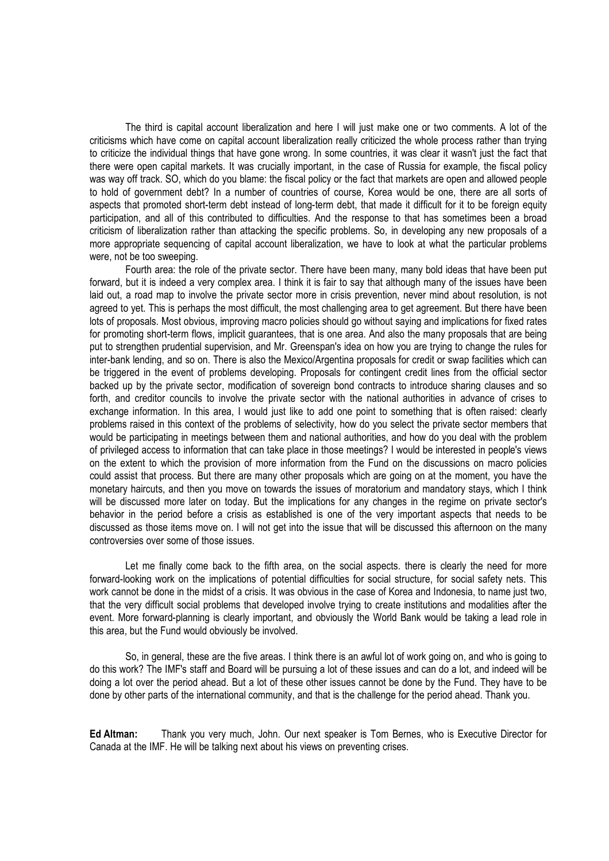The third is capital account liberalization and here I will just make one or two comments. A lot of the criticisms which have come on capital account liberalization really criticized the whole process rather than trying to criticize the individual things that have gone wrong. In some countries, it was clear it wasn't just the fact that there were open capital markets. It was crucially important, in the case of Russia for example, the fiscal policy was way off track. SO, which do you blame: the fiscal policy or the fact that markets are open and allowed people to hold of government debt? In a number of countries of course, Korea would be one, there are all sorts of aspects that promoted short-term debt instead of long-term debt, that made it difficult for it to be foreign equity participation, and all of this contributed to difficulties. And the response to that has sometimes been a broad criticism of liberalization rather than attacking the specific problems. So, in developing any new proposals of a more appropriate sequencing of capital account liberalization, we have to look at what the particular problems were, not be too sweeping.

 Fourth area: the role of the private sector. There have been many, many bold ideas that have been put forward, but it is indeed a very complex area. I think it is fair to say that although many of the issues have been laid out, a road map to involve the private sector more in crisis prevention, never mind about resolution, is not agreed to yet. This is perhaps the most difficult, the most challenging area to get agreement. But there have been lots of proposals. Most obvious, improving macro policies should go without saying and implications for fixed rates for promoting short-term flows, implicit guarantees, that is one area. And also the many proposals that are being put to strengthen prudential supervision, and Mr. Greenspan's idea on how you are trying to change the rules for inter-bank lending, and so on. There is also the Mexico/Argentina proposals for credit or swap facilities which can be triggered in the event of problems developing. Proposals for contingent credit lines from the official sector backed up by the private sector, modification of sovereign bond contracts to introduce sharing clauses and so forth, and creditor councils to involve the private sector with the national authorities in advance of crises to exchange information. In this area, I would just like to add one point to something that is often raised: clearly problems raised in this context of the problems of selectivity, how do you select the private sector members that would be participating in meetings between them and national authorities, and how do you deal with the problem of privileged access to information that can take place in those meetings? I would be interested in people's views on the extent to which the provision of more information from the Fund on the discussions on macro policies could assist that process. But there are many other proposals which are going on at the moment, you have the monetary haircuts, and then you move on towards the issues of moratorium and mandatory stays, which I think will be discussed more later on today. But the implications for any changes in the regime on private sector's behavior in the period before a crisis as established is one of the very important aspects that needs to be discussed as those items move on. I will not get into the issue that will be discussed this afternoon on the many controversies over some of those issues.

Let me finally come back to the fifth area, on the social aspects, there is clearly the need for more forward-looking work on the implications of potential difficulties for social structure, for social safety nets. This work cannot be done in the midst of a crisis. It was obvious in the case of Korea and Indonesia, to name just two, that the very difficult social problems that developed involve trying to create institutions and modalities after the event. More forward-planning is clearly important, and obviously the World Bank would be taking a lead role in this area, but the Fund would obviously be involved.

 So, in general, these are the five areas. I think there is an awful lot of work going on, and who is going to do this work? The IMF's staff and Board will be pursuing a lot of these issues and can do a lot, and indeed will be doing a lot over the period ahead. But a lot of these other issues cannot be done by the Fund. They have to be done by other parts of the international community, and that is the challenge for the period ahead. Thank you.

Ed Altman: Thank you very much, John. Our next speaker is Tom Bernes, who is Executive Director for Canada at the IMF. He will be talking next about his views on preventing crises.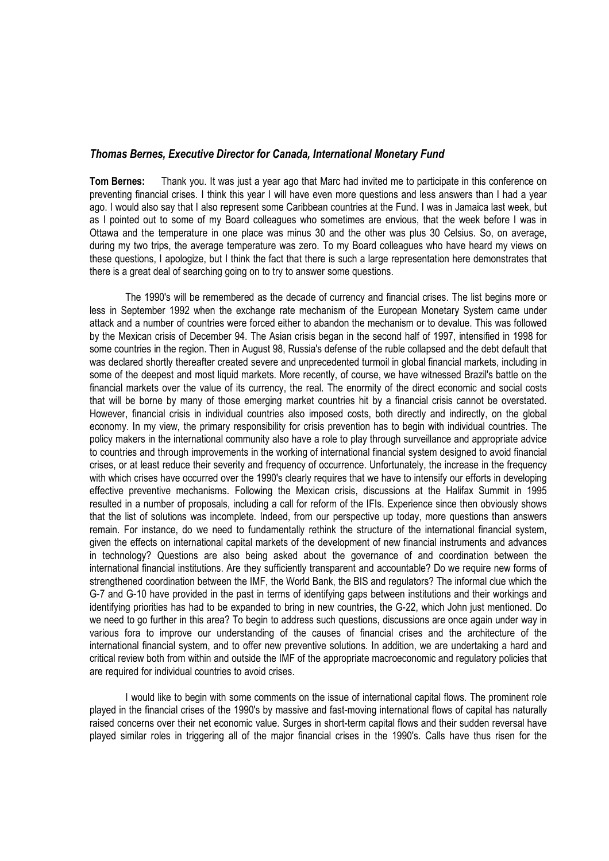### Thomas Bernes, Executive Director for Canada, International Monetary Fund

Tom Bernes: Thank you. It was just a year ago that Marc had invited me to participate in this conference on preventing financial crises. I think this year I will have even more questions and less answers than I had a year ago. I would also say that I also represent some Caribbean countries at the Fund. I was in Jamaica last week, but as I pointed out to some of my Board colleagues who sometimes are envious, that the week before I was in Ottawa and the temperature in one place was minus 30 and the other was plus 30 Celsius. So, on average, during my two trips, the average temperature was zero. To my Board colleagues who have heard my views on these questions, I apologize, but I think the fact that there is such a large representation here demonstrates that there is a great deal of searching going on to try to answer some questions.

 The 1990's will be remembered as the decade of currency and financial crises. The list begins more or less in September 1992 when the exchange rate mechanism of the European Monetary System came under attack and a number of countries were forced either to abandon the mechanism or to devalue. This was followed by the Mexican crisis of December 94. The Asian crisis began in the second half of 1997, intensified in 1998 for some countries in the region. Then in August 98, Russia's defense of the ruble collapsed and the debt default that was declared shortly thereafter created severe and unprecedented turmoil in global financial markets, including in some of the deepest and most liquid markets. More recently, of course, we have witnessed Brazil's battle on the financial markets over the value of its currency, the real. The enormity of the direct economic and social costs that will be borne by many of those emerging market countries hit by a financial crisis cannot be overstated. However, financial crisis in individual countries also imposed costs, both directly and indirectly, on the global economy. In my view, the primary responsibility for crisis prevention has to begin with individual countries. The policy makers in the international community also have a role to play through surveillance and appropriate advice to countries and through improvements in the working of international financial system designed to avoid financial crises, or at least reduce their severity and frequency of occurrence. Unfortunately, the increase in the frequency with which crises have occurred over the 1990's clearly requires that we have to intensify our efforts in developing effective preventive mechanisms. Following the Mexican crisis, discussions at the Halifax Summit in 1995 resulted in a number of proposals, including a call for reform of the IFIs. Experience since then obviously shows that the list of solutions was incomplete. Indeed, from our perspective up today, more questions than answers remain. For instance, do we need to fundamentally rethink the structure of the international financial system, given the effects on international capital markets of the development of new financial instruments and advances in technology? Questions are also being asked about the governance of and coordination between the international financial institutions. Are they sufficiently transparent and accountable? Do we require new forms of strengthened coordination between the IMF, the World Bank, the BIS and regulators? The informal clue which the G-7 and G-10 have provided in the past in terms of identifying gaps between institutions and their workings and identifying priorities has had to be expanded to bring in new countries, the G-22, which John just mentioned. Do we need to go further in this area? To begin to address such questions, discussions are once again under way in various fora to improve our understanding of the causes of financial crises and the architecture of the international financial system, and to offer new preventive solutions. In addition, we are undertaking a hard and critical review both from within and outside the IMF of the appropriate macroeconomic and regulatory policies that are required for individual countries to avoid crises.

 I would like to begin with some comments on the issue of international capital flows. The prominent role played in the financial crises of the 1990's by massive and fast-moving international flows of capital has naturally raised concerns over their net economic value. Surges in short-term capital flows and their sudden reversal have played similar roles in triggering all of the major financial crises in the 1990's. Calls have thus risen for the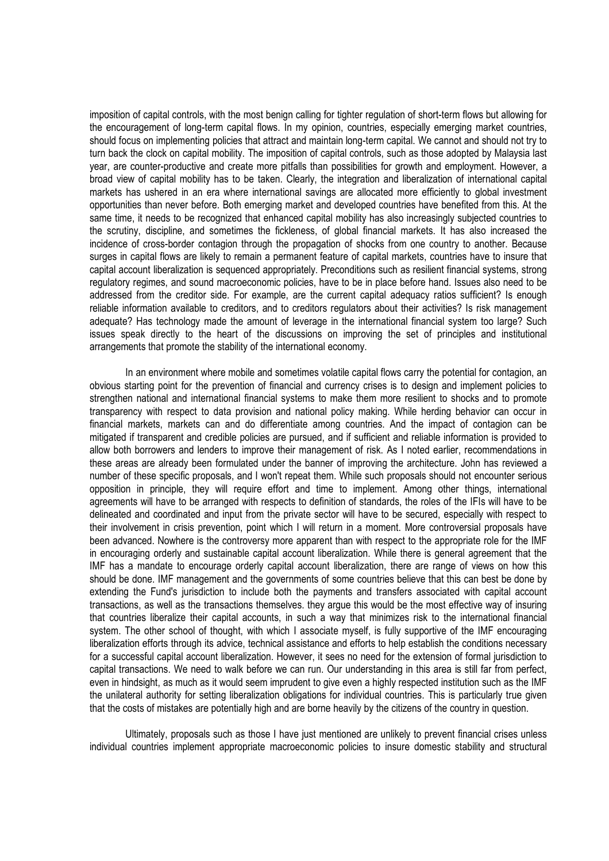imposition of capital controls, with the most benign calling for tighter regulation of short-term flows but allowing for the encouragement of long-term capital flows. In my opinion, countries, especially emerging market countries, should focus on implementing policies that attract and maintain long-term capital. We cannot and should not try to turn back the clock on capital mobility. The imposition of capital controls, such as those adopted by Malaysia last year, are counter-productive and create more pitfalls than possibilities for growth and employment. However, a broad view of capital mobility has to be taken. Clearly, the integration and liberalization of international capital markets has ushered in an era where international savings are allocated more efficiently to global investment opportunities than never before. Both emerging market and developed countries have benefited from this. At the same time, it needs to be recognized that enhanced capital mobility has also increasingly subjected countries to the scrutiny, discipline, and sometimes the fickleness, of global financial markets. It has also increased the incidence of cross-border contagion through the propagation of shocks from one country to another. Because surges in capital flows are likely to remain a permanent feature of capital markets, countries have to insure that capital account liberalization is sequenced appropriately. Preconditions such as resilient financial systems, strong regulatory regimes, and sound macroeconomic policies, have to be in place before hand. Issues also need to be addressed from the creditor side. For example, are the current capital adequacy ratios sufficient? Is enough reliable information available to creditors, and to creditors regulators about their activities? Is risk management adequate? Has technology made the amount of leverage in the international financial system too large? Such issues speak directly to the heart of the discussions on improving the set of principles and institutional arrangements that promote the stability of the international economy.

 In an environment where mobile and sometimes volatile capital flows carry the potential for contagion, an obvious starting point for the prevention of financial and currency crises is to design and implement policies to strengthen national and international financial systems to make them more resilient to shocks and to promote transparency with respect to data provision and national policy making. While herding behavior can occur in financial markets, markets can and do differentiate among countries. And the impact of contagion can be mitigated if transparent and credible policies are pursued, and if sufficient and reliable information is provided to allow both borrowers and lenders to improve their management of risk. As I noted earlier, recommendations in these areas are already been formulated under the banner of improving the architecture. John has reviewed a number of these specific proposals, and I won't repeat them. While such proposals should not encounter serious opposition in principle, they will require effort and time to implement. Among other things, international agreements will have to be arranged with respects to definition of standards, the roles of the IFIs will have to be delineated and coordinated and input from the private sector will have to be secured, especially with respect to their involvement in crisis prevention, point which I will return in a moment. More controversial proposals have been advanced. Nowhere is the controversy more apparent than with respect to the appropriate role for the IMF in encouraging orderly and sustainable capital account liberalization. While there is general agreement that the IMF has a mandate to encourage orderly capital account liberalization, there are range of views on how this should be done. IMF management and the governments of some countries believe that this can best be done by extending the Fund's jurisdiction to include both the payments and transfers associated with capital account transactions, as well as the transactions themselves. they argue this would be the most effective way of insuring that countries liberalize their capital accounts, in such a way that minimizes risk to the international financial system. The other school of thought, with which I associate myself, is fully supportive of the IMF encouraging liberalization efforts through its advice, technical assistance and efforts to help establish the conditions necessary for a successful capital account liberalization. However, it sees no need for the extension of formal jurisdiction to capital transactions. We need to walk before we can run. Our understanding in this area is still far from perfect, even in hindsight, as much as it would seem imprudent to give even a highly respected institution such as the IMF the unilateral authority for setting liberalization obligations for individual countries. This is particularly true given that the costs of mistakes are potentially high and are borne heavily by the citizens of the country in question.

 Ultimately, proposals such as those I have just mentioned are unlikely to prevent financial crises unless individual countries implement appropriate macroeconomic policies to insure domestic stability and structural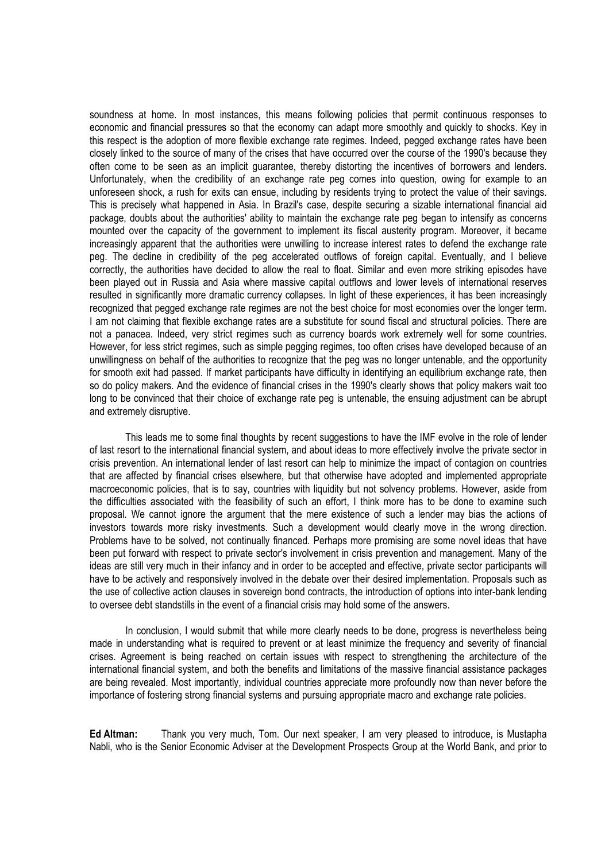soundness at home. In most instances, this means following policies that permit continuous responses to economic and financial pressures so that the economy can adapt more smoothly and quickly to shocks. Key in this respect is the adoption of more flexible exchange rate regimes. Indeed, pegged exchange rates have been closely linked to the source of many of the crises that have occurred over the course of the 1990's because they often come to be seen as an implicit guarantee, thereby distorting the incentives of borrowers and lenders. Unfortunately, when the credibility of an exchange rate peg comes into question, owing for example to an unforeseen shock, a rush for exits can ensue, including by residents trying to protect the value of their savings. This is precisely what happened in Asia. In Brazil's case, despite securing a sizable international financial aid package, doubts about the authorities' ability to maintain the exchange rate peg began to intensify as concerns mounted over the capacity of the government to implement its fiscal austerity program. Moreover, it became increasingly apparent that the authorities were unwilling to increase interest rates to defend the exchange rate peg. The decline in credibility of the peg accelerated outflows of foreign capital. Eventually, and I believe correctly, the authorities have decided to allow the real to float. Similar and even more striking episodes have been played out in Russia and Asia where massive capital outflows and lower levels of international reserves resulted in significantly more dramatic currency collapses. In light of these experiences, it has been increasingly recognized that pegged exchange rate regimes are not the best choice for most economies over the longer term. I am not claiming that flexible exchange rates are a substitute for sound fiscal and structural policies. There are not a panacea. Indeed, very strict regimes such as currency boards work extremely well for some countries. However, for less strict regimes, such as simple pegging regimes, too often crises have developed because of an unwillingness on behalf of the authorities to recognize that the peg was no longer untenable, and the opportunity for smooth exit had passed. If market participants have difficulty in identifying an equilibrium exchange rate, then so do policy makers. And the evidence of financial crises in the 1990's clearly shows that policy makers wait too long to be convinced that their choice of exchange rate peg is untenable, the ensuing adjustment can be abrupt and extremely disruptive.

 This leads me to some final thoughts by recent suggestions to have the IMF evolve in the role of lender of last resort to the international financial system, and about ideas to more effectively involve the private sector in crisis prevention. An international lender of last resort can help to minimize the impact of contagion on countries that are affected by financial crises elsewhere, but that otherwise have adopted and implemented appropriate macroeconomic policies, that is to say, countries with liquidity but not solvency problems. However, aside from the difficulties associated with the feasibility of such an effort, I think more has to be done to examine such proposal. We cannot ignore the argument that the mere existence of such a lender may bias the actions of investors towards more risky investments. Such a development would clearly move in the wrong direction. Problems have to be solved, not continually financed. Perhaps more promising are some novel ideas that have been put forward with respect to private sector's involvement in crisis prevention and management. Many of the ideas are still very much in their infancy and in order to be accepted and effective, private sector participants will have to be actively and responsively involved in the debate over their desired implementation. Proposals such as the use of collective action clauses in sovereign bond contracts, the introduction of options into inter-bank lending to oversee debt standstills in the event of a financial crisis may hold some of the answers.

 In conclusion, I would submit that while more clearly needs to be done, progress is nevertheless being made in understanding what is required to prevent or at least minimize the frequency and severity of financial crises. Agreement is being reached on certain issues with respect to strengthening the architecture of the international financial system, and both the benefits and limitations of the massive financial assistance packages are being revealed. Most importantly, individual countries appreciate more profoundly now than never before the importance of fostering strong financial systems and pursuing appropriate macro and exchange rate policies.

Ed Altman: Thank you very much, Tom. Our next speaker, I am very pleased to introduce, is Mustapha Nabli, who is the Senior Economic Adviser at the Development Prospects Group at the World Bank, and prior to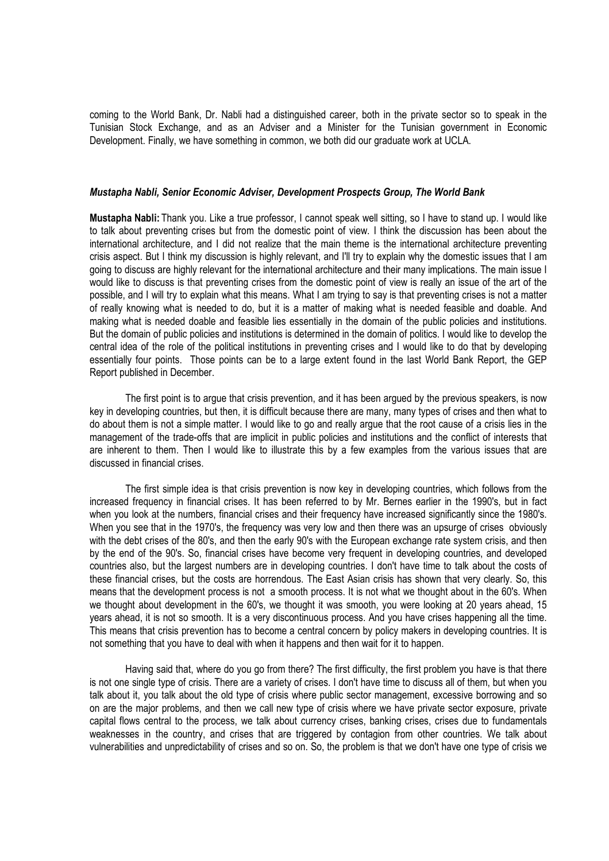coming to the World Bank, Dr. Nabli had a distinguished career, both in the private sector so to speak in the Tunisian Stock Exchange, and as an Adviser and a Minister for the Tunisian government in Economic Development. Finally, we have something in common, we both did our graduate work at UCLA.

#### Mustapha Nabli, Senior Economic Adviser, Development Prospects Group, The World Bank

Mustapha Nabli: Thank you. Like a true professor, I cannot speak well sitting, so I have to stand up. I would like to talk about preventing crises but from the domestic point of view. I think the discussion has been about the international architecture, and I did not realize that the main theme is the international architecture preventing crisis aspect. But I think my discussion is highly relevant, and I'll try to explain why the domestic issues that I am going to discuss are highly relevant for the international architecture and their many implications. The main issue I would like to discuss is that preventing crises from the domestic point of view is really an issue of the art of the possible, and I will try to explain what this means. What I am trying to say is that preventing crises is not a matter of really knowing what is needed to do, but it is a matter of making what is needed feasible and doable. And making what is needed doable and feasible lies essentially in the domain of the public policies and institutions. But the domain of public policies and institutions is determined in the domain of politics. I would like to develop the central idea of the role of the political institutions in preventing crises and I would like to do that by developing essentially four points. Those points can be to a large extent found in the last World Bank Report, the GEP Report published in December.

 The first point is to argue that crisis prevention, and it has been argued by the previous speakers, is now key in developing countries, but then, it is difficult because there are many, many types of crises and then what to do about them is not a simple matter. I would like to go and really argue that the root cause of a crisis lies in the management of the trade-offs that are implicit in public policies and institutions and the conflict of interests that are inherent to them. Then I would like to illustrate this by a few examples from the various issues that are discussed in financial crises.

 The first simple idea is that crisis prevention is now key in developing countries, which follows from the increased frequency in financial crises. It has been referred to by Mr. Bernes earlier in the 1990's, but in fact when you look at the numbers, financial crises and their frequency have increased significantly since the 1980's. When you see that in the 1970's, the frequency was very low and then there was an upsurge of crises obviously with the debt crises of the 80's, and then the early 90's with the European exchange rate system crisis, and then by the end of the 90's. So, financial crises have become very frequent in developing countries, and developed countries also, but the largest numbers are in developing countries. I don't have time to talk about the costs of these financial crises, but the costs are horrendous. The East Asian crisis has shown that very clearly. So, this means that the development process is not a smooth process. It is not what we thought about in the 60's. When we thought about development in the 60's, we thought it was smooth, you were looking at 20 years ahead, 15 years ahead, it is not so smooth. It is a very discontinuous process. And you have crises happening all the time. This means that crisis prevention has to become a central concern by policy makers in developing countries. It is not something that you have to deal with when it happens and then wait for it to happen.

 Having said that, where do you go from there? The first difficulty, the first problem you have is that there is not one single type of crisis. There are a variety of crises. I don't have time to discuss all of them, but when you talk about it, you talk about the old type of crisis where public sector management, excessive borrowing and so on are the major problems, and then we call new type of crisis where we have private sector exposure, private capital flows central to the process, we talk about currency crises, banking crises, crises due to fundamentals weaknesses in the country, and crises that are triggered by contagion from other countries. We talk about vulnerabilities and unpredictability of crises and so on. So, the problem is that we don't have one type of crisis we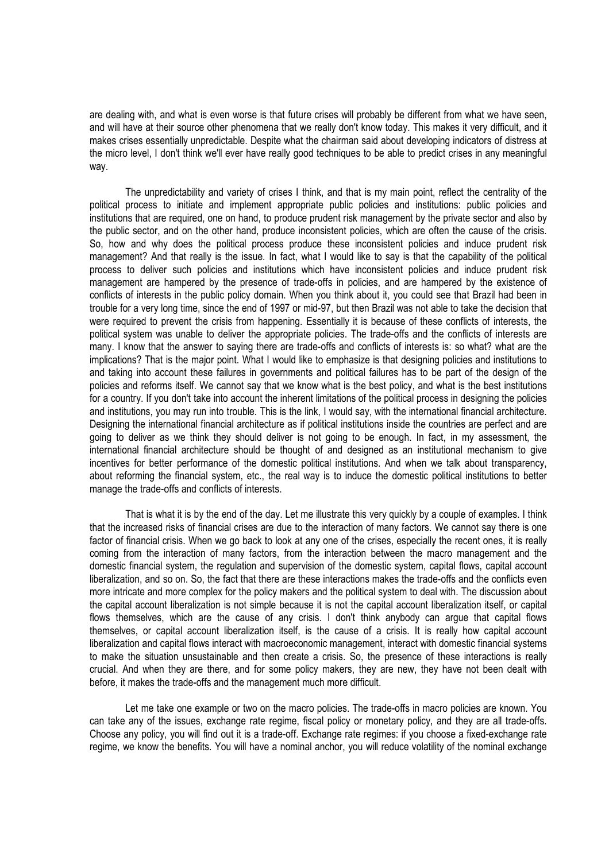are dealing with, and what is even worse is that future crises will probably be different from what we have seen, and will have at their source other phenomena that we really don't know today. This makes it very difficult, and it makes crises essentially unpredictable. Despite what the chairman said about developing indicators of distress at the micro level, I don't think we'll ever have really good techniques to be able to predict crises in any meaningful way.

 The unpredictability and variety of crises I think, and that is my main point, reflect the centrality of the political process to initiate and implement appropriate public policies and institutions: public policies and institutions that are required, one on hand, to produce prudent risk management by the private sector and also by the public sector, and on the other hand, produce inconsistent policies, which are often the cause of the crisis. So, how and why does the political process produce these inconsistent policies and induce prudent risk management? And that really is the issue. In fact, what I would like to say is that the capability of the political process to deliver such policies and institutions which have inconsistent policies and induce prudent risk management are hampered by the presence of trade-offs in policies, and are hampered by the existence of conflicts of interests in the public policy domain. When you think about it, you could see that Brazil had been in trouble for a very long time, since the end of 1997 or mid-97, but then Brazil was not able to take the decision that were required to prevent the crisis from happening. Essentially it is because of these conflicts of interests, the political system was unable to deliver the appropriate policies. The trade-offs and the conflicts of interests are many. I know that the answer to saying there are trade-offs and conflicts of interests is: so what? what are the implications? That is the major point. What I would like to emphasize is that designing policies and institutions to and taking into account these failures in governments and political failures has to be part of the design of the policies and reforms itself. We cannot say that we know what is the best policy, and what is the best institutions for a country. If you don't take into account the inherent limitations of the political process in designing the policies and institutions, you may run into trouble. This is the link, I would say, with the international financial architecture. Designing the international financial architecture as if political institutions inside the countries are perfect and are going to deliver as we think they should deliver is not going to be enough. In fact, in my assessment, the international financial architecture should be thought of and designed as an institutional mechanism to give incentives for better performance of the domestic political institutions. And when we talk about transparency, about reforming the financial system, etc., the real way is to induce the domestic political institutions to better manage the trade-offs and conflicts of interests.

 That is what it is by the end of the day. Let me illustrate this very quickly by a couple of examples. I think that the increased risks of financial crises are due to the interaction of many factors. We cannot say there is one factor of financial crisis. When we go back to look at any one of the crises, especially the recent ones, it is really coming from the interaction of many factors, from the interaction between the macro management and the domestic financial system, the regulation and supervision of the domestic system, capital flows, capital account liberalization, and so on. So, the fact that there are these interactions makes the trade-offs and the conflicts even more intricate and more complex for the policy makers and the political system to deal with. The discussion about the capital account liberalization is not simple because it is not the capital account liberalization itself, or capital flows themselves, which are the cause of any crisis. I don't think anybody can argue that capital flows themselves, or capital account liberalization itself, is the cause of a crisis. It is really how capital account liberalization and capital flows interact with macroeconomic management, interact with domestic financial systems to make the situation unsustainable and then create a crisis. So, the presence of these interactions is really crucial. And when they are there, and for some policy makers, they are new, they have not been dealt with before, it makes the trade-offs and the management much more difficult.

 Let me take one example or two on the macro policies. The trade-offs in macro policies are known. You can take any of the issues, exchange rate regime, fiscal policy or monetary policy, and they are all trade-offs. Choose any policy, you will find out it is a trade-off. Exchange rate regimes: if you choose a fixed-exchange rate regime, we know the benefits. You will have a nominal anchor, you will reduce volatility of the nominal exchange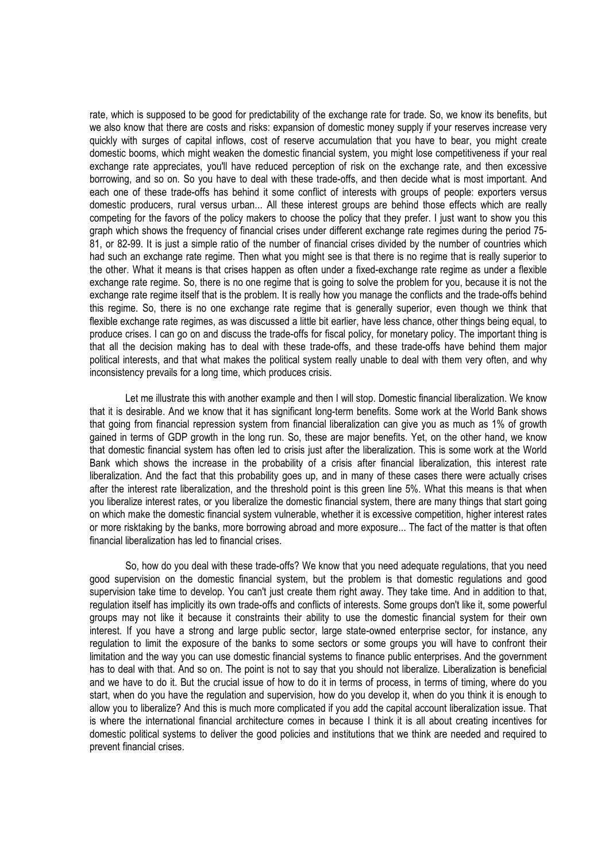rate, which is supposed to be good for predictability of the exchange rate for trade. So, we know its benefits, but we also know that there are costs and risks: expansion of domestic money supply if your reserves increase very quickly with surges of capital inflows, cost of reserve accumulation that you have to bear, you might create domestic booms, which might weaken the domestic financial system, you might lose competitiveness if your real exchange rate appreciates, you'll have reduced perception of risk on the exchange rate, and then excessive borrowing, and so on. So you have to deal with these trade-offs, and then decide what is most important. And each one of these trade-offs has behind it some conflict of interests with groups of people: exporters versus domestic producers, rural versus urban... All these interest groups are behind those effects which are really competing for the favors of the policy makers to choose the policy that they prefer. I just want to show you this graph which shows the frequency of financial crises under different exchange rate regimes during the period 75- 81, or 82-99. It is just a simple ratio of the number of financial crises divided by the number of countries which had such an exchange rate regime. Then what you might see is that there is no regime that is really superior to the other. What it means is that crises happen as often under a fixed-exchange rate regime as under a flexible exchange rate regime. So, there is no one regime that is going to solve the problem for you, because it is not the exchange rate regime itself that is the problem. It is really how you manage the conflicts and the trade-offs behind this regime. So, there is no one exchange rate regime that is generally superior, even though we think that flexible exchange rate regimes, as was discussed a little bit earlier, have less chance, other things being equal, to produce crises. I can go on and discuss the trade-offs for fiscal policy, for monetary policy. The important thing is that all the decision making has to deal with these trade-offs, and these trade-offs have behind them major political interests, and that what makes the political system really unable to deal with them very often, and why inconsistency prevails for a long time, which produces crisis.

 Let me illustrate this with another example and then I will stop. Domestic financial liberalization. We know that it is desirable. And we know that it has significant long-term benefits. Some work at the World Bank shows that going from financial repression system from financial liberalization can give you as much as 1% of growth gained in terms of GDP growth in the long run. So, these are major benefits. Yet, on the other hand, we know that domestic financial system has often led to crisis just after the liberalization. This is some work at the World Bank which shows the increase in the probability of a crisis after financial liberalization, this interest rate liberalization. And the fact that this probability goes up, and in many of these cases there were actually crises after the interest rate liberalization, and the threshold point is this green line 5%. What this means is that when you liberalize interest rates, or you liberalize the domestic financial system, there are many things that start going on which make the domestic financial system vulnerable, whether it is excessive competition, higher interest rates or more risktaking by the banks, more borrowing abroad and more exposure... The fact of the matter is that often financial liberalization has led to financial crises.

 So, how do you deal with these trade-offs? We know that you need adequate regulations, that you need good supervision on the domestic financial system, but the problem is that domestic regulations and good supervision take time to develop. You can't just create them right away. They take time. And in addition to that, regulation itself has implicitly its own trade-offs and conflicts of interests. Some groups don't like it, some powerful groups may not like it because it constraints their ability to use the domestic financial system for their own interest. If you have a strong and large public sector, large state-owned enterprise sector, for instance, any regulation to limit the exposure of the banks to some sectors or some groups you will have to confront their limitation and the way you can use domestic financial systems to finance public enterprises. And the government has to deal with that. And so on. The point is not to say that you should not liberalize. Liberalization is beneficial and we have to do it. But the crucial issue of how to do it in terms of process, in terms of timing, where do you start, when do you have the regulation and supervision, how do you develop it, when do you think it is enough to allow you to liberalize? And this is much more complicated if you add the capital account liberalization issue. That is where the international financial architecture comes in because I think it is all about creating incentives for domestic political systems to deliver the good policies and institutions that we think are needed and required to prevent financial crises.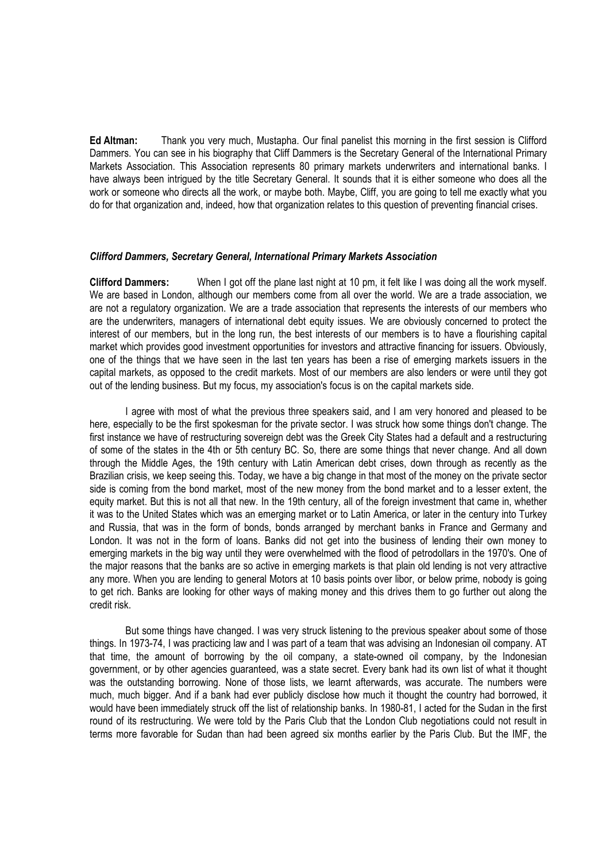Ed Altman: Thank you very much, Mustapha. Our final panelist this morning in the first session is Clifford Dammers. You can see in his biography that Cliff Dammers is the Secretary General of the International Primary Markets Association. This Association represents 80 primary markets underwriters and international banks. I have always been intrigued by the title Secretary General. It sounds that it is either someone who does all the work or someone who directs all the work, or maybe both. Maybe, Cliff, you are going to tell me exactly what you do for that organization and, indeed, how that organization relates to this question of preventing financial crises.

### Clifford Dammers, Secretary General, International Primary Markets Association

Clifford Dammers: When I got off the plane last night at 10 pm, it felt like I was doing all the work myself. We are based in London, although our members come from all over the world. We are a trade association, we are not a regulatory organization. We are a trade association that represents the interests of our members who are the underwriters, managers of international debt equity issues. We are obviously concerned to protect the interest of our members, but in the long run, the best interests of our members is to have a flourishing capital market which provides good investment opportunities for investors and attractive financing for issuers. Obviously, one of the things that we have seen in the last ten years has been a rise of emerging markets issuers in the capital markets, as opposed to the credit markets. Most of our members are also lenders or were until they got out of the lending business. But my focus, my association's focus is on the capital markets side.

 I agree with most of what the previous three speakers said, and I am very honored and pleased to be here, especially to be the first spokesman for the private sector. I was struck how some things don't change. The first instance we have of restructuring sovereign debt was the Greek City States had a default and a restructuring of some of the states in the 4th or 5th century BC. So, there are some things that never change. And all down through the Middle Ages, the 19th century with Latin American debt crises, down through as recently as the Brazilian crisis, we keep seeing this. Today, we have a big change in that most of the money on the private sector side is coming from the bond market, most of the new money from the bond market and to a lesser extent, the equity market. But this is not all that new. In the 19th century, all of the foreign investment that came in, whether it was to the United States which was an emerging market or to Latin America, or later in the century into Turkey and Russia, that was in the form of bonds, bonds arranged by merchant banks in France and Germany and London. It was not in the form of loans. Banks did not get into the business of lending their own money to emerging markets in the big way until they were overwhelmed with the flood of petrodollars in the 1970's. One of the major reasons that the banks are so active in emerging markets is that plain old lending is not very attractive any more. When you are lending to general Motors at 10 basis points over libor, or below prime, nobody is going to get rich. Banks are looking for other ways of making money and this drives them to go further out along the credit risk.

 But some things have changed. I was very struck listening to the previous speaker about some of those things. In 1973-74, I was practicing law and I was part of a team that was advising an Indonesian oil company. AT that time, the amount of borrowing by the oil company, a state-owned oil company, by the Indonesian government, or by other agencies guaranteed, was a state secret. Every bank had its own list of what it thought was the outstanding borrowing. None of those lists, we learnt afterwards, was accurate. The numbers were much, much bigger. And if a bank had ever publicly disclose how much it thought the country had borrowed, it would have been immediately struck off the list of relationship banks. In 1980-81, I acted for the Sudan in the first round of its restructuring. We were told by the Paris Club that the London Club negotiations could not result in terms more favorable for Sudan than had been agreed six months earlier by the Paris Club. But the IMF, the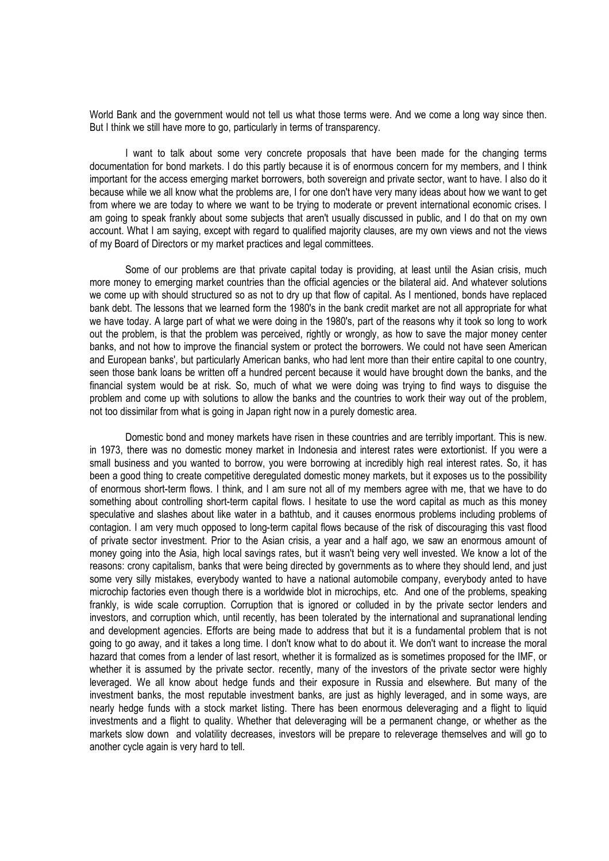World Bank and the government would not tell us what those terms were. And we come a long way since then. But I think we still have more to go, particularly in terms of transparency.

 I want to talk about some very concrete proposals that have been made for the changing terms documentation for bond markets. I do this partly because it is of enormous concern for my members, and I think important for the access emerging market borrowers, both sovereign and private sector, want to have. I also do it because while we all know what the problems are, I for one don't have very many ideas about how we want to get from where we are today to where we want to be trying to moderate or prevent international economic crises. I am going to speak frankly about some subjects that aren't usually discussed in public, and I do that on my own account. What I am saying, except with regard to qualified majority clauses, are my own views and not the views of my Board of Directors or my market practices and legal committees.

 Some of our problems are that private capital today is providing, at least until the Asian crisis, much more money to emerging market countries than the official agencies or the bilateral aid. And whatever solutions we come up with should structured so as not to dry up that flow of capital. As I mentioned, bonds have replaced bank debt. The lessons that we learned form the 1980's in the bank credit market are not all appropriate for what we have today. A large part of what we were doing in the 1980's, part of the reasons why it took so long to work out the problem, is that the problem was perceived, rightly or wrongly, as how to save the major money center banks, and not how to improve the financial system or protect the borrowers. We could not have seen American and European banks', but particularly American banks, who had lent more than their entire capital to one country, seen those bank loans be written off a hundred percent because it would have brought down the banks, and the financial system would be at risk. So, much of what we were doing was trying to find ways to disguise the problem and come up with solutions to allow the banks and the countries to work their way out of the problem, not too dissimilar from what is going in Japan right now in a purely domestic area.

 Domestic bond and money markets have risen in these countries and are terribly important. This is new. in 1973, there was no domestic money market in Indonesia and interest rates were extortionist. If you were a small business and you wanted to borrow, you were borrowing at incredibly high real interest rates. So, it has been a good thing to create competitive deregulated domestic money markets, but it exposes us to the possibility of enormous short-term flows. I think, and I am sure not all of my members agree with me, that we have to do something about controlling short-term capital flows. I hesitate to use the word capital as much as this money speculative and slashes about like water in a bathtub, and it causes enormous problems including problems of contagion. I am very much opposed to long-term capital flows because of the risk of discouraging this vast flood of private sector investment. Prior to the Asian crisis, a year and a half ago, we saw an enormous amount of money going into the Asia, high local savings rates, but it wasn't being very well invested. We know a lot of the reasons: crony capitalism, banks that were being directed by governments as to where they should lend, and just some very silly mistakes, everybody wanted to have a national automobile company, everybody anted to have microchip factories even though there is a worldwide blot in microchips, etc. And one of the problems, speaking frankly, is wide scale corruption. Corruption that is ignored or colluded in by the private sector lenders and investors, and corruption which, until recently, has been tolerated by the international and supranational lending and development agencies. Efforts are being made to address that but it is a fundamental problem that is not going to go away, and it takes a long time. I don't know what to do about it. We don't want to increase the moral hazard that comes from a lender of last resort, whether it is formalized as is sometimes proposed for the IMF, or whether it is assumed by the private sector, recently, many of the investors of the private sector were highly leveraged. We all know about hedge funds and their exposure in Russia and elsewhere. But many of the investment banks, the most reputable investment banks, are just as highly leveraged, and in some ways, are nearly hedge funds with a stock market listing. There has been enormous deleveraging and a flight to liquid investments and a flight to quality. Whether that deleveraging will be a permanent change, or whether as the markets slow down and volatility decreases, investors will be prepare to releverage themselves and will go to another cycle again is very hard to tell.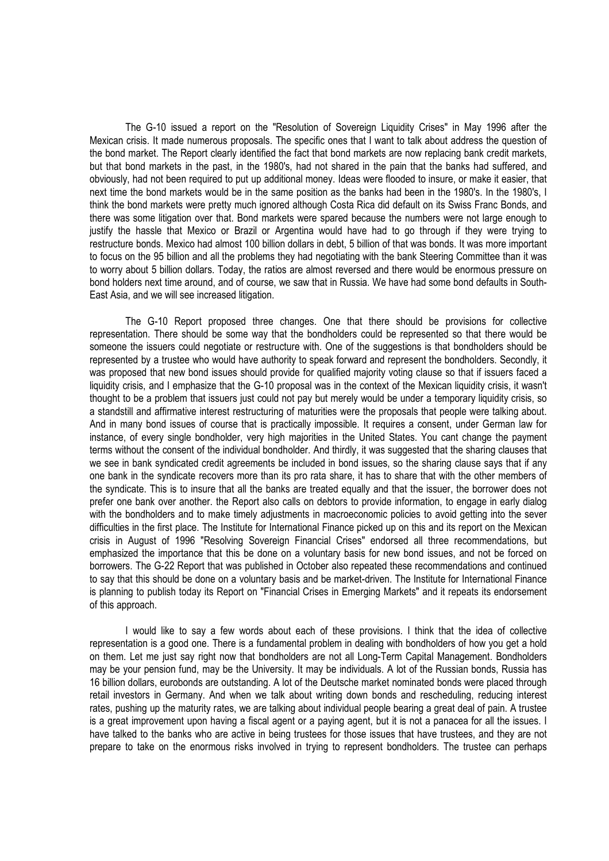The G-10 issued a report on the "Resolution of Sovereign Liquidity Crises" in May 1996 after the Mexican crisis. It made numerous proposals. The specific ones that I want to talk about address the question of the bond market. The Report clearly identified the fact that bond markets are now replacing bank credit markets, but that bond markets in the past, in the 1980's, had not shared in the pain that the banks had suffered, and obviously, had not been required to put up additional money. Ideas were flooded to insure, or make it easier, that next time the bond markets would be in the same position as the banks had been in the 1980's. In the 1980's, I think the bond markets were pretty much ignored although Costa Rica did default on its Swiss Franc Bonds, and there was some litigation over that. Bond markets were spared because the numbers were not large enough to justify the hassle that Mexico or Brazil or Argentina would have had to go through if they were trying to restructure bonds. Mexico had almost 100 billion dollars in debt, 5 billion of that was bonds. It was more important to focus on the 95 billion and all the problems they had negotiating with the bank Steering Committee than it was to worry about 5 billion dollars. Today, the ratios are almost reversed and there would be enormous pressure on bond holders next time around, and of course, we saw that in Russia. We have had some bond defaults in South-East Asia, and we will see increased litigation.

 The G-10 Report proposed three changes. One that there should be provisions for collective representation. There should be some way that the bondholders could be represented so that there would be someone the issuers could negotiate or restructure with. One of the suggestions is that bondholders should be represented by a trustee who would have authority to speak forward and represent the bondholders. Secondly, it was proposed that new bond issues should provide for qualified majority voting clause so that if issuers faced a liquidity crisis, and I emphasize that the G-10 proposal was in the context of the Mexican liquidity crisis, it wasn't thought to be a problem that issuers just could not pay but merely would be under a temporary liquidity crisis, so a standstill and affirmative interest restructuring of maturities were the proposals that people were talking about. And in many bond issues of course that is practically impossible. It requires a consent, under German law for instance, of every single bondholder, very high majorities in the United States. You cant change the payment terms without the consent of the individual bondholder. And thirdly, it was suggested that the sharing clauses that we see in bank syndicated credit agreements be included in bond issues, so the sharing clause says that if any one bank in the syndicate recovers more than its pro rata share, it has to share that with the other members of the syndicate. This is to insure that all the banks are treated equally and that the issuer, the borrower does not prefer one bank over another. the Report also calls on debtors to provide information, to engage in early dialog with the bondholders and to make timely adjustments in macroeconomic policies to avoid getting into the sever difficulties in the first place. The Institute for International Finance picked up on this and its report on the Mexican crisis in August of 1996 "Resolving Sovereign Financial Crises" endorsed all three recommendations, but emphasized the importance that this be done on a voluntary basis for new bond issues, and not be forced on borrowers. The G-22 Report that was published in October also repeated these recommendations and continued to say that this should be done on a voluntary basis and be market-driven. The Institute for International Finance is planning to publish today its Report on "Financial Crises in Emerging Markets" and it repeats its endorsement of this approach.

 I would like to say a few words about each of these provisions. I think that the idea of collective representation is a good one. There is a fundamental problem in dealing with bondholders of how you get a hold on them. Let me just say right now that bondholders are not all Long-Term Capital Management. Bondholders may be your pension fund, may be the University. It may be individuals. A lot of the Russian bonds, Russia has 16 billion dollars, eurobonds are outstanding. A lot of the Deutsche market nominated bonds were placed through retail investors in Germany. And when we talk about writing down bonds and rescheduling, reducing interest rates, pushing up the maturity rates, we are talking about individual people bearing a great deal of pain. A trustee is a great improvement upon having a fiscal agent or a paying agent, but it is not a panacea for all the issues. I have talked to the banks who are active in being trustees for those issues that have trustees, and they are not prepare to take on the enormous risks involved in trying to represent bondholders. The trustee can perhaps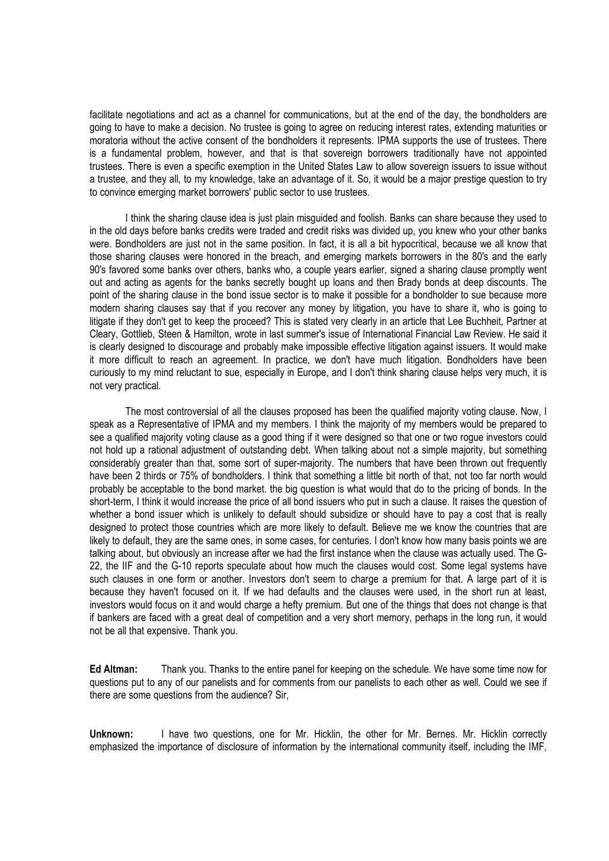facilitate negotiations and act as a channel for communications, but at the end of the day, the bondholders are going to have to make a decision. No trustee is going to agree on reducing interest rates, extending maturities or moratoria without the active consent of the bondholders it represents. IPMA supports the use of trustees. There is a fundamental problem, however, and that is that sovereign borrowers traditionally have not appointed trustees. There is even a specific exemption in the United States Law to allow sovereign issuers to issue without a trustee, and they all, to my knowledge, take an advantage of it. So, it would be a major prestige question to try to convince emerging market borrowers' public sector to use trustees.

 I think the sharing clause idea is just plain misguided and foolish. Banks can share because they used to in the old days before banks credits were traded and credit risks was divided up, you knew who your other banks were. Bondholders are just not in the same position. In fact, it is all a bit hypocritical, because we all know that those sharing clauses were honored in the breach, and emerging markets borrowers in the 80's and the early 90's favored some banks over others, banks who, a couple years earlier, signed a sharing clause promptly went out and acting as agents for the banks secretly bought up loans and then Brady bonds at deep discounts. The point of the sharing clause in the bond issue sector is to make it possible for a bondholder to sue because more modern sharing clauses say that if you recover any money by litigation, you have to share it, who is going to litigate if they don't get to keep the proceed? This is stated very clearly in an article that Lee Buchheit, Partner at Cleary, Gottlieb, Steen & Hamilton, wrote in last summer's issue of International Financial Law Review. He said it is clearly designed to discourage and probably make impossible effective litigation against issuers. It would make it more difficult to reach an agreement. In practice, we don't have much litigation. Bondholders have been curiously to my mind reluctant to sue, especially in Europe, and I don't think sharing clause helps very much, it is not very practical.

 The most controversial of all the clauses proposed has been the qualified majority voting clause. Now, I speak as a Representative of IPMA and my members. I think the majority of my members would be prepared to see a qualified majority voting clause as a good thing if it were designed so that one or two rogue investors could not hold up a rational adjustment of outstanding debt. When talking about not a simple majority, but something considerably greater than that, some sort of super-majority. The numbers that have been thrown out frequently have been 2 thirds or 75% of bondholders. I think that something a little bit north of that, not too far north would probably be acceptable to the bond market. the big question is what would that do to the pricing of bonds. In the short-term, I think it would increase the price of all bond issuers who put in such a clause. It raises the question of whether a bond issuer which is unlikely to default should subsidize or should have to pay a cost that is really designed to protect those countries which are more likely to default. Believe me we know the countries that are likely to default, they are the same ones, in some cases, for centuries. I don't know how many basis points we are talking about, but obviously an increase after we had the first instance when the clause was actually used. The G-22, the IIF and the G-10 reports speculate about how much the clauses would cost. Some legal systems have such clauses in one form or another. Investors don't seem to charge a premium for that. A large part of it is because they haven't focused on it. If we had defaults and the clauses were used, in the short run at least, investors would focus on it and would charge a hefty premium. But one of the things that does not change is that if bankers are faced with a great deal of competition and a very short memory, perhaps in the long run, it would not be all that expensive. Thank you.

Ed Altman: Thank you. Thanks to the entire panel for keeping on the schedule. We have some time now for questions put to any of our panelists and for comments from our panelists to each other as well. Could we see if there are some questions from the audience? Sir,

Unknown: I have two questions, one for Mr. Hicklin, the other for Mr. Bernes. Mr. Hicklin correctly emphasized the importance of disclosure of information by the international community itself, including the IMF,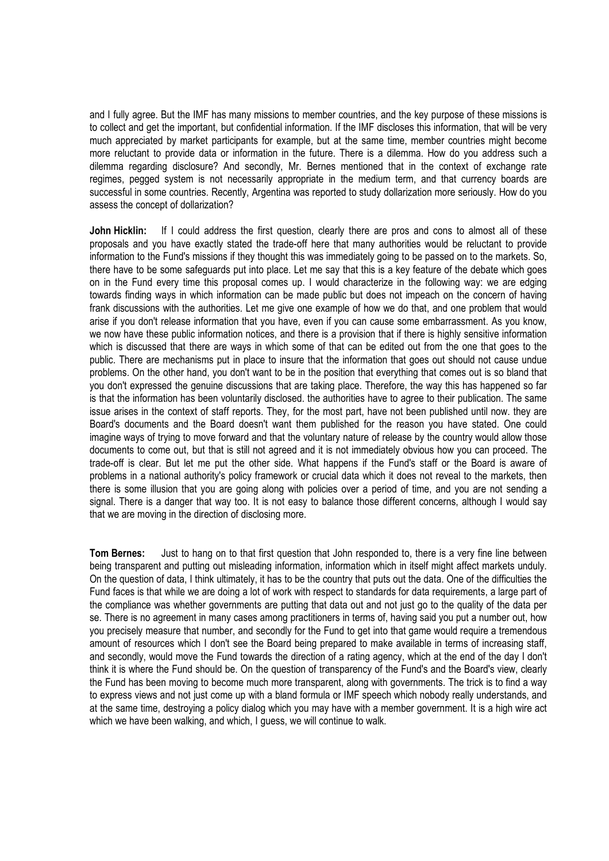and I fully agree. But the IMF has many missions to member countries, and the key purpose of these missions is to collect and get the important, but confidential information. If the IMF discloses this information, that will be very much appreciated by market participants for example, but at the same time, member countries might become more reluctant to provide data or information in the future. There is a dilemma. How do you address such a dilemma regarding disclosure? And secondly, Mr. Bernes mentioned that in the context of exchange rate regimes, pegged system is not necessarily appropriate in the medium term, and that currency boards are successful in some countries. Recently, Argentina was reported to study dollarization more seriously. How do you assess the concept of dollarization?

John Hicklin: If I could address the first question, clearly there are pros and cons to almost all of these proposals and you have exactly stated the trade-off here that many authorities would be reluctant to provide information to the Fund's missions if they thought this was immediately going to be passed on to the markets. So, there have to be some safeguards put into place. Let me say that this is a key feature of the debate which goes on in the Fund every time this proposal comes up. I would characterize in the following way: we are edging towards finding ways in which information can be made public but does not impeach on the concern of having frank discussions with the authorities. Let me give one example of how we do that, and one problem that would arise if you don't release information that you have, even if you can cause some embarrassment. As you know, we now have these public information notices, and there is a provision that if there is highly sensitive information which is discussed that there are ways in which some of that can be edited out from the one that goes to the public. There are mechanisms put in place to insure that the information that goes out should not cause undue problems. On the other hand, you don't want to be in the position that everything that comes out is so bland that you don't expressed the genuine discussions that are taking place. Therefore, the way this has happened so far is that the information has been voluntarily disclosed. the authorities have to agree to their publication. The same issue arises in the context of staff reports. They, for the most part, have not been published until now. they are Board's documents and the Board doesn't want them published for the reason you have stated. One could imagine ways of trying to move forward and that the voluntary nature of release by the country would allow those documents to come out, but that is still not agreed and it is not immediately obvious how you can proceed. The trade-off is clear. But let me put the other side. What happens if the Fund's staff or the Board is aware of problems in a national authority's policy framework or crucial data which it does not reveal to the markets, then there is some illusion that you are going along with policies over a period of time, and you are not sending a signal. There is a danger that way too. It is not easy to balance those different concerns, although I would say that we are moving in the direction of disclosing more.

Tom Bernes: Just to hang on to that first question that John responded to, there is a very fine line between being transparent and putting out misleading information, information which in itself might affect markets unduly. On the question of data, I think ultimately, it has to be the country that puts out the data. One of the difficulties the Fund faces is that while we are doing a lot of work with respect to standards for data requirements, a large part of the compliance was whether governments are putting that data out and not just go to the quality of the data per se. There is no agreement in many cases among practitioners in terms of, having said you put a number out, how you precisely measure that number, and secondly for the Fund to get into that game would require a tremendous amount of resources which I don't see the Board being prepared to make available in terms of increasing staff, and secondly, would move the Fund towards the direction of a rating agency, which at the end of the day I don't think it is where the Fund should be. On the question of transparency of the Fund's and the Board's view, clearly the Fund has been moving to become much more transparent, along with governments. The trick is to find a way to express views and not just come up with a bland formula or IMF speech which nobody really understands, and at the same time, destroying a policy dialog which you may have with a member government. It is a high wire act which we have been walking, and which, I guess, we will continue to walk.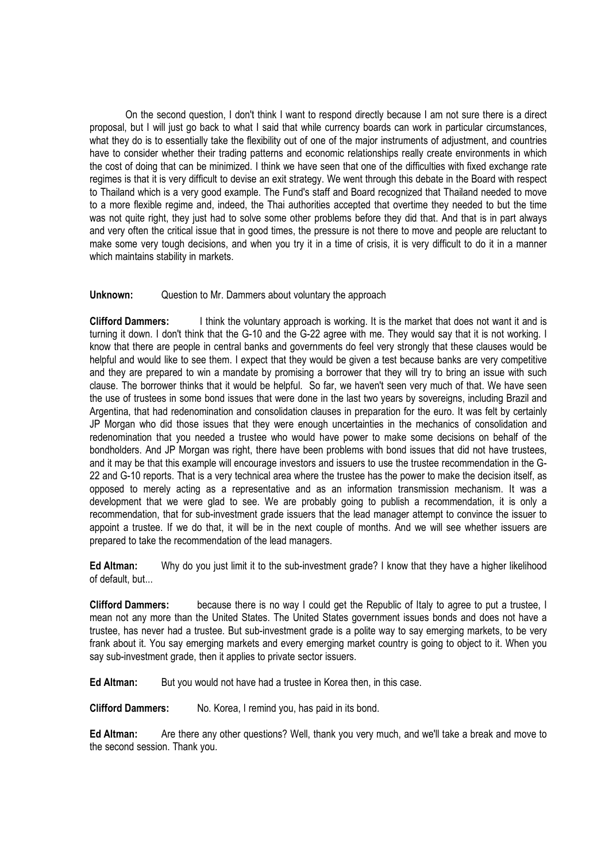On the second question, I don't think I want to respond directly because I am not sure there is a direct proposal, but I will just go back to what I said that while currency boards can work in particular circumstances, what they do is to essentially take the flexibility out of one of the major instruments of adjustment, and countries have to consider whether their trading patterns and economic relationships really create environments in which the cost of doing that can be minimized. I think we have seen that one of the difficulties with fixed exchange rate regimes is that it is very difficult to devise an exit strategy. We went through this debate in the Board with respect to Thailand which is a very good example. The Fund's staff and Board recognized that Thailand needed to move to a more flexible regime and, indeed, the Thai authorities accepted that overtime they needed to but the time was not quite right, they just had to solve some other problems before they did that. And that is in part always and very often the critical issue that in good times, the pressure is not there to move and people are reluctant to make some very tough decisions, and when you try it in a time of crisis, it is very difficult to do it in a manner which maintains stability in markets.

Unknown: Question to Mr. Dammers about voluntary the approach

Clifford Dammers: I think the voluntary approach is working. It is the market that does not want it and is turning it down. I don't think that the G-10 and the G-22 agree with me. They would say that it is not working. I know that there are people in central banks and governments do feel very strongly that these clauses would be helpful and would like to see them. I expect that they would be given a test because banks are very competitive and they are prepared to win a mandate by promising a borrower that they will try to bring an issue with such clause. The borrower thinks that it would be helpful. So far, we haven't seen very much of that. We have seen the use of trustees in some bond issues that were done in the last two years by sovereigns, including Brazil and Argentina, that had redenomination and consolidation clauses in preparation for the euro. It was felt by certainly JP Morgan who did those issues that they were enough uncertainties in the mechanics of consolidation and redenomination that you needed a trustee who would have power to make some decisions on behalf of the bondholders. And JP Morgan was right, there have been problems with bond issues that did not have trustees, and it may be that this example will encourage investors and issuers to use the trustee recommendation in the G-22 and G-10 reports. That is a very technical area where the trustee has the power to make the decision itself, as opposed to merely acting as a representative and as an information transmission mechanism. It was a development that we were glad to see. We are probably going to publish a recommendation, it is only a recommendation, that for sub-investment grade issuers that the lead manager attempt to convince the issuer to appoint a trustee. If we do that, it will be in the next couple of months. And we will see whether issuers are prepared to take the recommendation of the lead managers.

Ed Altman: Why do you just limit it to the sub-investment grade? I know that they have a higher likelihood of default, but...

Clifford Dammers: because there is no way I could get the Republic of Italy to agree to put a trustee, I mean not any more than the United States. The United States government issues bonds and does not have a trustee, has never had a trustee. But sub-investment grade is a polite way to say emerging markets, to be very frank about it. You say emerging markets and every emerging market country is going to object to it. When you say sub-investment grade, then it applies to private sector issuers.

Ed Altman: But you would not have had a trustee in Korea then, in this case.

Clifford Dammers: No. Korea, I remind you, has paid in its bond.

Ed Altman: Are there any other questions? Well, thank you very much, and we'll take a break and move to the second session. Thank you.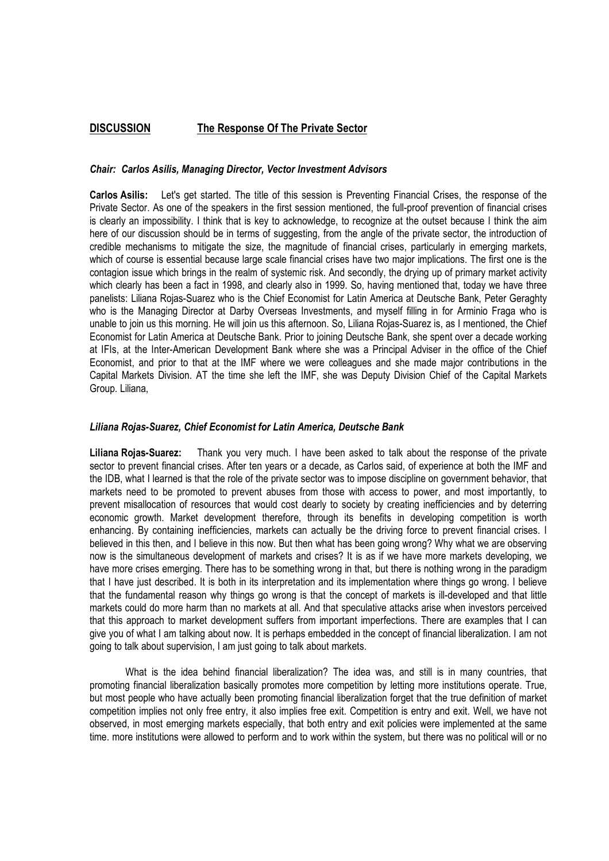# DISCUSSION The Response Of The Private Sector

### Chair: Carlos Asilis, Managing Director, Vector Investment Advisors

Carlos Asilis: Let's get started. The title of this session is Preventing Financial Crises, the response of the Private Sector. As one of the speakers in the first session mentioned, the full-proof prevention of financial crises is clearly an impossibility. I think that is key to acknowledge, to recognize at the outset because I think the aim here of our discussion should be in terms of suggesting, from the angle of the private sector, the introduction of credible mechanisms to mitigate the size, the magnitude of financial crises, particularly in emerging markets, which of course is essential because large scale financial crises have two major implications. The first one is the contagion issue which brings in the realm of systemic risk. And secondly, the drying up of primary market activity which clearly has been a fact in 1998, and clearly also in 1999. So, having mentioned that, today we have three panelists: Liliana Rojas-Suarez who is the Chief Economist for Latin America at Deutsche Bank, Peter Geraghty who is the Managing Director at Darby Overseas Investments, and myself filling in for Arminio Fraga who is unable to join us this morning. He will join us this afternoon. So, Liliana Rojas-Suarez is, as I mentioned, the Chief Economist for Latin America at Deutsche Bank. Prior to joining Deutsche Bank, she spent over a decade working at IFIs, at the Inter-American Development Bank where she was a Principal Adviser in the office of the Chief Economist, and prior to that at the IMF where we were colleagues and she made major contributions in the Capital Markets Division. AT the time she left the IMF, she was Deputy Division Chief of the Capital Markets Group. Liliana,

### Liliana Rojas-Suarez, Chief Economist for Latin America, Deutsche Bank

Liliana Rojas-Suarez: Thank you very much. I have been asked to talk about the response of the private sector to prevent financial crises. After ten years or a decade, as Carlos said, of experience at both the IMF and the IDB, what I learned is that the role of the private sector was to impose discipline on government behavior, that markets need to be promoted to prevent abuses from those with access to power, and most importantly, to prevent misallocation of resources that would cost dearly to society by creating inefficiencies and by deterring economic growth. Market development therefore, through its benefits in developing competition is worth enhancing. By containing inefficiencies, markets can actually be the driving force to prevent financial crises. I believed in this then, and I believe in this now. But then what has been going wrong? Why what we are observing now is the simultaneous development of markets and crises? It is as if we have more markets developing, we have more crises emerging. There has to be something wrong in that, but there is nothing wrong in the paradigm that I have just described. It is both in its interpretation and its implementation where things go wrong. I believe that the fundamental reason why things go wrong is that the concept of markets is ill-developed and that little markets could do more harm than no markets at all. And that speculative attacks arise when investors perceived that this approach to market development suffers from important imperfections. There are examples that I can give you of what I am talking about now. It is perhaps embedded in the concept of financial liberalization. I am not going to talk about supervision, I am just going to talk about markets.

 What is the idea behind financial liberalization? The idea was, and still is in many countries, that promoting financial liberalization basically promotes more competition by letting more institutions operate. True, but most people who have actually been promoting financial liberalization forget that the true definition of market competition implies not only free entry, it also implies free exit. Competition is entry and exit. Well, we have not observed, in most emerging markets especially, that both entry and exit policies were implemented at the same time. more institutions were allowed to perform and to work within the system, but there was no political will or no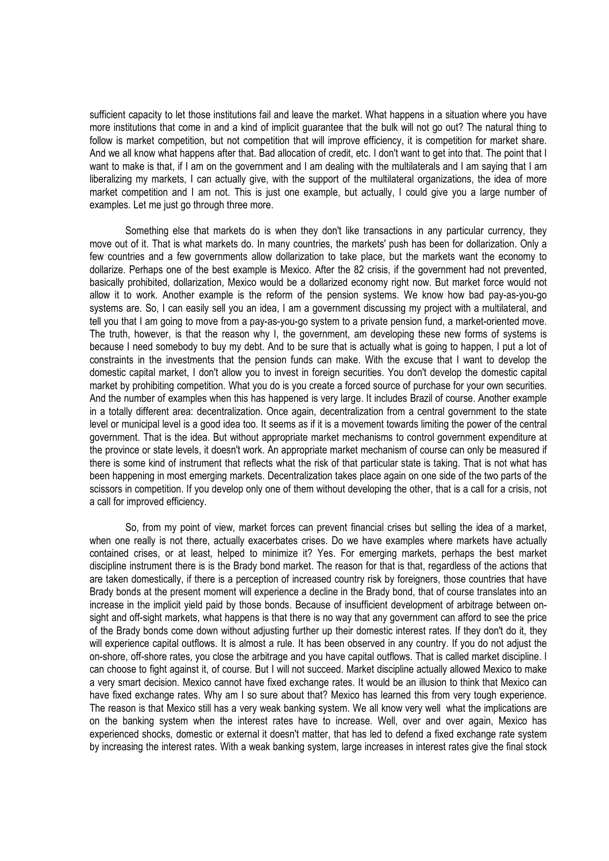sufficient capacity to let those institutions fail and leave the market. What happens in a situation where you have more institutions that come in and a kind of implicit guarantee that the bulk will not go out? The natural thing to follow is market competition, but not competition that will improve efficiency, it is competition for market share. And we all know what happens after that. Bad allocation of credit, etc. I don't want to get into that. The point that I want to make is that, if I am on the government and I am dealing with the multilaterals and I am saying that I am liberalizing my markets, I can actually give, with the support of the multilateral organizations, the idea of more market competition and I am not. This is just one example, but actually, I could give you a large number of examples. Let me just go through three more.

 Something else that markets do is when they don't like transactions in any particular currency, they move out of it. That is what markets do. In many countries, the markets' push has been for dollarization. Only a few countries and a few governments allow dollarization to take place, but the markets want the economy to dollarize. Perhaps one of the best example is Mexico. After the 82 crisis, if the government had not prevented, basically prohibited, dollarization, Mexico would be a dollarized economy right now. But market force would not allow it to work. Another example is the reform of the pension systems. We know how bad pay-as-you-go systems are. So, I can easily sell you an idea, I am a government discussing my project with a multilateral, and tell you that I am going to move from a pay-as-you-go system to a private pension fund, a market-oriented move. The truth, however, is that the reason why I, the government, am developing these new forms of systems is because I need somebody to buy my debt. And to be sure that is actually what is going to happen, I put a lot of constraints in the investments that the pension funds can make. With the excuse that I want to develop the domestic capital market, I don't allow you to invest in foreign securities. You don't develop the domestic capital market by prohibiting competition. What you do is you create a forced source of purchase for your own securities. And the number of examples when this has happened is very large. It includes Brazil of course. Another example in a totally different area: decentralization. Once again, decentralization from a central government to the state level or municipal level is a good idea too. It seems as if it is a movement towards limiting the power of the central government. That is the idea. But without appropriate market mechanisms to control government expenditure at the province or state levels, it doesn't work. An appropriate market mechanism of course can only be measured if there is some kind of instrument that reflects what the risk of that particular state is taking. That is not what has been happening in most emerging markets. Decentralization takes place again on one side of the two parts of the scissors in competition. If you develop only one of them without developing the other, that is a call for a crisis, not a call for improved efficiency.

 So, from my point of view, market forces can prevent financial crises but selling the idea of a market, when one really is not there, actually exacerbates crises. Do we have examples where markets have actually contained crises, or at least, helped to minimize it? Yes. For emerging markets, perhaps the best market discipline instrument there is is the Brady bond market. The reason for that is that, regardless of the actions that are taken domestically, if there is a perception of increased country risk by foreigners, those countries that have Brady bonds at the present moment will experience a decline in the Brady bond, that of course translates into an increase in the implicit yield paid by those bonds. Because of insufficient development of arbitrage between onsight and off-sight markets, what happens is that there is no way that any government can afford to see the price of the Brady bonds come down without adjusting further up their domestic interest rates. If they don't do it, they will experience capital outflows. It is almost a rule. It has been observed in any country. If you do not adjust the on-shore, off-shore rates, you close the arbitrage and you have capital outflows. That is called market discipline. I can choose to fight against it, of course. But I will not succeed. Market discipline actually allowed Mexico to make a very smart decision. Mexico cannot have fixed exchange rates. It would be an illusion to think that Mexico can have fixed exchange rates. Why am I so sure about that? Mexico has learned this from very tough experience. The reason is that Mexico still has a very weak banking system. We all know very well what the implications are on the banking system when the interest rates have to increase. Well, over and over again, Mexico has experienced shocks, domestic or external it doesn't matter, that has led to defend a fixed exchange rate system by increasing the interest rates. With a weak banking system, large increases in interest rates give the final stock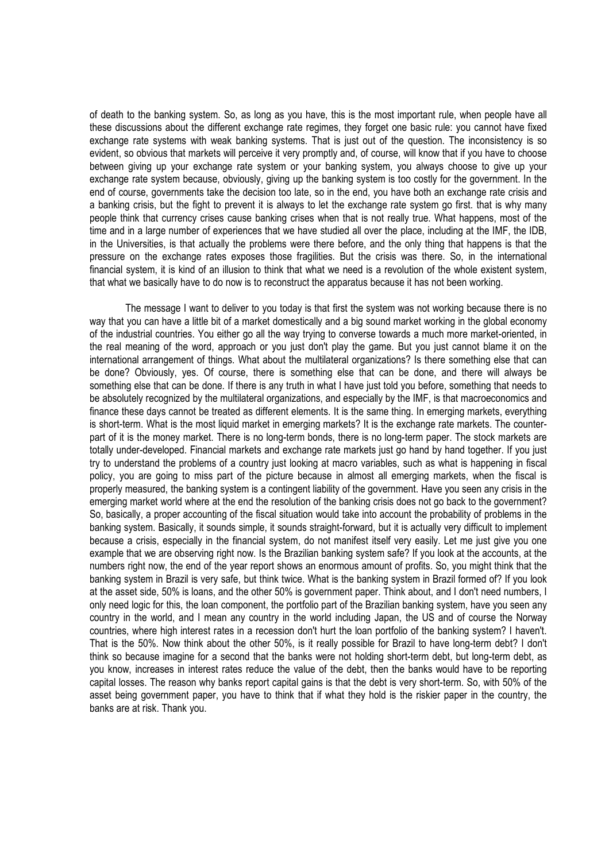of death to the banking system. So, as long as you have, this is the most important rule, when people have all these discussions about the different exchange rate regimes, they forget one basic rule: you cannot have fixed exchange rate systems with weak banking systems. That is just out of the question. The inconsistency is so evident, so obvious that markets will perceive it very promptly and, of course, will know that if you have to choose between giving up your exchange rate system or your banking system, you always choose to give up your exchange rate system because, obviously, giving up the banking system is too costly for the government. In the end of course, governments take the decision too late, so in the end, you have both an exchange rate crisis and a banking crisis, but the fight to prevent it is always to let the exchange rate system go first. that is why many people think that currency crises cause banking crises when that is not really true. What happens, most of the time and in a large number of experiences that we have studied all over the place, including at the IMF, the IDB, in the Universities, is that actually the problems were there before, and the only thing that happens is that the pressure on the exchange rates exposes those fragilities. But the crisis was there. So, in the international financial system, it is kind of an illusion to think that what we need is a revolution of the whole existent system, that what we basically have to do now is to reconstruct the apparatus because it has not been working.

 The message I want to deliver to you today is that first the system was not working because there is no way that you can have a little bit of a market domestically and a big sound market working in the global economy of the industrial countries. You either go all the way trying to converse towards a much more market-oriented, in the real meaning of the word, approach or you just don't play the game. But you just cannot blame it on the international arrangement of things. What about the multilateral organizations? Is there something else that can be done? Obviously, yes. Of course, there is something else that can be done, and there will always be something else that can be done. If there is any truth in what I have just told you before, something that needs to be absolutely recognized by the multilateral organizations, and especially by the IMF, is that macroeconomics and finance these days cannot be treated as different elements. It is the same thing. In emerging markets, everything is short-term. What is the most liquid market in emerging markets? It is the exchange rate markets. The counterpart of it is the money market. There is no long-term bonds, there is no long-term paper. The stock markets are totally under-developed. Financial markets and exchange rate markets just go hand by hand together. If you just try to understand the problems of a country just looking at macro variables, such as what is happening in fiscal policy, you are going to miss part of the picture because in almost all emerging markets, when the fiscal is properly measured, the banking system is a contingent liability of the government. Have you seen any crisis in the emerging market world where at the end the resolution of the banking crisis does not go back to the government? So, basically, a proper accounting of the fiscal situation would take into account the probability of problems in the banking system. Basically, it sounds simple, it sounds straight-forward, but it is actually very difficult to implement because a crisis, especially in the financial system, do not manifest itself very easily. Let me just give you one example that we are observing right now. Is the Brazilian banking system safe? If you look at the accounts, at the numbers right now, the end of the year report shows an enormous amount of profits. So, you might think that the banking system in Brazil is very safe, but think twice. What is the banking system in Brazil formed of? If you look at the asset side, 50% is loans, and the other 50% is government paper. Think about, and I don't need numbers, I only need logic for this, the loan component, the portfolio part of the Brazilian banking system, have you seen any country in the world, and I mean any country in the world including Japan, the US and of course the Norway countries, where high interest rates in a recession don't hurt the loan portfolio of the banking system? I haven't. That is the 50%. Now think about the other 50%, is it really possible for Brazil to have long-term debt? I don't think so because imagine for a second that the banks were not holding short-term debt, but long-term debt, as you know, increases in interest rates reduce the value of the debt, then the banks would have to be reporting capital losses. The reason why banks report capital gains is that the debt is very short-term. So, with 50% of the asset being government paper, you have to think that if what they hold is the riskier paper in the country, the banks are at risk. Thank you.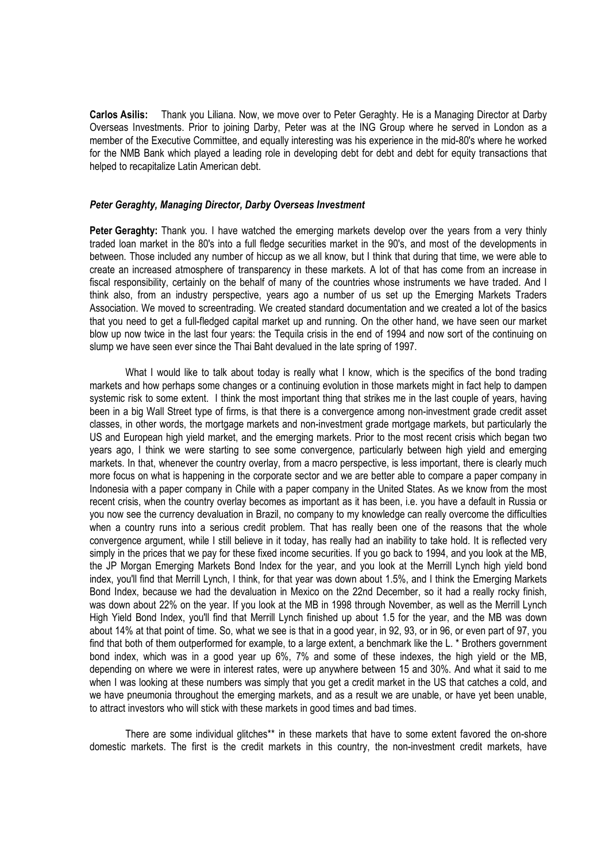Carlos Asilis: Thank you Liliana. Now, we move over to Peter Geraghty. He is a Managing Director at Darby Overseas Investments. Prior to joining Darby, Peter was at the ING Group where he served in London as a member of the Executive Committee, and equally interesting was his experience in the mid-80's where he worked for the NMB Bank which played a leading role in developing debt for debt and debt for equity transactions that helped to recapitalize Latin American debt.

### Peter Geraghty, Managing Director, Darby Overseas Investment

Peter Geraghty: Thank you. I have watched the emerging markets develop over the years from a very thinly traded loan market in the 80's into a full fledge securities market in the 90's, and most of the developments in between. Those included any number of hiccup as we all know, but I think that during that time, we were able to create an increased atmosphere of transparency in these markets. A lot of that has come from an increase in fiscal responsibility, certainly on the behalf of many of the countries whose instruments we have traded. And I think also, from an industry perspective, years ago a number of us set up the Emerging Markets Traders Association. We moved to screentrading. We created standard documentation and we created a lot of the basics that you need to get a full-fledged capital market up and running. On the other hand, we have seen our market blow up now twice in the last four years: the Tequila crisis in the end of 1994 and now sort of the continuing on slump we have seen ever since the Thai Baht devalued in the late spring of 1997.

 What I would like to talk about today is really what I know, which is the specifics of the bond trading markets and how perhaps some changes or a continuing evolution in those markets might in fact help to dampen systemic risk to some extent. I think the most important thing that strikes me in the last couple of years, having been in a big Wall Street type of firms, is that there is a convergence among non-investment grade credit asset classes, in other words, the mortgage markets and non-investment grade mortgage markets, but particularly the US and European high yield market, and the emerging markets. Prior to the most recent crisis which began two years ago, I think we were starting to see some convergence, particularly between high yield and emerging markets. In that, whenever the country overlay, from a macro perspective, is less important, there is clearly much more focus on what is happening in the corporate sector and we are better able to compare a paper company in Indonesia with a paper company in Chile with a paper company in the United States. As we know from the most recent crisis, when the country overlay becomes as important as it has been, i.e. you have a default in Russia or you now see the currency devaluation in Brazil, no company to my knowledge can really overcome the difficulties when a country runs into a serious credit problem. That has really been one of the reasons that the whole convergence argument, while I still believe in it today, has really had an inability to take hold. It is reflected very simply in the prices that we pay for these fixed income securities. If you go back to 1994, and you look at the MB, the JP Morgan Emerging Markets Bond Index for the year, and you look at the Merrill Lynch high yield bond index, you'll find that Merrill Lynch, I think, for that year was down about 1.5%, and I think the Emerging Markets Bond Index, because we had the devaluation in Mexico on the 22nd December, so it had a really rocky finish, was down about 22% on the year. If you look at the MB in 1998 through November, as well as the Merrill Lynch High Yield Bond Index, you'll find that Merrill Lynch finished up about 1.5 for the year, and the MB was down about 14% at that point of time. So, what we see is that in a good year, in 92, 93, or in 96, or even part of 97, you find that both of them outperformed for example, to a large extent, a benchmark like the L. \* Brothers government bond index, which was in a good year up 6%, 7% and some of these indexes, the high yield or the MB, depending on where we were in interest rates, were up anywhere between 15 and 30%. And what it said to me when I was looking at these numbers was simply that you get a credit market in the US that catches a cold, and we have pneumonia throughout the emerging markets, and as a result we are unable, or have yet been unable, to attract investors who will stick with these markets in good times and bad times.

 There are some individual glitches\*\* in these markets that have to some extent favored the on-shore domestic markets. The first is the credit markets in this country, the non-investment credit markets, have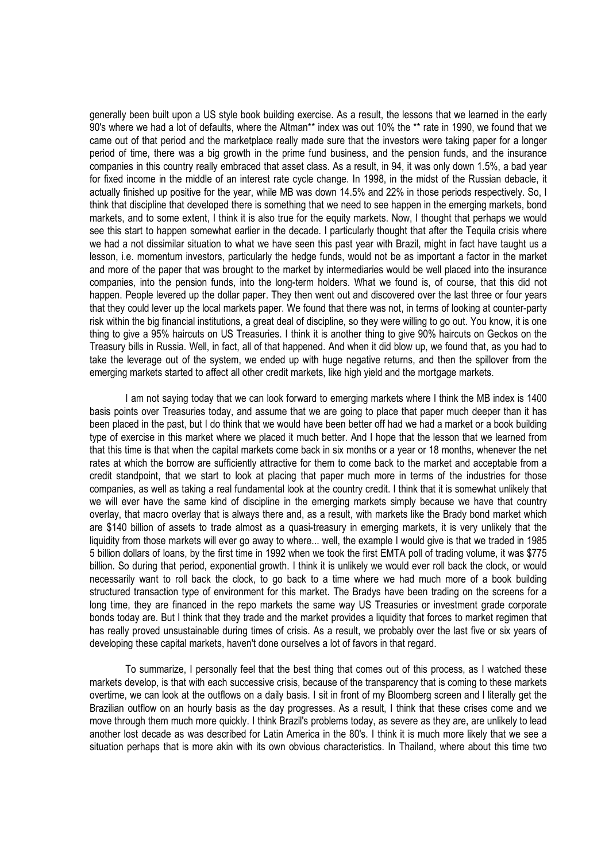generally been built upon a US style book building exercise. As a result, the lessons that we learned in the early 90's where we had a lot of defaults, where the Altman\*\* index was out 10% the \*\* rate in 1990, we found that we came out of that period and the marketplace really made sure that the investors were taking paper for a longer period of time, there was a big growth in the prime fund business, and the pension funds, and the insurance companies in this country really embraced that asset class. As a result, in 94, it was only down 1.5%, a bad year for fixed income in the middle of an interest rate cycle change. In 1998, in the midst of the Russian debacle, it actually finished up positive for the year, while MB was down 14.5% and 22% in those periods respectively. So, I think that discipline that developed there is something that we need to see happen in the emerging markets, bond markets, and to some extent, I think it is also true for the equity markets. Now, I thought that perhaps we would see this start to happen somewhat earlier in the decade. I particularly thought that after the Tequila crisis where we had a not dissimilar situation to what we have seen this past year with Brazil, might in fact have taught us a lesson, i.e. momentum investors, particularly the hedge funds, would not be as important a factor in the market and more of the paper that was brought to the market by intermediaries would be well placed into the insurance companies, into the pension funds, into the long-term holders. What we found is, of course, that this did not happen. People levered up the dollar paper. They then went out and discovered over the last three or four years that they could lever up the local markets paper. We found that there was not, in terms of looking at counter-party risk within the big financial institutions, a great deal of discipline, so they were willing to go out. You know, it is one thing to give a 95% haircuts on US Treasuries. I think it is another thing to give 90% haircuts on Geckos on the Treasury bills in Russia. Well, in fact, all of that happened. And when it did blow up, we found that, as you had to take the leverage out of the system, we ended up with huge negative returns, and then the spillover from the emerging markets started to affect all other credit markets, like high yield and the mortgage markets.

 I am not saying today that we can look forward to emerging markets where I think the MB index is 1400 basis points over Treasuries today, and assume that we are going to place that paper much deeper than it has been placed in the past, but I do think that we would have been better off had we had a market or a book building type of exercise in this market where we placed it much better. And I hope that the lesson that we learned from that this time is that when the capital markets come back in six months or a year or 18 months, whenever the net rates at which the borrow are sufficiently attractive for them to come back to the market and acceptable from a credit standpoint, that we start to look at placing that paper much more in terms of the industries for those companies, as well as taking a real fundamental look at the country credit. I think that it is somewhat unlikely that we will ever have the same kind of discipline in the emerging markets simply because we have that country overlay, that macro overlay that is always there and, as a result, with markets like the Brady bond market which are \$140 billion of assets to trade almost as a quasi-treasury in emerging markets, it is very unlikely that the liquidity from those markets will ever go away to where... well, the example I would give is that we traded in 1985 5 billion dollars of loans, by the first time in 1992 when we took the first EMTA poll of trading volume, it was \$775 billion. So during that period, exponential growth. I think it is unlikely we would ever roll back the clock, or would necessarily want to roll back the clock, to go back to a time where we had much more of a book building structured transaction type of environment for this market. The Bradys have been trading on the screens for a long time, they are financed in the repo markets the same way US Treasuries or investment grade corporate bonds today are. But I think that they trade and the market provides a liquidity that forces to market regimen that has really proved unsustainable during times of crisis. As a result, we probably over the last five or six years of developing these capital markets, haven't done ourselves a lot of favors in that regard.

 To summarize, I personally feel that the best thing that comes out of this process, as I watched these markets develop, is that with each successive crisis, because of the transparency that is coming to these markets overtime, we can look at the outflows on a daily basis. I sit in front of my Bloomberg screen and I literally get the Brazilian outflow on an hourly basis as the day progresses. As a result, I think that these crises come and we move through them much more quickly. I think Brazil's problems today, as severe as they are, are unlikely to lead another lost decade as was described for Latin America in the 80's. I think it is much more likely that we see a situation perhaps that is more akin with its own obvious characteristics. In Thailand, where about this time two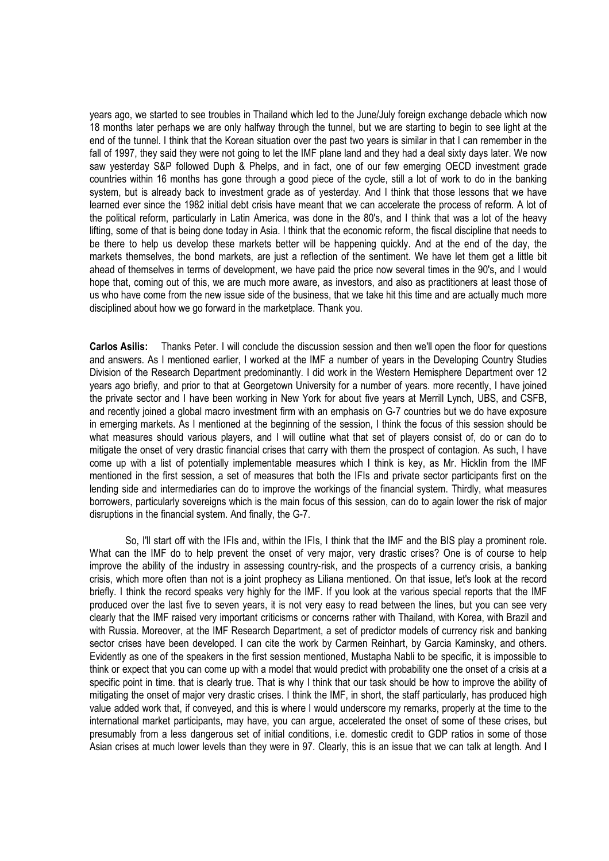years ago, we started to see troubles in Thailand which led to the June/July foreign exchange debacle which now 18 months later perhaps we are only halfway through the tunnel, but we are starting to begin to see light at the end of the tunnel. I think that the Korean situation over the past two years is similar in that I can remember in the fall of 1997, they said they were not going to let the IMF plane land and they had a deal sixty days later. We now saw yesterday S&P followed Duph & Phelps, and in fact, one of our few emerging OECD investment grade countries within 16 months has gone through a good piece of the cycle, still a lot of work to do in the banking system, but is already back to investment grade as of yesterday. And I think that those lessons that we have learned ever since the 1982 initial debt crisis have meant that we can accelerate the process of reform. A lot of the political reform, particularly in Latin America, was done in the 80's, and I think that was a lot of the heavy lifting, some of that is being done today in Asia. I think that the economic reform, the fiscal discipline that needs to be there to help us develop these markets better will be happening quickly. And at the end of the day, the markets themselves, the bond markets, are just a reflection of the sentiment. We have let them get a little bit ahead of themselves in terms of development, we have paid the price now several times in the 90's, and I would hope that, coming out of this, we are much more aware, as investors, and also as practitioners at least those of us who have come from the new issue side of the business, that we take hit this time and are actually much more disciplined about how we go forward in the marketplace. Thank you.

Carlos Asilis: Thanks Peter. I will conclude the discussion session and then we'll open the floor for questions and answers. As I mentioned earlier, I worked at the IMF a number of years in the Developing Country Studies Division of the Research Department predominantly. I did work in the Western Hemisphere Department over 12 years ago briefly, and prior to that at Georgetown University for a number of years. more recently, I have joined the private sector and I have been working in New York for about five years at Merrill Lynch, UBS, and CSFB, and recently joined a global macro investment firm with an emphasis on G-7 countries but we do have exposure in emerging markets. As I mentioned at the beginning of the session, I think the focus of this session should be what measures should various players, and I will outline what that set of players consist of, do or can do to mitigate the onset of very drastic financial crises that carry with them the prospect of contagion. As such, I have come up with a list of potentially implementable measures which I think is key, as Mr. Hicklin from the IMF mentioned in the first session, a set of measures that both the IFIs and private sector participants first on the lending side and intermediaries can do to improve the workings of the financial system. Thirdly, what measures borrowers, particularly sovereigns which is the main focus of this session, can do to again lower the risk of major disruptions in the financial system. And finally, the G-7.

 So, I'll start off with the IFIs and, within the IFIs, I think that the IMF and the BIS play a prominent role. What can the IMF do to help prevent the onset of very major, very drastic crises? One is of course to help improve the ability of the industry in assessing country-risk, and the prospects of a currency crisis, a banking crisis, which more often than not is a joint prophecy as Liliana mentioned. On that issue, let's look at the record briefly. I think the record speaks very highly for the IMF. If you look at the various special reports that the IMF produced over the last five to seven years, it is not very easy to read between the lines, but you can see very clearly that the IMF raised very important criticisms or concerns rather with Thailand, with Korea, with Brazil and with Russia. Moreover, at the IMF Research Department, a set of predictor models of currency risk and banking sector crises have been developed. I can cite the work by Carmen Reinhart, by Garcia Kaminsky, and others. Evidently as one of the speakers in the first session mentioned, Mustapha Nabli to be specific, it is impossible to think or expect that you can come up with a model that would predict with probability one the onset of a crisis at a specific point in time. that is clearly true. That is why I think that our task should be how to improve the ability of mitigating the onset of major very drastic crises. I think the IMF, in short, the staff particularly, has produced high value added work that, if conveyed, and this is where I would underscore my remarks, properly at the time to the international market participants, may have, you can argue, accelerated the onset of some of these crises, but presumably from a less dangerous set of initial conditions, i.e. domestic credit to GDP ratios in some of those Asian crises at much lower levels than they were in 97. Clearly, this is an issue that we can talk at length. And I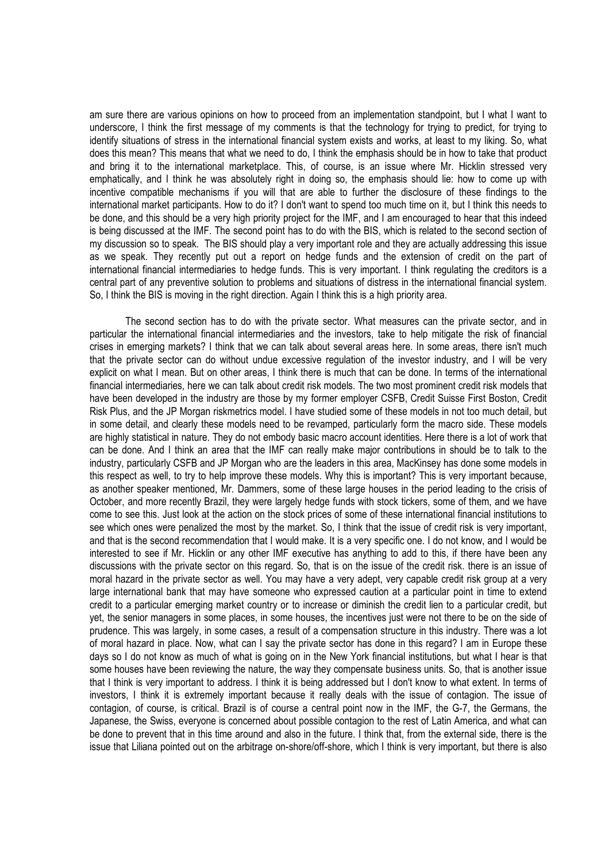am sure there are various opinions on how to proceed from an implementation standpoint, but I what I want to underscore, I think the first message of my comments is that the technology for trying to predict, for trying to identify situations of stress in the international financial system exists and works, at least to my liking. So, what does this mean? This means that what we need to do, I think the emphasis should be in how to take that product and bring it to the international marketplace. This, of course, is an issue where Mr. Hicklin stressed very emphatically, and I think he was absolutely right in doing so, the emphasis should lie: how to come up with incentive compatible mechanisms if you will that are able to further the disclosure of these findings to the international market participants. How to do it? I don't want to spend too much time on it, but I think this needs to be done, and this should be a very high priority project for the IMF, and I am encouraged to hear that this indeed is being discussed at the IMF. The second point has to do with the BIS, which is related to the second section of my discussion so to speak. The BIS should play a very important role and they are actually addressing this issue as we speak. They recently put out a report on hedge funds and the extension of credit on the part of international financial intermediaries to hedge funds. This is very important. I think regulating the creditors is a central part of any preventive solution to problems and situations of distress in the international financial system. So, I think the BIS is moving in the right direction. Again I think this is a high priority area.

 The second section has to do with the private sector. What measures can the private sector, and in particular the international financial intermediaries and the investors, take to help mitigate the risk of financial crises in emerging markets? I think that we can talk about several areas here. In some areas, there isn't much that the private sector can do without undue excessive regulation of the investor industry, and I will be very explicit on what I mean. But on other areas, I think there is much that can be done. In terms of the international financial intermediaries, here we can talk about credit risk models. The two most prominent credit risk models that have been developed in the industry are those by my former employer CSFB, Credit Suisse First Boston, Credit Risk Plus, and the JP Morgan riskmetrics model. I have studied some of these models in not too much detail, but in some detail, and clearly these models need to be revamped, particularly form the macro side. These models are highly statistical in nature. They do not embody basic macro account identities. Here there is a lot of work that can be done. And I think an area that the IMF can really make major contributions in should be to talk to the industry, particularly CSFB and JP Morgan who are the leaders in this area, MacKinsey has done some models in this respect as well, to try to help improve these models. Why this is important? This is very important because, as another speaker mentioned, Mr. Dammers, some of these large houses in the period leading to the crisis of October, and more recently Brazil, they were largely hedge funds with stock tickers, some of them, and we have come to see this. Just look at the action on the stock prices of some of these international financial institutions to see which ones were penalized the most by the market. So, I think that the issue of credit risk is very important, and that is the second recommendation that I would make. It is a very specific one. I do not know, and I would be interested to see if Mr. Hicklin or any other IMF executive has anything to add to this, if there have been any discussions with the private sector on this regard. So, that is on the issue of the credit risk. there is an issue of moral hazard in the private sector as well. You may have a very adept, very capable credit risk group at a very large international bank that may have someone who expressed caution at a particular point in time to extend credit to a particular emerging market country or to increase or diminish the credit lien to a particular credit, but yet, the senior managers in some places, in some houses, the incentives just were not there to be on the side of prudence. This was largely, in some cases, a result of a compensation structure in this industry. There was a lot of moral hazard in place. Now, what can I say the private sector has done in this regard? I am in Europe these days so I do not know as much of what is going on in the New York financial institutions, but what I hear is that some houses have been reviewing the nature, the way they compensate business units. So, that is another issue that I think is very important to address. I think it is being addressed but I don't know to what extent. In terms of investors, I think it is extremely important because it really deals with the issue of contagion. The issue of contagion, of course, is critical. Brazil is of course a central point now in the IMF, the G-7, the Germans, the Japanese, the Swiss, everyone is concerned about possible contagion to the rest of Latin America, and what can be done to prevent that in this time around and also in the future. I think that, from the external side, there is the issue that Liliana pointed out on the arbitrage on-shore/off-shore, which I think is very important, but there is also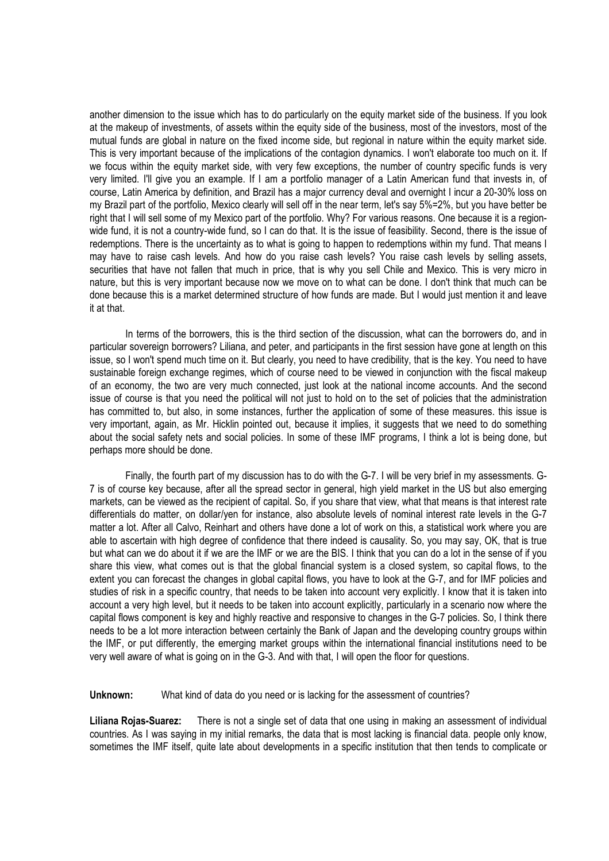another dimension to the issue which has to do particularly on the equity market side of the business. If you look at the makeup of investments, of assets within the equity side of the business, most of the investors, most of the mutual funds are global in nature on the fixed income side, but regional in nature within the equity market side. This is very important because of the implications of the contagion dynamics. I won't elaborate too much on it. If we focus within the equity market side, with very few exceptions, the number of country specific funds is very very limited. I'll give you an example. If I am a portfolio manager of a Latin American fund that invests in, of course, Latin America by definition, and Brazil has a major currency deval and overnight I incur a 20-30% loss on my Brazil part of the portfolio, Mexico clearly will sell off in the near term, let's say 5%=2%, but you have better be right that I will sell some of my Mexico part of the portfolio. Why? For various reasons. One because it is a regionwide fund, it is not a country-wide fund, so I can do that. It is the issue of feasibility. Second, there is the issue of redemptions. There is the uncertainty as to what is going to happen to redemptions within my fund. That means I may have to raise cash levels. And how do you raise cash levels? You raise cash levels by selling assets, securities that have not fallen that much in price, that is why you sell Chile and Mexico. This is very micro in nature, but this is very important because now we move on to what can be done. I don't think that much can be done because this is a market determined structure of how funds are made. But I would just mention it and leave it at that.

In terms of the borrowers, this is the third section of the discussion, what can the borrowers do, and in particular sovereign borrowers? Liliana, and peter, and participants in the first session have gone at length on this issue, so I won't spend much time on it. But clearly, you need to have credibility, that is the key. You need to have sustainable foreign exchange regimes, which of course need to be viewed in conjunction with the fiscal makeup of an economy, the two are very much connected, just look at the national income accounts. And the second issue of course is that you need the political will not just to hold on to the set of policies that the administration has committed to, but also, in some instances, further the application of some of these measures, this issue is very important, again, as Mr. Hicklin pointed out, because it implies, it suggests that we need to do something about the social safety nets and social policies. In some of these IMF programs, I think a lot is being done, but perhaps more should be done.

 Finally, the fourth part of my discussion has to do with the G-7. I will be very brief in my assessments. G-7 is of course key because, after all the spread sector in general, high yield market in the US but also emerging markets, can be viewed as the recipient of capital. So, if you share that view, what that means is that interest rate differentials do matter, on dollar/yen for instance, also absolute levels of nominal interest rate levels in the G-7 matter a lot. After all Calvo, Reinhart and others have done a lot of work on this, a statistical work where you are able to ascertain with high degree of confidence that there indeed is causality. So, you may say, OK, that is true but what can we do about it if we are the IMF or we are the BIS. I think that you can do a lot in the sense of if you share this view, what comes out is that the global financial system is a closed system, so capital flows, to the extent you can forecast the changes in global capital flows, you have to look at the G-7, and for IMF policies and studies of risk in a specific country, that needs to be taken into account very explicitly. I know that it is taken into account a very high level, but it needs to be taken into account explicitly, particularly in a scenario now where the capital flows component is key and highly reactive and responsive to changes in the G-7 policies. So, I think there needs to be a lot more interaction between certainly the Bank of Japan and the developing country groups within the IMF, or put differently, the emerging market groups within the international financial institutions need to be very well aware of what is going on in the G-3. And with that, I will open the floor for questions.

Unknown: What kind of data do you need or is lacking for the assessment of countries?

Liliana Rojas-Suarez: There is not a single set of data that one using in making an assessment of individual countries. As I was saying in my initial remarks, the data that is most lacking is financial data. people only know, sometimes the IMF itself, quite late about developments in a specific institution that then tends to complicate or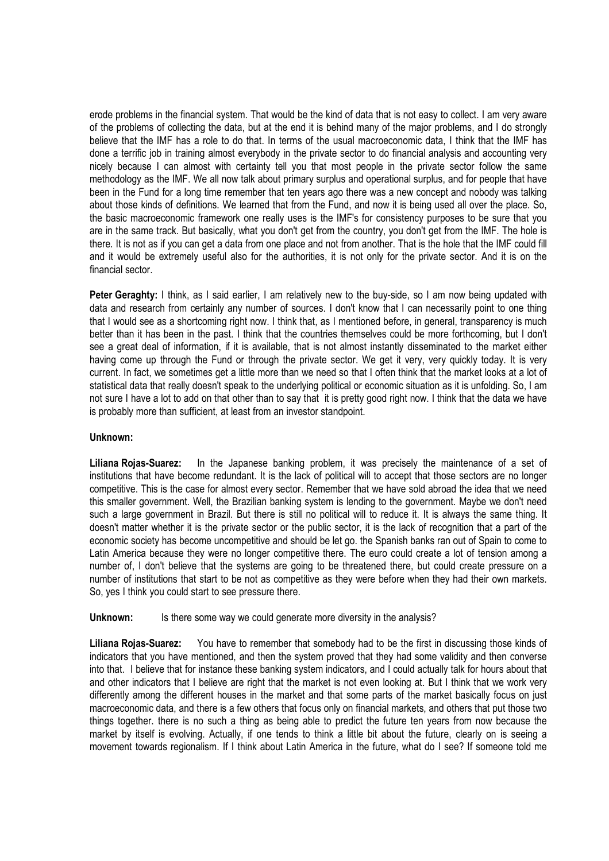erode problems in the financial system. That would be the kind of data that is not easy to collect. I am very aware of the problems of collecting the data, but at the end it is behind many of the major problems, and I do strongly believe that the IMF has a role to do that. In terms of the usual macroeconomic data, I think that the IMF has done a terrific job in training almost everybody in the private sector to do financial analysis and accounting very nicely because I can almost with certainty tell you that most people in the private sector follow the same methodology as the IMF. We all now talk about primary surplus and operational surplus, and for people that have been in the Fund for a long time remember that ten years ago there was a new concept and nobody was talking about those kinds of definitions. We learned that from the Fund, and now it is being used all over the place. So, the basic macroeconomic framework one really uses is the IMF's for consistency purposes to be sure that you are in the same track. But basically, what you don't get from the country, you don't get from the IMF. The hole is there. It is not as if you can get a data from one place and not from another. That is the hole that the IMF could fill and it would be extremely useful also for the authorities, it is not only for the private sector. And it is on the financial sector.

Peter Geraghty: I think, as I said earlier, I am relatively new to the buy-side, so I am now being updated with data and research from certainly any number of sources. I don't know that I can necessarily point to one thing that I would see as a shortcoming right now. I think that, as I mentioned before, in general, transparency is much better than it has been in the past. I think that the countries themselves could be more forthcoming, but I don't see a great deal of information, if it is available, that is not almost instantly disseminated to the market either having come up through the Fund or through the private sector. We get it very, very quickly today. It is very current. In fact, we sometimes get a little more than we need so that I often think that the market looks at a lot of statistical data that really doesn't speak to the underlying political or economic situation as it is unfolding. So, I am not sure I have a lot to add on that other than to say that it is pretty good right now. I think that the data we have is probably more than sufficient, at least from an investor standpoint.

### Unknown:

Liliana Rojas-Suarez: In the Japanese banking problem, it was precisely the maintenance of a set of institutions that have become redundant. It is the lack of political will to accept that those sectors are no longer competitive. This is the case for almost every sector. Remember that we have sold abroad the idea that we need this smaller government. Well, the Brazilian banking system is lending to the government. Maybe we don't need such a large government in Brazil. But there is still no political will to reduce it. It is always the same thing. It doesn't matter whether it is the private sector or the public sector, it is the lack of recognition that a part of the economic society has become uncompetitive and should be let go. the Spanish banks ran out of Spain to come to Latin America because they were no longer competitive there. The euro could create a lot of tension among a number of, I don't believe that the systems are going to be threatened there, but could create pressure on a number of institutions that start to be not as competitive as they were before when they had their own markets. So, yes I think you could start to see pressure there.

Unknown: Is there some way we could generate more diversity in the analysis?

Liliana Roias-Suarez: You have to remember that somebody had to be the first in discussing those kinds of indicators that you have mentioned, and then the system proved that they had some validity and then converse into that. I believe that for instance these banking system indicators, and I could actually talk for hours about that and other indicators that I believe are right that the market is not even looking at. But I think that we work very differently among the different houses in the market and that some parts of the market basically focus on just macroeconomic data, and there is a few others that focus only on financial markets, and others that put those two things together. there is no such a thing as being able to predict the future ten years from now because the market by itself is evolving. Actually, if one tends to think a little bit about the future, clearly on is seeing a movement towards regionalism. If I think about Latin America in the future, what do I see? If someone told me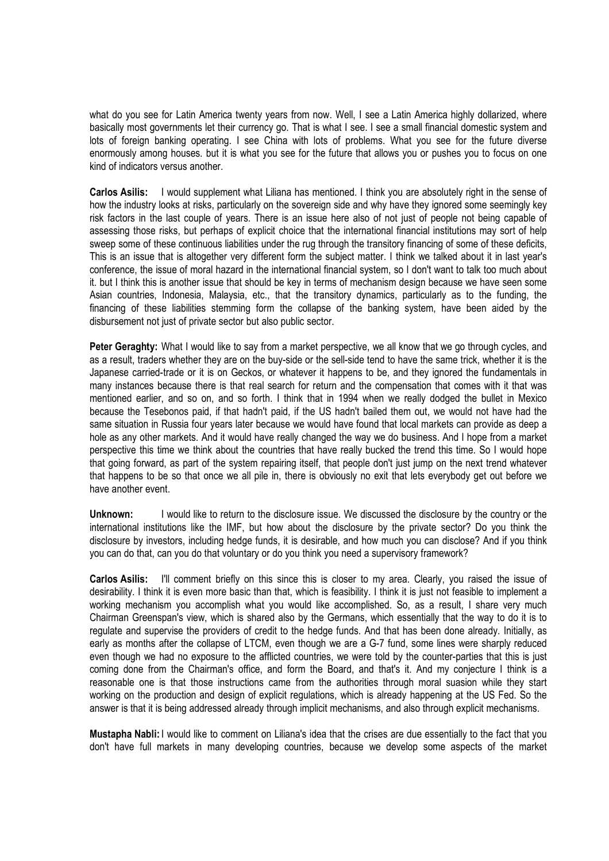what do you see for Latin America twenty years from now. Well, I see a Latin America highly dollarized, where basically most governments let their currency go. That is what I see. I see a small financial domestic system and lots of foreign banking operating. I see China with lots of problems. What you see for the future diverse enormously among houses. but it is what you see for the future that allows you or pushes you to focus on one kind of indicators versus another.

Carlos Asilis: I would supplement what Liliana has mentioned. I think you are absolutely right in the sense of how the industry looks at risks, particularly on the sovereign side and why have they ignored some seemingly key risk factors in the last couple of years. There is an issue here also of not just of people not being capable of assessing those risks, but perhaps of explicit choice that the international financial institutions may sort of help sweep some of these continuous liabilities under the rug through the transitory financing of some of these deficits, This is an issue that is altogether very different form the subject matter. I think we talked about it in last year's conference, the issue of moral hazard in the international financial system, so I don't want to talk too much about it. but I think this is another issue that should be key in terms of mechanism design because we have seen some Asian countries, Indonesia, Malaysia, etc., that the transitory dynamics, particularly as to the funding, the financing of these liabilities stemming form the collapse of the banking system, have been aided by the disbursement not just of private sector but also public sector.

Peter Geraghty: What I would like to say from a market perspective, we all know that we go through cycles, and as a result, traders whether they are on the buy-side or the sell-side tend to have the same trick, whether it is the Japanese carried-trade or it is on Geckos, or whatever it happens to be, and they ignored the fundamentals in many instances because there is that real search for return and the compensation that comes with it that was mentioned earlier, and so on, and so forth. I think that in 1994 when we really dodged the bullet in Mexico because the Tesebonos paid, if that hadn't paid, if the US hadn't bailed them out, we would not have had the same situation in Russia four years later because we would have found that local markets can provide as deep a hole as any other markets. And it would have really changed the way we do business. And I hope from a market perspective this time we think about the countries that have really bucked the trend this time. So I would hope that going forward, as part of the system repairing itself, that people don't just jump on the next trend whatever that happens to be so that once we all pile in, there is obviously no exit that lets everybody get out before we have another event.

Unknown: I would like to return to the disclosure issue. We discussed the disclosure by the country or the international institutions like the IMF, but how about the disclosure by the private sector? Do you think the disclosure by investors, including hedge funds, it is desirable, and how much you can disclose? And if you think you can do that, can you do that voluntary or do you think you need a supervisory framework?

Carlos Asilis: I'll comment briefly on this since this is closer to my area. Clearly, you raised the issue of desirability. I think it is even more basic than that, which is feasibility. I think it is just not feasible to implement a working mechanism you accomplish what you would like accomplished. So, as a result, I share very much Chairman Greenspan's view, which is shared also by the Germans, which essentially that the way to do it is to regulate and supervise the providers of credit to the hedge funds. And that has been done already. Initially, as early as months after the collapse of LTCM, even though we are a G-7 fund, some lines were sharply reduced even though we had no exposure to the afflicted countries, we were told by the counter-parties that this is just coming done from the Chairman's office, and form the Board, and that's it. And my conjecture I think is a reasonable one is that those instructions came from the authorities through moral suasion while they start working on the production and design of explicit regulations, which is already happening at the US Fed. So the answer is that it is being addressed already through implicit mechanisms, and also through explicit mechanisms.

Mustapha Nabli: I would like to comment on Liliana's idea that the crises are due essentially to the fact that you don't have full markets in many developing countries, because we develop some aspects of the market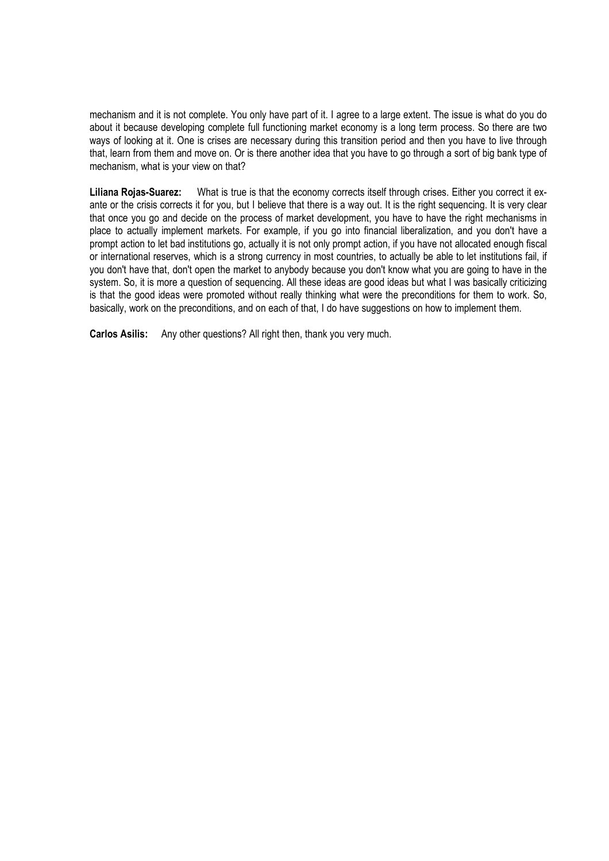mechanism and it is not complete. You only have part of it. I agree to a large extent. The issue is what do you do about it because developing complete full functioning market economy is a long term process. So there are two ways of looking at it. One is crises are necessary during this transition period and then you have to live through that, learn from them and move on. Or is there another idea that you have to go through a sort of big bank type of mechanism, what is your view on that?

Liliana Roias-Suarez: What is true is that the economy corrects itself through crises. Either you correct it exante or the crisis corrects it for you, but I believe that there is a way out. It is the right sequencing. It is very clear that once you go and decide on the process of market development, you have to have the right mechanisms in place to actually implement markets. For example, if you go into financial liberalization, and you don't have a prompt action to let bad institutions go, actually it is not only prompt action, if you have not allocated enough fiscal or international reserves, which is a strong currency in most countries, to actually be able to let institutions fail, if you don't have that, don't open the market to anybody because you don't know what you are going to have in the system. So, it is more a question of sequencing. All these ideas are good ideas but what I was basically criticizing is that the good ideas were promoted without really thinking what were the preconditions for them to work. So, basically, work on the preconditions, and on each of that, I do have suggestions on how to implement them.

Carlos Asilis: Any other questions? All right then, thank you very much.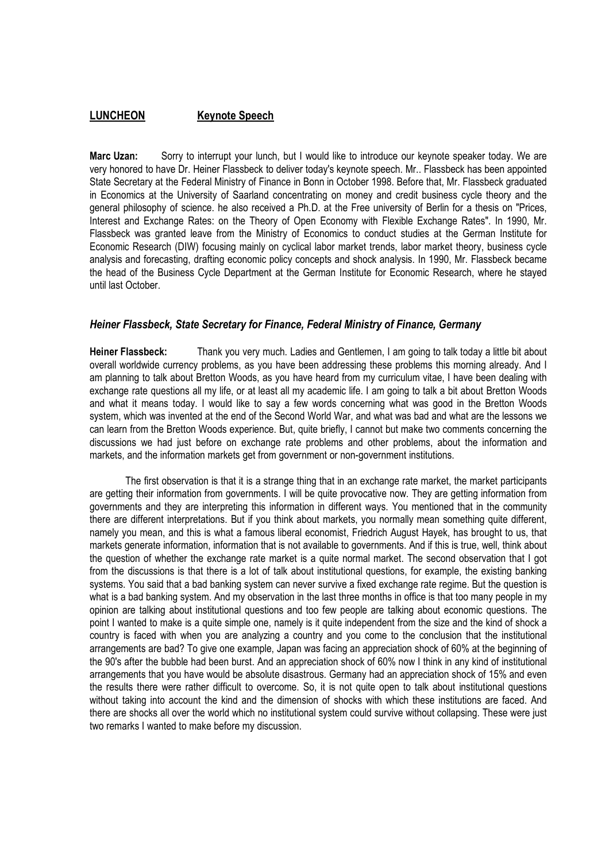# LUNCHEON Keynote Speech

Marc Uzan: Sorry to interrupt your lunch, but I would like to introduce our keynote speaker today. We are very honored to have Dr. Heiner Flassbeck to deliver today's keynote speech. Mr.. Flassbeck has been appointed State Secretary at the Federal Ministry of Finance in Bonn in October 1998. Before that, Mr. Flassbeck graduated in Economics at the University of Saarland concentrating on money and credit business cycle theory and the general philosophy of science. he also received a Ph.D. at the Free university of Berlin for a thesis on "Prices, Interest and Exchange Rates: on the Theory of Open Economy with Flexible Exchange Rates". In 1990, Mr. Flassbeck was granted leave from the Ministry of Economics to conduct studies at the German Institute for Economic Research (DIW) focusing mainly on cyclical labor market trends, labor market theory, business cycle analysis and forecasting, drafting economic policy concepts and shock analysis. In 1990, Mr. Flassbeck became the head of the Business Cycle Department at the German Institute for Economic Research, where he stayed until last October.

### Heiner Flassbeck, State Secretary for Finance, Federal Ministry of Finance, Germany

Heiner Flassbeck: Thank you very much. Ladies and Gentlemen, I am going to talk today a little bit about overall worldwide currency problems, as you have been addressing these problems this morning already. And I am planning to talk about Bretton Woods, as you have heard from my curriculum vitae, I have been dealing with exchange rate questions all my life, or at least all my academic life. I am going to talk a bit about Bretton Woods and what it means today. I would like to say a few words concerning what was good in the Bretton Woods system, which was invented at the end of the Second World War, and what was bad and what are the lessons we can learn from the Bretton Woods experience. But, quite briefly, I cannot but make two comments concerning the discussions we had just before on exchange rate problems and other problems, about the information and markets, and the information markets get from government or non-government institutions.

 The first observation is that it is a strange thing that in an exchange rate market, the market participants are getting their information from governments. I will be quite provocative now. They are getting information from governments and they are interpreting this information in different ways. You mentioned that in the community there are different interpretations. But if you think about markets, you normally mean something quite different, namely you mean, and this is what a famous liberal economist, Friedrich August Hayek, has brought to us, that markets generate information, information that is not available to governments. And if this is true, well, think about the question of whether the exchange rate market is a quite normal market. The second observation that I got from the discussions is that there is a lot of talk about institutional questions, for example, the existing banking systems. You said that a bad banking system can never survive a fixed exchange rate regime. But the question is what is a bad banking system. And my observation in the last three months in office is that too many people in my opinion are talking about institutional questions and too few people are talking about economic questions. The point I wanted to make is a quite simple one, namely is it quite independent from the size and the kind of shock a country is faced with when you are analyzing a country and you come to the conclusion that the institutional arrangements are bad? To give one example, Japan was facing an appreciation shock of 60% at the beginning of the 90's after the bubble had been burst. And an appreciation shock of 60% now I think in any kind of institutional arrangements that you have would be absolute disastrous. Germany had an appreciation shock of 15% and even the results there were rather difficult to overcome. So, it is not quite open to talk about institutional questions without taking into account the kind and the dimension of shocks with which these institutions are faced. And there are shocks all over the world which no institutional system could survive without collapsing. These were just two remarks I wanted to make before my discussion.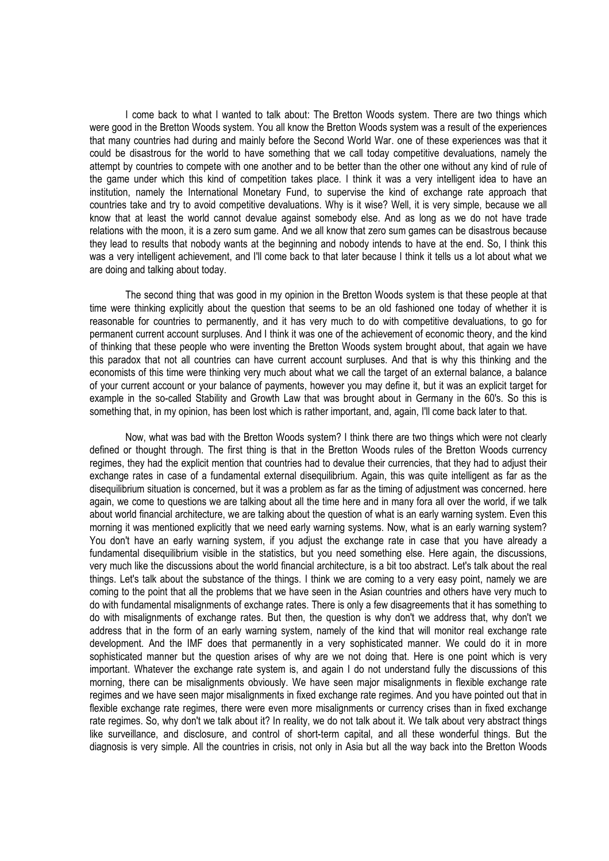I come back to what I wanted to talk about: The Bretton Woods system. There are two things which were good in the Bretton Woods system. You all know the Bretton Woods system was a result of the experiences that many countries had during and mainly before the Second World War. one of these experiences was that it could be disastrous for the world to have something that we call today competitive devaluations, namely the attempt by countries to compete with one another and to be better than the other one without any kind of rule of the game under which this kind of competition takes place. I think it was a very intelligent idea to have an institution, namely the International Monetary Fund, to supervise the kind of exchange rate approach that countries take and try to avoid competitive devaluations. Why is it wise? Well, it is very simple, because we all know that at least the world cannot devalue against somebody else. And as long as we do not have trade relations with the moon, it is a zero sum game. And we all know that zero sum games can be disastrous because they lead to results that nobody wants at the beginning and nobody intends to have at the end. So, I think this was a very intelligent achievement, and I'll come back to that later because I think it tells us a lot about what we are doing and talking about today.

 The second thing that was good in my opinion in the Bretton Woods system is that these people at that time were thinking explicitly about the question that seems to be an old fashioned one today of whether it is reasonable for countries to permanently, and it has very much to do with competitive devaluations, to go for permanent current account surpluses. And I think it was one of the achievement of economic theory, and the kind of thinking that these people who were inventing the Bretton Woods system brought about, that again we have this paradox that not all countries can have current account surpluses. And that is why this thinking and the economists of this time were thinking very much about what we call the target of an external balance, a balance of your current account or your balance of payments, however you may define it, but it was an explicit target for example in the so-called Stability and Growth Law that was brought about in Germany in the 60's. So this is something that, in my opinion, has been lost which is rather important, and, again, I'll come back later to that.

 Now, what was bad with the Bretton Woods system? I think there are two things which were not clearly defined or thought through. The first thing is that in the Bretton Woods rules of the Bretton Woods currency regimes, they had the explicit mention that countries had to devalue their currencies, that they had to adjust their exchange rates in case of a fundamental external disequilibrium. Again, this was quite intelligent as far as the disequilibrium situation is concerned, but it was a problem as far as the timing of adjustment was concerned. here again, we come to questions we are talking about all the time here and in many fora all over the world, if we talk about world financial architecture, we are talking about the question of what is an early warning system. Even this morning it was mentioned explicitly that we need early warning systems. Now, what is an early warning system? You don't have an early warning system, if you adjust the exchange rate in case that you have already a fundamental disequilibrium visible in the statistics, but you need something else. Here again, the discussions, very much like the discussions about the world financial architecture, is a bit too abstract. Let's talk about the real things. Let's talk about the substance of the things. I think we are coming to a very easy point, namely we are coming to the point that all the problems that we have seen in the Asian countries and others have very much to do with fundamental misalignments of exchange rates. There is only a few disagreements that it has something to do with misalignments of exchange rates. But then, the question is why don't we address that, why don't we address that in the form of an early warning system, namely of the kind that will monitor real exchange rate development. And the IMF does that permanently in a very sophisticated manner. We could do it in more sophisticated manner but the question arises of why are we not doing that. Here is one point which is very important. Whatever the exchange rate system is, and again I do not understand fully the discussions of this morning, there can be misalignments obviously. We have seen major misalignments in flexible exchange rate regimes and we have seen major misalignments in fixed exchange rate regimes. And you have pointed out that in flexible exchange rate regimes, there were even more misalignments or currency crises than in fixed exchange rate regimes. So, why don't we talk about it? In reality, we do not talk about it. We talk about very abstract things like surveillance, and disclosure, and control of short-term capital, and all these wonderful things. But the diagnosis is very simple. All the countries in crisis, not only in Asia but all the way back into the Bretton Woods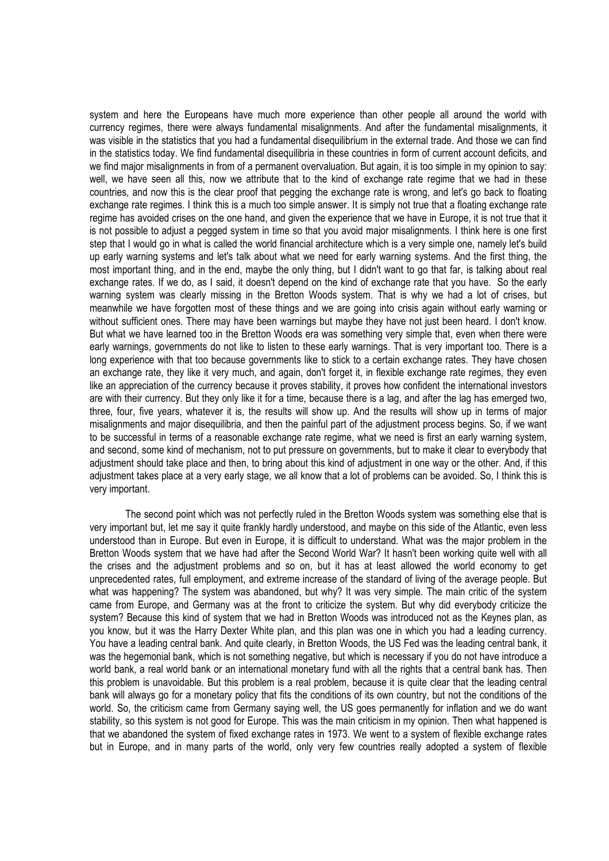system and here the Europeans have much more experience than other people all around the world with currency regimes, there were always fundamental misalignments. And after the fundamental misalignments, it was visible in the statistics that you had a fundamental disequilibrium in the external trade. And those we can find in the statistics today. We find fundamental disequilibria in these countries in form of current account deficits, and we find major misalignments in from of a permanent overvaluation. But again, it is too simple in my opinion to say: well, we have seen all this, now we attribute that to the kind of exchange rate regime that we had in these countries, and now this is the clear proof that pegging the exchange rate is wrong, and let's go back to floating exchange rate regimes. I think this is a much too simple answer. It is simply not true that a floating exchange rate regime has avoided crises on the one hand, and given the experience that we have in Europe, it is not true that it is not possible to adjust a pegged system in time so that you avoid major misalignments. I think here is one first step that I would go in what is called the world financial architecture which is a very simple one, namely let's build up early warning systems and let's talk about what we need for early warning systems. And the first thing, the most important thing, and in the end, maybe the only thing, but I didn't want to go that far, is talking about real exchange rates. If we do, as I said, it doesn't depend on the kind of exchange rate that you have. So the early warning system was clearly missing in the Bretton Woods system. That is why we had a lot of crises, but meanwhile we have forgotten most of these things and we are going into crisis again without early warning or without sufficient ones. There may have been warnings but maybe they have not just been heard. I don't know. But what we have learned too in the Bretton Woods era was something very simple that, even when there were early warnings, governments do not like to listen to these early warnings. That is very important too. There is a long experience with that too because governments like to stick to a certain exchange rates. They have chosen an exchange rate, they like it very much, and again, don't forget it, in flexible exchange rate regimes, they even like an appreciation of the currency because it proves stability, it proves how confident the international investors are with their currency. But they only like it for a time, because there is a lag, and after the lag has emerged two, three, four, five years, whatever it is, the results will show up. And the results will show up in terms of major misalignments and major disequilibria, and then the painful part of the adjustment process begins. So, if we want to be successful in terms of a reasonable exchange rate regime, what we need is first an early warning system, and second, some kind of mechanism, not to put pressure on governments, but to make it clear to everybody that adjustment should take place and then, to bring about this kind of adjustment in one way or the other. And, if this adjustment takes place at a very early stage, we all know that a lot of problems can be avoided. So, I think this is very important.

 The second point which was not perfectly ruled in the Bretton Woods system was something else that is very important but, let me say it quite frankly hardly understood, and maybe on this side of the Atlantic, even less understood than in Europe. But even in Europe, it is difficult to understand. What was the major problem in the Bretton Woods system that we have had after the Second World War? It hasn't been working quite well with all the crises and the adjustment problems and so on, but it has at least allowed the world economy to get unprecedented rates, full employment, and extreme increase of the standard of living of the average people. But what was happening? The system was abandoned, but why? It was very simple. The main critic of the system came from Europe, and Germany was at the front to criticize the system. But why did everybody criticize the system? Because this kind of system that we had in Bretton Woods was introduced not as the Keynes plan, as you know, but it was the Harry Dexter White plan, and this plan was one in which you had a leading currency. You have a leading central bank. And quite clearly, in Bretton Woods, the US Fed was the leading central bank, it was the hegemonial bank, which is not something negative, but which is necessary if you do not have introduce a world bank, a real world bank or an international monetary fund with all the rights that a central bank has. Then this problem is unavoidable. But this problem is a real problem, because it is quite clear that the leading central bank will always go for a monetary policy that fits the conditions of its own country, but not the conditions of the world. So, the criticism came from Germany saying well, the US goes permanently for inflation and we do want stability, so this system is not good for Europe. This was the main criticism in my opinion. Then what happened is that we abandoned the system of fixed exchange rates in 1973. We went to a system of flexible exchange rates but in Europe, and in many parts of the world, only very few countries really adopted a system of flexible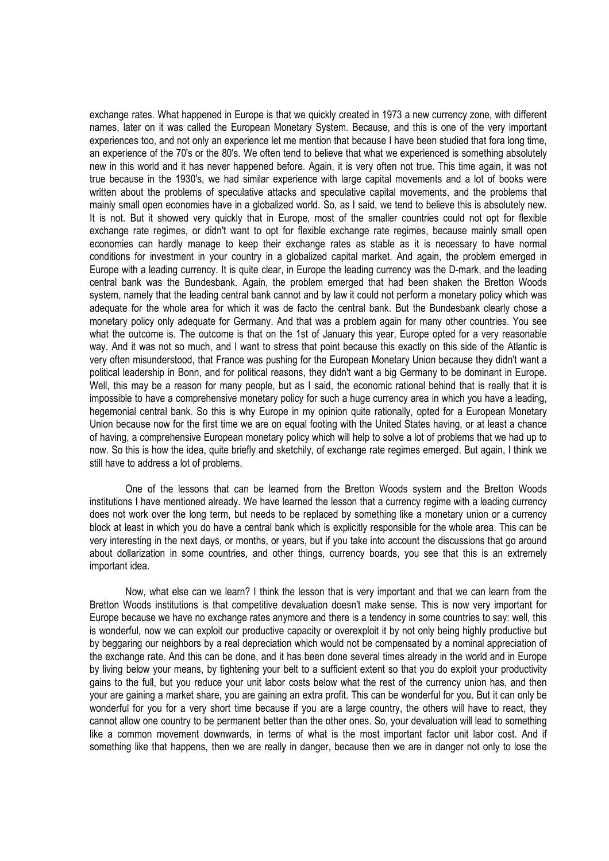exchange rates. What happened in Europe is that we quickly created in 1973 a new currency zone, with different names, later on it was called the European Monetary System. Because, and this is one of the very important experiences too, and not only an experience let me mention that because I have been studied that fora long time, an experience of the 70's or the 80's. We often tend to believe that what we experienced is something absolutely new in this world and it has never happened before. Again, it is very often not true. This time again, it was not true because in the 1930's, we had similar experience with large capital movements and a lot of books were written about the problems of speculative attacks and speculative capital movements, and the problems that mainly small open economies have in a globalized world. So, as I said, we tend to believe this is absolutely new. It is not. But it showed very quickly that in Europe, most of the smaller countries could not opt for flexible exchange rate regimes, or didn't want to opt for flexible exchange rate regimes, because mainly small open economies can hardly manage to keep their exchange rates as stable as it is necessary to have normal conditions for investment in your country in a globalized capital market. And again, the problem emerged in Europe with a leading currency. It is quite clear, in Europe the leading currency was the D-mark, and the leading central bank was the Bundesbank. Again, the problem emerged that had been shaken the Bretton Woods system, namely that the leading central bank cannot and by law it could not perform a monetary policy which was adequate for the whole area for which it was de facto the central bank. But the Bundesbank clearly chose a monetary policy only adequate for Germany. And that was a problem again for many other countries. You see what the outcome is. The outcome is that on the 1st of January this year, Europe opted for a very reasonable way. And it was not so much, and I want to stress that point because this exactly on this side of the Atlantic is very often misunderstood, that France was pushing for the European Monetary Union because they didn't want a political leadership in Bonn, and for political reasons, they didn't want a big Germany to be dominant in Europe. Well, this may be a reason for many people, but as I said, the economic rational behind that is really that it is impossible to have a comprehensive monetary policy for such a huge currency area in which you have a leading, hegemonial central bank. So this is why Europe in my opinion quite rationally, opted for a European Monetary Union because now for the first time we are on equal footing with the United States having, or at least a chance of having, a comprehensive European monetary policy which will help to solve a lot of problems that we had up to now. So this is how the idea, quite briefly and sketchily, of exchange rate regimes emerged. But again, I think we still have to address a lot of problems.

 One of the lessons that can be learned from the Bretton Woods system and the Bretton Woods institutions I have mentioned already. We have learned the lesson that a currency regime with a leading currency does not work over the long term, but needs to be replaced by something like a monetary union or a currency block at least in which you do have a central bank which is explicitly responsible for the whole area. This can be very interesting in the next days, or months, or years, but if you take into account the discussions that go around about dollarization in some countries, and other things, currency boards, you see that this is an extremely important idea.

 Now, what else can we learn? I think the lesson that is very important and that we can learn from the Bretton Woods institutions is that competitive devaluation doesn't make sense. This is now very important for Europe because we have no exchange rates anymore and there is a tendency in some countries to say: well, this is wonderful, now we can exploit our productive capacity or overexploit it by not only being highly productive but by beggaring our neighbors by a real depreciation which would not be compensated by a nominal appreciation of the exchange rate. And this can be done, and it has been done several times already in the world and in Europe by living below your means, by tightening your belt to a sufficient extent so that you do exploit your productivity gains to the full, but you reduce your unit labor costs below what the rest of the currency union has, and then your are gaining a market share, you are gaining an extra profit. This can be wonderful for you. But it can only be wonderful for you for a very short time because if you are a large country, the others will have to react, they cannot allow one country to be permanent better than the other ones. So, your devaluation will lead to something like a common movement downwards, in terms of what is the most important factor unit labor cost. And if something like that happens, then we are really in danger, because then we are in danger not only to lose the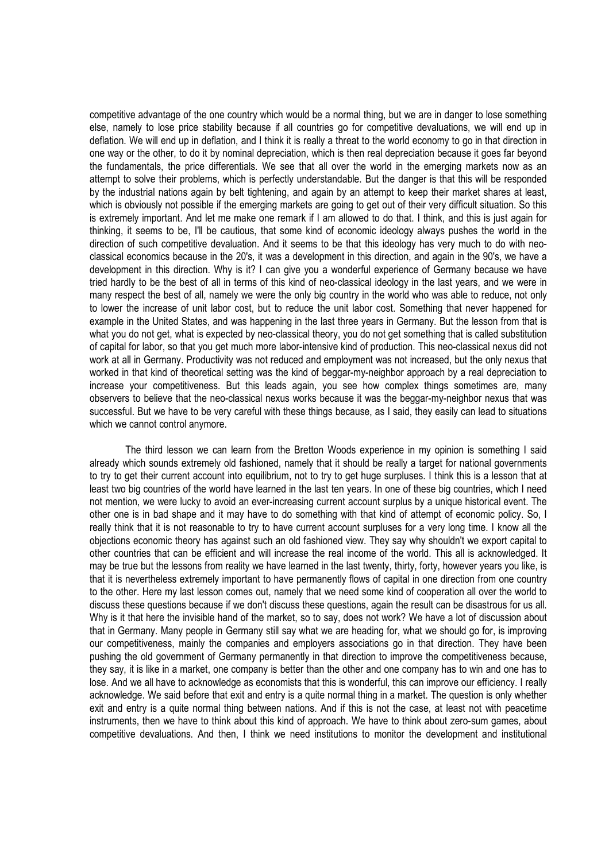competitive advantage of the one country which would be a normal thing, but we are in danger to lose something else, namely to lose price stability because if all countries go for competitive devaluations, we will end up in deflation. We will end up in deflation, and I think it is really a threat to the world economy to go in that direction in one way or the other, to do it by nominal depreciation, which is then real depreciation because it goes far beyond the fundamentals, the price differentials. We see that all over the world in the emerging markets now as an attempt to solve their problems, which is perfectly understandable. But the danger is that this will be responded by the industrial nations again by belt tightening, and again by an attempt to keep their market shares at least, which is obviously not possible if the emerging markets are going to get out of their very difficult situation. So this is extremely important. And let me make one remark if I am allowed to do that. I think, and this is just again for thinking, it seems to be, I'll be cautious, that some kind of economic ideology always pushes the world in the direction of such competitive devaluation. And it seems to be that this ideology has very much to do with neoclassical economics because in the 20's, it was a development in this direction, and again in the 90's, we have a development in this direction. Why is it? I can give you a wonderful experience of Germany because we have tried hardly to be the best of all in terms of this kind of neo-classical ideology in the last years, and we were in many respect the best of all, namely we were the only big country in the world who was able to reduce, not only to lower the increase of unit labor cost, but to reduce the unit labor cost. Something that never happened for example in the United States, and was happening in the last three years in Germany. But the lesson from that is what you do not get, what is expected by neo-classical theory, you do not get something that is called substitution of capital for labor, so that you get much more labor-intensive kind of production. This neo-classical nexus did not work at all in Germany. Productivity was not reduced and employment was not increased, but the only nexus that worked in that kind of theoretical setting was the kind of beggar-my-neighbor approach by a real depreciation to increase your competitiveness. But this leads again, you see how complex things sometimes are, many observers to believe that the neo-classical nexus works because it was the beggar-my-neighbor nexus that was successful. But we have to be very careful with these things because, as I said, they easily can lead to situations which we cannot control anymore.

 The third lesson we can learn from the Bretton Woods experience in my opinion is something I said already which sounds extremely old fashioned, namely that it should be really a target for national governments to try to get their current account into equilibrium, not to try to get huge surpluses. I think this is a lesson that at least two big countries of the world have learned in the last ten years. In one of these big countries, which I need not mention, we were lucky to avoid an ever-increasing current account surplus by a unique historical event. The other one is in bad shape and it may have to do something with that kind of attempt of economic policy. So, I really think that it is not reasonable to try to have current account surpluses for a very long time. I know all the objections economic theory has against such an old fashioned view. They say why shouldn't we export capital to other countries that can be efficient and will increase the real income of the world. This all is acknowledged. It may be true but the lessons from reality we have learned in the last twenty, thirty, forty, however years you like, is that it is nevertheless extremely important to have permanently flows of capital in one direction from one country to the other. Here my last lesson comes out, namely that we need some kind of cooperation all over the world to discuss these questions because if we don't discuss these questions, again the result can be disastrous for us all. Why is it that here the invisible hand of the market, so to say, does not work? We have a lot of discussion about that in Germany. Many people in Germany still say what we are heading for, what we should go for, is improving our competitiveness, mainly the companies and employers associations go in that direction. They have been pushing the old government of Germany permanently in that direction to improve the competitiveness because, they say, it is like in a market, one company is better than the other and one company has to win and one has to lose. And we all have to acknowledge as economists that this is wonderful, this can improve our efficiency. I really acknowledge. We said before that exit and entry is a quite normal thing in a market. The question is only whether exit and entry is a quite normal thing between nations. And if this is not the case, at least not with peacetime instruments, then we have to think about this kind of approach. We have to think about zero-sum games, about competitive devaluations. And then, I think we need institutions to monitor the development and institutional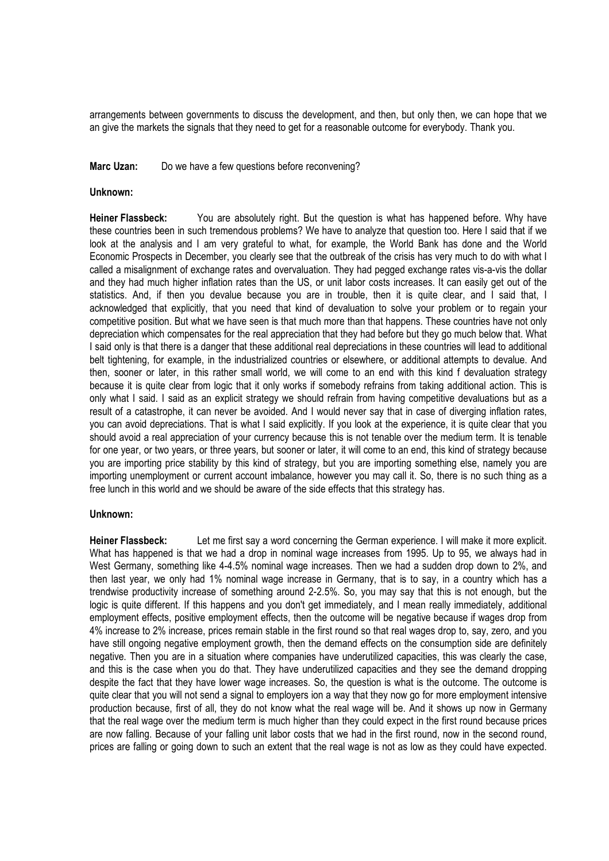arrangements between governments to discuss the development, and then, but only then, we can hope that we an give the markets the signals that they need to get for a reasonable outcome for everybody. Thank you.

## Marc Uzan: Do we have a few questions before reconvening?

## Unknown:

Heiner Flassbeck: You are absolutely right. But the question is what has happened before. Why have these countries been in such tremendous problems? We have to analyze that question too. Here I said that if we look at the analysis and I am very grateful to what, for example, the World Bank has done and the World Economic Prospects in December, you clearly see that the outbreak of the crisis has very much to do with what I called a misalignment of exchange rates and overvaluation. They had pegged exchange rates vis-a-vis the dollar and they had much higher inflation rates than the US, or unit labor costs increases. It can easily get out of the statistics. And, if then you devalue because you are in trouble, then it is quite clear, and I said that, I acknowledged that explicitly, that you need that kind of devaluation to solve your problem or to regain your competitive position. But what we have seen is that much more than that happens. These countries have not only depreciation which compensates for the real appreciation that they had before but they go much below that. What I said only is that there is a danger that these additional real depreciations in these countries will lead to additional belt tightening, for example, in the industrialized countries or elsewhere, or additional attempts to devalue. And then, sooner or later, in this rather small world, we will come to an end with this kind f devaluation strategy because it is quite clear from logic that it only works if somebody refrains from taking additional action. This is only what I said. I said as an explicit strategy we should refrain from having competitive devaluations but as a result of a catastrophe, it can never be avoided. And I would never say that in case of diverging inflation rates, you can avoid depreciations. That is what I said explicitly. If you look at the experience, it is quite clear that you should avoid a real appreciation of your currency because this is not tenable over the medium term. It is tenable for one year, or two years, or three years, but sooner or later, it will come to an end, this kind of strategy because you are importing price stability by this kind of strategy, but you are importing something else, namely you are importing unemployment or current account imbalance, however you may call it. So, there is no such thing as a free lunch in this world and we should be aware of the side effects that this strategy has.

## Unknown:

Heiner Flassbeck: Let me first say a word concerning the German experience. I will make it more explicit. What has happened is that we had a drop in nominal wage increases from 1995. Up to 95, we always had in West Germany, something like 4-4.5% nominal wage increases. Then we had a sudden drop down to 2%, and then last year, we only had 1% nominal wage increase in Germany, that is to say, in a country which has a trendwise productivity increase of something around 2-2.5%. So, you may say that this is not enough, but the logic is quite different. If this happens and you don't get immediately, and I mean really immediately, additional employment effects, positive employment effects, then the outcome will be negative because if wages drop from 4% increase to 2% increase, prices remain stable in the first round so that real wages drop to, say, zero, and you have still ongoing negative employment growth, then the demand effects on the consumption side are definitely negative. Then you are in a situation where companies have underutilized capacities, this was clearly the case, and this is the case when you do that. They have underutilized capacities and they see the demand dropping despite the fact that they have lower wage increases. So, the question is what is the outcome. The outcome is quite clear that you will not send a signal to employers ion a way that they now go for more employment intensive production because, first of all, they do not know what the real wage will be. And it shows up now in Germany that the real wage over the medium term is much higher than they could expect in the first round because prices are now falling. Because of your falling unit labor costs that we had in the first round, now in the second round, prices are falling or going down to such an extent that the real wage is not as low as they could have expected.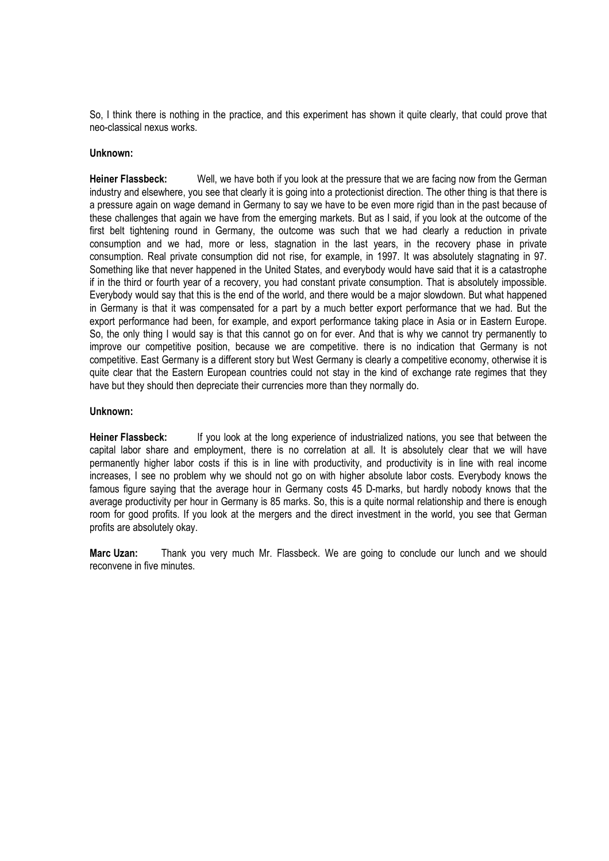So, I think there is nothing in the practice, and this experiment has shown it quite clearly, that could prove that neo-classical nexus works.

## Unknown:

Heiner Flassbeck: Well, we have both if you look at the pressure that we are facing now from the German industry and elsewhere, you see that clearly it is going into a protectionist direction. The other thing is that there is a pressure again on wage demand in Germany to say we have to be even more rigid than in the past because of these challenges that again we have from the emerging markets. But as I said, if you look at the outcome of the first belt tightening round in Germany, the outcome was such that we had clearly a reduction in private consumption and we had, more or less, stagnation in the last years, in the recovery phase in private consumption. Real private consumption did not rise, for example, in 1997. It was absolutely stagnating in 97. Something like that never happened in the United States, and everybody would have said that it is a catastrophe if in the third or fourth year of a recovery, you had constant private consumption. That is absolutely impossible. Everybody would say that this is the end of the world, and there would be a major slowdown. But what happened in Germany is that it was compensated for a part by a much better export performance that we had. But the export performance had been, for example, and export performance taking place in Asia or in Eastern Europe. So, the only thing I would say is that this cannot go on for ever. And that is why we cannot try permanently to improve our competitive position, because we are competitive. there is no indication that Germany is not competitive. East Germany is a different story but West Germany is clearly a competitive economy, otherwise it is quite clear that the Eastern European countries could not stay in the kind of exchange rate regimes that they have but they should then depreciate their currencies more than they normally do.

## Unknown:

Heiner Flassbeck: If you look at the long experience of industrialized nations, you see that between the capital labor share and employment, there is no correlation at all. It is absolutely clear that we will have permanently higher labor costs if this is in line with productivity, and productivity is in line with real income increases, I see no problem why we should not go on with higher absolute labor costs. Everybody knows the famous figure saying that the average hour in Germany costs 45 D-marks, but hardly nobody knows that the average productivity per hour in Germany is 85 marks. So, this is a quite normal relationship and there is enough room for good profits. If you look at the mergers and the direct investment in the world, you see that German profits are absolutely okay.

Marc Uzan: Thank you very much Mr. Flassbeck. We are going to conclude our lunch and we should reconvene in five minutes.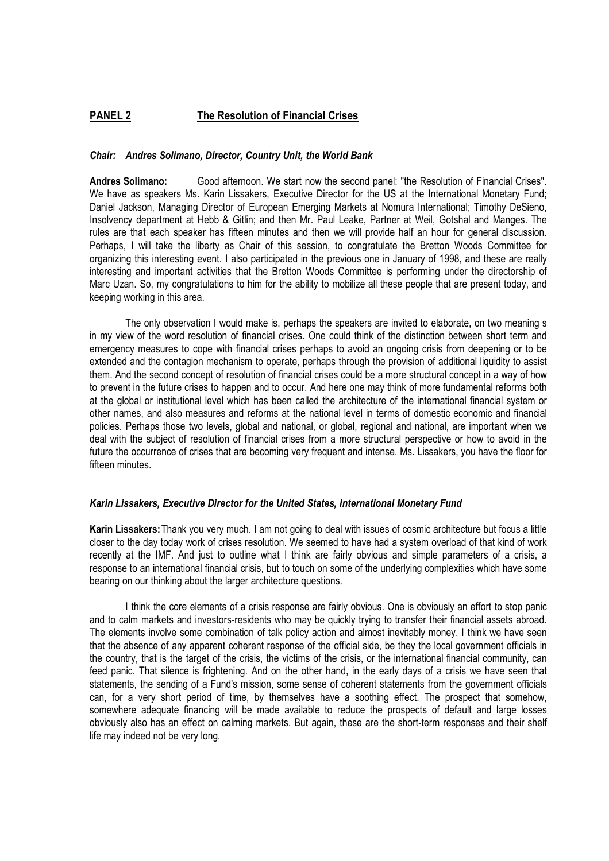# PANEL 2 The Resolution of Financial Crises

## Chair: Andres Solimano, Director, Country Unit, the World Bank

Andres Solimano: Good afternoon. We start now the second panel: "the Resolution of Financial Crises". We have as speakers Ms. Karin Lissakers, Executive Director for the US at the International Monetary Fund; Daniel Jackson, Managing Director of European Emerging Markets at Nomura International; Timothy DeSieno, Insolvency department at Hebb & Gitlin; and then Mr. Paul Leake, Partner at Weil, Gotshal and Manges. The rules are that each speaker has fifteen minutes and then we will provide half an hour for general discussion. Perhaps, I will take the liberty as Chair of this session, to congratulate the Bretton Woods Committee for organizing this interesting event. I also participated in the previous one in January of 1998, and these are really interesting and important activities that the Bretton Woods Committee is performing under the directorship of Marc Uzan. So, my congratulations to him for the ability to mobilize all these people that are present today, and keeping working in this area.

 The only observation I would make is, perhaps the speakers are invited to elaborate, on two meaning s in my view of the word resolution of financial crises. One could think of the distinction between short term and emergency measures to cope with financial crises perhaps to avoid an ongoing crisis from deepening or to be extended and the contagion mechanism to operate, perhaps through the provision of additional liquidity to assist them. And the second concept of resolution of financial crises could be a more structural concept in a way of how to prevent in the future crises to happen and to occur. And here one may think of more fundamental reforms both at the global or institutional level which has been called the architecture of the international financial system or other names, and also measures and reforms at the national level in terms of domestic economic and financial policies. Perhaps those two levels, global and national, or global, regional and national, are important when we deal with the subject of resolution of financial crises from a more structural perspective or how to avoid in the future the occurrence of crises that are becoming very frequent and intense. Ms. Lissakers, you have the floor for fifteen minutes.

## Karin Lissakers, Executive Director for the United States, International Monetary Fund

Karin Lissakers: Thank you very much. I am not going to deal with issues of cosmic architecture but focus a little closer to the day today work of crises resolution. We seemed to have had a system overload of that kind of work recently at the IMF. And just to outline what I think are fairly obvious and simple parameters of a crisis, a response to an international financial crisis, but to touch on some of the underlying complexities which have some bearing on our thinking about the larger architecture questions.

 I think the core elements of a crisis response are fairly obvious. One is obviously an effort to stop panic and to calm markets and investors-residents who may be quickly trying to transfer their financial assets abroad. The elements involve some combination of talk policy action and almost inevitably money. I think we have seen that the absence of any apparent coherent response of the official side, be they the local government officials in the country, that is the target of the crisis, the victims of the crisis, or the international financial community, can feed panic. That silence is frightening. And on the other hand, in the early days of a crisis we have seen that statements, the sending of a Fund's mission, some sense of coherent statements from the government officials can, for a very short period of time, by themselves have a soothing effect. The prospect that somehow, somewhere adequate financing will be made available to reduce the prospects of default and large losses obviously also has an effect on calming markets. But again, these are the short-term responses and their shelf life may indeed not be very long.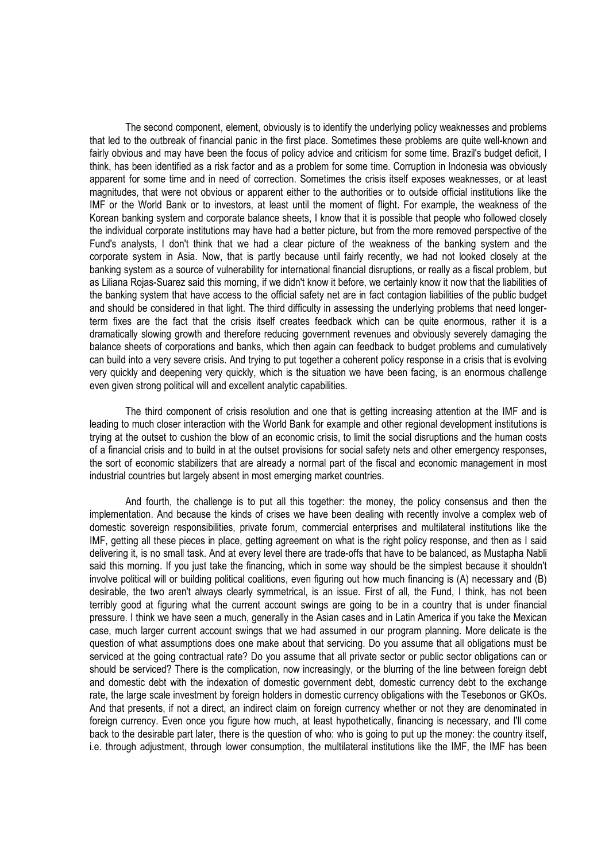The second component, element, obviously is to identify the underlying policy weaknesses and problems that led to the outbreak of financial panic in the first place. Sometimes these problems are quite well-known and fairly obvious and may have been the focus of policy advice and criticism for some time. Brazil's budget deficit, I think, has been identified as a risk factor and as a problem for some time. Corruption in Indonesia was obviously apparent for some time and in need of correction. Sometimes the crisis itself exposes weaknesses, or at least magnitudes, that were not obvious or apparent either to the authorities or to outside official institutions like the IMF or the World Bank or to investors, at least until the moment of flight. For example, the weakness of the Korean banking system and corporate balance sheets, I know that it is possible that people who followed closely the individual corporate institutions may have had a better picture, but from the more removed perspective of the Fund's analysts, I don't think that we had a clear picture of the weakness of the banking system and the corporate system in Asia. Now, that is partly because until fairly recently, we had not looked closely at the banking system as a source of vulnerability for international financial disruptions, or really as a fiscal problem, but as Liliana Rojas-Suarez said this morning, if we didn't know it before, we certainly know it now that the liabilities of the banking system that have access to the official safety net are in fact contagion liabilities of the public budget and should be considered in that light. The third difficulty in assessing the underlying problems that need longerterm fixes are the fact that the crisis itself creates feedback which can be quite enormous, rather it is a dramatically slowing growth and therefore reducing government revenues and obviously severely damaging the balance sheets of corporations and banks, which then again can feedback to budget problems and cumulatively can build into a very severe crisis. And trying to put together a coherent policy response in a crisis that is evolving very quickly and deepening very quickly, which is the situation we have been facing, is an enormous challenge even given strong political will and excellent analytic capabilities.

 The third component of crisis resolution and one that is getting increasing attention at the IMF and is leading to much closer interaction with the World Bank for example and other regional development institutions is trying at the outset to cushion the blow of an economic crisis, to limit the social disruptions and the human costs of a financial crisis and to build in at the outset provisions for social safety nets and other emergency responses, the sort of economic stabilizers that are already a normal part of the fiscal and economic management in most industrial countries but largely absent in most emerging market countries.

 And fourth, the challenge is to put all this together: the money, the policy consensus and then the implementation. And because the kinds of crises we have been dealing with recently involve a complex web of domestic sovereign responsibilities, private forum, commercial enterprises and multilateral institutions like the IMF, getting all these pieces in place, getting agreement on what is the right policy response, and then as I said delivering it, is no small task. And at every level there are trade-offs that have to be balanced, as Mustapha Nabli said this morning. If you just take the financing, which in some way should be the simplest because it shouldn't involve political will or building political coalitions, even figuring out how much financing is (A) necessary and (B) desirable, the two aren't always clearly symmetrical, is an issue. First of all, the Fund, I think, has not been terribly good at figuring what the current account swings are going to be in a country that is under financial pressure. I think we have seen a much, generally in the Asian cases and in Latin America if you take the Mexican case, much larger current account swings that we had assumed in our program planning. More delicate is the question of what assumptions does one make about that servicing. Do you assume that all obligations must be serviced at the going contractual rate? Do you assume that all private sector or public sector obligations can or should be serviced? There is the complication, now increasingly, or the blurring of the line between foreign debt and domestic debt with the indexation of domestic government debt, domestic currency debt to the exchange rate, the large scale investment by foreign holders in domestic currency obligations with the Tesebonos or GKOs. And that presents, if not a direct, an indirect claim on foreign currency whether or not they are denominated in foreign currency. Even once you figure how much, at least hypothetically, financing is necessary, and I'll come back to the desirable part later, there is the question of who: who is going to put up the money: the country itself, i.e. through adjustment, through lower consumption, the multilateral institutions like the IMF, the IMF has been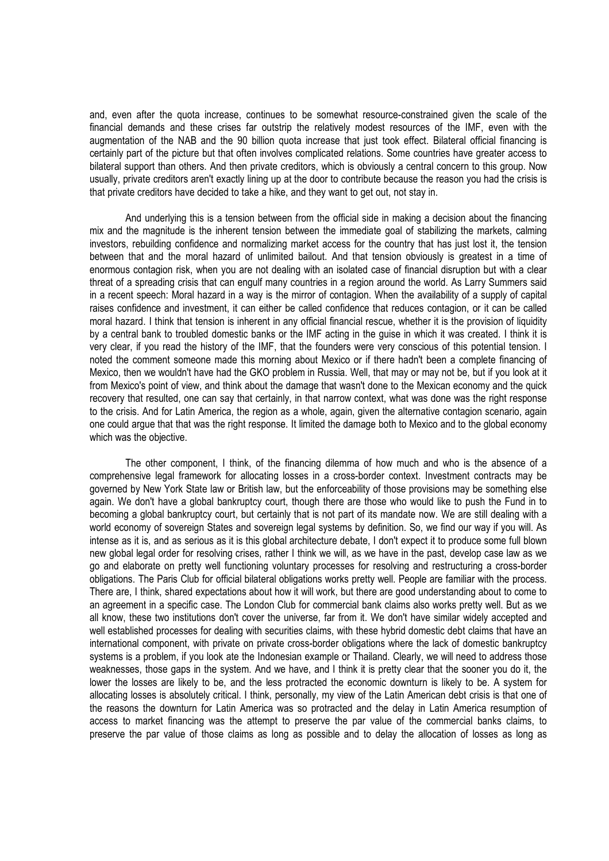and, even after the quota increase, continues to be somewhat resource-constrained given the scale of the financial demands and these crises far outstrip the relatively modest resources of the IMF, even with the augmentation of the NAB and the 90 billion quota increase that just took effect. Bilateral official financing is certainly part of the picture but that often involves complicated relations. Some countries have greater access to bilateral support than others. And then private creditors, which is obviously a central concern to this group. Now usually, private creditors aren't exactly lining up at the door to contribute because the reason you had the crisis is that private creditors have decided to take a hike, and they want to get out, not stay in.

 And underlying this is a tension between from the official side in making a decision about the financing mix and the magnitude is the inherent tension between the immediate goal of stabilizing the markets, calming investors, rebuilding confidence and normalizing market access for the country that has just lost it, the tension between that and the moral hazard of unlimited bailout. And that tension obviously is greatest in a time of enormous contagion risk, when you are not dealing with an isolated case of financial disruption but with a clear threat of a spreading crisis that can engulf many countries in a region around the world. As Larry Summers said in a recent speech: Moral hazard in a way is the mirror of contagion. When the availability of a supply of capital raises confidence and investment, it can either be called confidence that reduces contagion, or it can be called moral hazard. I think that tension is inherent in any official financial rescue, whether it is the provision of liquidity by a central bank to troubled domestic banks or the IMF acting in the guise in which it was created. I think it is very clear, if you read the history of the IMF, that the founders were very conscious of this potential tension. I noted the comment someone made this morning about Mexico or if there hadn't been a complete financing of Mexico, then we wouldn't have had the GKO problem in Russia. Well, that may or may not be, but if you look at it from Mexico's point of view, and think about the damage that wasn't done to the Mexican economy and the quick recovery that resulted, one can say that certainly, in that narrow context, what was done was the right response to the crisis. And for Latin America, the region as a whole, again, given the alternative contagion scenario, again one could argue that that was the right response. It limited the damage both to Mexico and to the global economy which was the objective.

 The other component, I think, of the financing dilemma of how much and who is the absence of a comprehensive legal framework for allocating losses in a cross-border context. Investment contracts may be governed by New York State law or British law, but the enforceability of those provisions may be something else again. We don't have a global bankruptcy court, though there are those who would like to push the Fund in to becoming a global bankruptcy court, but certainly that is not part of its mandate now. We are still dealing with a world economy of sovereign States and sovereign legal systems by definition. So, we find our way if you will. As intense as it is, and as serious as it is this global architecture debate, I don't expect it to produce some full blown new global legal order for resolving crises, rather I think we will, as we have in the past, develop case law as we go and elaborate on pretty well functioning voluntary processes for resolving and restructuring a cross-border obligations. The Paris Club for official bilateral obligations works pretty well. People are familiar with the process. There are, I think, shared expectations about how it will work, but there are good understanding about to come to an agreement in a specific case. The London Club for commercial bank claims also works pretty well. But as we all know, these two institutions don't cover the universe, far from it. We don't have similar widely accepted and well established processes for dealing with securities claims, with these hybrid domestic debt claims that have an international component, with private on private cross-border obligations where the lack of domestic bankruptcy systems is a problem, if you look ate the Indonesian example or Thailand. Clearly, we will need to address those weaknesses, those gaps in the system. And we have, and I think it is pretty clear that the sooner you do it, the lower the losses are likely to be, and the less protracted the economic downturn is likely to be. A system for allocating losses is absolutely critical. I think, personally, my view of the Latin American debt crisis is that one of the reasons the downturn for Latin America was so protracted and the delay in Latin America resumption of access to market financing was the attempt to preserve the par value of the commercial banks claims, to preserve the par value of those claims as long as possible and to delay the allocation of losses as long as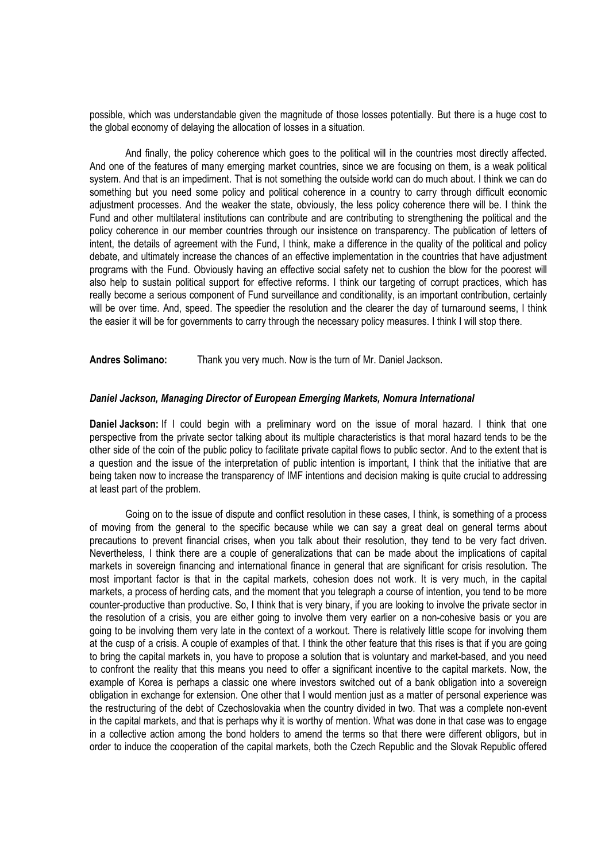possible, which was understandable given the magnitude of those losses potentially. But there is a huge cost to the global economy of delaying the allocation of losses in a situation.

 And finally, the policy coherence which goes to the political will in the countries most directly affected. And one of the features of many emerging market countries, since we are focusing on them, is a weak political system. And that is an impediment. That is not something the outside world can do much about. I think we can do something but you need some policy and political coherence in a country to carry through difficult economic adjustment processes. And the weaker the state, obviously, the less policy coherence there will be. I think the Fund and other multilateral institutions can contribute and are contributing to strengthening the political and the policy coherence in our member countries through our insistence on transparency. The publication of letters of intent, the details of agreement with the Fund, I think, make a difference in the quality of the political and policy debate, and ultimately increase the chances of an effective implementation in the countries that have adjustment programs with the Fund. Obviously having an effective social safety net to cushion the blow for the poorest will also help to sustain political support for effective reforms. I think our targeting of corrupt practices, which has really become a serious component of Fund surveillance and conditionality, is an important contribution, certainly will be over time. And, speed. The speedier the resolution and the clearer the day of turnaround seems, I think the easier it will be for governments to carry through the necessary policy measures. I think I will stop there.

Andres Solimano: Thank you very much. Now is the turn of Mr. Daniel Jackson.

## Daniel Jackson, Managing Director of European Emerging Markets, Nomura International

Daniel Jackson: If I could begin with a preliminary word on the issue of moral hazard. I think that one perspective from the private sector talking about its multiple characteristics is that moral hazard tends to be the other side of the coin of the public policy to facilitate private capital flows to public sector. And to the extent that is a question and the issue of the interpretation of public intention is important, I think that the initiative that are being taken now to increase the transparency of IMF intentions and decision making is quite crucial to addressing at least part of the problem.

 Going on to the issue of dispute and conflict resolution in these cases, I think, is something of a process of moving from the general to the specific because while we can say a great deal on general terms about precautions to prevent financial crises, when you talk about their resolution, they tend to be very fact driven. Nevertheless, I think there are a couple of generalizations that can be made about the implications of capital markets in sovereign financing and international finance in general that are significant for crisis resolution. The most important factor is that in the capital markets, cohesion does not work. It is very much, in the capital markets, a process of herding cats, and the moment that you telegraph a course of intention, you tend to be more counter-productive than productive. So, I think that is very binary, if you are looking to involve the private sector in the resolution of a crisis, you are either going to involve them very earlier on a non-cohesive basis or you are going to be involving them very late in the context of a workout. There is relatively little scope for involving them at the cusp of a crisis. A couple of examples of that. I think the other feature that this rises is that if you are going to bring the capital markets in, you have to propose a solution that is voluntary and market-based, and you need to confront the reality that this means you need to offer a significant incentive to the capital markets. Now, the example of Korea is perhaps a classic one where investors switched out of a bank obligation into a sovereign obligation in exchange for extension. One other that I would mention just as a matter of personal experience was the restructuring of the debt of Czechoslovakia when the country divided in two. That was a complete non-event in the capital markets, and that is perhaps why it is worthy of mention. What was done in that case was to engage in a collective action among the bond holders to amend the terms so that there were different obligors, but in order to induce the cooperation of the capital markets, both the Czech Republic and the Slovak Republic offered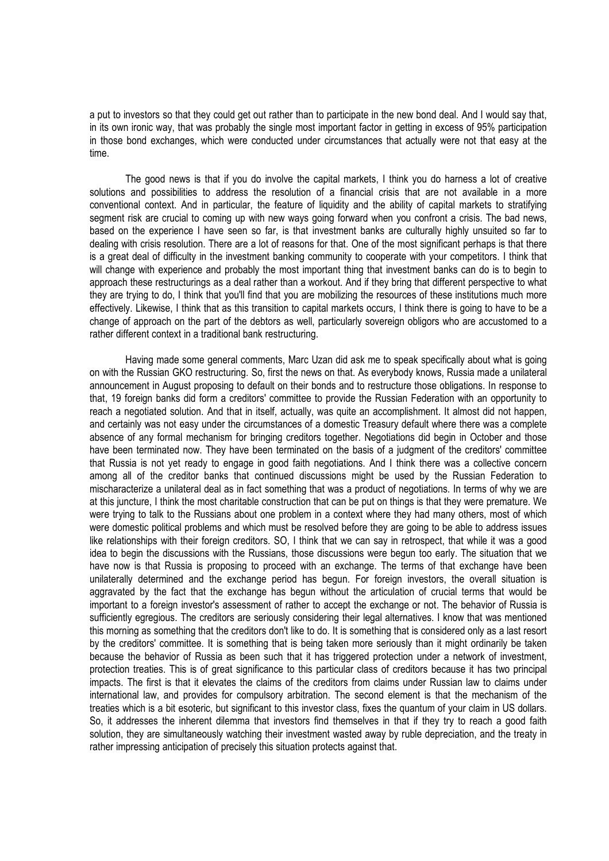a put to investors so that they could get out rather than to participate in the new bond deal. And I would say that, in its own ironic way, that was probably the single most important factor in getting in excess of 95% participation in those bond exchanges, which were conducted under circumstances that actually were not that easy at the time.

 The good news is that if you do involve the capital markets, I think you do harness a lot of creative solutions and possibilities to address the resolution of a financial crisis that are not available in a more conventional context. And in particular, the feature of liquidity and the ability of capital markets to stratifying segment risk are crucial to coming up with new ways going forward when you confront a crisis. The bad news, based on the experience I have seen so far, is that investment banks are culturally highly unsuited so far to dealing with crisis resolution. There are a lot of reasons for that. One of the most significant perhaps is that there is a great deal of difficulty in the investment banking community to cooperate with your competitors. I think that will change with experience and probably the most important thing that investment banks can do is to begin to approach these restructurings as a deal rather than a workout. And if they bring that different perspective to what they are trying to do, I think that you'll find that you are mobilizing the resources of these institutions much more effectively. Likewise, I think that as this transition to capital markets occurs, I think there is going to have to be a change of approach on the part of the debtors as well, particularly sovereign obligors who are accustomed to a rather different context in a traditional bank restructuring.

 Having made some general comments, Marc Uzan did ask me to speak specifically about what is going on with the Russian GKO restructuring. So, first the news on that. As everybody knows, Russia made a unilateral announcement in August proposing to default on their bonds and to restructure those obligations. In response to that, 19 foreign banks did form a creditors' committee to provide the Russian Federation with an opportunity to reach a negotiated solution. And that in itself, actually, was quite an accomplishment. It almost did not happen, and certainly was not easy under the circumstances of a domestic Treasury default where there was a complete absence of any formal mechanism for bringing creditors together. Negotiations did begin in October and those have been terminated now. They have been terminated on the basis of a judgment of the creditors' committee that Russia is not yet ready to engage in good faith negotiations. And I think there was a collective concern among all of the creditor banks that continued discussions might be used by the Russian Federation to mischaracterize a unilateral deal as in fact something that was a product of negotiations. In terms of why we are at this juncture, I think the most charitable construction that can be put on things is that they were premature. We were trying to talk to the Russians about one problem in a context where they had many others, most of which were domestic political problems and which must be resolved before they are going to be able to address issues like relationships with their foreign creditors. SO, I think that we can say in retrospect, that while it was a good idea to begin the discussions with the Russians, those discussions were begun too early. The situation that we have now is that Russia is proposing to proceed with an exchange. The terms of that exchange have been unilaterally determined and the exchange period has begun. For foreign investors, the overall situation is aggravated by the fact that the exchange has begun without the articulation of crucial terms that would be important to a foreign investor's assessment of rather to accept the exchange or not. The behavior of Russia is sufficiently egregious. The creditors are seriously considering their legal alternatives. I know that was mentioned this morning as something that the creditors don't like to do. It is something that is considered only as a last resort by the creditors' committee. It is something that is being taken more seriously than it might ordinarily be taken because the behavior of Russia as been such that it has triggered protection under a network of investment, protection treaties. This is of great significance to this particular class of creditors because it has two principal impacts. The first is that it elevates the claims of the creditors from claims under Russian law to claims under international law, and provides for compulsory arbitration. The second element is that the mechanism of the treaties which is a bit esoteric, but significant to this investor class, fixes the quantum of your claim in US dollars. So, it addresses the inherent dilemma that investors find themselves in that if they try to reach a good faith solution, they are simultaneously watching their investment wasted away by ruble depreciation, and the treaty in rather impressing anticipation of precisely this situation protects against that.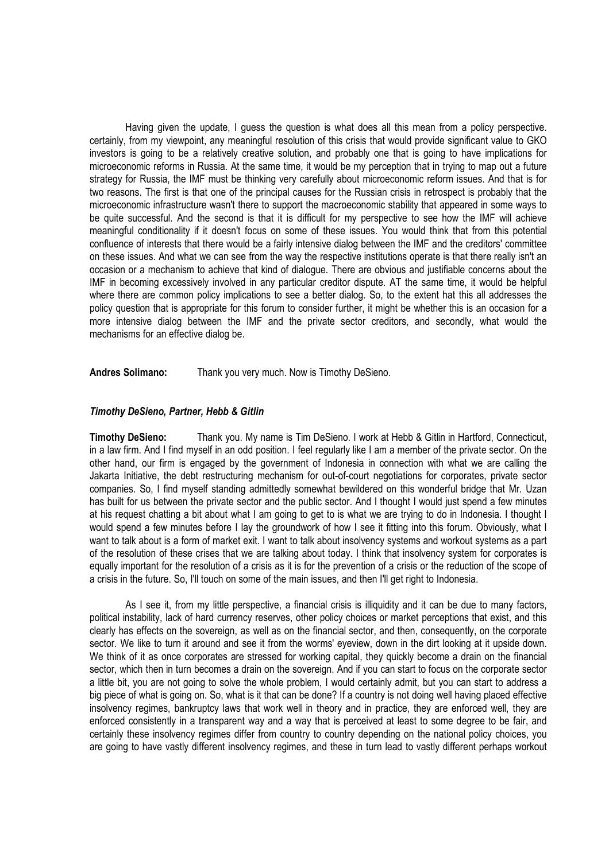Having given the update, I guess the question is what does all this mean from a policy perspective. certainly, from my viewpoint, any meaningful resolution of this crisis that would provide significant value to GKO investors is going to be a relatively creative solution, and probably one that is going to have implications for microeconomic reforms in Russia. At the same time, it would be my perception that in trying to map out a future strategy for Russia, the IMF must be thinking very carefully about microeconomic reform issues. And that is for two reasons. The first is that one of the principal causes for the Russian crisis in retrospect is probably that the microeconomic infrastructure wasn't there to support the macroeconomic stability that appeared in some ways to be quite successful. And the second is that it is difficult for my perspective to see how the IMF will achieve meaningful conditionality if it doesn't focus on some of these issues. You would think that from this potential confluence of interests that there would be a fairly intensive dialog between the IMF and the creditors' committee on these issues. And what we can see from the way the respective institutions operate is that there really isn't an occasion or a mechanism to achieve that kind of dialogue. There are obvious and justifiable concerns about the IMF in becoming excessively involved in any particular creditor dispute. AT the same time, it would be helpful where there are common policy implications to see a better dialog. So, to the extent hat this all addresses the policy question that is appropriate for this forum to consider further, it might be whether this is an occasion for a more intensive dialog between the IMF and the private sector creditors, and secondly, what would the mechanisms for an effective dialog be.

Andres Solimano: Thank you very much. Now is Timothy DeSieno.

## Timothy DeSieno, Partner, Hebb & Gitlin

Timothy DeSieno: Thank you. My name is Tim DeSieno. I work at Hebb & Gitlin in Hartford, Connecticut, in a law firm. And I find myself in an odd position. I feel regularly like I am a member of the private sector. On the other hand, our firm is engaged by the government of Indonesia in connection with what we are calling the Jakarta Initiative, the debt restructuring mechanism for out-of-court negotiations for corporates, private sector companies. So, I find myself standing admittedly somewhat bewildered on this wonderful bridge that Mr. Uzan has built for us between the private sector and the public sector. And I thought I would just spend a few minutes at his request chatting a bit about what I am going to get to is what we are trying to do in Indonesia. I thought I would spend a few minutes before I lay the groundwork of how I see it fitting into this forum. Obviously, what I want to talk about is a form of market exit. I want to talk about insolvency systems and workout systems as a part of the resolution of these crises that we are talking about today. I think that insolvency system for corporates is equally important for the resolution of a crisis as it is for the prevention of a crisis or the reduction of the scope of a crisis in the future. So, I'll touch on some of the main issues, and then I'll get right to Indonesia.

 As I see it, from my little perspective, a financial crisis is illiquidity and it can be due to many factors, political instability, lack of hard currency reserves, other policy choices or market perceptions that exist, and this clearly has effects on the sovereign, as well as on the financial sector, and then, consequently, on the corporate sector. We like to turn it around and see it from the worms' eveview, down in the dirt looking at it upside down. We think of it as once corporates are stressed for working capital, they quickly become a drain on the financial sector, which then in turn becomes a drain on the sovereign. And if you can start to focus on the corporate sector a little bit, you are not going to solve the whole problem, I would certainly admit, but you can start to address a big piece of what is going on. So, what is it that can be done? If a country is not doing well having placed effective insolvency regimes, bankruptcy laws that work well in theory and in practice, they are enforced well, they are enforced consistently in a transparent way and a way that is perceived at least to some degree to be fair, and certainly these insolvency regimes differ from country to country depending on the national policy choices, you are going to have vastly different insolvency regimes, and these in turn lead to vastly different perhaps workout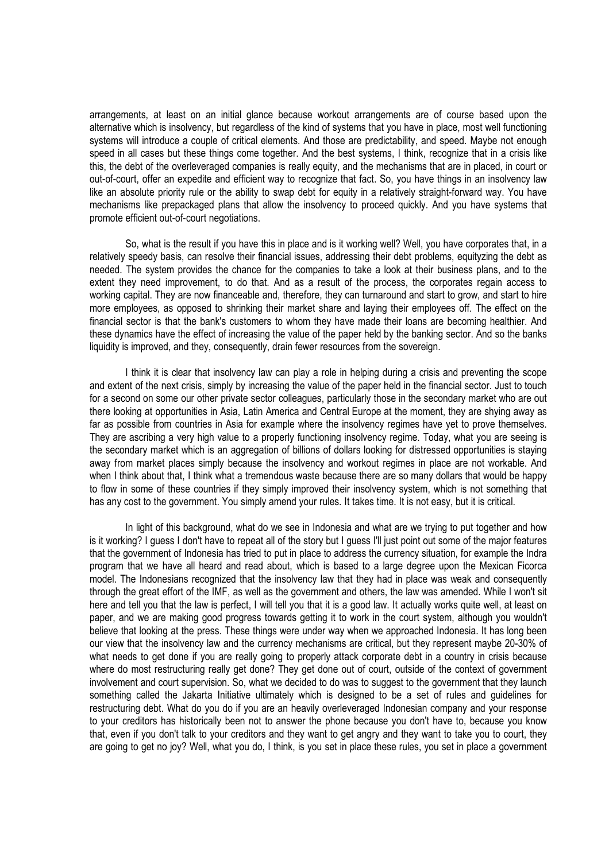arrangements, at least on an initial glance because workout arrangements are of course based upon the alternative which is insolvency, but regardless of the kind of systems that you have in place, most well functioning systems will introduce a couple of critical elements. And those are predictability, and speed. Maybe not enough speed in all cases but these things come together. And the best systems, I think, recognize that in a crisis like this, the debt of the overleveraged companies is really equity, and the mechanisms that are in placed, in court or out-of-court, offer an expedite and efficient way to recognize that fact. So, you have things in an insolvency law like an absolute priority rule or the ability to swap debt for equity in a relatively straight-forward way. You have mechanisms like prepackaged plans that allow the insolvency to proceed quickly. And you have systems that promote efficient out-of-court negotiations.

 So, what is the result if you have this in place and is it working well? Well, you have corporates that, in a relatively speedy basis, can resolve their financial issues, addressing their debt problems, equityzing the debt as needed. The system provides the chance for the companies to take a look at their business plans, and to the extent they need improvement, to do that. And as a result of the process, the corporates regain access to working capital. They are now financeable and, therefore, they can turnaround and start to grow, and start to hire more employees, as opposed to shrinking their market share and laying their employees off. The effect on the financial sector is that the bank's customers to whom they have made their loans are becoming healthier. And these dynamics have the effect of increasing the value of the paper held by the banking sector. And so the banks liquidity is improved, and they, consequently, drain fewer resources from the sovereign.

 I think it is clear that insolvency law can play a role in helping during a crisis and preventing the scope and extent of the next crisis, simply by increasing the value of the paper held in the financial sector. Just to touch for a second on some our other private sector colleagues, particularly those in the secondary market who are out there looking at opportunities in Asia, Latin America and Central Europe at the moment, they are shying away as far as possible from countries in Asia for example where the insolvency regimes have yet to prove themselves. They are ascribing a very high value to a properly functioning insolvency regime. Today, what you are seeing is the secondary market which is an aggregation of billions of dollars looking for distressed opportunities is staying away from market places simply because the insolvency and workout regimes in place are not workable. And when I think about that, I think what a tremendous waste because there are so many dollars that would be happy to flow in some of these countries if they simply improved their insolvency system, which is not something that has any cost to the government. You simply amend your rules. It takes time. It is not easy, but it is critical.

 In light of this background, what do we see in Indonesia and what are we trying to put together and how is it working? I guess I don't have to repeat all of the story but I guess I'll just point out some of the major features that the government of Indonesia has tried to put in place to address the currency situation, for example the Indra program that we have all heard and read about, which is based to a large degree upon the Mexican Ficorca model. The Indonesians recognized that the insolvency law that they had in place was weak and consequently through the great effort of the IMF, as well as the government and others, the law was amended. While I won't sit here and tell you that the law is perfect, I will tell you that it is a good law. It actually works quite well, at least on paper, and we are making good progress towards getting it to work in the court system, although you wouldn't believe that looking at the press. These things were under way when we approached Indonesia. It has long been our view that the insolvency law and the currency mechanisms are critical, but they represent maybe 20-30% of what needs to get done if you are really going to properly attack corporate debt in a country in crisis because where do most restructuring really get done? They get done out of court, outside of the context of government involvement and court supervision. So, what we decided to do was to suggest to the government that they launch something called the Jakarta Initiative ultimately which is designed to be a set of rules and guidelines for restructuring debt. What do you do if you are an heavily overleveraged Indonesian company and your response to your creditors has historically been not to answer the phone because you don't have to, because you know that, even if you don't talk to your creditors and they want to get angry and they want to take you to court, they are going to get no joy? Well, what you do, I think, is you set in place these rules, you set in place a government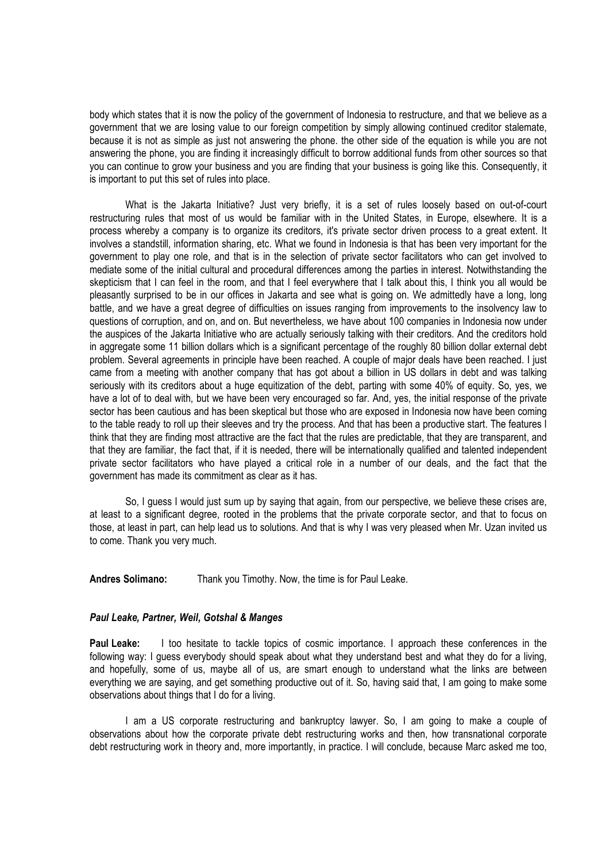body which states that it is now the policy of the government of Indonesia to restructure, and that we believe as a government that we are losing value to our foreign competition by simply allowing continued creditor stalemate, because it is not as simple as just not answering the phone. the other side of the equation is while you are not answering the phone, you are finding it increasingly difficult to borrow additional funds from other sources so that you can continue to grow your business and you are finding that your business is going like this. Consequently, it is important to put this set of rules into place.

 What is the Jakarta Initiative? Just very briefly, it is a set of rules loosely based on out-of-court restructuring rules that most of us would be familiar with in the United States, in Europe, elsewhere. It is a process whereby a company is to organize its creditors, it's private sector driven process to a great extent. It involves a standstill, information sharing, etc. What we found in Indonesia is that has been very important for the government to play one role, and that is in the selection of private sector facilitators who can get involved to mediate some of the initial cultural and procedural differences among the parties in interest. Notwithstanding the skepticism that I can feel in the room, and that I feel everywhere that I talk about this, I think you all would be pleasantly surprised to be in our offices in Jakarta and see what is going on. We admittedly have a long, long battle, and we have a great degree of difficulties on issues ranging from improvements to the insolvency law to questions of corruption, and on, and on. But nevertheless, we have about 100 companies in Indonesia now under the auspices of the Jakarta Initiative who are actually seriously talking with their creditors. And the creditors hold in aggregate some 11 billion dollars which is a significant percentage of the roughly 80 billion dollar external debt problem. Several agreements in principle have been reached. A couple of major deals have been reached. I just came from a meeting with another company that has got about a billion in US dollars in debt and was talking seriously with its creditors about a huge equitization of the debt, parting with some 40% of equity. So, yes, we have a lot of to deal with, but we have been very encouraged so far. And, yes, the initial response of the private sector has been cautious and has been skeptical but those who are exposed in Indonesia now have been coming to the table ready to roll up their sleeves and try the process. And that has been a productive start. The features I think that they are finding most attractive are the fact that the rules are predictable, that they are transparent, and that they are familiar, the fact that, if it is needed, there will be internationally qualified and talented independent private sector facilitators who have played a critical role in a number of our deals, and the fact that the government has made its commitment as clear as it has.

 So, I guess I would just sum up by saying that again, from our perspective, we believe these crises are, at least to a significant degree, rooted in the problems that the private corporate sector, and that to focus on those, at least in part, can help lead us to solutions. And that is why I was very pleased when Mr. Uzan invited us to come. Thank you very much.

Andres Solimano: Thank you Timothy. Now, the time is for Paul Leake.

### Paul Leake, Partner, Weil, Gotshal & Manges

Paul Leake: I too hesitate to tackle topics of cosmic importance. I approach these conferences in the following way: I guess everybody should speak about what they understand best and what they do for a living, and hopefully, some of us, maybe all of us, are smart enough to understand what the links are between everything we are saying, and get something productive out of it. So, having said that, I am going to make some observations about things that I do for a living.

 I am a US corporate restructuring and bankruptcy lawyer. So, I am going to make a couple of observations about how the corporate private debt restructuring works and then, how transnational corporate debt restructuring work in theory and, more importantly, in practice. I will conclude, because Marc asked me too,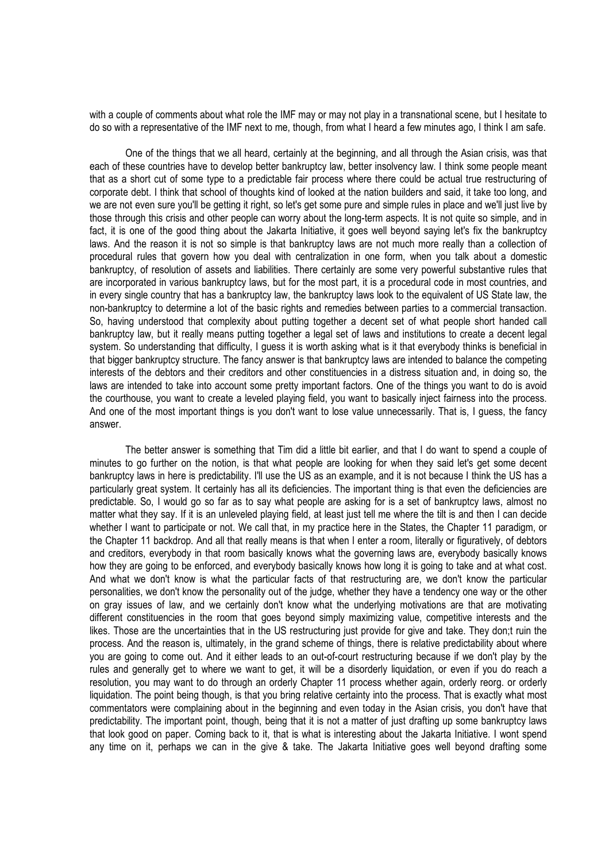with a couple of comments about what role the IMF may or may not play in a transnational scene, but I hesitate to do so with a representative of the IMF next to me, though, from what I heard a few minutes ago, I think I am safe.

 One of the things that we all heard, certainly at the beginning, and all through the Asian crisis, was that each of these countries have to develop better bankruptcy law, better insolvency law. I think some people meant that as a short cut of some type to a predictable fair process where there could be actual true restructuring of corporate debt. I think that school of thoughts kind of looked at the nation builders and said, it take too long, and we are not even sure you'll be getting it right, so let's get some pure and simple rules in place and we'll just live by those through this crisis and other people can worry about the long-term aspects. It is not quite so simple, and in fact, it is one of the good thing about the Jakarta Initiative, it goes well beyond saying let's fix the bankruptcy laws. And the reason it is not so simple is that bankruptcy laws are not much more really than a collection of procedural rules that govern how you deal with centralization in one form, when you talk about a domestic bankruptcy, of resolution of assets and liabilities. There certainly are some very powerful substantive rules that are incorporated in various bankruptcy laws, but for the most part, it is a procedural code in most countries, and in every single country that has a bankruptcy law, the bankruptcy laws look to the equivalent of US State law, the non-bankruptcy to determine a lot of the basic rights and remedies between parties to a commercial transaction. So, having understood that complexity about putting together a decent set of what people short handed call bankruptcy law, but it really means putting together a legal set of laws and institutions to create a decent legal system. So understanding that difficulty, I guess it is worth asking what is it that everybody thinks is beneficial in that bigger bankruptcy structure. The fancy answer is that bankruptcy laws are intended to balance the competing interests of the debtors and their creditors and other constituencies in a distress situation and, in doing so, the laws are intended to take into account some pretty important factors. One of the things you want to do is avoid the courthouse, you want to create a leveled playing field, you want to basically inject fairness into the process. And one of the most important things is you don't want to lose value unnecessarily. That is, I guess, the fancy answer.

 The better answer is something that Tim did a little bit earlier, and that I do want to spend a couple of minutes to go further on the notion, is that what people are looking for when they said let's get some decent bankruptcy laws in here is predictability. I'll use the US as an example, and it is not because I think the US has a particularly great system. It certainly has all its deficiencies. The important thing is that even the deficiencies are predictable. So, I would go so far as to say what people are asking for is a set of bankruptcy laws, almost no matter what they say. If it is an unleveled playing field, at least just tell me where the tilt is and then I can decide whether I want to participate or not. We call that, in my practice here in the States, the Chapter 11 paradigm, or the Chapter 11 backdrop. And all that really means is that when I enter a room, literally or figuratively, of debtors and creditors, everybody in that room basically knows what the governing laws are, everybody basically knows how they are going to be enforced, and everybody basically knows how long it is going to take and at what cost. And what we don't know is what the particular facts of that restructuring are, we don't know the particular personalities, we don't know the personality out of the judge, whether they have a tendency one way or the other on gray issues of law, and we certainly don't know what the underlying motivations are that are motivating different constituencies in the room that goes beyond simply maximizing value, competitive interests and the likes. Those are the uncertainties that in the US restructuring just provide for give and take. They don;t ruin the process. And the reason is, ultimately, in the grand scheme of things, there is relative predictability about where you are going to come out. And it either leads to an out-of-court restructuring because if we don't play by the rules and generally get to where we want to get, it will be a disorderly liquidation, or even if you do reach a resolution, you may want to do through an orderly Chapter 11 process whether again, orderly reorg. or orderly liquidation. The point being though, is that you bring relative certainty into the process. That is exactly what most commentators were complaining about in the beginning and even today in the Asian crisis, you don't have that predictability. The important point, though, being that it is not a matter of just drafting up some bankruptcy laws that look good on paper. Coming back to it, that is what is interesting about the Jakarta Initiative. I wont spend any time on it, perhaps we can in the give & take. The Jakarta Initiative goes well beyond drafting some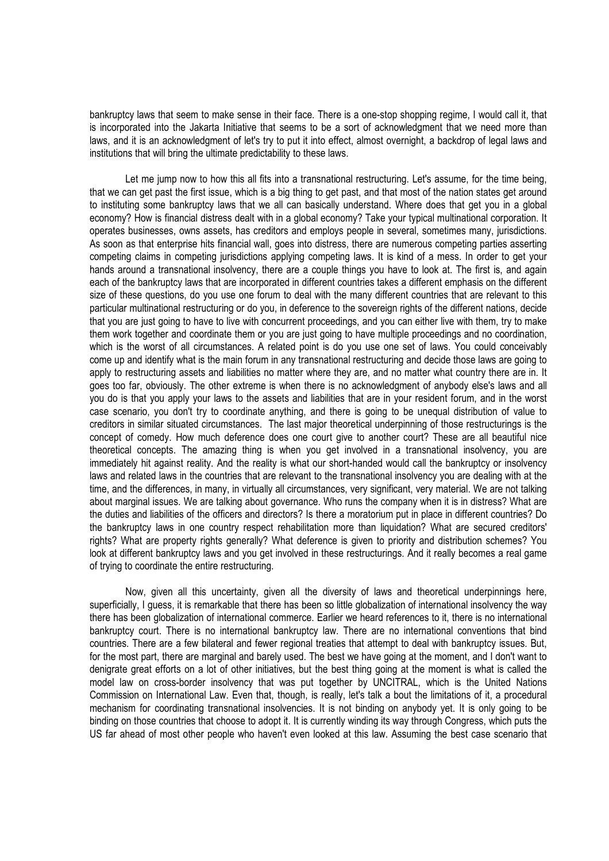bankruptcy laws that seem to make sense in their face. There is a one-stop shopping regime, I would call it, that is incorporated into the Jakarta Initiative that seems to be a sort of acknowledgment that we need more than laws, and it is an acknowledgment of let's try to put it into effect, almost overnight, a backdrop of legal laws and institutions that will bring the ultimate predictability to these laws.

Let me jump now to how this all fits into a transnational restructuring. Let's assume, for the time being, that we can get past the first issue, which is a big thing to get past, and that most of the nation states get around to instituting some bankruptcy laws that we all can basically understand. Where does that get you in a global economy? How is financial distress dealt with in a global economy? Take your typical multinational corporation. It operates businesses, owns assets, has creditors and employs people in several, sometimes many, jurisdictions. As soon as that enterprise hits financial wall, goes into distress, there are numerous competing parties asserting competing claims in competing jurisdictions applying competing laws. It is kind of a mess. In order to get your hands around a transnational insolvency, there are a couple things you have to look at. The first is, and again each of the bankruptcy laws that are incorporated in different countries takes a different emphasis on the different size of these questions, do you use one forum to deal with the many different countries that are relevant to this particular multinational restructuring or do you, in deference to the sovereign rights of the different nations, decide that you are just going to have to live with concurrent proceedings, and you can either live with them, try to make them work together and coordinate them or you are just going to have multiple proceedings and no coordination, which is the worst of all circumstances. A related point is do you use one set of laws. You could conceivably come up and identify what is the main forum in any transnational restructuring and decide those laws are going to apply to restructuring assets and liabilities no matter where they are, and no matter what country there are in. It goes too far, obviously. The other extreme is when there is no acknowledgment of anybody else's laws and all you do is that you apply your laws to the assets and liabilities that are in your resident forum, and in the worst case scenario, you don't try to coordinate anything, and there is going to be unequal distribution of value to creditors in similar situated circumstances. The last major theoretical underpinning of those restructurings is the concept of comedy. How much deference does one court give to another court? These are all beautiful nice theoretical concepts. The amazing thing is when you get involved in a transnational insolvency, you are immediately hit against reality. And the reality is what our short-handed would call the bankruptcy or insolvency laws and related laws in the countries that are relevant to the transnational insolvency you are dealing with at the time, and the differences, in many, in virtually all circumstances, very significant, very material. We are not talking about marginal issues. We are talking about governance. Who runs the company when it is in distress? What are the duties and liabilities of the officers and directors? Is there a moratorium put in place in different countries? Do the bankruptcy laws in one country respect rehabilitation more than liquidation? What are secured creditors' rights? What are property rights generally? What deference is given to priority and distribution schemes? You look at different bankruptcy laws and you get involved in these restructurings. And it really becomes a real game of trying to coordinate the entire restructuring.

 Now, given all this uncertainty, given all the diversity of laws and theoretical underpinnings here, superficially, I guess, it is remarkable that there has been so little globalization of international insolvency the way there has been globalization of international commerce. Earlier we heard references to it, there is no international bankruptcy court. There is no international bankruptcy law. There are no international conventions that bind countries. There are a few bilateral and fewer regional treaties that attempt to deal with bankruptcy issues. But, for the most part, there are marginal and barely used. The best we have going at the moment, and I don't want to denigrate great efforts on a lot of other initiatives, but the best thing going at the moment is what is called the model law on cross-border insolvency that was put together by UNCITRAL, which is the United Nations Commission on International Law. Even that, though, is really, let's talk a bout the limitations of it, a procedural mechanism for coordinating transnational insolvencies. It is not binding on anybody yet. It is only going to be binding on those countries that choose to adopt it. It is currently winding its way through Congress, which puts the US far ahead of most other people who haven't even looked at this law. Assuming the best case scenario that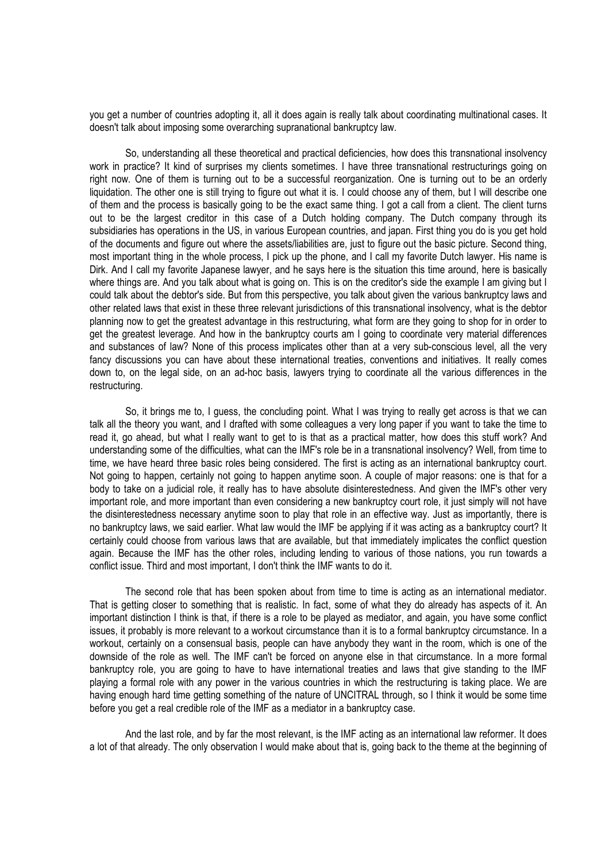you get a number of countries adopting it, all it does again is really talk about coordinating multinational cases. It doesn't talk about imposing some overarching supranational bankruptcy law.

 So, understanding all these theoretical and practical deficiencies, how does this transnational insolvency work in practice? It kind of surprises my clients sometimes. I have three transnational restructurings going on right now. One of them is turning out to be a successful reorganization. One is turning out to be an orderly liquidation. The other one is still trying to figure out what it is. I could choose any of them, but I will describe one of them and the process is basically going to be the exact same thing. I got a call from a client. The client turns out to be the largest creditor in this case of a Dutch holding company. The Dutch company through its subsidiaries has operations in the US, in various European countries, and japan. First thing you do is you get hold of the documents and figure out where the assets/liabilities are, just to figure out the basic picture. Second thing, most important thing in the whole process, I pick up the phone, and I call my favorite Dutch lawyer. His name is Dirk. And I call my favorite Japanese lawyer, and he says here is the situation this time around, here is basically where things are. And you talk about what is going on. This is on the creditor's side the example I am giving but I could talk about the debtor's side. But from this perspective, you talk about given the various bankruptcy laws and other related laws that exist in these three relevant jurisdictions of this transnational insolvency, what is the debtor planning now to get the greatest advantage in this restructuring, what form are they going to shop for in order to get the greatest leverage. And how in the bankruptcy courts am I going to coordinate very material differences and substances of law? None of this process implicates other than at a very sub-conscious level, all the very fancy discussions you can have about these international treaties, conventions and initiatives. It really comes down to, on the legal side, on an ad-hoc basis, lawyers trying to coordinate all the various differences in the restructuring.

 So, it brings me to, I guess, the concluding point. What I was trying to really get across is that we can talk all the theory you want, and I drafted with some colleagues a very long paper if you want to take the time to read it, go ahead, but what I really want to get to is that as a practical matter, how does this stuff work? And understanding some of the difficulties, what can the IMF's role be in a transnational insolvency? Well, from time to time, we have heard three basic roles being considered. The first is acting as an international bankruptcy court. Not going to happen, certainly not going to happen anytime soon. A couple of major reasons: one is that for a body to take on a judicial role, it really has to have absolute disinterestedness. And given the IMF's other very important role, and more important than even considering a new bankruptcy court role, it just simply will not have the disinterestedness necessary anytime soon to play that role in an effective way. Just as importantly, there is no bankruptcy laws, we said earlier. What law would the IMF be applying if it was acting as a bankruptcy court? It certainly could choose from various laws that are available, but that immediately implicates the conflict question again. Because the IMF has the other roles, including lending to various of those nations, you run towards a conflict issue. Third and most important, I don't think the IMF wants to do it.

 The second role that has been spoken about from time to time is acting as an international mediator. That is getting closer to something that is realistic. In fact, some of what they do already has aspects of it. An important distinction I think is that, if there is a role to be played as mediator, and again, you have some conflict issues, it probably is more relevant to a workout circumstance than it is to a formal bankruptcy circumstance. In a workout, certainly on a consensual basis, people can have anybody they want in the room, which is one of the downside of the role as well. The IMF can't be forced on anyone else in that circumstance. In a more formal bankruptcy role, you are going to have to have international treaties and laws that give standing to the IMF playing a formal role with any power in the various countries in which the restructuring is taking place. We are having enough hard time getting something of the nature of UNCITRAL through, so I think it would be some time before you get a real credible role of the IMF as a mediator in a bankruptcy case.

 And the last role, and by far the most relevant, is the IMF acting as an international law reformer. It does a lot of that already. The only observation I would make about that is, going back to the theme at the beginning of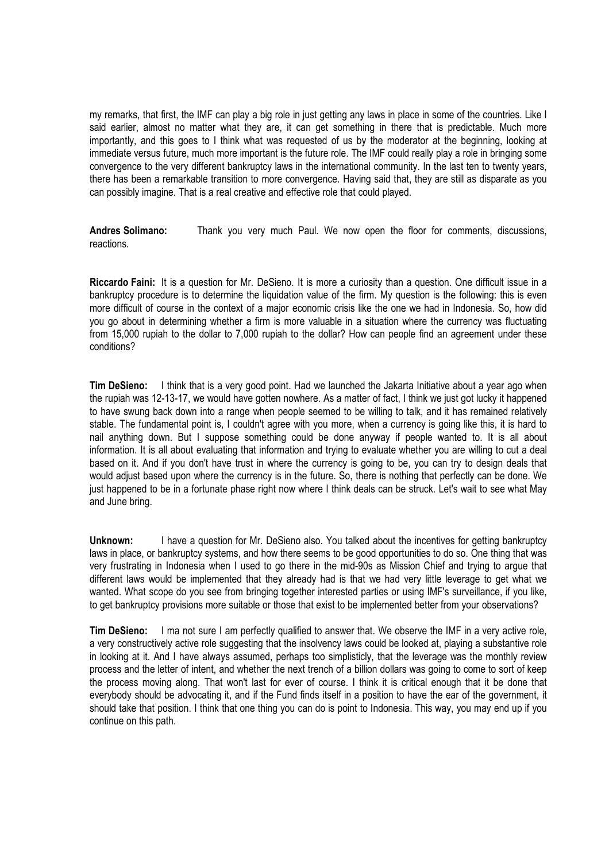my remarks, that first, the IMF can play a big role in just getting any laws in place in some of the countries. Like I said earlier, almost no matter what they are, it can get something in there that is predictable. Much more importantly, and this goes to I think what was requested of us by the moderator at the beginning, looking at immediate versus future, much more important is the future role. The IMF could really play a role in bringing some convergence to the very different bankruptcy laws in the international community. In the last ten to twenty years, there has been a remarkable transition to more convergence. Having said that, they are still as disparate as you can possibly imagine. That is a real creative and effective role that could played.

Andres Solimano: Thank you very much Paul. We now open the floor for comments, discussions, reactions.

Riccardo Faini: It is a question for Mr. DeSieno. It is more a curiosity than a question. One difficult issue in a bankruptcy procedure is to determine the liquidation value of the firm. My question is the following: this is even more difficult of course in the context of a major economic crisis like the one we had in Indonesia. So, how did you go about in determining whether a firm is more valuable in a situation where the currency was fluctuating from 15,000 rupiah to the dollar to 7,000 rupiah to the dollar? How can people find an agreement under these conditions?

Tim DeSieno: I think that is a very good point. Had we launched the Jakarta Initiative about a year ago when the rupiah was 12-13-17, we would have gotten nowhere. As a matter of fact, I think we just got lucky it happened to have swung back down into a range when people seemed to be willing to talk, and it has remained relatively stable. The fundamental point is, I couldn't agree with you more, when a currency is going like this, it is hard to nail anything down. But I suppose something could be done anyway if people wanted to. It is all about information. It is all about evaluating that information and trying to evaluate whether you are willing to cut a deal based on it. And if you don't have trust in where the currency is going to be, you can try to design deals that would adjust based upon where the currency is in the future. So, there is nothing that perfectly can be done. We just happened to be in a fortunate phase right now where I think deals can be struck. Let's wait to see what May and June bring.

Unknown: I have a question for Mr. DeSieno also. You talked about the incentives for getting bankruptcy laws in place, or bankruptcy systems, and how there seems to be good opportunities to do so. One thing that was very frustrating in Indonesia when I used to go there in the mid-90s as Mission Chief and trying to argue that different laws would be implemented that they already had is that we had very little leverage to get what we wanted. What scope do you see from bringing together interested parties or using IMF's surveillance, if you like, to get bankruptcy provisions more suitable or those that exist to be implemented better from your observations?

Tim DeSieno: I ma not sure I am perfectly qualified to answer that. We observe the IMF in a very active role, a very constructively active role suggesting that the insolvency laws could be looked at, playing a substantive role in looking at it. And I have always assumed, perhaps too simplisticly, that the leverage was the monthly review process and the letter of intent, and whether the next trench of a billion dollars was going to come to sort of keep the process moving along. That won't last for ever of course. I think it is critical enough that it be done that everybody should be advocating it, and if the Fund finds itself in a position to have the ear of the government, it should take that position. I think that one thing you can do is point to Indonesia. This way, you may end up if you continue on this path.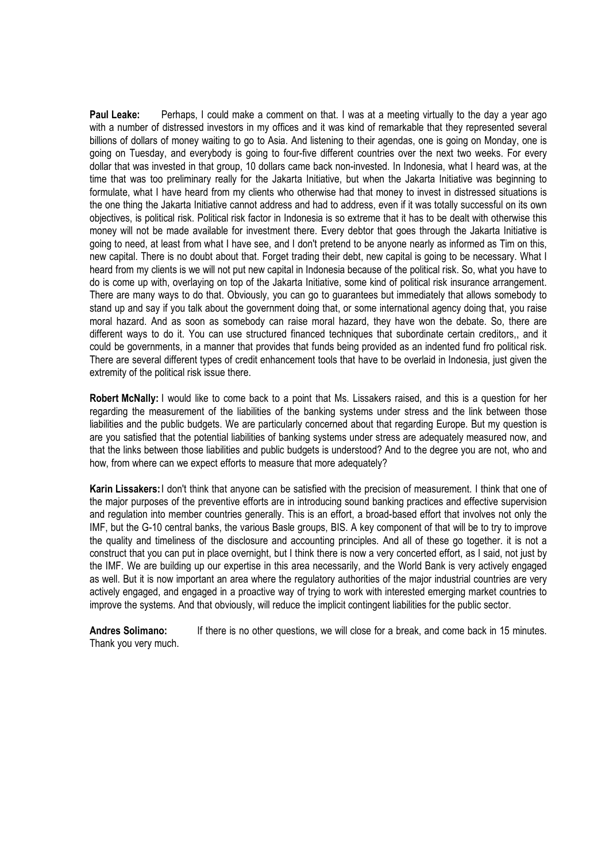Paul Leake: Perhaps, I could make a comment on that. I was at a meeting virtually to the day a year ago with a number of distressed investors in my offices and it was kind of remarkable that they represented several billions of dollars of money waiting to go to Asia. And listening to their agendas, one is going on Monday, one is going on Tuesday, and everybody is going to four-five different countries over the next two weeks. For every dollar that was invested in that group, 10 dollars came back non-invested. In Indonesia, what I heard was, at the time that was too preliminary really for the Jakarta Initiative, but when the Jakarta Initiative was beginning to formulate, what I have heard from my clients who otherwise had that money to invest in distressed situations is the one thing the Jakarta Initiative cannot address and had to address, even if it was totally successful on its own objectives, is political risk. Political risk factor in Indonesia is so extreme that it has to be dealt with otherwise this money will not be made available for investment there. Every debtor that goes through the Jakarta Initiative is going to need, at least from what I have see, and I don't pretend to be anyone nearly as informed as Tim on this, new capital. There is no doubt about that. Forget trading their debt, new capital is going to be necessary. What I heard from my clients is we will not put new capital in Indonesia because of the political risk. So, what you have to do is come up with, overlaying on top of the Jakarta Initiative, some kind of political risk insurance arrangement. There are many ways to do that. Obviously, you can go to guarantees but immediately that allows somebody to stand up and say if you talk about the government doing that, or some international agency doing that, you raise moral hazard. And as soon as somebody can raise moral hazard, they have won the debate. So, there are different ways to do it. You can use structured financed techniques that subordinate certain creditors,, and it could be governments, in a manner that provides that funds being provided as an indented fund fro political risk. There are several different types of credit enhancement tools that have to be overlaid in Indonesia, just given the extremity of the political risk issue there.

Robert McNally: I would like to come back to a point that Ms. Lissakers raised, and this is a question for her regarding the measurement of the liabilities of the banking systems under stress and the link between those liabilities and the public budgets. We are particularly concerned about that regarding Europe. But my question is are you satisfied that the potential liabilities of banking systems under stress are adequately measured now, and that the links between those liabilities and public budgets is understood? And to the degree you are not, who and how, from where can we expect efforts to measure that more adequately?

Karin Lissakers: I don't think that anyone can be satisfied with the precision of measurement. I think that one of the major purposes of the preventive efforts are in introducing sound banking practices and effective supervision and regulation into member countries generally. This is an effort, a broad-based effort that involves not only the IMF, but the G-10 central banks, the various Basle groups, BIS. A key component of that will be to try to improve the quality and timeliness of the disclosure and accounting principles. And all of these go together. it is not a construct that you can put in place overnight, but I think there is now a very concerted effort, as I said, not just by the IMF. We are building up our expertise in this area necessarily, and the World Bank is very actively engaged as well. But it is now important an area where the regulatory authorities of the major industrial countries are very actively engaged, and engaged in a proactive way of trying to work with interested emerging market countries to improve the systems. And that obviously, will reduce the implicit contingent liabilities for the public sector.

Andres Solimano: If there is no other questions, we will close for a break, and come back in 15 minutes. Thank you very much.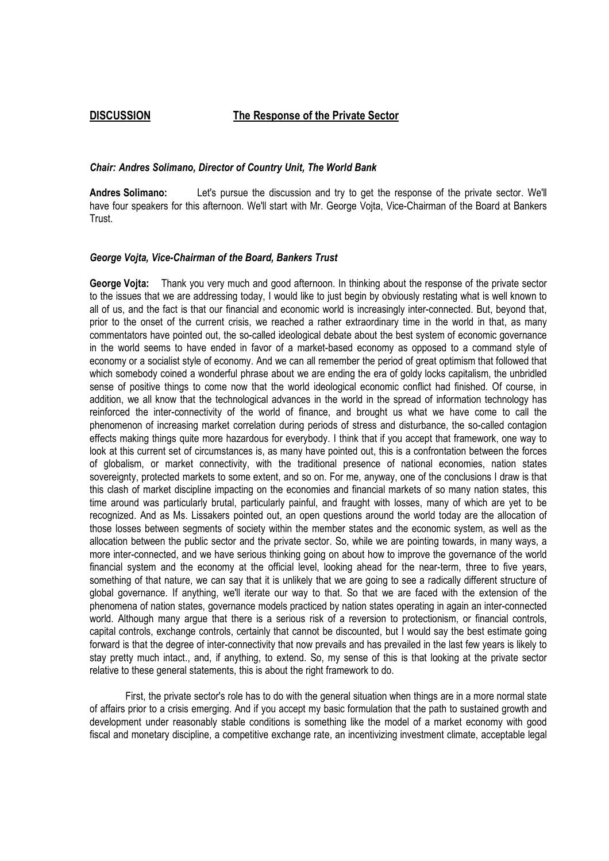## DISCUSSION The Response of the Private Sector

#### Chair: Andres Solimano, Director of Country Unit, The World Bank

Andres Solimano: Let's pursue the discussion and try to get the response of the private sector. We'll have four speakers for this afternoon. We'll start with Mr. George Vojta, Vice-Chairman of the Board at Bankers Trust.

#### George Vojta, Vice-Chairman of the Board, Bankers Trust

George Vojta: Thank you very much and good afternoon. In thinking about the response of the private sector to the issues that we are addressing today, I would like to just begin by obviously restating what is well known to all of us, and the fact is that our financial and economic world is increasingly inter-connected. But, beyond that, prior to the onset of the current crisis, we reached a rather extraordinary time in the world in that, as many commentators have pointed out, the so-called ideological debate about the best system of economic governance in the world seems to have ended in favor of a market-based economy as opposed to a command style of economy or a socialist style of economy. And we can all remember the period of great optimism that followed that which somebody coined a wonderful phrase about we are ending the era of goldy locks capitalism, the unbridled sense of positive things to come now that the world ideological economic conflict had finished. Of course, in addition, we all know that the technological advances in the world in the spread of information technology has reinforced the inter-connectivity of the world of finance, and brought us what we have come to call the phenomenon of increasing market correlation during periods of stress and disturbance, the so-called contagion effects making things quite more hazardous for everybody. I think that if you accept that framework, one way to look at this current set of circumstances is, as many have pointed out, this is a confrontation between the forces of globalism, or market connectivity, with the traditional presence of national economies, nation states sovereignty, protected markets to some extent, and so on. For me, anyway, one of the conclusions I draw is that this clash of market discipline impacting on the economies and financial markets of so many nation states, this time around was particularly brutal, particularly painful, and fraught with losses, many of which are yet to be recognized. And as Ms. Lissakers pointed out, an open questions around the world today are the allocation of those losses between segments of society within the member states and the economic system, as well as the allocation between the public sector and the private sector. So, while we are pointing towards, in many ways, a more inter-connected, and we have serious thinking going on about how to improve the governance of the world financial system and the economy at the official level, looking ahead for the near-term, three to five years, something of that nature, we can say that it is unlikely that we are going to see a radically different structure of global governance. If anything, we'll iterate our way to that. So that we are faced with the extension of the phenomena of nation states, governance models practiced by nation states operating in again an inter-connected world. Although many argue that there is a serious risk of a reversion to protectionism, or financial controls, capital controls, exchange controls, certainly that cannot be discounted, but I would say the best estimate going forward is that the degree of inter-connectivity that now prevails and has prevailed in the last few years is likely to stay pretty much intact., and, if anything, to extend. So, my sense of this is that looking at the private sector relative to these general statements, this is about the right framework to do.

 First, the private sector's role has to do with the general situation when things are in a more normal state of affairs prior to a crisis emerging. And if you accept my basic formulation that the path to sustained growth and development under reasonably stable conditions is something like the model of a market economy with good fiscal and monetary discipline, a competitive exchange rate, an incentivizing investment climate, acceptable legal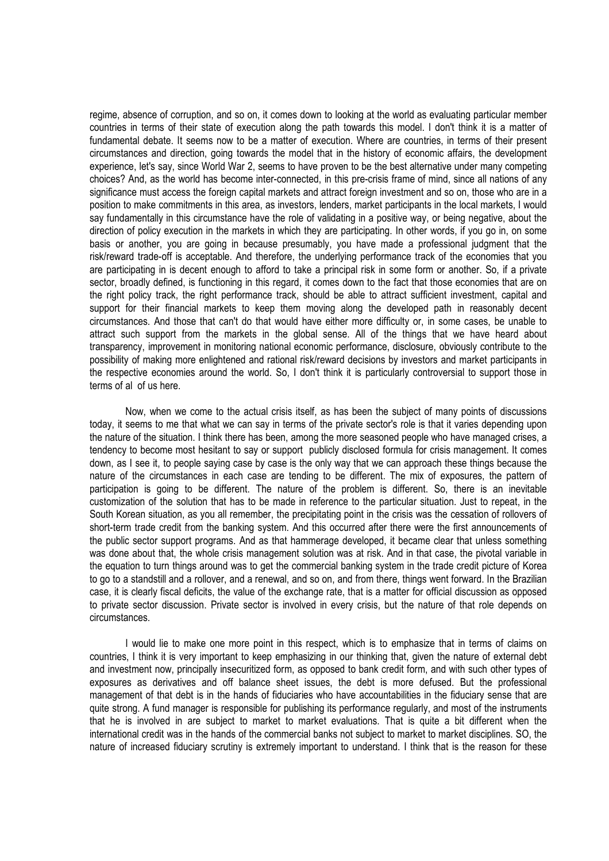regime, absence of corruption, and so on, it comes down to looking at the world as evaluating particular member countries in terms of their state of execution along the path towards this model. I don't think it is a matter of fundamental debate. It seems now to be a matter of execution. Where are countries, in terms of their present circumstances and direction, going towards the model that in the history of economic affairs, the development experience, let's say, since World War 2, seems to have proven to be the best alternative under many competing choices? And, as the world has become inter-connected, in this pre-crisis frame of mind, since all nations of any significance must access the foreign capital markets and attract foreign investment and so on, those who are in a position to make commitments in this area, as investors, lenders, market participants in the local markets, I would say fundamentally in this circumstance have the role of validating in a positive way, or being negative, about the direction of policy execution in the markets in which they are participating. In other words, if you go in, on some basis or another, you are going in because presumably, you have made a professional judgment that the risk/reward trade-off is acceptable. And therefore, the underlying performance track of the economies that you are participating in is decent enough to afford to take a principal risk in some form or another. So, if a private sector, broadly defined, is functioning in this regard, it comes down to the fact that those economies that are on the right policy track, the right performance track, should be able to attract sufficient investment, capital and support for their financial markets to keep them moving along the developed path in reasonably decent circumstances. And those that can't do that would have either more difficulty or, in some cases, be unable to attract such support from the markets in the global sense. All of the things that we have heard about transparency, improvement in monitoring national economic performance, disclosure, obviously contribute to the possibility of making more enlightened and rational risk/reward decisions by investors and market participants in the respective economies around the world. So, I don't think it is particularly controversial to support those in terms of al of us here.

 Now, when we come to the actual crisis itself, as has been the subject of many points of discussions today, it seems to me that what we can say in terms of the private sector's role is that it varies depending upon the nature of the situation. I think there has been, among the more seasoned people who have managed crises, a tendency to become most hesitant to say or support publicly disclosed formula for crisis management. It comes down, as I see it, to people saying case by case is the only way that we can approach these things because the nature of the circumstances in each case are tending to be different. The mix of exposures, the pattern of participation is going to be different. The nature of the problem is different. So, there is an inevitable customization of the solution that has to be made in reference to the particular situation. Just to repeat, in the South Korean situation, as you all remember, the precipitating point in the crisis was the cessation of rollovers of short-term trade credit from the banking system. And this occurred after there were the first announcements of the public sector support programs. And as that hammerage developed, it became clear that unless something was done about that, the whole crisis management solution was at risk. And in that case, the pivotal variable in the equation to turn things around was to get the commercial banking system in the trade credit picture of Korea to go to a standstill and a rollover, and a renewal, and so on, and from there, things went forward. In the Brazilian case, it is clearly fiscal deficits, the value of the exchange rate, that is a matter for official discussion as opposed to private sector discussion. Private sector is involved in every crisis, but the nature of that role depends on circumstances.

 I would lie to make one more point in this respect, which is to emphasize that in terms of claims on countries, I think it is very important to keep emphasizing in our thinking that, given the nature of external debt and investment now, principally insecuritized form, as opposed to bank credit form, and with such other types of exposures as derivatives and off balance sheet issues, the debt is more defused. But the professional management of that debt is in the hands of fiduciaries who have accountabilities in the fiduciary sense that are quite strong. A fund manager is responsible for publishing its performance regularly, and most of the instruments that he is involved in are subject to market to market evaluations. That is quite a bit different when the international credit was in the hands of the commercial banks not subject to market to market disciplines. SO, the nature of increased fiduciary scrutiny is extremely important to understand. I think that is the reason for these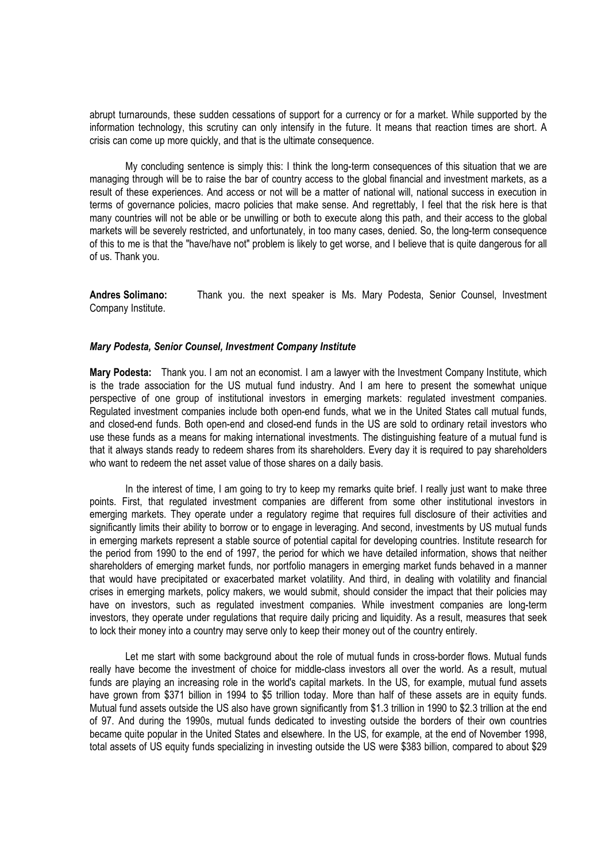abrupt turnarounds, these sudden cessations of support for a currency or for a market. While supported by the information technology, this scrutiny can only intensify in the future. It means that reaction times are short. A crisis can come up more quickly, and that is the ultimate consequence.

 My concluding sentence is simply this: I think the long-term consequences of this situation that we are managing through will be to raise the bar of country access to the global financial and investment markets, as a result of these experiences. And access or not will be a matter of national will, national success in execution in terms of governance policies, macro policies that make sense. And regrettably, I feel that the risk here is that many countries will not be able or be unwilling or both to execute along this path, and their access to the global markets will be severely restricted, and unfortunately, in too many cases, denied. So, the long-term consequence of this to me is that the "have/have not" problem is likely to get worse, and I believe that is quite dangerous for all of us. Thank you.

Andres Solimano: Thank you. the next speaker is Ms. Mary Podesta, Senior Counsel, Investment Company Institute.

#### Mary Podesta, Senior Counsel, Investment Company Institute

Mary Podesta: Thank you. I am not an economist. I am a lawyer with the Investment Company Institute, which is the trade association for the US mutual fund industry. And I am here to present the somewhat unique perspective of one group of institutional investors in emerging markets: regulated investment companies. Regulated investment companies include both open-end funds, what we in the United States call mutual funds, and closed-end funds. Both open-end and closed-end funds in the US are sold to ordinary retail investors who use these funds as a means for making international investments. The distinguishing feature of a mutual fund is that it always stands ready to redeem shares from its shareholders. Every day it is required to pay shareholders who want to redeem the net asset value of those shares on a daily basis.

In the interest of time, I am going to try to keep my remarks quite brief. I really just want to make three points. First, that regulated investment companies are different from some other institutional investors in emerging markets. They operate under a regulatory regime that requires full disclosure of their activities and significantly limits their ability to borrow or to engage in leveraging. And second, investments by US mutual funds in emerging markets represent a stable source of potential capital for developing countries. Institute research for the period from 1990 to the end of 1997, the period for which we have detailed information, shows that neither shareholders of emerging market funds, nor portfolio managers in emerging market funds behaved in a manner that would have precipitated or exacerbated market volatility. And third, in dealing with volatility and financial crises in emerging markets, policy makers, we would submit, should consider the impact that their policies may have on investors, such as regulated investment companies. While investment companies are long-term investors, they operate under regulations that require daily pricing and liquidity. As a result, measures that seek to lock their money into a country may serve only to keep their money out of the country entirely.

 Let me start with some background about the role of mutual funds in cross-border flows. Mutual funds really have become the investment of choice for middle-class investors all over the world. As a result, mutual funds are playing an increasing role in the world's capital markets. In the US, for example, mutual fund assets have grown from \$371 billion in 1994 to \$5 trillion today. More than half of these assets are in equity funds. Mutual fund assets outside the US also have grown significantly from \$1.3 trillion in 1990 to \$2.3 trillion at the end of 97. And during the 1990s, mutual funds dedicated to investing outside the borders of their own countries became quite popular in the United States and elsewhere. In the US, for example, at the end of November 1998, total assets of US equity funds specializing in investing outside the US were \$383 billion, compared to about \$29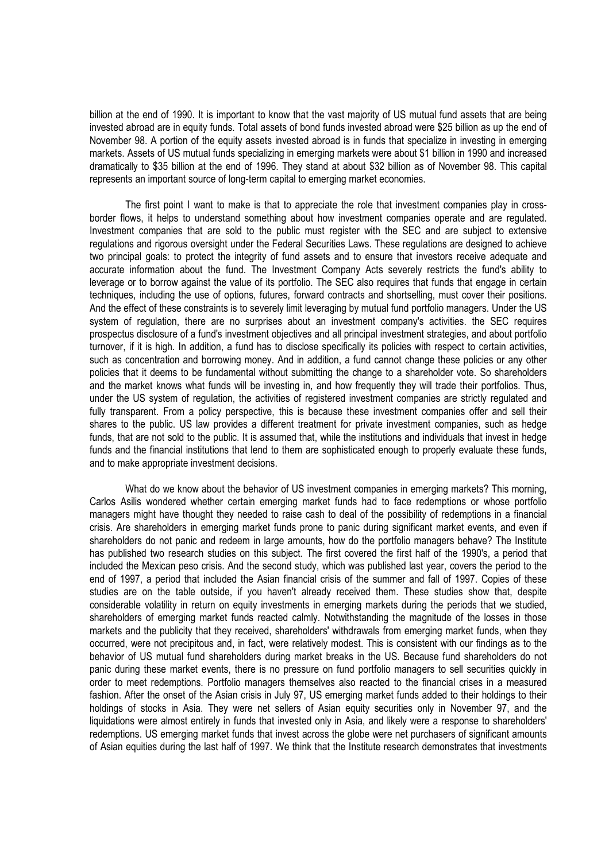billion at the end of 1990. It is important to know that the vast majority of US mutual fund assets that are being invested abroad are in equity funds. Total assets of bond funds invested abroad were \$25 billion as up the end of November 98. A portion of the equity assets invested abroad is in funds that specialize in investing in emerging markets. Assets of US mutual funds specializing in emerging markets were about \$1 billion in 1990 and increased dramatically to \$35 billion at the end of 1996. They stand at about \$32 billion as of November 98. This capital represents an important source of long-term capital to emerging market economies.

 The first point I want to make is that to appreciate the role that investment companies play in crossborder flows, it helps to understand something about how investment companies operate and are regulated. Investment companies that are sold to the public must register with the SEC and are subject to extensive regulations and rigorous oversight under the Federal Securities Laws. These regulations are designed to achieve two principal goals: to protect the integrity of fund assets and to ensure that investors receive adequate and accurate information about the fund. The Investment Company Acts severely restricts the fund's ability to leverage or to borrow against the value of its portfolio. The SEC also requires that funds that engage in certain techniques, including the use of options, futures, forward contracts and shortselling, must cover their positions. And the effect of these constraints is to severely limit leveraging by mutual fund portfolio managers. Under the US system of regulation, there are no surprises about an investment company's activities. the SEC requires prospectus disclosure of a fund's investment objectives and all principal investment strategies, and about portfolio turnover, if it is high. In addition, a fund has to disclose specifically its policies with respect to certain activities, such as concentration and borrowing money. And in addition, a fund cannot change these policies or any other policies that it deems to be fundamental without submitting the change to a shareholder vote. So shareholders and the market knows what funds will be investing in, and how frequently they will trade their portfolios. Thus, under the US system of regulation, the activities of registered investment companies are strictly regulated and fully transparent. From a policy perspective, this is because these investment companies offer and sell their shares to the public. US law provides a different treatment for private investment companies, such as hedge funds, that are not sold to the public. It is assumed that, while the institutions and individuals that invest in hedge funds and the financial institutions that lend to them are sophisticated enough to properly evaluate these funds, and to make appropriate investment decisions.

 What do we know about the behavior of US investment companies in emerging markets? This morning, Carlos Asilis wondered whether certain emerging market funds had to face redemptions or whose portfolio managers might have thought they needed to raise cash to deal of the possibility of redemptions in a financial crisis. Are shareholders in emerging market funds prone to panic during significant market events, and even if shareholders do not panic and redeem in large amounts, how do the portfolio managers behave? The Institute has published two research studies on this subject. The first covered the first half of the 1990's, a period that included the Mexican peso crisis. And the second study, which was published last year, covers the period to the end of 1997, a period that included the Asian financial crisis of the summer and fall of 1997. Copies of these studies are on the table outside, if you haven't already received them. These studies show that, despite considerable volatility in return on equity investments in emerging markets during the periods that we studied, shareholders of emerging market funds reacted calmly. Notwithstanding the magnitude of the losses in those markets and the publicity that they received, shareholders' withdrawals from emerging market funds, when they occurred, were not precipitous and, in fact, were relatively modest. This is consistent with our findings as to the behavior of US mutual fund shareholders during market breaks in the US. Because fund shareholders do not panic during these market events, there is no pressure on fund portfolio managers to sell securities quickly in order to meet redemptions. Portfolio managers themselves also reacted to the financial crises in a measured fashion. After the onset of the Asian crisis in July 97, US emerging market funds added to their holdings to their holdings of stocks in Asia. They were net sellers of Asian equity securities only in November 97, and the liquidations were almost entirely in funds that invested only in Asia, and likely were a response to shareholders' redemptions. US emerging market funds that invest across the globe were net purchasers of significant amounts of Asian equities during the last half of 1997. We think that the Institute research demonstrates that investments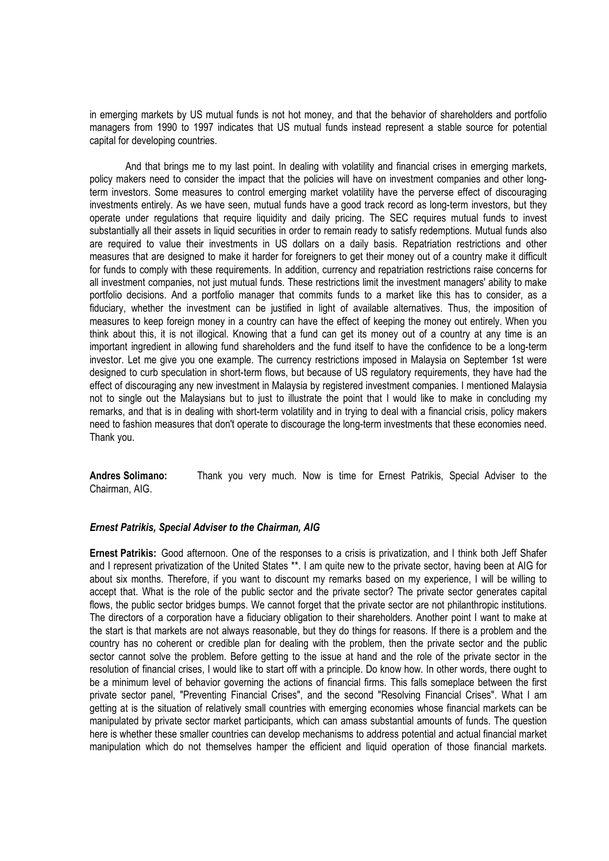in emerging markets by US mutual funds is not hot money, and that the behavior of shareholders and portfolio managers from 1990 to 1997 indicates that US mutual funds instead represent a stable source for potential capital for developing countries.

 And that brings me to my last point. In dealing with volatility and financial crises in emerging markets, policy makers need to consider the impact that the policies will have on investment companies and other longterm investors. Some measures to control emerging market volatility have the perverse effect of discouraging investments entirely. As we have seen, mutual funds have a good track record as long-term investors, but they operate under regulations that require liquidity and daily pricing. The SEC requires mutual funds to invest substantially all their assets in liquid securities in order to remain ready to satisfy redemptions. Mutual funds also are required to value their investments in US dollars on a daily basis. Repatriation restrictions and other measures that are designed to make it harder for foreigners to get their money out of a country make it difficult for funds to comply with these requirements. In addition, currency and repatriation restrictions raise concerns for all investment companies, not just mutual funds. These restrictions limit the investment managers' ability to make portfolio decisions. And a portfolio manager that commits funds to a market like this has to consider, as a fiduciary, whether the investment can be justified in light of available alternatives. Thus, the imposition of measures to keep foreign money in a country can have the effect of keeping the money out entirely. When you think about this, it is not illogical. Knowing that a fund can get its money out of a country at any time is an important ingredient in allowing fund shareholders and the fund itself to have the confidence to be a long-term investor. Let me give you one example. The currency restrictions imposed in Malaysia on September 1st were designed to curb speculation in short-term flows, but because of US regulatory requirements, they have had the effect of discouraging any new investment in Malaysia by registered investment companies. I mentioned Malaysia not to single out the Malaysians but to just to illustrate the point that I would like to make in concluding my remarks, and that is in dealing with short-term volatility and in trying to deal with a financial crisis, policy makers need to fashion measures that don't operate to discourage the long-term investments that these economies need. Thank you.

Andres Solimano: Thank you very much. Now is time for Ernest Patrikis, Special Adviser to the Chairman, AIG.

#### Ernest Patrikis, Special Adviser to the Chairman, AIG

Ernest Patrikis: Good afternoon. One of the responses to a crisis is privatization, and I think both Jeff Shafer and I represent privatization of the United States \*\*. I am quite new to the private sector, having been at AIG for about six months. Therefore, if you want to discount my remarks based on my experience, I will be willing to accept that. What is the role of the public sector and the private sector? The private sector generates capital flows, the public sector bridges bumps. We cannot forget that the private sector are not philanthropic institutions. The directors of a corporation have a fiduciary obligation to their shareholders. Another point I want to make at the start is that markets are not always reasonable, but they do things for reasons. If there is a problem and the country has no coherent or credible plan for dealing with the problem, then the private sector and the public sector cannot solve the problem. Before getting to the issue at hand and the role of the private sector in the resolution of financial crises, I would like to start off with a principle. Do know how. In other words, there ought to be a minimum level of behavior governing the actions of financial firms. This falls someplace between the first private sector panel, "Preventing Financial Crises", and the second "Resolving Financial Crises". What I am getting at is the situation of relatively small countries with emerging economies whose financial markets can be manipulated by private sector market participants, which can amass substantial amounts of funds. The question here is whether these smaller countries can develop mechanisms to address potential and actual financial market manipulation which do not themselves hamper the efficient and liquid operation of those financial markets.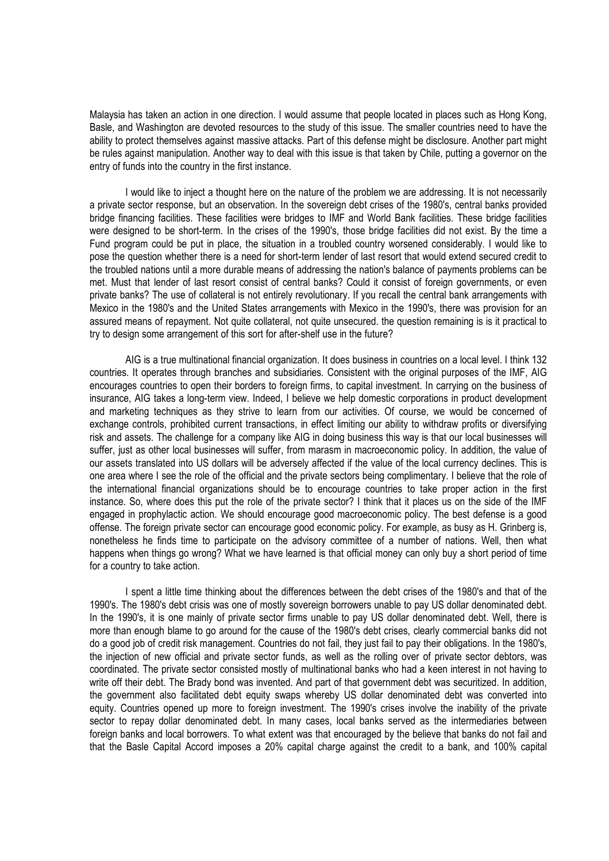Malaysia has taken an action in one direction. I would assume that people located in places such as Hong Kong, Basle, and Washington are devoted resources to the study of this issue. The smaller countries need to have the ability to protect themselves against massive attacks. Part of this defense might be disclosure. Another part might be rules against manipulation. Another way to deal with this issue is that taken by Chile, putting a governor on the entry of funds into the country in the first instance.

 I would like to inject a thought here on the nature of the problem we are addressing. It is not necessarily a private sector response, but an observation. In the sovereign debt crises of the 1980's, central banks provided bridge financing facilities. These facilities were bridges to IMF and World Bank facilities. These bridge facilities were designed to be short-term. In the crises of the 1990's, those bridge facilities did not exist. By the time a Fund program could be put in place, the situation in a troubled country worsened considerably. I would like to pose the question whether there is a need for short-term lender of last resort that would extend secured credit to the troubled nations until a more durable means of addressing the nation's balance of payments problems can be met. Must that lender of last resort consist of central banks? Could it consist of foreign governments, or even private banks? The use of collateral is not entirely revolutionary. If you recall the central bank arrangements with Mexico in the 1980's and the United States arrangements with Mexico in the 1990's, there was provision for an assured means of repayment. Not quite collateral, not quite unsecured. the question remaining is is it practical to try to design some arrangement of this sort for after-shelf use in the future?

 AIG is a true multinational financial organization. It does business in countries on a local level. I think 132 countries. It operates through branches and subsidiaries. Consistent with the original purposes of the IMF, AIG encourages countries to open their borders to foreign firms, to capital investment. In carrying on the business of insurance, AIG takes a long-term view. Indeed, I believe we help domestic corporations in product development and marketing techniques as they strive to learn from our activities. Of course, we would be concerned of exchange controls, prohibited current transactions, in effect limiting our ability to withdraw profits or diversifying risk and assets. The challenge for a company like AIG in doing business this way is that our local businesses will suffer, just as other local businesses will suffer, from marasm in macroeconomic policy. In addition, the value of our assets translated into US dollars will be adversely affected if the value of the local currency declines. This is one area where I see the role of the official and the private sectors being complimentary. I believe that the role of the international financial organizations should be to encourage countries to take proper action in the first instance. So, where does this put the role of the private sector? I think that it places us on the side of the IMF engaged in prophylactic action. We should encourage good macroeconomic policy. The best defense is a good offense. The foreign private sector can encourage good economic policy. For example, as busy as H. Grinberg is, nonetheless he finds time to participate on the advisory committee of a number of nations. Well, then what happens when things go wrong? What we have learned is that official money can only buy a short period of time for a country to take action.

 I spent a little time thinking about the differences between the debt crises of the 1980's and that of the 1990's. The 1980's debt crisis was one of mostly sovereign borrowers unable to pay US dollar denominated debt. In the 1990's, it is one mainly of private sector firms unable to pay US dollar denominated debt. Well, there is more than enough blame to go around for the cause of the 1980's debt crises, clearly commercial banks did not do a good job of credit risk management. Countries do not fail, they just fail to pay their obligations. In the 1980's, the injection of new official and private sector funds, as well as the rolling over of private sector debtors, was coordinated. The private sector consisted mostly of multinational banks who had a keen interest in not having to write off their debt. The Brady bond was invented. And part of that government debt was securitized. In addition, the government also facilitated debt equity swaps whereby US dollar denominated debt was converted into equity. Countries opened up more to foreign investment. The 1990's crises involve the inability of the private sector to repay dollar denominated debt. In many cases, local banks served as the intermediaries between foreign banks and local borrowers. To what extent was that encouraged by the believe that banks do not fail and that the Basle Capital Accord imposes a 20% capital charge against the credit to a bank, and 100% capital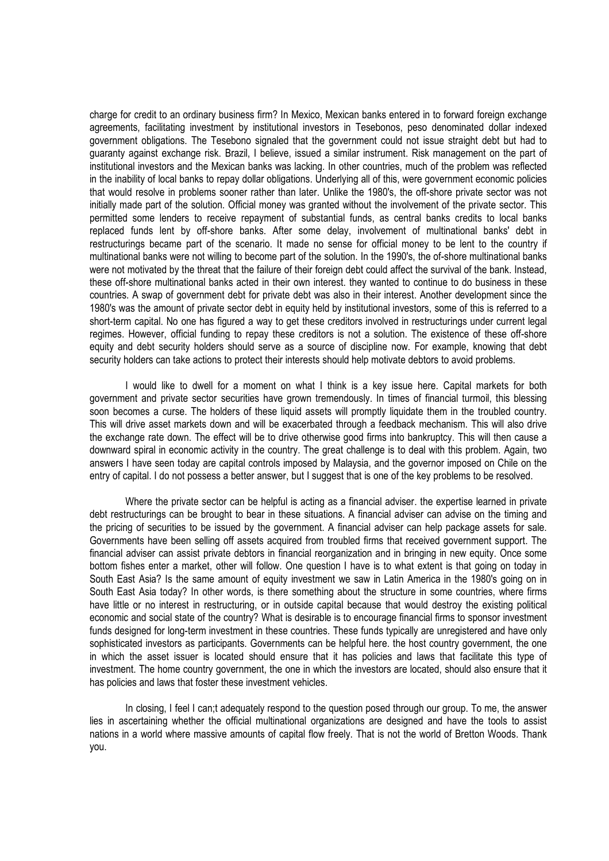charge for credit to an ordinary business firm? In Mexico, Mexican banks entered in to forward foreign exchange agreements, facilitating investment by institutional investors in Tesebonos, peso denominated dollar indexed government obligations. The Tesebono signaled that the government could not issue straight debt but had to guaranty against exchange risk. Brazil, I believe, issued a similar instrument. Risk management on the part of institutional investors and the Mexican banks was lacking. In other countries, much of the problem was reflected in the inability of local banks to repay dollar obligations. Underlying all of this, were government economic policies that would resolve in problems sooner rather than later. Unlike the 1980's, the off-shore private sector was not initially made part of the solution. Official money was granted without the involvement of the private sector. This permitted some lenders to receive repayment of substantial funds, as central banks credits to local banks replaced funds lent by off-shore banks. After some delay, involvement of multinational banks' debt in restructurings became part of the scenario. It made no sense for official money to be lent to the country if multinational banks were not willing to become part of the solution. In the 1990's, the of-shore multinational banks were not motivated by the threat that the failure of their foreign debt could affect the survival of the bank. Instead, these off-shore multinational banks acted in their own interest. they wanted to continue to do business in these countries. A swap of government debt for private debt was also in their interest. Another development since the 1980's was the amount of private sector debt in equity held by institutional investors, some of this is referred to a short-term capital. No one has figured a way to get these creditors involved in restructurings under current legal regimes. However, official funding to repay these creditors is not a solution. The existence of these off-shore equity and debt security holders should serve as a source of discipline now. For example, knowing that debt security holders can take actions to protect their interests should help motivate debtors to avoid problems.

I would like to dwell for a moment on what I think is a key issue here. Capital markets for both government and private sector securities have grown tremendously. In times of financial turmoil, this blessing soon becomes a curse. The holders of these liquid assets will promptly liquidate them in the troubled country. This will drive asset markets down and will be exacerbated through a feedback mechanism. This will also drive the exchange rate down. The effect will be to drive otherwise good firms into bankruptcy. This will then cause a downward spiral in economic activity in the country. The great challenge is to deal with this problem. Again, two answers I have seen today are capital controls imposed by Malaysia, and the governor imposed on Chile on the entry of capital. I do not possess a better answer, but I suggest that is one of the key problems to be resolved.

 Where the private sector can be helpful is acting as a financial adviser. the expertise learned in private debt restructurings can be brought to bear in these situations. A financial adviser can advise on the timing and the pricing of securities to be issued by the government. A financial adviser can help package assets for sale. Governments have been selling off assets acquired from troubled firms that received government support. The financial adviser can assist private debtors in financial reorganization and in bringing in new equity. Once some bottom fishes enter a market, other will follow. One question I have is to what extent is that going on today in South East Asia? Is the same amount of equity investment we saw in Latin America in the 1980's going on in South East Asia today? In other words, is there something about the structure in some countries, where firms have little or no interest in restructuring, or in outside capital because that would destroy the existing political economic and social state of the country? What is desirable is to encourage financial firms to sponsor investment funds designed for long-term investment in these countries. These funds typically are unregistered and have only sophisticated investors as participants. Governments can be helpful here, the host country government, the one in which the asset issuer is located should ensure that it has policies and laws that facilitate this type of investment. The home country government, the one in which the investors are located, should also ensure that it has policies and laws that foster these investment vehicles.

In closing, I feel I can;t adequately respond to the question posed through our group. To me, the answer lies in ascertaining whether the official multinational organizations are designed and have the tools to assist nations in a world where massive amounts of capital flow freely. That is not the world of Bretton Woods. Thank you.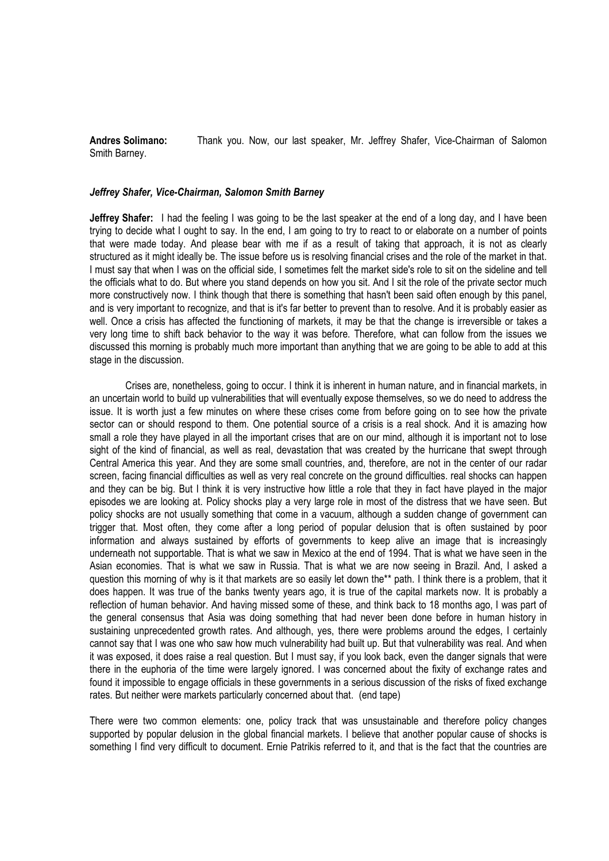Andres Solimano: Thank you. Now, our last speaker, Mr. Jeffrey Shafer, Vice-Chairman of Salomon Smith Barney.

#### Jeffrey Shafer, Vice-Chairman, Salomon Smith Barney

Jeffrey Shafer: I had the feeling I was going to be the last speaker at the end of a long day, and I have been trying to decide what I ought to say. In the end, I am going to try to react to or elaborate on a number of points that were made today. And please bear with me if as a result of taking that approach, it is not as clearly structured as it might ideally be. The issue before us is resolving financial crises and the role of the market in that. I must say that when I was on the official side, I sometimes felt the market side's role to sit on the sideline and tell the officials what to do. But where you stand depends on how you sit. And I sit the role of the private sector much more constructively now. I think though that there is something that hasn't been said often enough by this panel, and is very important to recognize, and that is it's far better to prevent than to resolve. And it is probably easier as well. Once a crisis has affected the functioning of markets, it may be that the change is irreversible or takes a very long time to shift back behavior to the way it was before. Therefore, what can follow from the issues we discussed this morning is probably much more important than anything that we are going to be able to add at this stage in the discussion.

 Crises are, nonetheless, going to occur. I think it is inherent in human nature, and in financial markets, in an uncertain world to build up vulnerabilities that will eventually expose themselves, so we do need to address the issue. It is worth just a few minutes on where these crises come from before going on to see how the private sector can or should respond to them. One potential source of a crisis is a real shock. And it is amazing how small a role they have played in all the important crises that are on our mind, although it is important not to lose sight of the kind of financial, as well as real, devastation that was created by the hurricane that swept through Central America this year. And they are some small countries, and, therefore, are not in the center of our radar screen, facing financial difficulties as well as very real concrete on the ground difficulties. real shocks can happen and they can be big. But I think it is very instructive how little a role that they in fact have played in the major episodes we are looking at. Policy shocks play a very large role in most of the distress that we have seen. But policy shocks are not usually something that come in a vacuum, although a sudden change of government can trigger that. Most often, they come after a long period of popular delusion that is often sustained by poor information and always sustained by efforts of governments to keep alive an image that is increasingly underneath not supportable. That is what we saw in Mexico at the end of 1994. That is what we have seen in the Asian economies. That is what we saw in Russia. That is what we are now seeing in Brazil. And, I asked a question this morning of why is it that markets are so easily let down the\*\* path. I think there is a problem, that it does happen. It was true of the banks twenty years ago, it is true of the capital markets now. It is probably a reflection of human behavior. And having missed some of these, and think back to 18 months ago, I was part of the general consensus that Asia was doing something that had never been done before in human history in sustaining unprecedented growth rates. And although, yes, there were problems around the edges, I certainly cannot say that I was one who saw how much vulnerability had built up. But that vulnerability was real. And when it was exposed, it does raise a real question. But I must say, if you look back, even the danger signals that were there in the euphoria of the time were largely ignored. I was concerned about the fixity of exchange rates and found it impossible to engage officials in these governments in a serious discussion of the risks of fixed exchange rates. But neither were markets particularly concerned about that. (end tape)

There were two common elements: one, policy track that was unsustainable and therefore policy changes supported by popular delusion in the global financial markets. I believe that another popular cause of shocks is something I find very difficult to document. Ernie Patrikis referred to it, and that is the fact that the countries are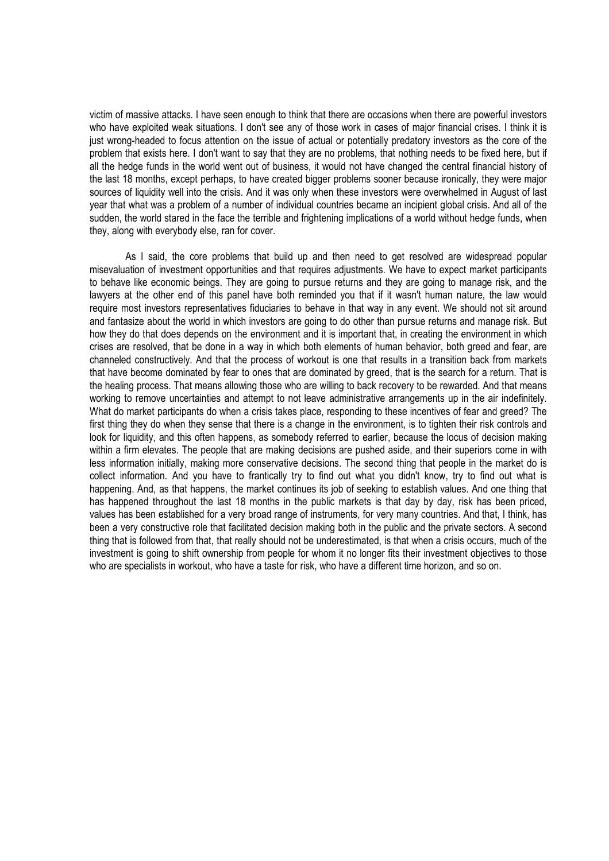victim of massive attacks. I have seen enough to think that there are occasions when there are powerful investors who have exploited weak situations. I don't see any of those work in cases of major financial crises. I think it is just wrong-headed to focus attention on the issue of actual or potentially predatory investors as the core of the problem that exists here. I don't want to say that they are no problems, that nothing needs to be fixed here, but if all the hedge funds in the world went out of business, it would not have changed the central financial history of the last 18 months, except perhaps, to have created bigger problems sooner because ironically, they were major sources of liquidity well into the crisis. And it was only when these investors were overwhelmed in August of last year that what was a problem of a number of individual countries became an incipient global crisis. And all of the sudden, the world stared in the face the terrible and frightening implications of a world without hedge funds, when they, along with everybody else, ran for cover.

 As I said, the core problems that build up and then need to get resolved are widespread popular misevaluation of investment opportunities and that requires adjustments. We have to expect market participants to behave like economic beings. They are going to pursue returns and they are going to manage risk, and the lawyers at the other end of this panel have both reminded you that if it wasn't human nature, the law would require most investors representatives fiduciaries to behave in that way in any event. We should not sit around and fantasize about the world in which investors are going to do other than pursue returns and manage risk. But how they do that does depends on the environment and it is important that, in creating the environment in which crises are resolved, that be done in a way in which both elements of human behavior, both greed and fear, are channeled constructively. And that the process of workout is one that results in a transition back from markets that have become dominated by fear to ones that are dominated by greed, that is the search for a return. That is the healing process. That means allowing those who are willing to back recovery to be rewarded. And that means working to remove uncertainties and attempt to not leave administrative arrangements up in the air indefinitely. What do market participants do when a crisis takes place, responding to these incentives of fear and greed? The first thing they do when they sense that there is a change in the environment, is to tighten their risk controls and look for liquidity, and this often happens, as somebody referred to earlier, because the locus of decision making within a firm elevates. The people that are making decisions are pushed aside, and their superiors come in with less information initially, making more conservative decisions. The second thing that people in the market do is collect information. And you have to frantically try to find out what you didn't know, try to find out what is happening. And, as that happens, the market continues its job of seeking to establish values. And one thing that has happened throughout the last 18 months in the public markets is that day by day, risk has been priced, values has been established for a very broad range of instruments, for very many countries. And that, I think, has been a very constructive role that facilitated decision making both in the public and the private sectors. A second thing that is followed from that, that really should not be underestimated, is that when a crisis occurs, much of the investment is going to shift ownership from people for whom it no longer fits their investment objectives to those who are specialists in workout, who have a taste for risk, who have a different time horizon, and so on.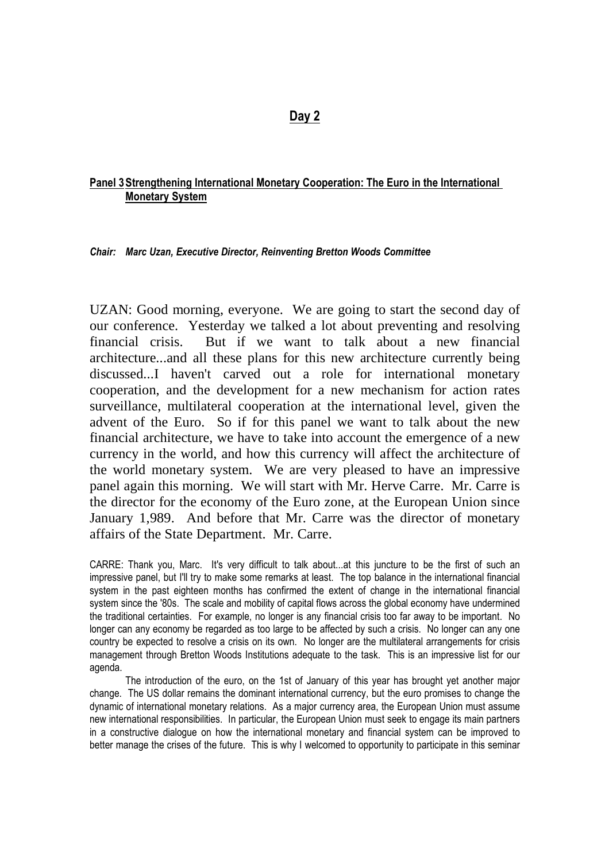# Day 2

## Panel 3 Strengthening International Monetary Cooperation: The Euro in the International Monetary System

## Chair: Marc Uzan, Executive Director, Reinventing Bretton Woods Committee

UZAN: Good morning, everyone. We are going to start the second day of our conference. Yesterday we talked a lot about preventing and resolving financial crisis. But if we want to talk about a new financial architecture...and all these plans for this new architecture currently being discussed...I haven't carved out a role for international monetary cooperation, and the development for a new mechanism for action rates surveillance, multilateral cooperation at the international level, given the advent of the Euro. So if for this panel we want to talk about the new financial architecture, we have to take into account the emergence of a new currency in the world, and how this currency will affect the architecture of the world monetary system. We are very pleased to have an impressive panel again this morning. We will start with Mr. Herve Carre. Mr. Carre is the director for the economy of the Euro zone, at the European Union since January 1,989. And before that Mr. Carre was the director of monetary affairs of the State Department. Mr. Carre.

CARRE: Thank you, Marc. It's very difficult to talk about...at this juncture to be the first of such an impressive panel, but I'll try to make some remarks at least. The top balance in the international financial system in the past eighteen months has confirmed the extent of change in the international financial system since the '80s. The scale and mobility of capital flows across the global economy have undermined the traditional certainties. For example, no longer is any financial crisis too far away to be important. No longer can any economy be regarded as too large to be affected by such a crisis. No longer can any one country be expected to resolve a crisis on its own. No longer are the multilateral arrangements for crisis management through Bretton Woods Institutions adequate to the task. This is an impressive list for our agenda.

 The introduction of the euro, on the 1st of January of this year has brought yet another major change. The US dollar remains the dominant international currency, but the euro promises to change the dynamic of international monetary relations. As a major currency area, the European Union must assume new international responsibilities. In particular, the European Union must seek to engage its main partners in a constructive dialogue on how the international monetary and financial system can be improved to better manage the crises of the future. This is why I welcomed to opportunity to participate in this seminar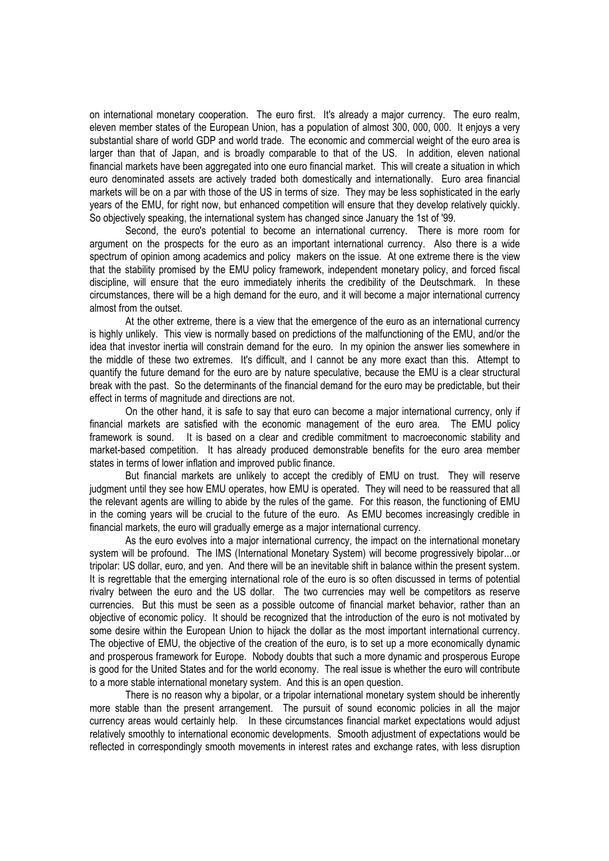on international monetary cooperation. The euro first. It's already a major currency. The euro realm, eleven member states of the European Union, has a population of almost 300, 000, 000. It enjoys a very substantial share of world GDP and world trade. The economic and commercial weight of the euro area is larger than that of Japan, and is broadly comparable to that of the US. In addition, eleven national financial markets have been aggregated into one euro financial market. This will create a situation in which euro denominated assets are actively traded both domestically and internationally. Euro area financial markets will be on a par with those of the US in terms of size. They may be less sophisticated in the early years of the EMU, for right now, but enhanced competition will ensure that they develop relatively quickly. So objectively speaking, the international system has changed since January the 1st of '99.

 Second, the euro's potential to become an international currency. There is more room for argument on the prospects for the euro as an important international currency. Also there is a wide spectrum of opinion among academics and policy makers on the issue. At one extreme there is the view that the stability promised by the EMU policy framework, independent monetary policy, and forced fiscal discipline, will ensure that the euro immediately inherits the credibility of the Deutschmark. In these circumstances, there will be a high demand for the euro, and it will become a major international currency almost from the outset.

 At the other extreme, there is a view that the emergence of the euro as an international currency is highly unlikely. This view is normally based on predictions of the malfunctioning of the EMU, and/or the idea that investor inertia will constrain demand for the euro. In my opinion the answer lies somewhere in the middle of these two extremes. It's difficult, and I cannot be any more exact than this. Attempt to quantify the future demand for the euro are by nature speculative, because the EMU is a clear structural break with the past. So the determinants of the financial demand for the euro may be predictable, but their effect in terms of magnitude and directions are not.

 On the other hand, it is safe to say that euro can become a major international currency, only if financial markets are satisfied with the economic management of the euro area. The EMU policy framework is sound. It is based on a clear and credible commitment to macroeconomic stability and market-based competition. It has already produced demonstrable benefits for the euro area member states in terms of lower inflation and improved public finance.

 But financial markets are unlikely to accept the credibly of EMU on trust. They will reserve judgment until they see how EMU operates, how EMU is operated. They will need to be reassured that all the relevant agents are willing to abide by the rules of the game. For this reason, the functioning of EMU in the coming years will be crucial to the future of the euro. As EMU becomes increasingly credible in financial markets, the euro will gradually emerge as a major international currency.

 As the euro evolves into a major international currency, the impact on the international monetary system will be profound. The IMS (International Monetary System) will become progressively bipolar...or tripolar: US dollar, euro, and yen. And there will be an inevitable shift in balance within the present system. It is regrettable that the emerging international role of the euro is so often discussed in terms of potential rivalry between the euro and the US dollar. The two currencies may well be competitors as reserve currencies. But this must be seen as a possible outcome of financial market behavior, rather than an objective of economic policy. It should be recognized that the introduction of the euro is not motivated by some desire within the European Union to hijack the dollar as the most important international currency. The objective of EMU, the objective of the creation of the euro, is to set up a more economically dynamic and prosperous framework for Europe. Nobody doubts that such a more dynamic and prosperous Europe is good for the United States and for the world economy. The real issue is whether the euro will contribute to a more stable international monetary system. And this is an open question.

 There is no reason why a bipolar, or a tripolar international monetary system should be inherently more stable than the present arrangement. The pursuit of sound economic policies in all the major currency areas would certainly help. In these circumstances financial market expectations would adjust relatively smoothly to international economic developments. Smooth adjustment of expectations would be reflected in correspondingly smooth movements in interest rates and exchange rates, with less disruption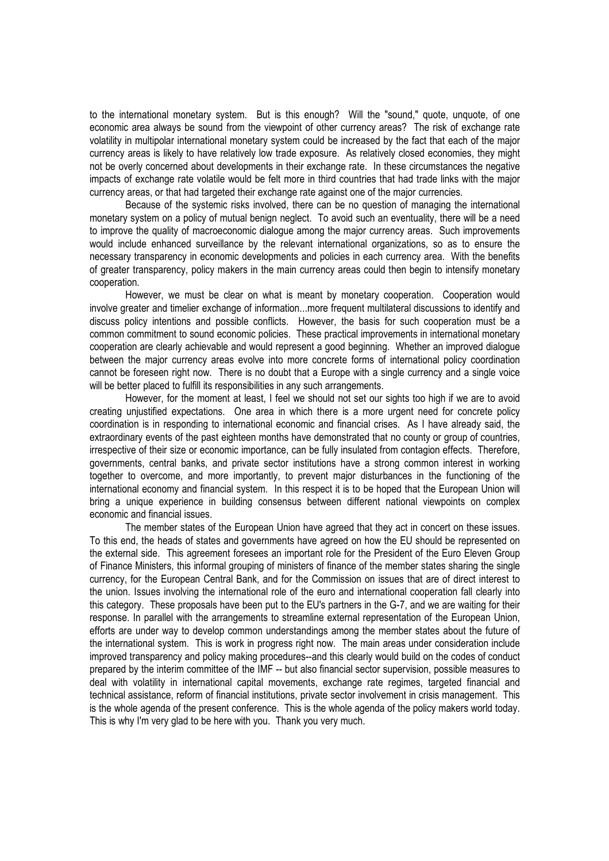to the international monetary system. But is this enough? Will the "sound," quote, unquote, of one economic area always be sound from the viewpoint of other currency areas? The risk of exchange rate volatility in multipolar international monetary system could be increased by the fact that each of the major currency areas is likely to have relatively low trade exposure. As relatively closed economies, they might not be overly concerned about developments in their exchange rate. In these circumstances the negative impacts of exchange rate volatile would be felt more in third countries that had trade links with the major currency areas, or that had targeted their exchange rate against one of the major currencies.

 Because of the systemic risks involved, there can be no question of managing the international monetary system on a policy of mutual benign neglect. To avoid such an eventuality, there will be a need to improve the quality of macroeconomic dialogue among the major currency areas. Such improvements would include enhanced surveillance by the relevant international organizations, so as to ensure the necessary transparency in economic developments and policies in each currency area. With the benefits of greater transparency, policy makers in the main currency areas could then begin to intensify monetary cooperation.

 However, we must be clear on what is meant by monetary cooperation. Cooperation would involve greater and timelier exchange of information...more frequent multilateral discussions to identify and discuss policy intentions and possible conflicts. However, the basis for such cooperation must be a common commitment to sound economic policies. These practical improvements in international monetary cooperation are clearly achievable and would represent a good beginning. Whether an improved dialogue between the major currency areas evolve into more concrete forms of international policy coordination cannot be foreseen right now. There is no doubt that a Europe with a single currency and a single voice will be better placed to fulfill its responsibilities in any such arrangements.

 However, for the moment at least, I feel we should not set our sights too high if we are to avoid creating unjustified expectations. One area in which there is a more urgent need for concrete policy coordination is in responding to international economic and financial crises. As I have already said, the extraordinary events of the past eighteen months have demonstrated that no county or group of countries, irrespective of their size or economic importance, can be fully insulated from contagion effects. Therefore, governments, central banks, and private sector institutions have a strong common interest in working together to overcome, and more importantly, to prevent major disturbances in the functioning of the international economy and financial system. In this respect it is to be hoped that the European Union will bring a unique experience in building consensus between different national viewpoints on complex economic and financial issues.

 The member states of the European Union have agreed that they act in concert on these issues. To this end, the heads of states and governments have agreed on how the EU should be represented on the external side. This agreement foresees an important role for the President of the Euro Eleven Group of Finance Ministers, this informal grouping of ministers of finance of the member states sharing the single currency, for the European Central Bank, and for the Commission on issues that are of direct interest to the union. Issues involving the international role of the euro and international cooperation fall clearly into this category. These proposals have been put to the EU's partners in the G-7, and we are waiting for their response. In parallel with the arrangements to streamline external representation of the European Union, efforts are under way to develop common understandings among the member states about the future of the international system. This is work in progress right now. The main areas under consideration include improved transparency and policy making procedures--and this clearly would build on the codes of conduct prepared by the interim committee of the IMF -- but also financial sector supervision, possible measures to deal with volatility in international capital movements, exchange rate regimes, targeted financial and technical assistance, reform of financial institutions, private sector involvement in crisis management. This is the whole agenda of the present conference. This is the whole agenda of the policy makers world today. This is why I'm very glad to be here with you. Thank you very much.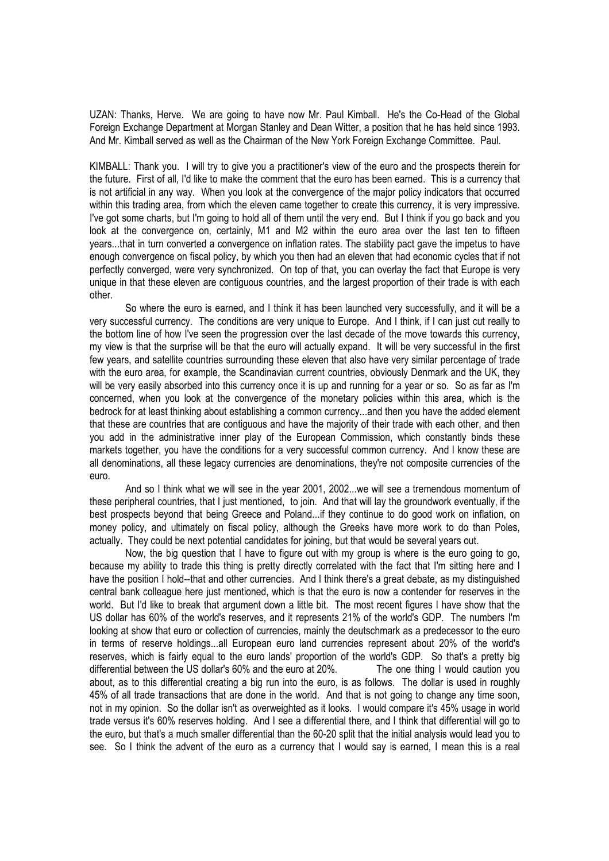UZAN: Thanks, Herve. We are going to have now Mr. Paul Kimball. He's the Co-Head of the Global Foreign Exchange Department at Morgan Stanley and Dean Witter, a position that he has held since 1993. And Mr. Kimball served as well as the Chairman of the New York Foreign Exchange Committee. Paul.

KIMBALL: Thank you. I will try to give you a practitioner's view of the euro and the prospects therein for the future. First of all, I'd like to make the comment that the euro has been earned. This is a currency that is not artificial in any way. When you look at the convergence of the major policy indicators that occurred within this trading area, from which the eleven came together to create this currency, it is very impressive. I've got some charts, but I'm going to hold all of them until the very end. But I think if you go back and you look at the convergence on, certainly, M1 and M2 within the euro area over the last ten to fifteen years...that in turn converted a convergence on inflation rates. The stability pact gave the impetus to have enough convergence on fiscal policy, by which you then had an eleven that had economic cycles that if not perfectly converged, were very synchronized. On top of that, you can overlay the fact that Europe is very unique in that these eleven are contiguous countries, and the largest proportion of their trade is with each other.

 So where the euro is earned, and I think it has been launched very successfully, and it will be a very successful currency. The conditions are very unique to Europe. And I think, if I can just cut really to the bottom line of how I've seen the progression over the last decade of the move towards this currency, my view is that the surprise will be that the euro will actually expand. It will be very successful in the first few years, and satellite countries surrounding these eleven that also have very similar percentage of trade with the euro area, for example, the Scandinavian current countries, obviously Denmark and the UK, they will be very easily absorbed into this currency once it is up and running for a year or so. So as far as I'm concerned, when you look at the convergence of the monetary policies within this area, which is the bedrock for at least thinking about establishing a common currency...and then you have the added element that these are countries that are contiguous and have the majority of their trade with each other, and then you add in the administrative inner play of the European Commission, which constantly binds these markets together, you have the conditions for a very successful common currency. And I know these are all denominations, all these legacy currencies are denominations, they're not composite currencies of the euro.

 And so I think what we will see in the year 2001, 2002...we will see a tremendous momentum of these peripheral countries, that I just mentioned, to join. And that will lay the groundwork eventually, if the best prospects beyond that being Greece and Poland...if they continue to do good work on inflation, on money policy, and ultimately on fiscal policy, although the Greeks have more work to do than Poles, actually. They could be next potential candidates for joining, but that would be several years out.

 Now, the big question that I have to figure out with my group is where is the euro going to go, because my ability to trade this thing is pretty directly correlated with the fact that I'm sitting here and I have the position I hold--that and other currencies. And I think there's a great debate, as my distinguished central bank colleague here just mentioned, which is that the euro is now a contender for reserves in the world. But I'd like to break that argument down a little bit. The most recent figures I have show that the US dollar has 60% of the world's reserves, and it represents 21% of the world's GDP. The numbers I'm looking at show that euro or collection of currencies, mainly the deutschmark as a predecessor to the euro in terms of reserve holdings...all European euro land currencies represent about 20% of the world's reserves, which is fairly equal to the euro lands' proportion of the world's GDP. So that's a pretty big differential between the US dollar's 60% and the euro at 20%. The one thing I would caution you about, as to this differential creating a big run into the euro, is as follows. The dollar is used in roughly 45% of all trade transactions that are done in the world. And that is not going to change any time soon, not in my opinion. So the dollar isn't as overweighted as it looks. I would compare it's 45% usage in world trade versus it's 60% reserves holding. And I see a differential there, and I think that differential will go to the euro, but that's a much smaller differential than the 60-20 split that the initial analysis would lead you to see. So I think the advent of the euro as a currency that I would say is earned, I mean this is a real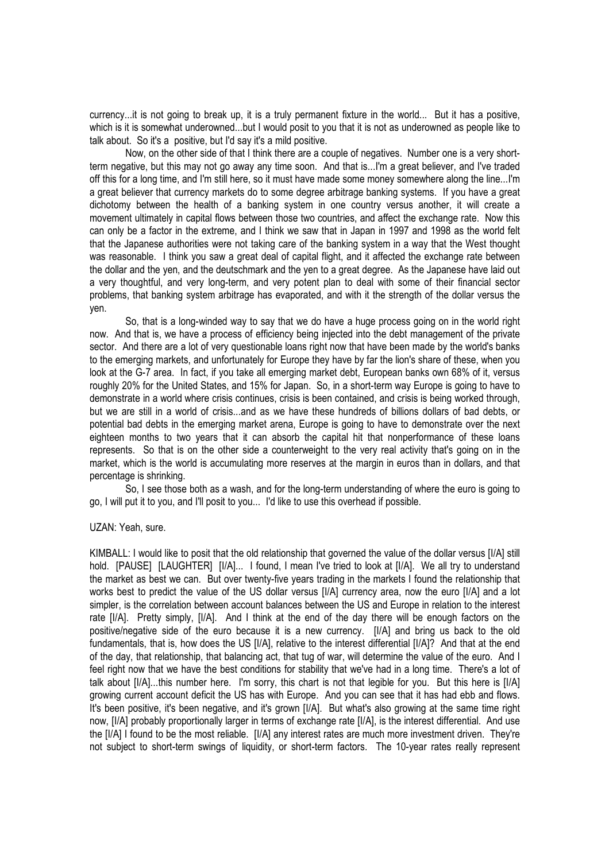currency...it is not going to break up, it is a truly permanent fixture in the world... But it has a positive, which is it is somewhat underowned...but I would posit to you that it is not as underowned as people like to talk about. So it's a positive, but I'd say it's a mild positive.

 Now, on the other side of that I think there are a couple of negatives. Number one is a very shortterm negative, but this may not go away any time soon. And that is...I'm a great believer, and I've traded off this for a long time, and I'm still here, so it must have made some money somewhere along the line...I'm a great believer that currency markets do to some degree arbitrage banking systems. If you have a great dichotomy between the health of a banking system in one country versus another, it will create a movement ultimately in capital flows between those two countries, and affect the exchange rate. Now this can only be a factor in the extreme, and I think we saw that in Japan in 1997 and 1998 as the world felt that the Japanese authorities were not taking care of the banking system in a way that the West thought was reasonable. I think you saw a great deal of capital flight, and it affected the exchange rate between the dollar and the yen, and the deutschmark and the yen to a great degree. As the Japanese have laid out a very thoughtful, and very long-term, and very potent plan to deal with some of their financial sector problems, that banking system arbitrage has evaporated, and with it the strength of the dollar versus the yen.

So, that is a long-winded way to say that we do have a huge process going on in the world right now. And that is, we have a process of efficiency being injected into the debt management of the private sector. And there are a lot of very questionable loans right now that have been made by the world's banks to the emerging markets, and unfortunately for Europe they have by far the lion's share of these, when you look at the G-7 area. In fact, if you take all emerging market debt, European banks own 68% of it, versus roughly 20% for the United States, and 15% for Japan. So, in a short-term way Europe is going to have to demonstrate in a world where crisis continues, crisis is been contained, and crisis is being worked through, but we are still in a world of crisis...and as we have these hundreds of billions dollars of bad debts, or potential bad debts in the emerging market arena, Europe is going to have to demonstrate over the next eighteen months to two years that it can absorb the capital hit that nonperformance of these loans represents. So that is on the other side a counterweight to the very real activity that's going on in the market, which is the world is accumulating more reserves at the margin in euros than in dollars, and that percentage is shrinking.

 So, I see those both as a wash, and for the long-term understanding of where the euro is going to go, I will put it to you, and I'll posit to you... I'd like to use this overhead if possible.

### UZAN: Yeah, sure.

KIMBALL: I would like to posit that the old relationship that governed the value of the dollar versus [I/A] still hold. [PAUSE] [LAUGHTER] [I/A]... I found, I mean I've tried to look at [I/A]. We all try to understand the market as best we can. But over twenty-five years trading in the markets I found the relationship that works best to predict the value of the US dollar versus [I/A] currency area, now the euro [I/A] and a lot simpler, is the correlation between account balances between the US and Europe in relation to the interest rate [I/A]. Pretty simply, [I/A]. And I think at the end of the day there will be enough factors on the positive/negative side of the euro because it is a new currency. [I/A] and bring us back to the old fundamentals, that is, how does the US [I/A], relative to the interest differential [I/A]? And that at the end of the day, that relationship, that balancing act, that tug of war, will determine the value of the euro. And I feel right now that we have the best conditions for stability that we've had in a long time. There's a lot of talk about [I/A]...this number here. I'm sorry, this chart is not that legible for you. But this here is [I/A] growing current account deficit the US has with Europe. And you can see that it has had ebb and flows. It's been positive, it's been negative, and it's grown [I/A]. But what's also growing at the same time right now, [I/A] probably proportionally larger in terms of exchange rate [I/A], is the interest differential. And use the [I/A] I found to be the most reliable. [I/A] any interest rates are much more investment driven. They're not subject to short-term swings of liquidity, or short-term factors. The 10-year rates really represent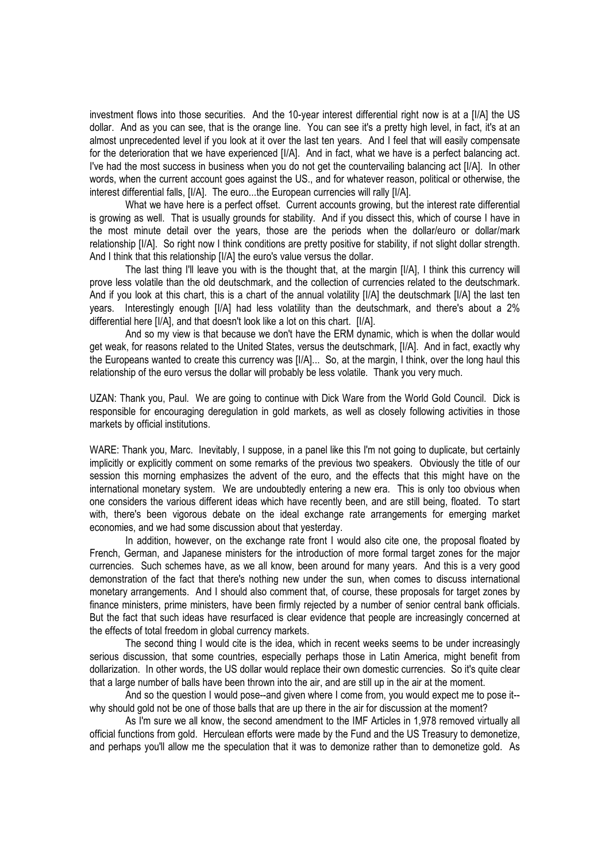investment flows into those securities. And the 10-year interest differential right now is at a [I/A] the US dollar. And as you can see, that is the orange line. You can see it's a pretty high level, in fact, it's at an almost unprecedented level if you look at it over the last ten years. And I feel that will easily compensate for the deterioration that we have experienced [I/A]. And in fact, what we have is a perfect balancing act. I've had the most success in business when you do not get the countervailing balancing act [I/A]. In other words, when the current account goes against the US., and for whatever reason, political or otherwise, the interest differential falls, [I/A]. The euro...the European currencies will rally [I/A].

 What we have here is a perfect offset. Current accounts growing, but the interest rate differential is growing as well. That is usually grounds for stability. And if you dissect this, which of course I have in the most minute detail over the years, those are the periods when the dollar/euro or dollar/mark relationship [I/A]. So right now I think conditions are pretty positive for stability, if not slight dollar strength. And I think that this relationship [I/A] the euro's value versus the dollar.

 The last thing I'll leave you with is the thought that, at the margin [I/A], I think this currency will prove less volatile than the old deutschmark, and the collection of currencies related to the deutschmark. And if you look at this chart, this is a chart of the annual volatility [I/A] the deutschmark [I/A] the last ten years. Interestingly enough [I/A] had less volatility than the deutschmark, and there's about a 2% differential here [I/A], and that doesn't look like a lot on this chart. [I/A].

 And so my view is that because we don't have the ERM dynamic, which is when the dollar would get weak, for reasons related to the United States, versus the deutschmark, [I/A]. And in fact, exactly why the Europeans wanted to create this currency was [I/A]... So, at the margin, I think, over the long haul this relationship of the euro versus the dollar will probably be less volatile. Thank you very much.

UZAN: Thank you, Paul. We are going to continue with Dick Ware from the World Gold Council. Dick is responsible for encouraging deregulation in gold markets, as well as closely following activities in those markets by official institutions.

WARE: Thank you, Marc. Inevitably, I suppose, in a panel like this I'm not going to duplicate, but certainly implicitly or explicitly comment on some remarks of the previous two speakers. Obviously the title of our session this morning emphasizes the advent of the euro, and the effects that this might have on the international monetary system. We are undoubtedly entering a new era. This is only too obvious when one considers the various different ideas which have recently been, and are still being, floated. To start with, there's been vigorous debate on the ideal exchange rate arrangements for emerging market economies, and we had some discussion about that yesterday.

 In addition, however, on the exchange rate front I would also cite one, the proposal floated by French, German, and Japanese ministers for the introduction of more formal target zones for the major currencies. Such schemes have, as we all know, been around for many years. And this is a very good demonstration of the fact that there's nothing new under the sun, when comes to discuss international monetary arrangements. And I should also comment that, of course, these proposals for target zones by finance ministers, prime ministers, have been firmly rejected by a number of senior central bank officials. But the fact that such ideas have resurfaced is clear evidence that people are increasingly concerned at the effects of total freedom in global currency markets.

 The second thing I would cite is the idea, which in recent weeks seems to be under increasingly serious discussion, that some countries, especially perhaps those in Latin America, might benefit from dollarization. In other words, the US dollar would replace their own domestic currencies. So it's quite clear that a large number of balls have been thrown into the air, and are still up in the air at the moment.

 And so the question I would pose--and given where I come from, you would expect me to pose it- why should gold not be one of those balls that are up there in the air for discussion at the moment?

 As I'm sure we all know, the second amendment to the IMF Articles in 1,978 removed virtually all official functions from gold. Herculean efforts were made by the Fund and the US Treasury to demonetize, and perhaps you'll allow me the speculation that it was to demonize rather than to demonetize gold. As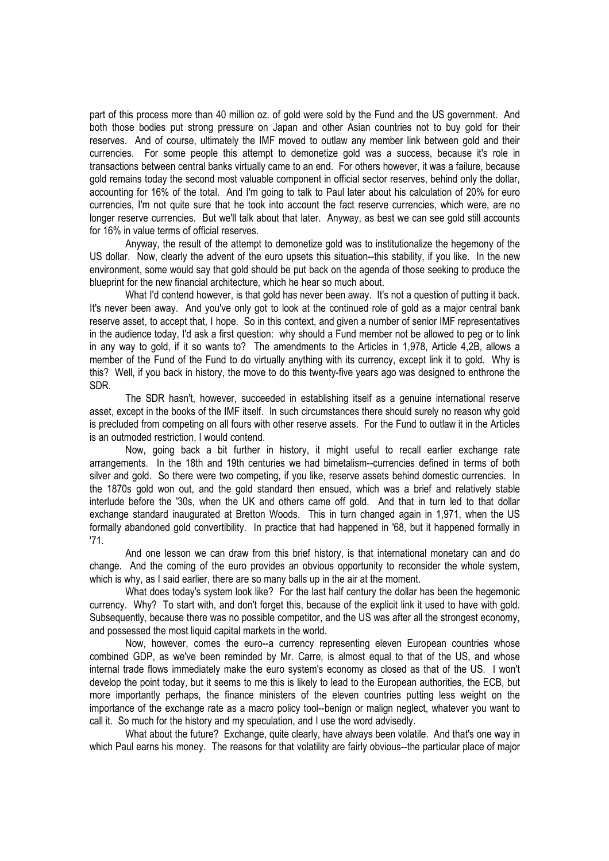part of this process more than 40 million oz. of gold were sold by the Fund and the US government. And both those bodies put strong pressure on Japan and other Asian countries not to buy gold for their reserves. And of course, ultimately the IMF moved to outlaw any member link between gold and their currencies. For some people this attempt to demonetize gold was a success, because it's role in transactions between central banks virtually came to an end. For others however, it was a failure, because gold remains today the second most valuable component in official sector reserves, behind only the dollar, accounting for 16% of the total. And I'm going to talk to Paul later about his calculation of 20% for euro currencies, I'm not quite sure that he took into account the fact reserve currencies, which were, are no longer reserve currencies. But we'll talk about that later. Anyway, as best we can see gold still accounts for 16% in value terms of official reserves.

 Anyway, the result of the attempt to demonetize gold was to institutionalize the hegemony of the US dollar. Now, clearly the advent of the euro upsets this situation--this stability, if you like. In the new environment, some would say that gold should be put back on the agenda of those seeking to produce the blueprint for the new financial architecture, which he hear so much about.

What I'd contend however, is that gold has never been away. It's not a question of putting it back. It's never been away. And you've only got to look at the continued role of gold as a major central bank reserve asset, to accept that, I hope. So in this context, and given a number of senior IMF representatives in the audience today, I'd ask a first question: why should a Fund member not be allowed to peg or to link in any way to gold, if it so wants to? The amendments to the Articles in 1,978, Article 4,2B, allows a member of the Fund of the Fund to do virtually anything with its currency, except link it to gold. Why is this? Well, if you back in history, the move to do this twenty-five years ago was designed to enthrone the SDR.

 The SDR hasn't, however, succeeded in establishing itself as a genuine international reserve asset, except in the books of the IMF itself. In such circumstances there should surely no reason why gold is precluded from competing on all fours with other reserve assets. For the Fund to outlaw it in the Articles is an outmoded restriction, I would contend.

 Now, going back a bit further in history, it might useful to recall earlier exchange rate arrangements. In the 18th and 19th centuries we had bimetalism--currencies defined in terms of both silver and gold. So there were two competing, if you like, reserve assets behind domestic currencies. In the 1870s gold won out, and the gold standard then ensued, which was a brief and relatively stable interlude before the '30s, when the UK and others came off gold. And that in turn led to that dollar exchange standard inaugurated at Bretton Woods. This in turn changed again in 1,971, when the US formally abandoned gold convertibility. In practice that had happened in '68, but it happened formally in '71.

 And one lesson we can draw from this brief history, is that international monetary can and do change. And the coming of the euro provides an obvious opportunity to reconsider the whole system, which is why, as I said earlier, there are so many balls up in the air at the moment.

 What does today's system look like? For the last half century the dollar has been the hegemonic currency. Why? To start with, and don't forget this, because of the explicit link it used to have with gold. Subsequently, because there was no possible competitor, and the US was after all the strongest economy, and possessed the most liquid capital markets in the world.

 Now, however, comes the euro--a currency representing eleven European countries whose combined GDP, as we've been reminded by Mr. Carre, is almost equal to that of the US, and whose internal trade flows immediately make the euro system's economy as closed as that of the US. I won't develop the point today, but it seems to me this is likely to lead to the European authorities, the ECB, but more importantly perhaps, the finance ministers of the eleven countries putting less weight on the importance of the exchange rate as a macro policy tool--benign or malign neglect, whatever you want to call it. So much for the history and my speculation, and I use the word advisedly.

 What about the future? Exchange, quite clearly, have always been volatile. And that's one way in which Paul earns his money. The reasons for that volatility are fairly obvious--the particular place of major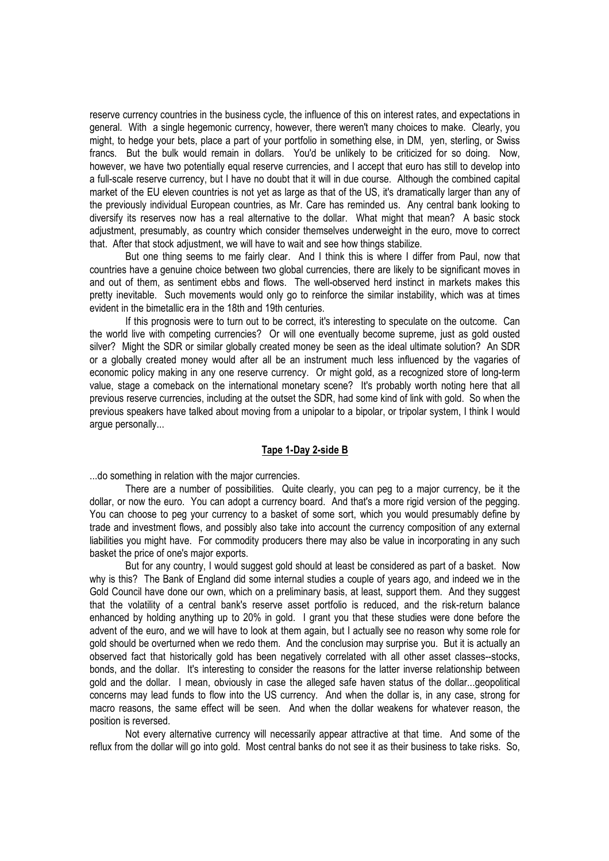reserve currency countries in the business cycle, the influence of this on interest rates, and expectations in general. With a single hegemonic currency, however, there weren't many choices to make. Clearly, you might, to hedge your bets, place a part of your portfolio in something else, in DM, yen, sterling, or Swiss francs. But the bulk would remain in dollars. You'd be unlikely to be criticized for so doing. Now, however, we have two potentially equal reserve currencies, and I accept that euro has still to develop into a full-scale reserve currency, but I have no doubt that it will in due course. Although the combined capital market of the EU eleven countries is not yet as large as that of the US, it's dramatically larger than any of the previously individual European countries, as Mr. Care has reminded us. Any central bank looking to diversify its reserves now has a real alternative to the dollar. What might that mean? A basic stock adjustment, presumably, as country which consider themselves underweight in the euro, move to correct that. After that stock adjustment, we will have to wait and see how things stabilize.

 But one thing seems to me fairly clear. And I think this is where I differ from Paul, now that countries have a genuine choice between two global currencies, there are likely to be significant moves in and out of them, as sentiment ebbs and flows. The well-observed herd instinct in markets makes this pretty inevitable. Such movements would only go to reinforce the similar instability, which was at times evident in the bimetallic era in the 18th and 19th centuries.

 If this prognosis were to turn out to be correct, it's interesting to speculate on the outcome. Can the world live with competing currencies? Or will one eventually become supreme, just as gold ousted silver? Might the SDR or similar globally created money be seen as the ideal ultimate solution? An SDR or a globally created money would after all be an instrument much less influenced by the vagaries of economic policy making in any one reserve currency. Or might gold, as a recognized store of long-term value, stage a comeback on the international monetary scene? It's probably worth noting here that all previous reserve currencies, including at the outset the SDR, had some kind of link with gold. So when the previous speakers have talked about moving from a unipolar to a bipolar, or tripolar system, I think I would argue personally...

### Tape 1-Day 2-side B

...do something in relation with the major currencies.

 There are a number of possibilities. Quite clearly, you can peg to a major currency, be it the dollar, or now the euro. You can adopt a currency board. And that's a more rigid version of the pegging. You can choose to peg your currency to a basket of some sort, which you would presumably define by trade and investment flows, and possibly also take into account the currency composition of any external liabilities you might have. For commodity producers there may also be value in incorporating in any such basket the price of one's major exports.

But for any country. I would suggest gold should at least be considered as part of a basket. Now why is this? The Bank of England did some internal studies a couple of years ago, and indeed we in the Gold Council have done our own, which on a preliminary basis, at least, support them. And they suggest that the volatility of a central bank's reserve asset portfolio is reduced, and the risk-return balance enhanced by holding anything up to 20% in gold. I grant you that these studies were done before the advent of the euro, and we will have to look at them again, but I actually see no reason why some role for gold should be overturned when we redo them. And the conclusion may surprise you. But it is actually an observed fact that historically gold has been negatively correlated with all other asset classes--stocks, bonds, and the dollar. It's interesting to consider the reasons for the latter inverse relationship between gold and the dollar. I mean, obviously in case the alleged safe haven status of the dollar...geopolitical concerns may lead funds to flow into the US currency. And when the dollar is, in any case, strong for macro reasons, the same effect will be seen. And when the dollar weakens for whatever reason, the position is reversed.

 Not every alternative currency will necessarily appear attractive at that time. And some of the reflux from the dollar will go into gold. Most central banks do not see it as their business to take risks. So,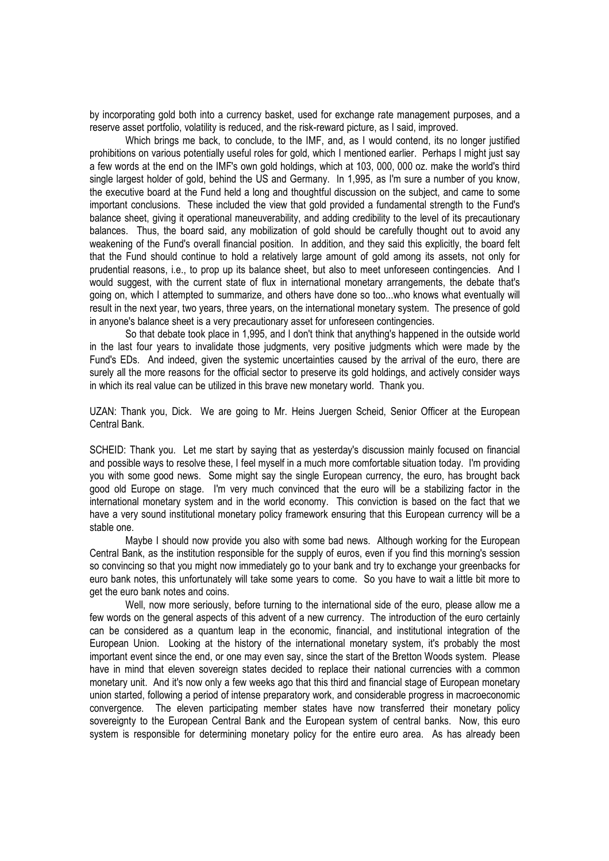by incorporating gold both into a currency basket, used for exchange rate management purposes, and a reserve asset portfolio, volatility is reduced, and the risk-reward picture, as I said, improved.

 Which brings me back, to conclude, to the IMF, and, as I would contend, its no longer justified prohibitions on various potentially useful roles for gold, which I mentioned earlier. Perhaps I might just say a few words at the end on the IMF's own gold holdings, which at 103, 000, 000 oz. make the world's third single largest holder of gold, behind the US and Germany. In 1,995, as I'm sure a number of you know, the executive board at the Fund held a long and thoughtful discussion on the subject, and came to some important conclusions. These included the view that gold provided a fundamental strength to the Fund's balance sheet, giving it operational maneuverability, and adding credibility to the level of its precautionary balances. Thus, the board said, any mobilization of gold should be carefully thought out to avoid any weakening of the Fund's overall financial position. In addition, and they said this explicitly, the board felt that the Fund should continue to hold a relatively large amount of gold among its assets, not only for prudential reasons, i.e., to prop up its balance sheet, but also to meet unforeseen contingencies. And I would suggest, with the current state of flux in international monetary arrangements, the debate that's going on, which I attempted to summarize, and others have done so too...who knows what eventually will result in the next year, two years, three years, on the international monetary system. The presence of gold in anyone's balance sheet is a very precautionary asset for unforeseen contingencies.

 So that debate took place in 1,995, and I don't think that anything's happened in the outside world in the last four years to invalidate those judgments, very positive judgments which were made by the Fund's EDs. And indeed, given the systemic uncertainties caused by the arrival of the euro, there are surely all the more reasons for the official sector to preserve its gold holdings, and actively consider ways in which its real value can be utilized in this brave new monetary world. Thank you.

UZAN: Thank you, Dick. We are going to Mr. Heins Juergen Scheid, Senior Officer at the European Central Bank.

SCHEID: Thank you. Let me start by saying that as yesterday's discussion mainly focused on financial and possible ways to resolve these, I feel myself in a much more comfortable situation today. I'm providing you with some good news. Some might say the single European currency, the euro, has brought back good old Europe on stage. I'm very much convinced that the euro will be a stabilizing factor in the international monetary system and in the world economy. This conviction is based on the fact that we have a very sound institutional monetary policy framework ensuring that this European currency will be a stable one.

 Maybe I should now provide you also with some bad news. Although working for the European Central Bank, as the institution responsible for the supply of euros, even if you find this morning's session so convincing so that you might now immediately go to your bank and try to exchange your greenbacks for euro bank notes, this unfortunately will take some years to come. So you have to wait a little bit more to get the euro bank notes and coins.

 Well, now more seriously, before turning to the international side of the euro, please allow me a few words on the general aspects of this advent of a new currency. The introduction of the euro certainly can be considered as a quantum leap in the economic, financial, and institutional integration of the European Union. Looking at the history of the international monetary system, it's probably the most important event since the end, or one may even say, since the start of the Bretton Woods system. Please have in mind that eleven sovereign states decided to replace their national currencies with a common monetary unit. And it's now only a few weeks ago that this third and financial stage of European monetary union started, following a period of intense preparatory work, and considerable progress in macroeconomic convergence. The eleven participating member states have now transferred their monetary policy sovereignty to the European Central Bank and the European system of central banks. Now, this euro system is responsible for determining monetary policy for the entire euro area. As has already been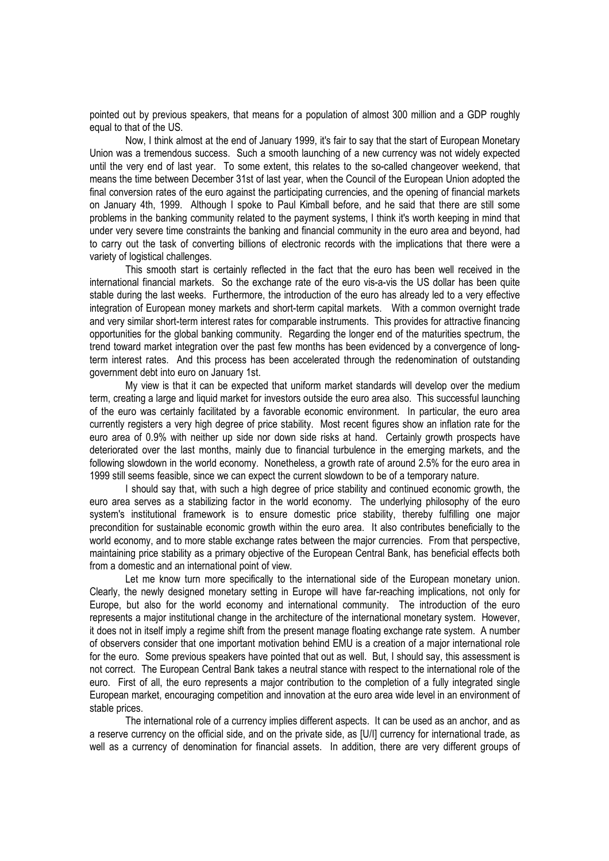pointed out by previous speakers, that means for a population of almost 300 million and a GDP roughly equal to that of the US.

 Now, I think almost at the end of January 1999, it's fair to say that the start of European Monetary Union was a tremendous success. Such a smooth launching of a new currency was not widely expected until the very end of last year. To some extent, this relates to the so-called changeover weekend, that means the time between December 31st of last year, when the Council of the European Union adopted the final conversion rates of the euro against the participating currencies, and the opening of financial markets on January 4th, 1999. Although I spoke to Paul Kimball before, and he said that there are still some problems in the banking community related to the payment systems, I think it's worth keeping in mind that under very severe time constraints the banking and financial community in the euro area and beyond, had to carry out the task of converting billions of electronic records with the implications that there were a variety of logistical challenges.

 This smooth start is certainly reflected in the fact that the euro has been well received in the international financial markets. So the exchange rate of the euro vis-a-vis the US dollar has been quite stable during the last weeks. Furthermore, the introduction of the euro has already led to a very effective integration of European money markets and short-term capital markets. With a common overnight trade and very similar short-term interest rates for comparable instruments. This provides for attractive financing opportunities for the global banking community. Regarding the longer end of the maturities spectrum, the trend toward market integration over the past few months has been evidenced by a convergence of longterm interest rates. And this process has been accelerated through the redenomination of outstanding government debt into euro on January 1st.

 My view is that it can be expected that uniform market standards will develop over the medium term, creating a large and liquid market for investors outside the euro area also. This successful launching of the euro was certainly facilitated by a favorable economic environment. In particular, the euro area currently registers a very high degree of price stability. Most recent figures show an inflation rate for the euro area of 0.9% with neither up side nor down side risks at hand. Certainly growth prospects have deteriorated over the last months, mainly due to financial turbulence in the emerging markets, and the following slowdown in the world economy. Nonetheless, a growth rate of around 2.5% for the euro area in 1999 still seems feasible, since we can expect the current slowdown to be of a temporary nature.

 I should say that, with such a high degree of price stability and continued economic growth, the euro area serves as a stabilizing factor in the world economy. The underlying philosophy of the euro system's institutional framework is to ensure domestic price stability, thereby fulfilling one major precondition for sustainable economic growth within the euro area. It also contributes beneficially to the world economy, and to more stable exchange rates between the major currencies. From that perspective, maintaining price stability as a primary objective of the European Central Bank, has beneficial effects both from a domestic and an international point of view.

 Let me know turn more specifically to the international side of the European monetary union. Clearly, the newly designed monetary setting in Europe will have far-reaching implications, not only for Europe, but also for the world economy and international community. The introduction of the euro represents a major institutional change in the architecture of the international monetary system. However, it does not in itself imply a regime shift from the present manage floating exchange rate system. A number of observers consider that one important motivation behind EMU is a creation of a major international role for the euro. Some previous speakers have pointed that out as well. But, I should say, this assessment is not correct. The European Central Bank takes a neutral stance with respect to the international role of the euro. First of all, the euro represents a major contribution to the completion of a fully integrated single European market, encouraging competition and innovation at the euro area wide level in an environment of stable prices.

 The international role of a currency implies different aspects. It can be used as an anchor, and as a reserve currency on the official side, and on the private side, as [U/I] currency for international trade, as well as a currency of denomination for financial assets. In addition, there are very different groups of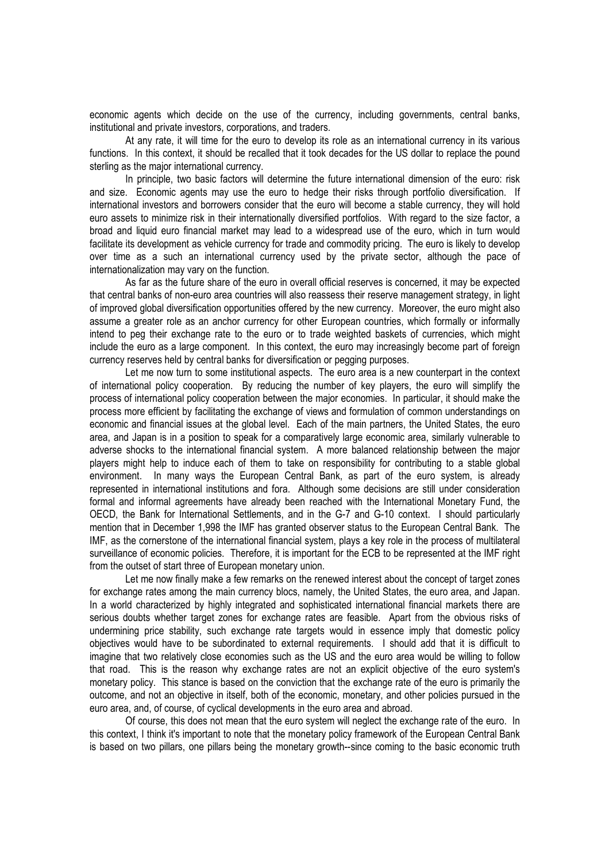economic agents which decide on the use of the currency, including governments, central banks, institutional and private investors, corporations, and traders.

 At any rate, it will time for the euro to develop its role as an international currency in its various functions. In this context, it should be recalled that it took decades for the US dollar to replace the pound sterling as the major international currency.

In principle, two basic factors will determine the future international dimension of the euro: risk and size. Economic agents may use the euro to hedge their risks through portfolio diversification. If international investors and borrowers consider that the euro will become a stable currency, they will hold euro assets to minimize risk in their internationally diversified portfolios. With regard to the size factor, a broad and liquid euro financial market may lead to a widespread use of the euro, which in turn would facilitate its development as vehicle currency for trade and commodity pricing. The euro is likely to develop over time as a such an international currency used by the private sector, although the pace of internationalization may vary on the function.

 As far as the future share of the euro in overall official reserves is concerned, it may be expected that central banks of non-euro area countries will also reassess their reserve management strategy, in light of improved global diversification opportunities offered by the new currency. Moreover, the euro might also assume a greater role as an anchor currency for other European countries, which formally or informally intend to peg their exchange rate to the euro or to trade weighted baskets of currencies, which might include the euro as a large component. In this context, the euro may increasingly become part of foreign currency reserves held by central banks for diversification or pegging purposes.

 Let me now turn to some institutional aspects. The euro area is a new counterpart in the context of international policy cooperation. By reducing the number of key players, the euro will simplify the process of international policy cooperation between the major economies. In particular, it should make the process more efficient by facilitating the exchange of views and formulation of common understandings on economic and financial issues at the global level. Each of the main partners, the United States, the euro area, and Japan is in a position to speak for a comparatively large economic area, similarly vulnerable to adverse shocks to the international financial system. A more balanced relationship between the major players might help to induce each of them to take on responsibility for contributing to a stable global environment. In many ways the European Central Bank, as part of the euro system, is already represented in international institutions and fora. Although some decisions are still under consideration formal and informal agreements have already been reached with the International Monetary Fund, the OECD, the Bank for International Settlements, and in the G-7 and G-10 context. I should particularly mention that in December 1,998 the IMF has granted observer status to the European Central Bank. The IMF, as the cornerstone of the international financial system, plays a key role in the process of multilateral surveillance of economic policies. Therefore, it is important for the ECB to be represented at the IMF right from the outset of start three of European monetary union.

 Let me now finally make a few remarks on the renewed interest about the concept of target zones for exchange rates among the main currency blocs, namely, the United States, the euro area, and Japan. In a world characterized by highly integrated and sophisticated international financial markets there are serious doubts whether target zones for exchange rates are feasible. Apart from the obvious risks of undermining price stability, such exchange rate targets would in essence imply that domestic policy objectives would have to be subordinated to external requirements. I should add that it is difficult to imagine that two relatively close economies such as the US and the euro area would be willing to follow that road. This is the reason why exchange rates are not an explicit objective of the euro system's monetary policy. This stance is based on the conviction that the exchange rate of the euro is primarily the outcome, and not an objective in itself, both of the economic, monetary, and other policies pursued in the euro area, and, of course, of cyclical developments in the euro area and abroad.

 Of course, this does not mean that the euro system will neglect the exchange rate of the euro. In this context, I think it's important to note that the monetary policy framework of the European Central Bank is based on two pillars, one pillars being the monetary growth--since coming to the basic economic truth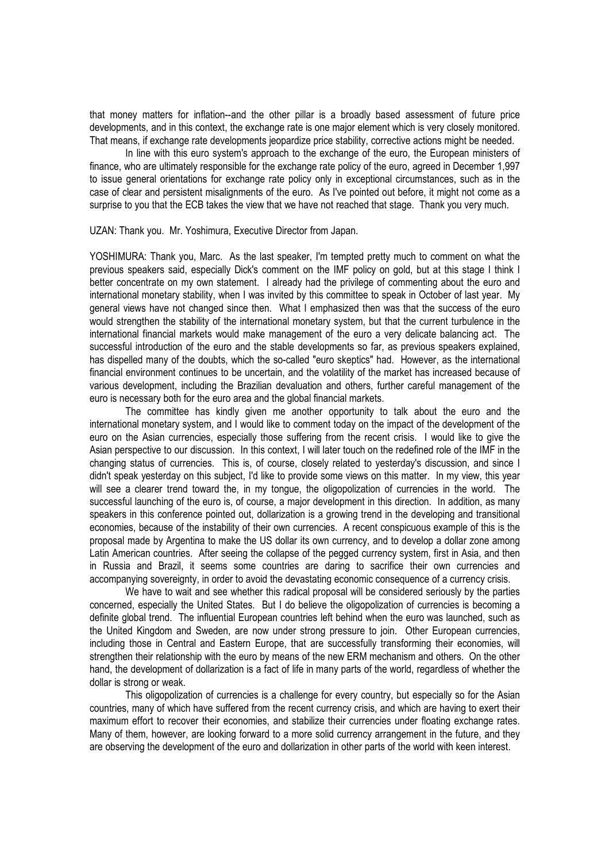that money matters for inflation--and the other pillar is a broadly based assessment of future price developments, and in this context, the exchange rate is one major element which is very closely monitored. That means, if exchange rate developments jeopardize price stability, corrective actions might be needed.

 In line with this euro system's approach to the exchange of the euro, the European ministers of finance, who are ultimately responsible for the exchange rate policy of the euro, agreed in December 1,997 to issue general orientations for exchange rate policy only in exceptional circumstances, such as in the case of clear and persistent misalignments of the euro. As I've pointed out before, it might not come as a surprise to you that the ECB takes the view that we have not reached that stage. Thank you very much.

UZAN: Thank you. Mr. Yoshimura, Executive Director from Japan.

YOSHIMURA: Thank you, Marc. As the last speaker, I'm tempted pretty much to comment on what the previous speakers said, especially Dick's comment on the IMF policy on gold, but at this stage I think I better concentrate on my own statement. I already had the privilege of commenting about the euro and international monetary stability, when I was invited by this committee to speak in October of last year. My general views have not changed since then. What I emphasized then was that the success of the euro would strengthen the stability of the international monetary system, but that the current turbulence in the international financial markets would make management of the euro a very delicate balancing act. The successful introduction of the euro and the stable developments so far, as previous speakers explained, has dispelled many of the doubts, which the so-called "euro skeptics" had. However, as the international financial environment continues to be uncertain, and the volatility of the market has increased because of various development, including the Brazilian devaluation and others, further careful management of the euro is necessary both for the euro area and the global financial markets.

 The committee has kindly given me another opportunity to talk about the euro and the international monetary system, and I would like to comment today on the impact of the development of the euro on the Asian currencies, especially those suffering from the recent crisis. I would like to give the Asian perspective to our discussion. In this context, I will later touch on the redefined role of the IMF in the changing status of currencies. This is, of course, closely related to yesterday's discussion, and since I didn't speak yesterday on this subject, I'd like to provide some views on this matter. In my view, this year will see a clearer trend toward the, in my tongue, the oligopolization of currencies in the world. The successful launching of the euro is, of course, a major development in this direction. In addition, as many speakers in this conference pointed out, dollarization is a growing trend in the developing and transitional economies, because of the instability of their own currencies. A recent conspicuous example of this is the proposal made by Argentina to make the US dollar its own currency, and to develop a dollar zone among Latin American countries. After seeing the collapse of the pegged currency system, first in Asia, and then in Russia and Brazil, it seems some countries are daring to sacrifice their own currencies and accompanying sovereignty, in order to avoid the devastating economic consequence of a currency crisis.

 We have to wait and see whether this radical proposal will be considered seriously by the parties concerned, especially the United States. But I do believe the oligopolization of currencies is becoming a definite global trend. The influential European countries left behind when the euro was launched, such as the United Kingdom and Sweden, are now under strong pressure to join. Other European currencies, including those in Central and Eastern Europe, that are successfully transforming their economies, will strengthen their relationship with the euro by means of the new ERM mechanism and others. On the other hand, the development of dollarization is a fact of life in many parts of the world, regardless of whether the dollar is strong or weak.

 This oligopolization of currencies is a challenge for every country, but especially so for the Asian countries, many of which have suffered from the recent currency crisis, and which are having to exert their maximum effort to recover their economies, and stabilize their currencies under floating exchange rates. Many of them, however, are looking forward to a more solid currency arrangement in the future, and they are observing the development of the euro and dollarization in other parts of the world with keen interest.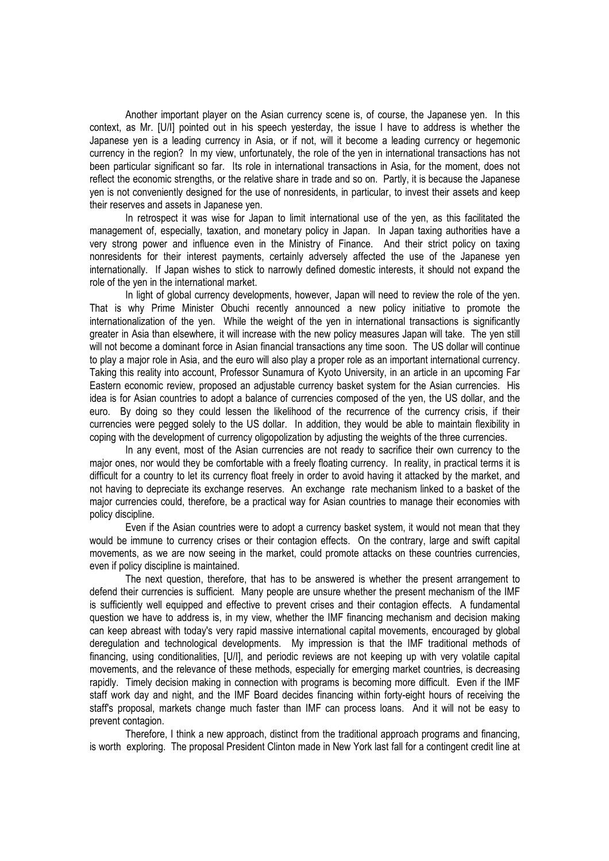Another important player on the Asian currency scene is, of course, the Japanese yen. In this context, as Mr. [U/I] pointed out in his speech yesterday, the issue I have to address is whether the Japanese yen is a leading currency in Asia, or if not, will it become a leading currency or hegemonic currency in the region? In my view, unfortunately, the role of the yen in international transactions has not been particular significant so far. Its role in international transactions in Asia, for the moment, does not reflect the economic strengths, or the relative share in trade and so on. Partly, it is because the Japanese yen is not conveniently designed for the use of nonresidents, in particular, to invest their assets and keep their reserves and assets in Japanese yen.

 In retrospect it was wise for Japan to limit international use of the yen, as this facilitated the management of, especially, taxation, and monetary policy in Japan. In Japan taxing authorities have a very strong power and influence even in the Ministry of Finance. And their strict policy on taxing nonresidents for their interest payments, certainly adversely affected the use of the Japanese yen internationally. If Japan wishes to stick to narrowly defined domestic interests, it should not expand the role of the yen in the international market.

 In light of global currency developments, however, Japan will need to review the role of the yen. That is why Prime Minister Obuchi recently announced a new policy initiative to promote the internationalization of the yen. While the weight of the yen in international transactions is significantly greater in Asia than elsewhere, it will increase with the new policy measures Japan will take. The yen still will not become a dominant force in Asian financial transactions any time soon. The US dollar will continue to play a major role in Asia, and the euro will also play a proper role as an important international currency. Taking this reality into account, Professor Sunamura of Kyoto University, in an article in an upcoming Far Eastern economic review, proposed an adjustable currency basket system for the Asian currencies. His idea is for Asian countries to adopt a balance of currencies composed of the yen, the US dollar, and the euro. By doing so they could lessen the likelihood of the recurrence of the currency crisis, if their currencies were pegged solely to the US dollar. In addition, they would be able to maintain flexibility in coping with the development of currency oligopolization by adjusting the weights of the three currencies.

 In any event, most of the Asian currencies are not ready to sacrifice their own currency to the major ones, nor would they be comfortable with a freely floating currency. In reality, in practical terms it is difficult for a country to let its currency float freely in order to avoid having it attacked by the market, and not having to depreciate its exchange reserves. An exchange rate mechanism linked to a basket of the major currencies could, therefore, be a practical way for Asian countries to manage their economies with policy discipline.

 Even if the Asian countries were to adopt a currency basket system, it would not mean that they would be immune to currency crises or their contagion effects. On the contrary, large and swift capital movements, as we are now seeing in the market, could promote attacks on these countries currencies, even if policy discipline is maintained.

 The next question, therefore, that has to be answered is whether the present arrangement to defend their currencies is sufficient. Many people are unsure whether the present mechanism of the IMF is sufficiently well equipped and effective to prevent crises and their contagion effects. A fundamental question we have to address is, in my view, whether the IMF financing mechanism and decision making can keep abreast with today's very rapid massive international capital movements, encouraged by global deregulation and technological developments. My impression is that the IMF traditional methods of financing, using conditionalities, [U/I], and periodic reviews are not keeping up with very volatile capital movements, and the relevance of these methods, especially for emerging market countries, is decreasing rapidly. Timely decision making in connection with programs is becoming more difficult. Even if the IMF staff work day and night, and the IMF Board decides financing within forty-eight hours of receiving the staff's proposal, markets change much faster than IMF can process loans. And it will not be easy to prevent contagion.

 Therefore, I think a new approach, distinct from the traditional approach programs and financing, is worth exploring. The proposal President Clinton made in New York last fall for a contingent credit line at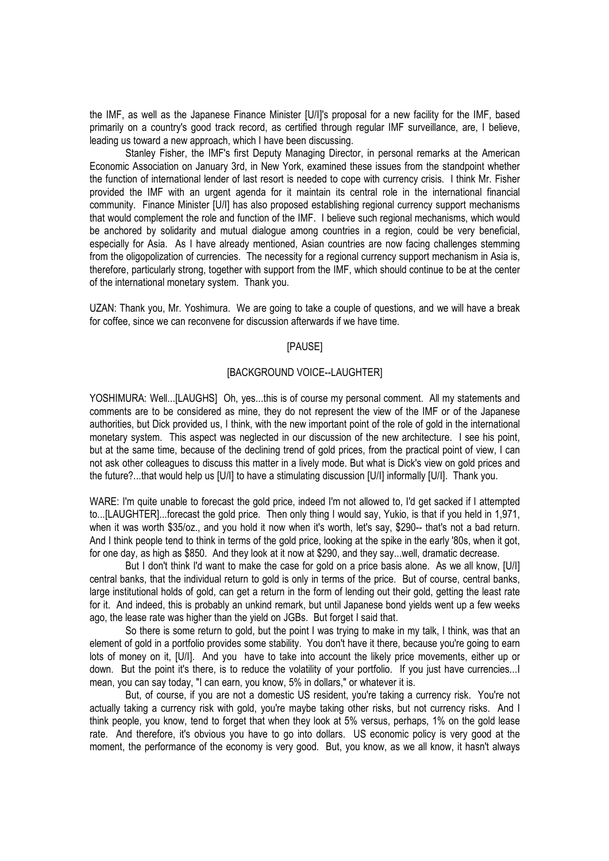the IMF, as well as the Japanese Finance Minister [U/I]'s proposal for a new facility for the IMF, based primarily on a country's good track record, as certified through regular IMF surveillance, are, I believe, leading us toward a new approach, which I have been discussing.

 Stanley Fisher, the IMF's first Deputy Managing Director, in personal remarks at the American Economic Association on January 3rd, in New York, examined these issues from the standpoint whether the function of international lender of last resort is needed to cope with currency crisis. I think Mr. Fisher provided the IMF with an urgent agenda for it maintain its central role in the international financial community. Finance Minister [U/I] has also proposed establishing regional currency support mechanisms that would complement the role and function of the IMF. I believe such regional mechanisms, which would be anchored by solidarity and mutual dialogue among countries in a region, could be very beneficial, especially for Asia. As I have already mentioned, Asian countries are now facing challenges stemming from the oligopolization of currencies. The necessity for a regional currency support mechanism in Asia is, therefore, particularly strong, together with support from the IMF, which should continue to be at the center of the international monetary system. Thank you.

UZAN: Thank you, Mr. Yoshimura. We are going to take a couple of questions, and we will have a break for coffee, since we can reconvene for discussion afterwards if we have time.

## [PAUSE]

## [BACKGROUND VOICE--LAUGHTER]

YOSHIMURA: Well...[LAUGHS] Oh, yes...this is of course my personal comment. All my statements and comments are to be considered as mine, they do not represent the view of the IMF or of the Japanese authorities, but Dick provided us, I think, with the new important point of the role of gold in the international monetary system. This aspect was neglected in our discussion of the new architecture. I see his point, but at the same time, because of the declining trend of gold prices, from the practical point of view, I can not ask other colleagues to discuss this matter in a lively mode. But what is Dick's view on gold prices and the future?...that would help us [U/I] to have a stimulating discussion [U/I] informally [U/I]. Thank you.

WARE: I'm quite unable to forecast the gold price, indeed I'm not allowed to, I'd get sacked if I attempted to...[LAUGHTER]...forecast the gold price. Then only thing I would say, Yukio, is that if you held in 1,971, when it was worth \$35/oz., and you hold it now when it's worth, let's say, \$290-- that's not a bad return. And I think people tend to think in terms of the gold price, looking at the spike in the early '80s, when it got, for one day, as high as \$850. And they look at it now at \$290, and they say...well, dramatic decrease.

 But I don't think I'd want to make the case for gold on a price basis alone. As we all know, [U/I] central banks, that the individual return to gold is only in terms of the price. But of course, central banks, large institutional holds of gold, can get a return in the form of lending out their gold, getting the least rate for it. And indeed, this is probably an unkind remark, but until Japanese bond yields went up a few weeks ago, the lease rate was higher than the yield on JGBs. But forget I said that.

 So there is some return to gold, but the point I was trying to make in my talk, I think, was that an element of gold in a portfolio provides some stability. You don't have it there, because you're going to earn lots of money on it, [U/I]. And you have to take into account the likely price movements, either up or down. But the point it's there, is to reduce the volatility of your portfolio. If you just have currencies...I mean, you can say today, "I can earn, you know, 5% in dollars," or whatever it is.

 But, of course, if you are not a domestic US resident, you're taking a currency risk. You're not actually taking a currency risk with gold, you're maybe taking other risks, but not currency risks. And I think people, you know, tend to forget that when they look at 5% versus, perhaps, 1% on the gold lease rate. And therefore, it's obvious you have to go into dollars. US economic policy is very good at the moment, the performance of the economy is very good. But, you know, as we all know, it hasn't always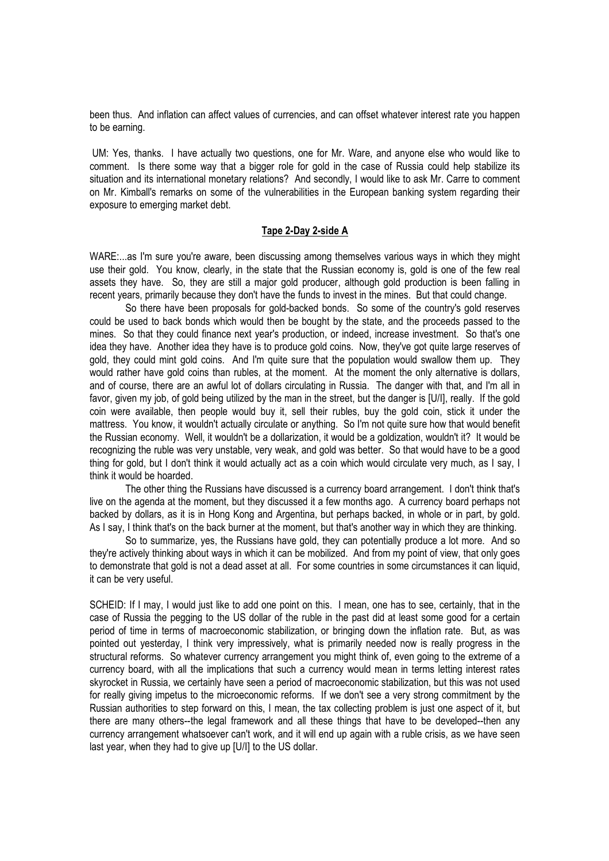been thus. And inflation can affect values of currencies, and can offset whatever interest rate you happen to be earning.

 UM: Yes, thanks. I have actually two questions, one for Mr. Ware, and anyone else who would like to comment. Is there some way that a bigger role for gold in the case of Russia could help stabilize its situation and its international monetary relations? And secondly, I would like to ask Mr. Carre to comment on Mr. Kimball's remarks on some of the vulnerabilities in the European banking system regarding their exposure to emerging market debt.

## Tape 2-Day 2-side A

WARE:...as I'm sure you're aware, been discussing among themselves various ways in which they might use their gold. You know, clearly, in the state that the Russian economy is, gold is one of the few real assets they have. So, they are still a major gold producer, although gold production is been falling in recent years, primarily because they don't have the funds to invest in the mines. But that could change.

 So there have been proposals for gold-backed bonds. So some of the country's gold reserves could be used to back bonds which would then be bought by the state, and the proceeds passed to the mines. So that they could finance next year's production, or indeed, increase investment. So that's one idea they have. Another idea they have is to produce gold coins. Now, they've got quite large reserves of gold, they could mint gold coins. And I'm quite sure that the population would swallow them up. They would rather have gold coins than rubles, at the moment. At the moment the only alternative is dollars, and of course, there are an awful lot of dollars circulating in Russia. The danger with that, and I'm all in favor, given my job, of gold being utilized by the man in the street, but the danger is [U/I], really. If the gold coin were available, then people would buy it, sell their rubles, buy the gold coin, stick it under the mattress. You know, it wouldn't actually circulate or anything. So I'm not quite sure how that would benefit the Russian economy. Well, it wouldn't be a dollarization, it would be a goldization, wouldn't it? It would be recognizing the ruble was very unstable, very weak, and gold was better. So that would have to be a good thing for gold, but I don't think it would actually act as a coin which would circulate very much, as I say, I think it would be hoarded.

 The other thing the Russians have discussed is a currency board arrangement. I don't think that's live on the agenda at the moment, but they discussed it a few months ago. A currency board perhaps not backed by dollars, as it is in Hong Kong and Argentina, but perhaps backed, in whole or in part, by gold. As I say, I think that's on the back burner at the moment, but that's another way in which they are thinking.

 So to summarize, yes, the Russians have gold, they can potentially produce a lot more. And so they're actively thinking about ways in which it can be mobilized. And from my point of view, that only goes to demonstrate that gold is not a dead asset at all. For some countries in some circumstances it can liquid, it can be very useful.

SCHEID: If I may, I would just like to add one point on this. I mean, one has to see, certainly, that in the case of Russia the pegging to the US dollar of the ruble in the past did at least some good for a certain period of time in terms of macroeconomic stabilization, or bringing down the inflation rate. But, as was pointed out yesterday, I think very impressively, what is primarily needed now is really progress in the structural reforms. So whatever currency arrangement you might think of, even going to the extreme of a currency board, with all the implications that such a currency would mean in terms letting interest rates skyrocket in Russia, we certainly have seen a period of macroeconomic stabilization, but this was not used for really giving impetus to the microeconomic reforms. If we don't see a very strong commitment by the Russian authorities to step forward on this, I mean, the tax collecting problem is just one aspect of it, but there are many others--the legal framework and all these things that have to be developed--then any currency arrangement whatsoever can't work, and it will end up again with a ruble crisis, as we have seen last year, when they had to give up [U/I] to the US dollar.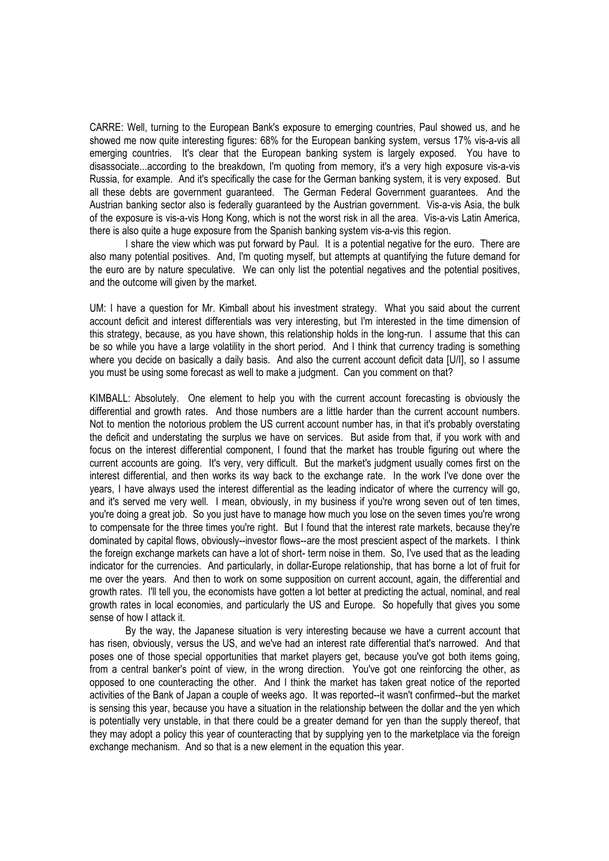CARRE: Well, turning to the European Bank's exposure to emerging countries, Paul showed us, and he showed me now quite interesting figures: 68% for the European banking system, versus 17% vis-a-vis all emerging countries. It's clear that the European banking system is largely exposed. You have to disassociate...according to the breakdown, I'm quoting from memory, it's a very high exposure vis-a-vis Russia, for example. And it's specifically the case for the German banking system, it is very exposed. But all these debts are government guaranteed. The German Federal Government guarantees. And the Austrian banking sector also is federally guaranteed by the Austrian government. Vis-a-vis Asia, the bulk of the exposure is vis-a-vis Hong Kong, which is not the worst risk in all the area. Vis-a-vis Latin America, there is also quite a huge exposure from the Spanish banking system vis-a-vis this region.

 I share the view which was put forward by Paul. It is a potential negative for the euro. There are also many potential positives. And, I'm quoting myself, but attempts at quantifying the future demand for the euro are by nature speculative. We can only list the potential negatives and the potential positives, and the outcome will given by the market.

UM: I have a question for Mr. Kimball about his investment strategy. What you said about the current account deficit and interest differentials was very interesting, but I'm interested in the time dimension of this strategy, because, as you have shown, this relationship holds in the long-run. I assume that this can be so while you have a large volatility in the short period. And I think that currency trading is something where you decide on basically a daily basis. And also the current account deficit data [U/I], so I assume you must be using some forecast as well to make a judgment. Can you comment on that?

KIMBALL: Absolutely. One element to help you with the current account forecasting is obviously the differential and growth rates. And those numbers are a little harder than the current account numbers. Not to mention the notorious problem the US current account number has, in that it's probably overstating the deficit and understating the surplus we have on services. But aside from that, if you work with and focus on the interest differential component, I found that the market has trouble figuring out where the current accounts are going. It's very, very difficult. But the market's judgment usually comes first on the interest differential, and then works its way back to the exchange rate. In the work I've done over the years, I have always used the interest differential as the leading indicator of where the currency will go, and it's served me very well. I mean, obviously, in my business if you're wrong seven out of ten times, you're doing a great job. So you just have to manage how much you lose on the seven times you're wrong to compensate for the three times you're right. But I found that the interest rate markets, because they're dominated by capital flows, obviously--investor flows--are the most prescient aspect of the markets. I think the foreign exchange markets can have a lot of short- term noise in them. So, I've used that as the leading indicator for the currencies. And particularly, in dollar-Europe relationship, that has borne a lot of fruit for me over the years. And then to work on some supposition on current account, again, the differential and growth rates. I'll tell you, the economists have gotten a lot better at predicting the actual, nominal, and real growth rates in local economies, and particularly the US and Europe. So hopefully that gives you some sense of how I attack it.

 By the way, the Japanese situation is very interesting because we have a current account that has risen, obviously, versus the US, and we've had an interest rate differential that's narrowed. And that poses one of those special opportunities that market players get, because you've got both items going, from a central banker's point of view, in the wrong direction. You've got one reinforcing the other, as opposed to one counteracting the other. And I think the market has taken great notice of the reported activities of the Bank of Japan a couple of weeks ago. It was reported--it wasn't confirmed--but the market is sensing this year, because you have a situation in the relationship between the dollar and the yen which is potentially very unstable, in that there could be a greater demand for yen than the supply thereof, that they may adopt a policy this year of counteracting that by supplying yen to the marketplace via the foreign exchange mechanism. And so that is a new element in the equation this year.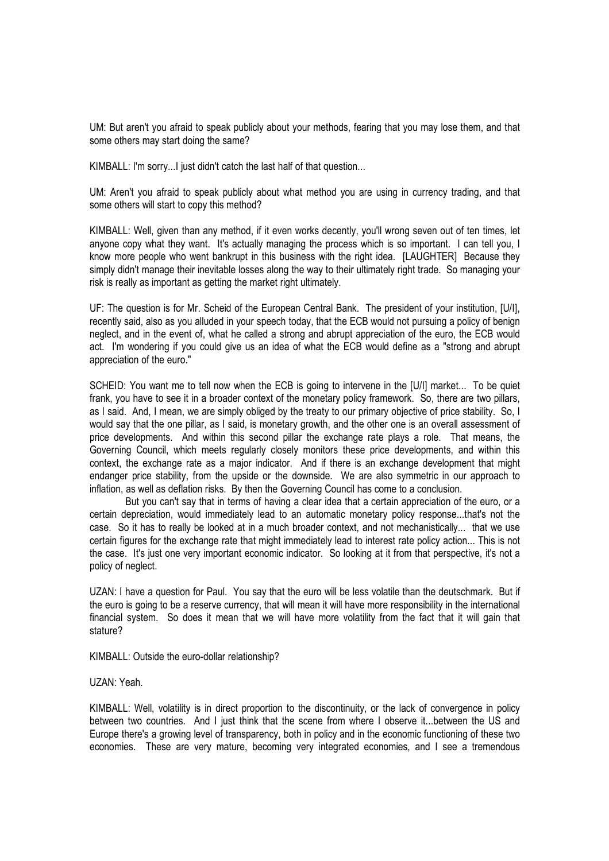UM: But aren't you afraid to speak publicly about your methods, fearing that you may lose them, and that some others may start doing the same?

KIMBALL: I'm sorry...I just didn't catch the last half of that question...

UM: Aren't you afraid to speak publicly about what method you are using in currency trading, and that some others will start to copy this method?

KIMBALL: Well, given than any method, if it even works decently, you'll wrong seven out of ten times, let anyone copy what they want. It's actually managing the process which is so important. I can tell you, I know more people who went bankrupt in this business with the right idea. [LAUGHTER] Because they simply didn't manage their inevitable losses along the way to their ultimately right trade. So managing your risk is really as important as getting the market right ultimately.

UF: The question is for Mr. Scheid of the European Central Bank. The president of your institution, [U/I], recently said, also as you alluded in your speech today, that the ECB would not pursuing a policy of benign neglect, and in the event of, what he called a strong and abrupt appreciation of the euro, the ECB would act. I'm wondering if you could give us an idea of what the ECB would define as a "strong and abrupt appreciation of the euro."

SCHEID: You want me to tell now when the ECB is going to intervene in the [U/I] market... To be quiet frank, you have to see it in a broader context of the monetary policy framework. So, there are two pillars, as I said. And, I mean, we are simply obliged by the treaty to our primary objective of price stability. So, I would say that the one pillar, as I said, is monetary growth, and the other one is an overall assessment of price developments. And within this second pillar the exchange rate plays a role. That means, the Governing Council, which meets regularly closely monitors these price developments, and within this context, the exchange rate as a major indicator. And if there is an exchange development that might endanger price stability, from the upside or the downside. We are also symmetric in our approach to inflation, as well as deflation risks. By then the Governing Council has come to a conclusion.

 But you can't say that in terms of having a clear idea that a certain appreciation of the euro, or a certain depreciation, would immediately lead to an automatic monetary policy response...that's not the case. So it has to really be looked at in a much broader context, and not mechanistically... that we use certain figures for the exchange rate that might immediately lead to interest rate policy action... This is not the case. It's just one very important economic indicator. So looking at it from that perspective, it's not a policy of neglect.

UZAN: I have a question for Paul. You say that the euro will be less volatile than the deutschmark. But if the euro is going to be a reserve currency, that will mean it will have more responsibility in the international financial system. So does it mean that we will have more volatility from the fact that it will gain that stature?

KIMBALL: Outside the euro-dollar relationship?

UZAN: Yeah.

KIMBALL: Well, volatility is in direct proportion to the discontinuity, or the lack of convergence in policy between two countries. And I just think that the scene from where I observe it...between the US and Europe there's a growing level of transparency, both in policy and in the economic functioning of these two economies. These are very mature, becoming very integrated economies, and I see a tremendous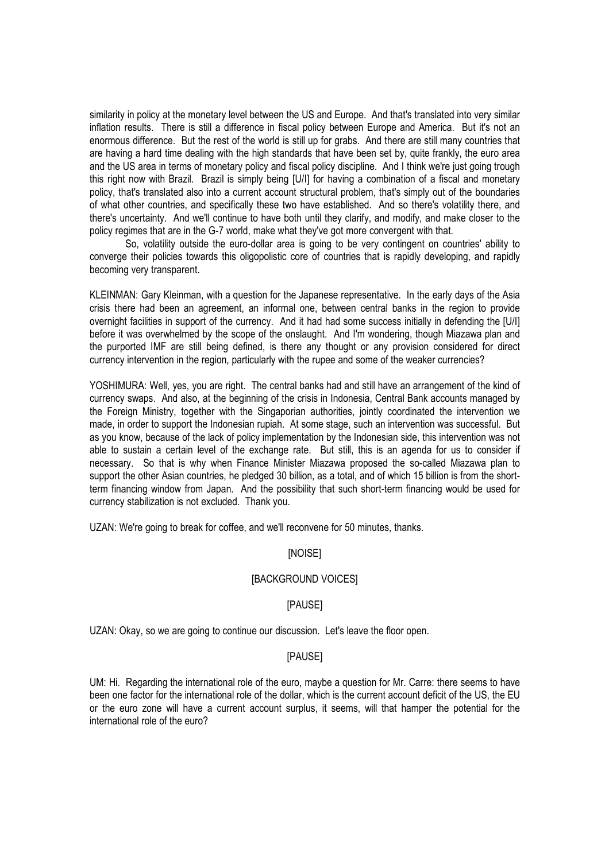similarity in policy at the monetary level between the US and Europe. And that's translated into very similar inflation results. There is still a difference in fiscal policy between Europe and America. But it's not an enormous difference. But the rest of the world is still up for grabs. And there are still many countries that are having a hard time dealing with the high standards that have been set by, quite frankly, the euro area and the US area in terms of monetary policy and fiscal policy discipline. And I think we're just going trough this right now with Brazil. Brazil is simply being [U/I] for having a combination of a fiscal and monetary policy, that's translated also into a current account structural problem, that's simply out of the boundaries of what other countries, and specifically these two have established. And so there's volatility there, and there's uncertainty. And we'll continue to have both until they clarify, and modify, and make closer to the policy regimes that are in the G-7 world, make what they've got more convergent with that.

 So, volatility outside the euro-dollar area is going to be very contingent on countries' ability to converge their policies towards this oligopolistic core of countries that is rapidly developing, and rapidly becoming very transparent.

KLEINMAN: Gary Kleinman, with a question for the Japanese representative. In the early days of the Asia crisis there had been an agreement, an informal one, between central banks in the region to provide overnight facilities in support of the currency. And it had had some success initially in defending the [U/I] before it was overwhelmed by the scope of the onslaught. And I'm wondering, though Miazawa plan and the purported IMF are still being defined, is there any thought or any provision considered for direct currency intervention in the region, particularly with the rupee and some of the weaker currencies?

YOSHIMURA: Well, yes, you are right. The central banks had and still have an arrangement of the kind of currency swaps. And also, at the beginning of the crisis in Indonesia, Central Bank accounts managed by the Foreign Ministry, together with the Singaporian authorities, jointly coordinated the intervention we made, in order to support the Indonesian rupiah. At some stage, such an intervention was successful. But as you know, because of the lack of policy implementation by the Indonesian side, this intervention was not able to sustain a certain level of the exchange rate. But still, this is an agenda for us to consider if necessary. So that is why when Finance Minister Miazawa proposed the so-called Miazawa plan to support the other Asian countries, he pledged 30 billion, as a total, and of which 15 billion is from the shortterm financing window from Japan. And the possibility that such short-term financing would be used for currency stabilization is not excluded. Thank you.

UZAN: We're going to break for coffee, and we'll reconvene for 50 minutes, thanks.

# [NOISE]

# [BACKGROUND VOICES]

## [PAUSE]

UZAN: Okay, so we are going to continue our discussion. Let's leave the floor open.

## [PAUSE]

UM: Hi. Regarding the international role of the euro, maybe a question for Mr. Carre: there seems to have been one factor for the international role of the dollar, which is the current account deficit of the US, the EU or the euro zone will have a current account surplus, it seems, will that hamper the potential for the international role of the euro?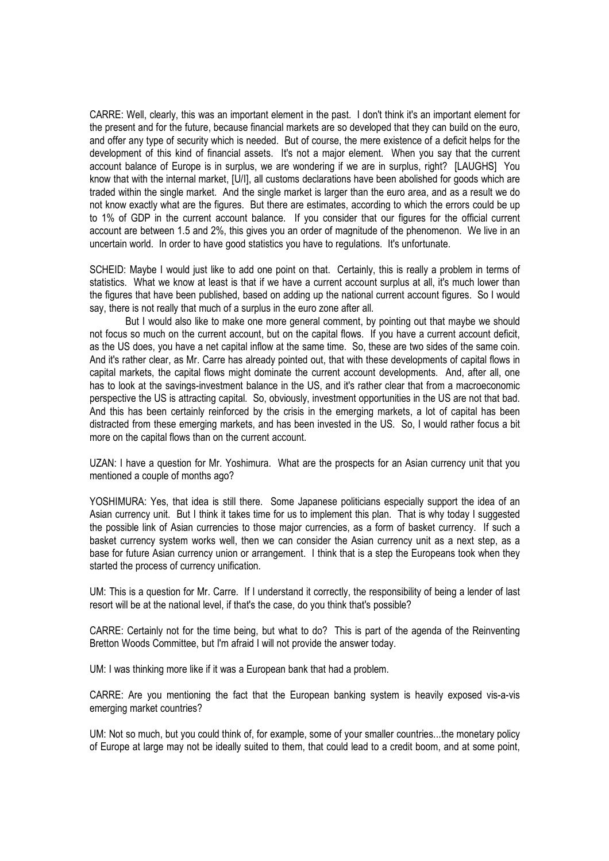CARRE: Well, clearly, this was an important element in the past. I don't think it's an important element for the present and for the future, because financial markets are so developed that they can build on the euro, and offer any type of security which is needed. But of course, the mere existence of a deficit helps for the development of this kind of financial assets. It's not a major element. When you say that the current account balance of Europe is in surplus, we are wondering if we are in surplus, right? [LAUGHS] You know that with the internal market, [U/I], all customs declarations have been abolished for goods which are traded within the single market. And the single market is larger than the euro area, and as a result we do not know exactly what are the figures. But there are estimates, according to which the errors could be up to 1% of GDP in the current account balance. If you consider that our figures for the official current account are between 1.5 and 2%, this gives you an order of magnitude of the phenomenon. We live in an uncertain world. In order to have good statistics you have to regulations. It's unfortunate.

SCHEID: Maybe I would just like to add one point on that. Certainly, this is really a problem in terms of statistics. What we know at least is that if we have a current account surplus at all, it's much lower than the figures that have been published, based on adding up the national current account figures. So I would say, there is not really that much of a surplus in the euro zone after all.

 But I would also like to make one more general comment, by pointing out that maybe we should not focus so much on the current account, but on the capital flows. If you have a current account deficit, as the US does, you have a net capital inflow at the same time. So, these are two sides of the same coin. And it's rather clear, as Mr. Carre has already pointed out, that with these developments of capital flows in capital markets, the capital flows might dominate the current account developments. And, after all, one has to look at the savings-investment balance in the US, and it's rather clear that from a macroeconomic perspective the US is attracting capital. So, obviously, investment opportunities in the US are not that bad. And this has been certainly reinforced by the crisis in the emerging markets, a lot of capital has been distracted from these emerging markets, and has been invested in the US. So, I would rather focus a bit more on the capital flows than on the current account.

UZAN: I have a question for Mr. Yoshimura. What are the prospects for an Asian currency unit that you mentioned a couple of months ago?

YOSHIMURA: Yes, that idea is still there. Some Japanese politicians especially support the idea of an Asian currency unit. But I think it takes time for us to implement this plan. That is why today I suggested the possible link of Asian currencies to those major currencies, as a form of basket currency. If such a basket currency system works well, then we can consider the Asian currency unit as a next step, as a base for future Asian currency union or arrangement. I think that is a step the Europeans took when they started the process of currency unification.

UM: This is a question for Mr. Carre. If I understand it correctly, the responsibility of being a lender of last resort will be at the national level, if that's the case, do you think that's possible?

CARRE: Certainly not for the time being, but what to do? This is part of the agenda of the Reinventing Bretton Woods Committee, but I'm afraid I will not provide the answer today.

UM: I was thinking more like if it was a European bank that had a problem.

CARRE: Are you mentioning the fact that the European banking system is heavily exposed vis-a-vis emerging market countries?

UM: Not so much, but you could think of, for example, some of your smaller countries...the monetary policy of Europe at large may not be ideally suited to them, that could lead to a credit boom, and at some point,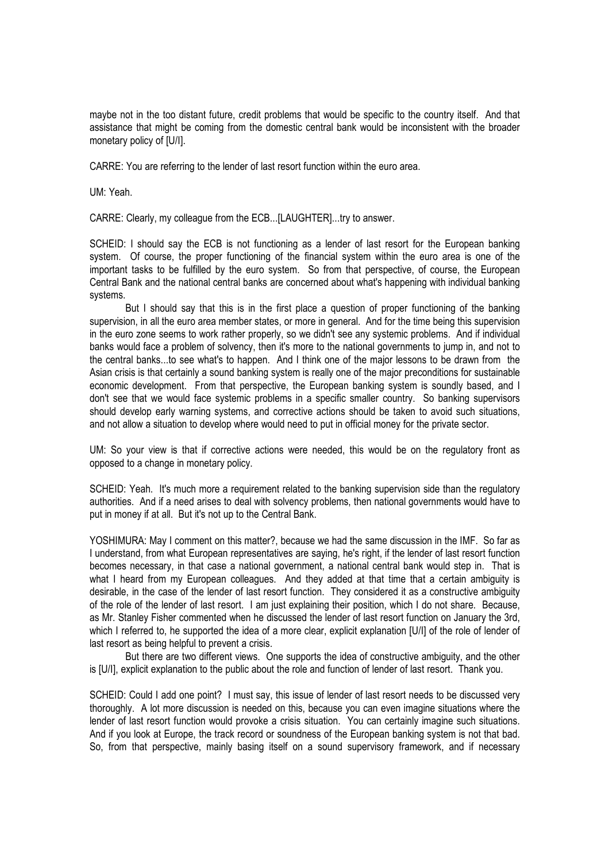maybe not in the too distant future, credit problems that would be specific to the country itself. And that assistance that might be coming from the domestic central bank would be inconsistent with the broader monetary policy of [U/I].

CARRE: You are referring to the lender of last resort function within the euro area.

UM: Yeah.

CARRE: Clearly, my colleague from the ECB...[LAUGHTER]...try to answer.

SCHEID: I should say the ECB is not functioning as a lender of last resort for the European banking system. Of course, the proper functioning of the financial system within the euro area is one of the important tasks to be fulfilled by the euro system. So from that perspective, of course, the European Central Bank and the national central banks are concerned about what's happening with individual banking systems.

 But I should say that this is in the first place a question of proper functioning of the banking supervision, in all the euro area member states, or more in general. And for the time being this supervision in the euro zone seems to work rather properly, so we didn't see any systemic problems. And if individual banks would face a problem of solvency, then it's more to the national governments to jump in, and not to the central banks...to see what's to happen. And I think one of the major lessons to be drawn from the Asian crisis is that certainly a sound banking system is really one of the major preconditions for sustainable economic development. From that perspective, the European banking system is soundly based, and I don't see that we would face systemic problems in a specific smaller country. So banking supervisors should develop early warning systems, and corrective actions should be taken to avoid such situations, and not allow a situation to develop where would need to put in official money for the private sector.

UM: So your view is that if corrective actions were needed, this would be on the regulatory front as opposed to a change in monetary policy.

SCHEID: Yeah. It's much more a requirement related to the banking supervision side than the requlatory authorities. And if a need arises to deal with solvency problems, then national governments would have to put in money if at all. But it's not up to the Central Bank.

YOSHIMURA: May I comment on this matter?, because we had the same discussion in the IMF. So far as I understand, from what European representatives are saying, he's right, if the lender of last resort function becomes necessary, in that case a national government, a national central bank would step in. That is what I heard from my European colleagues. And they added at that time that a certain ambiguity is desirable, in the case of the lender of last resort function. They considered it as a constructive ambiguity of the role of the lender of last resort. I am just explaining their position, which I do not share. Because, as Mr. Stanley Fisher commented when he discussed the lender of last resort function on January the 3rd, which I referred to, he supported the idea of a more clear, explicit explanation [U/I] of the role of lender of last resort as being helpful to prevent a crisis.

 But there are two different views. One supports the idea of constructive ambiguity, and the other is [U/I], explicit explanation to the public about the role and function of lender of last resort. Thank you.

SCHEID: Could I add one point? I must say, this issue of lender of last resort needs to be discussed very thoroughly. A lot more discussion is needed on this, because you can even imagine situations where the lender of last resort function would provoke a crisis situation. You can certainly imagine such situations. And if you look at Europe, the track record or soundness of the European banking system is not that bad. So, from that perspective, mainly basing itself on a sound supervisory framework, and if necessary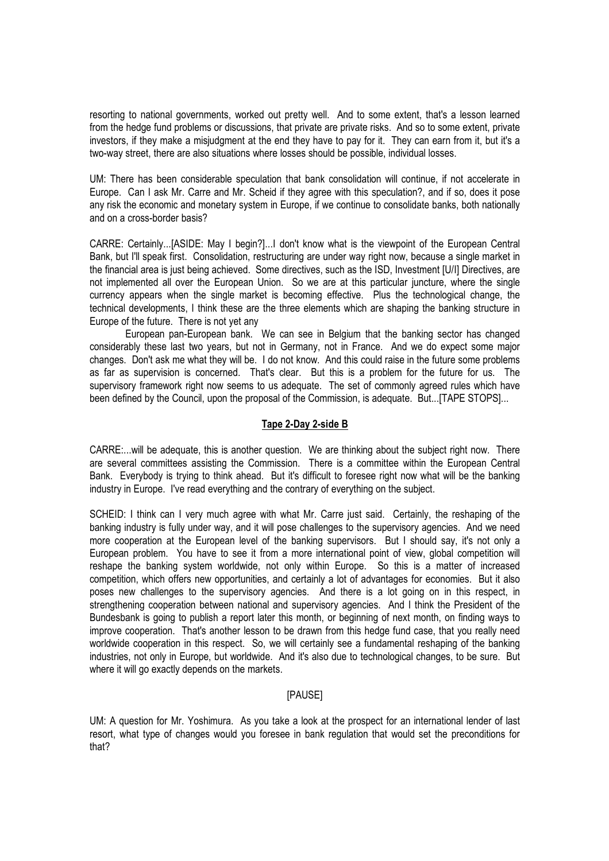resorting to national governments, worked out pretty well. And to some extent, that's a lesson learned from the hedge fund problems or discussions, that private are private risks. And so to some extent, private investors, if they make a misjudgment at the end they have to pay for it. They can earn from it, but it's a two-way street, there are also situations where losses should be possible, individual losses.

UM: There has been considerable speculation that bank consolidation will continue, if not accelerate in Europe. Can I ask Mr. Carre and Mr. Scheid if they agree with this speculation?, and if so, does it pose any risk the economic and monetary system in Europe, if we continue to consolidate banks, both nationally and on a cross-border basis?

CARRE: Certainly...[ASIDE: May I begin?]...I don't know what is the viewpoint of the European Central Bank, but I'll speak first. Consolidation, restructuring are under way right now, because a single market in the financial area is just being achieved. Some directives, such as the ISD, Investment [U/I] Directives, are not implemented all over the European Union. So we are at this particular juncture, where the single currency appears when the single market is becoming effective. Plus the technological change, the technical developments, I think these are the three elements which are shaping the banking structure in Europe of the future. There is not yet any

 European pan-European bank. We can see in Belgium that the banking sector has changed considerably these last two years, but not in Germany, not in France. And we do expect some major changes. Don't ask me what they will be. I do not know. And this could raise in the future some problems as far as supervision is concerned. That's clear. But this is a problem for the future for us. The supervisory framework right now seems to us adequate. The set of commonly agreed rules which have been defined by the Council, upon the proposal of the Commission, is adequate. But...[TAPE STOPS]...

## Tape 2-Day 2-side B

CARRE:...will be adequate, this is another question. We are thinking about the subject right now. There are several committees assisting the Commission. There is a committee within the European Central Bank. Everybody is trying to think ahead. But it's difficult to foresee right now what will be the banking industry in Europe. I've read everything and the contrary of everything on the subject.

SCHEID: I think can I very much agree with what Mr. Carre just said. Certainly, the reshaping of the banking industry is fully under way, and it will pose challenges to the supervisory agencies. And we need more cooperation at the European level of the banking supervisors. But I should say, it's not only a European problem. You have to see it from a more international point of view, global competition will reshape the banking system worldwide, not only within Europe. So this is a matter of increased competition, which offers new opportunities, and certainly a lot of advantages for economies. But it also poses new challenges to the supervisory agencies. And there is a lot going on in this respect, in strengthening cooperation between national and supervisory agencies. And I think the President of the Bundesbank is going to publish a report later this month, or beginning of next month, on finding ways to improve cooperation. That's another lesson to be drawn from this hedge fund case, that you really need worldwide cooperation in this respect. So, we will certainly see a fundamental reshaping of the banking industries, not only in Europe, but worldwide. And it's also due to technological changes, to be sure. But where it will go exactly depends on the markets.

## [PAUSE]

UM: A question for Mr. Yoshimura. As you take a look at the prospect for an international lender of last resort, what type of changes would you foresee in bank regulation that would set the preconditions for that?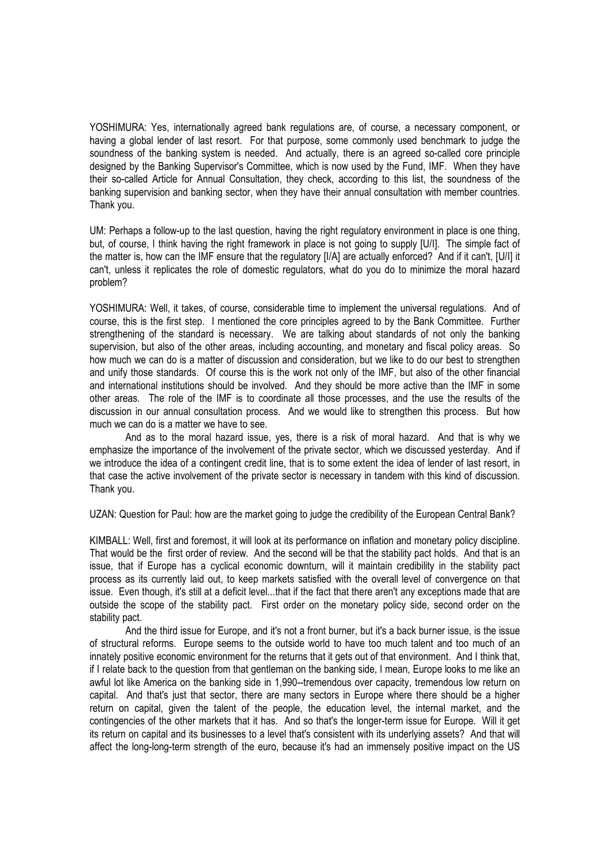YOSHIMURA: Yes, internationally agreed bank regulations are, of course, a necessary component, or having a global lender of last resort. For that purpose, some commonly used benchmark to judge the soundness of the banking system is needed. And actually, there is an agreed so-called core principle designed by the Banking Supervisor's Committee, which is now used by the Fund, IMF. When they have their so-called Article for Annual Consultation, they check, according to this list, the soundness of the banking supervision and banking sector, when they have their annual consultation with member countries. Thank you.

UM: Perhaps a follow-up to the last question, having the right regulatory environment in place is one thing, but, of course, I think having the right framework in place is not going to supply [U/I]. The simple fact of the matter is, how can the IMF ensure that the regulatory [I/A] are actually enforced? And if it can't, [U/I] it can't, unless it replicates the role of domestic regulators, what do you do to minimize the moral hazard problem?

YOSHIMURA: Well, it takes, of course, considerable time to implement the universal regulations. And of course, this is the first step. I mentioned the core principles agreed to by the Bank Committee. Further strengthening of the standard is necessary. We are talking about standards of not only the banking supervision, but also of the other areas, including accounting, and monetary and fiscal policy areas. So how much we can do is a matter of discussion and consideration, but we like to do our best to strengthen and unify those standards. Of course this is the work not only of the IMF, but also of the other financial and international institutions should be involved. And they should be more active than the IMF in some other areas. The role of the IMF is to coordinate all those processes, and the use the results of the discussion in our annual consultation process. And we would like to strengthen this process. But how much we can do is a matter we have to see.

 And as to the moral hazard issue, yes, there is a risk of moral hazard. And that is why we emphasize the importance of the involvement of the private sector, which we discussed yesterday. And if we introduce the idea of a contingent credit line, that is to some extent the idea of lender of last resort, in that case the active involvement of the private sector is necessary in tandem with this kind of discussion. Thank you.

UZAN: Question for Paul: how are the market going to judge the credibility of the European Central Bank?

KIMBALL: Well, first and foremost, it will look at its performance on inflation and monetary policy discipline. That would be the first order of review. And the second will be that the stability pact holds. And that is an issue, that if Europe has a cyclical economic downturn, will it maintain credibility in the stability pact process as its currently laid out, to keep markets satisfied with the overall level of convergence on that issue. Even though, it's still at a deficit level...that if the fact that there aren't any exceptions made that are outside the scope of the stability pact. First order on the monetary policy side, second order on the stability pact.

 And the third issue for Europe, and it's not a front burner, but it's a back burner issue, is the issue of structural reforms. Europe seems to the outside world to have too much talent and too much of an innately positive economic environment for the returns that it gets out of that environment. And I think that, if I relate back to the question from that gentleman on the banking side, I mean, Europe looks to me like an awful lot like America on the banking side in 1,990--tremendous over capacity, tremendous low return on capital. And that's just that sector, there are many sectors in Europe where there should be a higher return on capital, given the talent of the people, the education level, the internal market, and the contingencies of the other markets that it has. And so that's the longer-term issue for Europe. Will it get its return on capital and its businesses to a level that's consistent with its underlying assets? And that will affect the long-long-term strength of the euro, because it's had an immensely positive impact on the US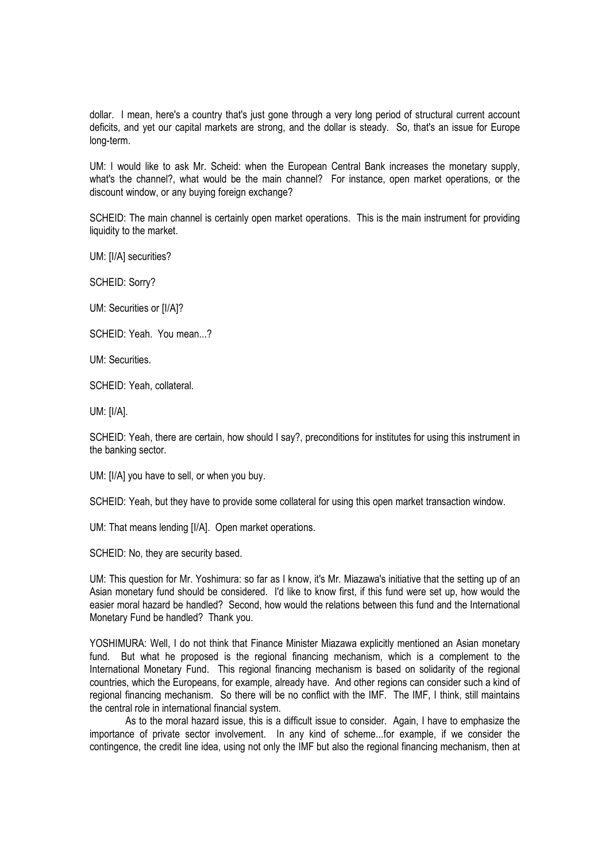dollar. I mean, here's a country that's just gone through a very long period of structural current account deficits, and yet our capital markets are strong, and the dollar is steady. So, that's an issue for Europe long-term.

UM: I would like to ask Mr. Scheid: when the European Central Bank increases the monetary supply, what's the channel?, what would be the main channel? For instance, open market operations, or the discount window, or any buying foreign exchange?

SCHEID: The main channel is certainly open market operations. This is the main instrument for providing liquidity to the market.

UM: [I/A] securities?

SCHEID: Sorry?

UM: Securities or [I/A]?

SCHEID: Yeah. You mean...?

UM: Securities.

SCHEID: Yeah, collateral.

UM: [I/A].

SCHEID: Yeah, there are certain, how should I say?, preconditions for institutes for using this instrument in the banking sector.

UM: [I/A] you have to sell, or when you buy.

SCHEID: Yeah, but they have to provide some collateral for using this open market transaction window.

UM: That means lending [I/A]. Open market operations.

SCHEID: No, they are security based.

UM: This question for Mr. Yoshimura: so far as I know, it's Mr. Miazawa's initiative that the setting up of an Asian monetary fund should be considered. I'd like to know first, if this fund were set up, how would the easier moral hazard be handled? Second, how would the relations between this fund and the International Monetary Fund be handled? Thank you.

YOSHIMURA: Well, I do not think that Finance Minister Miazawa explicitly mentioned an Asian monetary fund. But what he proposed is the regional financing mechanism, which is a complement to the International Monetary Fund. This regional financing mechanism is based on solidarity of the regional countries, which the Europeans, for example, already have. And other regions can consider such a kind of regional financing mechanism. So there will be no conflict with the IMF. The IMF, I think, still maintains the central role in international financial system.

 As to the moral hazard issue, this is a difficult issue to consider. Again, I have to emphasize the importance of private sector involvement. In any kind of scheme...for example, if we consider the contingence, the credit line idea, using not only the IMF but also the regional financing mechanism, then at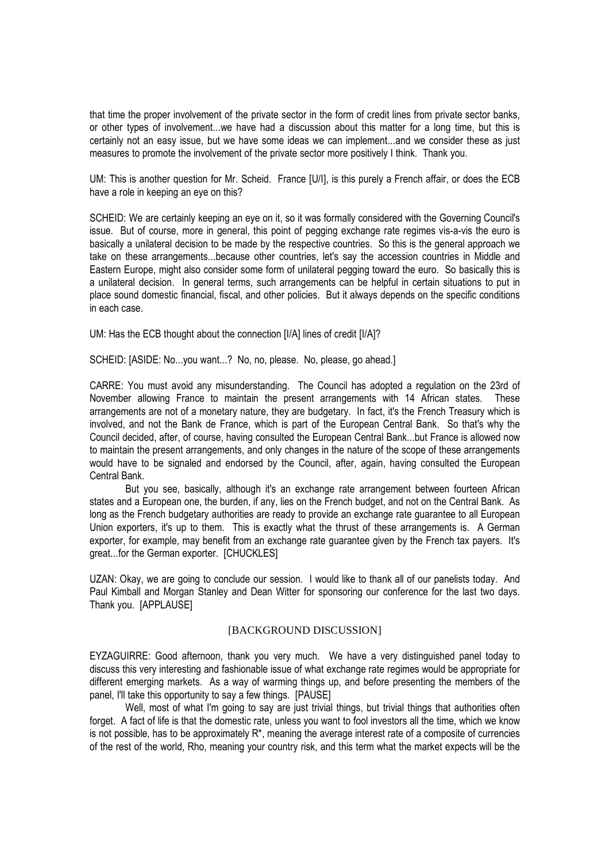that time the proper involvement of the private sector in the form of credit lines from private sector banks, or other types of involvement...we have had a discussion about this matter for a long time, but this is certainly not an easy issue, but we have some ideas we can implement...and we consider these as just measures to promote the involvement of the private sector more positively I think. Thank you.

UM: This is another question for Mr. Scheid. France [U/I], is this purely a French affair, or does the ECB have a role in keeping an eye on this?

SCHEID: We are certainly keeping an eye on it, so it was formally considered with the Governing Council's issue. But of course, more in general, this point of pegging exchange rate regimes vis-a-vis the euro is basically a unilateral decision to be made by the respective countries. So this is the general approach we take on these arrangements...because other countries, let's say the accession countries in Middle and Eastern Europe, might also consider some form of unilateral pegging toward the euro. So basically this is a unilateral decision. In general terms, such arrangements can be helpful in certain situations to put in place sound domestic financial, fiscal, and other policies. But it always depends on the specific conditions in each case.

UM: Has the ECB thought about the connection [I/A] lines of credit [I/A]?

SCHEID: [ASIDE: No...you want...? No, no, please. No, please, go ahead.]

CARRE: You must avoid any misunderstanding. The Council has adopted a regulation on the 23rd of November allowing France to maintain the present arrangements with 14 African states. These arrangements are not of a monetary nature, they are budgetary. In fact, it's the French Treasury which is involved, and not the Bank de France, which is part of the European Central Bank. So that's why the Council decided, after, of course, having consulted the European Central Bank...but France is allowed now to maintain the present arrangements, and only changes in the nature of the scope of these arrangements would have to be signaled and endorsed by the Council, after, again, having consulted the European Central Bank.

 But you see, basically, although it's an exchange rate arrangement between fourteen African states and a European one, the burden, if any, lies on the French budget, and not on the Central Bank. As long as the French budgetary authorities are ready to provide an exchange rate guarantee to all European Union exporters, it's up to them. This is exactly what the thrust of these arrangements is. A German exporter, for example, may benefit from an exchange rate guarantee given by the French tax payers. It's great...for the German exporter. [CHUCKLES]

UZAN: Okay, we are going to conclude our session. I would like to thank all of our panelists today. And Paul Kimball and Morgan Stanley and Dean Witter for sponsoring our conference for the last two days. Thank you. [APPLAUSE]

## [BACKGROUND DISCUSSION]

EYZAGUIRRE: Good afternoon, thank you very much. We have a very distinguished panel today to discuss this very interesting and fashionable issue of what exchange rate regimes would be appropriate for different emerging markets. As a way of warming things up, and before presenting the members of the panel, I'll take this opportunity to say a few things. [PAUSE]

Well, most of what I'm going to say are just trivial things, but trivial things that authorities often forget. A fact of life is that the domestic rate, unless you want to fool investors all the time, which we know is not possible, has to be approximately R\*, meaning the average interest rate of a composite of currencies of the rest of the world, Rho, meaning your country risk, and this term what the market expects will be the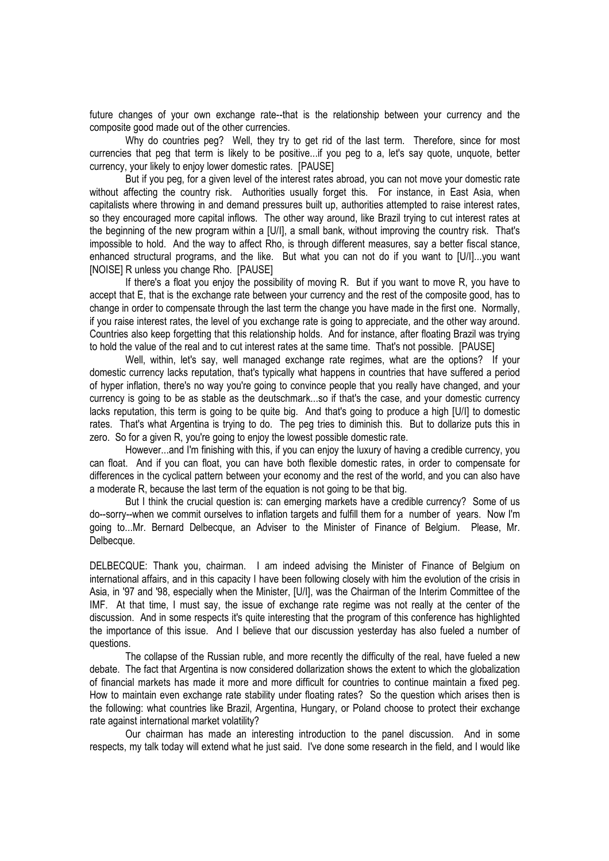future changes of your own exchange rate--that is the relationship between your currency and the composite good made out of the other currencies.

 Why do countries peg? Well, they try to get rid of the last term. Therefore, since for most currencies that peg that term is likely to be positive...if you peg to a, let's say quote, unquote, better currency, your likely to enjoy lower domestic rates. [PAUSE]

 But if you peg, for a given level of the interest rates abroad, you can not move your domestic rate without affecting the country risk. Authorities usually forget this. For instance, in East Asia, when capitalists where throwing in and demand pressures built up, authorities attempted to raise interest rates, so they encouraged more capital inflows. The other way around, like Brazil trying to cut interest rates at the beginning of the new program within a [U/I], a small bank, without improving the country risk. That's impossible to hold. And the way to affect Rho, is through different measures, say a better fiscal stance, enhanced structural programs, and the like. But what you can not do if you want to [U/I]...you want [NOISE] R unless you change Rho. [PAUSE]

 If there's a float you enjoy the possibility of moving R. But if you want to move R, you have to accept that E, that is the exchange rate between your currency and the rest of the composite good, has to change in order to compensate through the last term the change you have made in the first one. Normally, if you raise interest rates, the level of you exchange rate is going to appreciate, and the other way around. Countries also keep forgetting that this relationship holds. And for instance, after floating Brazil was trying to hold the value of the real and to cut interest rates at the same time. That's not possible. [PAUSE]

 Well, within, let's say, well managed exchange rate regimes, what are the options? If your domestic currency lacks reputation, that's typically what happens in countries that have suffered a period of hyper inflation, there's no way you're going to convince people that you really have changed, and your currency is going to be as stable as the deutschmark...so if that's the case, and your domestic currency lacks reputation, this term is going to be quite big. And that's going to produce a high [U/I] to domestic rates. That's what Argentina is trying to do. The peg tries to diminish this. But to dollarize puts this in zero. So for a given R, you're going to enjoy the lowest possible domestic rate.

 However...and I'm finishing with this, if you can enjoy the luxury of having a credible currency, you can float. And if you can float, you can have both flexible domestic rates, in order to compensate for differences in the cyclical pattern between your economy and the rest of the world, and you can also have a moderate R, because the last term of the equation is not going to be that big.

 But I think the crucial question is: can emerging markets have a credible currency? Some of us do--sorry--when we commit ourselves to inflation targets and fulfill them for a number of years. Now I'm going to...Mr. Bernard Delbecque, an Adviser to the Minister of Finance of Belgium. Please, Mr. Delbecque.

DELBECQUE: Thank you, chairman. I am indeed advising the Minister of Finance of Belgium on international affairs, and in this capacity I have been following closely with him the evolution of the crisis in Asia, in '97 and '98, especially when the Minister, [U/I], was the Chairman of the Interim Committee of the IMF. At that time, I must say, the issue of exchange rate regime was not really at the center of the discussion. And in some respects it's quite interesting that the program of this conference has highlighted the importance of this issue. And I believe that our discussion yesterday has also fueled a number of questions.

 The collapse of the Russian ruble, and more recently the difficulty of the real, have fueled a new debate. The fact that Argentina is now considered dollarization shows the extent to which the globalization of financial markets has made it more and more difficult for countries to continue maintain a fixed peg. How to maintain even exchange rate stability under floating rates? So the question which arises then is the following: what countries like Brazil, Argentina, Hungary, or Poland choose to protect their exchange rate against international market volatility?

 Our chairman has made an interesting introduction to the panel discussion. And in some respects, my talk today will extend what he just said. I've done some research in the field, and I would like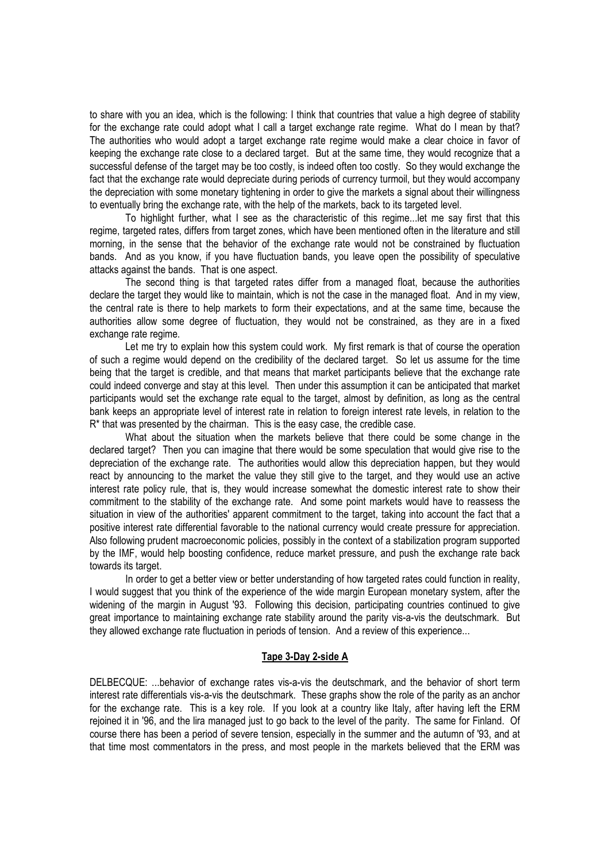to share with you an idea, which is the following: I think that countries that value a high degree of stability for the exchange rate could adopt what I call a target exchange rate regime. What do I mean by that? The authorities who would adopt a target exchange rate regime would make a clear choice in favor of keeping the exchange rate close to a declared target. But at the same time, they would recognize that a successful defense of the target may be too costly, is indeed often too costly. So they would exchange the fact that the exchange rate would depreciate during periods of currency turmoil, but they would accompany the depreciation with some monetary tightening in order to give the markets a signal about their willingness to eventually bring the exchange rate, with the help of the markets, back to its targeted level.

 To highlight further, what I see as the characteristic of this regime...let me say first that this regime, targeted rates, differs from target zones, which have been mentioned often in the literature and still morning, in the sense that the behavior of the exchange rate would not be constrained by fluctuation bands. And as you know, if you have fluctuation bands, you leave open the possibility of speculative attacks against the bands. That is one aspect.

 The second thing is that targeted rates differ from a managed float, because the authorities declare the target they would like to maintain, which is not the case in the managed float. And in my view, the central rate is there to help markets to form their expectations, and at the same time, because the authorities allow some degree of fluctuation, they would not be constrained, as they are in a fixed exchange rate regime.

 Let me try to explain how this system could work. My first remark is that of course the operation of such a regime would depend on the credibility of the declared target. So let us assume for the time being that the target is credible, and that means that market participants believe that the exchange rate could indeed converge and stay at this level. Then under this assumption it can be anticipated that market participants would set the exchange rate equal to the target, almost by definition, as long as the central bank keeps an appropriate level of interest rate in relation to foreign interest rate levels, in relation to the R\* that was presented by the chairman. This is the easy case, the credible case.

 What about the situation when the markets believe that there could be some change in the declared target? Then you can imagine that there would be some speculation that would give rise to the depreciation of the exchange rate. The authorities would allow this depreciation happen, but they would react by announcing to the market the value they still give to the target, and they would use an active interest rate policy rule, that is, they would increase somewhat the domestic interest rate to show their commitment to the stability of the exchange rate. And some point markets would have to reassess the situation in view of the authorities' apparent commitment to the target, taking into account the fact that a positive interest rate differential favorable to the national currency would create pressure for appreciation. Also following prudent macroeconomic policies, possibly in the context of a stabilization program supported by the IMF, would help boosting confidence, reduce market pressure, and push the exchange rate back towards its target.

 In order to get a better view or better understanding of how targeted rates could function in reality, I would suggest that you think of the experience of the wide margin European monetary system, after the widening of the margin in August '93. Following this decision, participating countries continued to give great importance to maintaining exchange rate stability around the parity vis-a-vis the deutschmark. But they allowed exchange rate fluctuation in periods of tension. And a review of this experience...

#### Tape 3-Day 2-side A

DELBECQUE: ...behavior of exchange rates vis-a-vis the deutschmark, and the behavior of short term interest rate differentials vis-a-vis the deutschmark. These graphs show the role of the parity as an anchor for the exchange rate. This is a key role. If you look at a country like Italy, after having left the ERM rejoined it in '96, and the lira managed just to go back to the level of the parity. The same for Finland. Of course there has been a period of severe tension, especially in the summer and the autumn of '93, and at that time most commentators in the press, and most people in the markets believed that the ERM was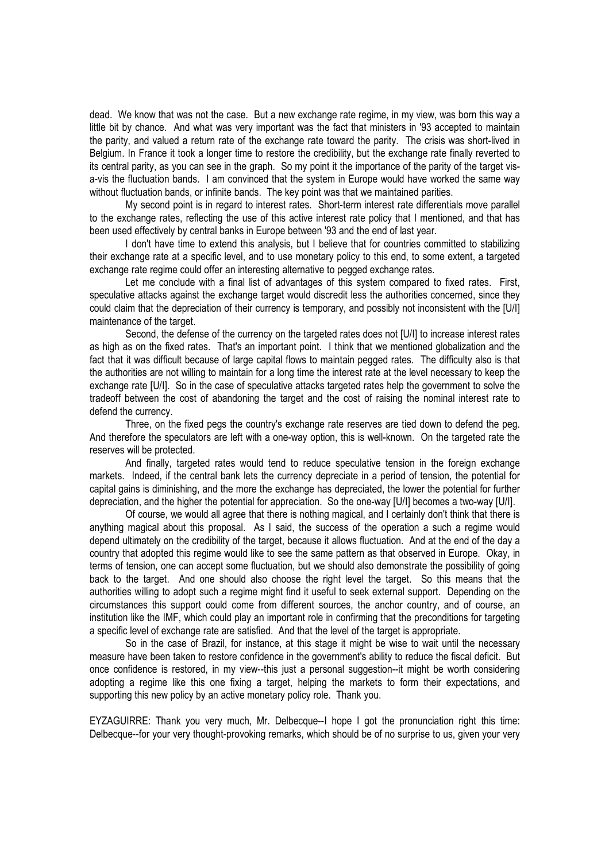dead. We know that was not the case. But a new exchange rate regime, in my view, was born this way a little bit by chance. And what was very important was the fact that ministers in '93 accepted to maintain the parity, and valued a return rate of the exchange rate toward the parity. The crisis was short-lived in Belgium. In France it took a longer time to restore the credibility, but the exchange rate finally reverted to its central parity, as you can see in the graph. So my point it the importance of the parity of the target visa-vis the fluctuation bands. I am convinced that the system in Europe would have worked the same way without fluctuation bands, or infinite bands. The key point was that we maintained parities.

 My second point is in regard to interest rates. Short-term interest rate differentials move parallel to the exchange rates, reflecting the use of this active interest rate policy that I mentioned, and that has been used effectively by central banks in Europe between '93 and the end of last year.

 I don't have time to extend this analysis, but I believe that for countries committed to stabilizing their exchange rate at a specific level, and to use monetary policy to this end, to some extent, a targeted exchange rate regime could offer an interesting alternative to pegged exchange rates.

Let me conclude with a final list of advantages of this system compared to fixed rates. First, speculative attacks against the exchange target would discredit less the authorities concerned, since they could claim that the depreciation of their currency is temporary, and possibly not inconsistent with the [U/I] maintenance of the target.

 Second, the defense of the currency on the targeted rates does not [U/I] to increase interest rates as high as on the fixed rates. That's an important point. I think that we mentioned globalization and the fact that it was difficult because of large capital flows to maintain pegged rates. The difficulty also is that the authorities are not willing to maintain for a long time the interest rate at the level necessary to keep the exchange rate [U/I]. So in the case of speculative attacks targeted rates help the government to solve the tradeoff between the cost of abandoning the target and the cost of raising the nominal interest rate to defend the currency.

 Three, on the fixed pegs the country's exchange rate reserves are tied down to defend the peg. And therefore the speculators are left with a one-way option, this is well-known. On the targeted rate the reserves will be protected.

 And finally, targeted rates would tend to reduce speculative tension in the foreign exchange markets. Indeed, if the central bank lets the currency depreciate in a period of tension, the potential for capital gains is diminishing, and the more the exchange has depreciated, the lower the potential for further depreciation, and the higher the potential for appreciation. So the one-way [U/I] becomes a two-way [U/I].

 Of course, we would all agree that there is nothing magical, and I certainly don't think that there is anything magical about this proposal. As I said, the success of the operation a such a regime would depend ultimately on the credibility of the target, because it allows fluctuation. And at the end of the day a country that adopted this regime would like to see the same pattern as that observed in Europe. Okay, in terms of tension, one can accept some fluctuation, but we should also demonstrate the possibility of going back to the target. And one should also choose the right level the target. So this means that the authorities willing to adopt such a regime might find it useful to seek external support. Depending on the circumstances this support could come from different sources, the anchor country, and of course, an institution like the IMF, which could play an important role in confirming that the preconditions for targeting a specific level of exchange rate are satisfied. And that the level of the target is appropriate.

 So in the case of Brazil, for instance, at this stage it might be wise to wait until the necessary measure have been taken to restore confidence in the government's ability to reduce the fiscal deficit. But once confidence is restored, in my view--this just a personal suggestion--it might be worth considering adopting a regime like this one fixing a target, helping the markets to form their expectations, and supporting this new policy by an active monetary policy role. Thank you.

EYZAGUIRRE: Thank you very much, Mr. Delbecque--I hope I got the pronunciation right this time: Delbecque--for your very thought-provoking remarks, which should be of no surprise to us, given your very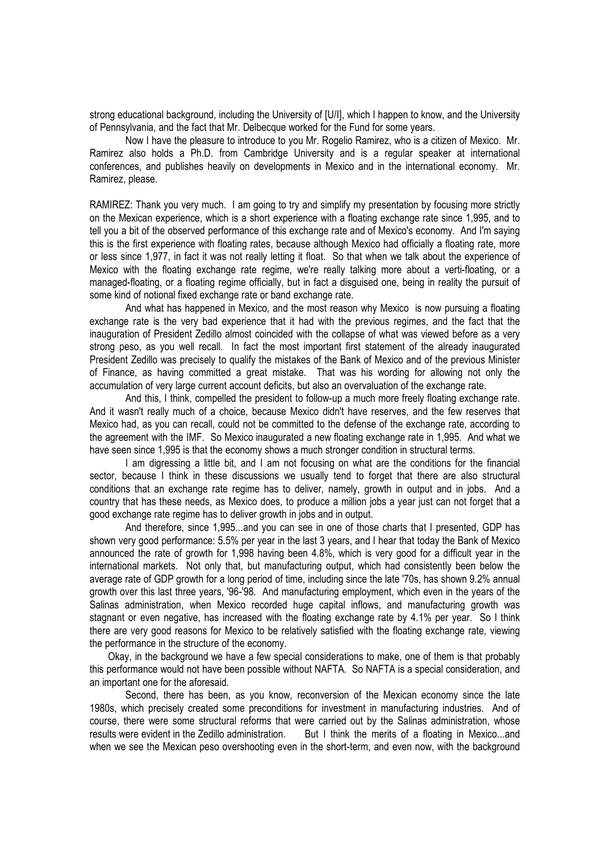strong educational background, including the University of [U/I], which I happen to know, and the University of Pennsylvania, and the fact that Mr. Delbecque worked for the Fund for some years.

 Now I have the pleasure to introduce to you Mr. Rogelio Ramirez, who is a citizen of Mexico. Mr. Ramirez also holds a Ph.D. from Cambridge University and is a regular speaker at international conferences, and publishes heavily on developments in Mexico and in the international economy. Mr. Ramirez, please.

RAMIREZ: Thank you very much. I am going to try and simplify my presentation by focusing more strictly on the Mexican experience, which is a short experience with a floating exchange rate since 1,995, and to tell you a bit of the observed performance of this exchange rate and of Mexico's economy. And I'm saying this is the first experience with floating rates, because although Mexico had officially a floating rate, more or less since 1,977, in fact it was not really letting it float. So that when we talk about the experience of Mexico with the floating exchange rate regime, we're really talking more about a verti-floating, or a managed-floating, or a floating regime officially, but in fact a disguised one, being in reality the pursuit of some kind of notional fixed exchange rate or band exchange rate.

 And what has happened in Mexico, and the most reason why Mexico is now pursuing a floating exchange rate is the very bad experience that it had with the previous regimes, and the fact that the inauguration of President Zedillo almost coincided with the collapse of what was viewed before as a very strong peso, as you well recall. In fact the most important first statement of the already inaugurated President Zedillo was precisely to qualify the mistakes of the Bank of Mexico and of the previous Minister of Finance, as having committed a great mistake. That was his wording for allowing not only the accumulation of very large current account deficits, but also an overvaluation of the exchange rate.

 And this, I think, compelled the president to follow-up a much more freely floating exchange rate. And it wasn't really much of a choice, because Mexico didn't have reserves, and the few reserves that Mexico had, as you can recall, could not be committed to the defense of the exchange rate, according to the agreement with the IMF. So Mexico inaugurated a new floating exchange rate in 1,995. And what we have seen since 1,995 is that the economy shows a much stronger condition in structural terms.

 I am digressing a little bit, and I am not focusing on what are the conditions for the financial sector, because I think in these discussions we usually tend to forget that there are also structural conditions that an exchange rate regime has to deliver, namely, growth in output and in jobs. And a country that has these needs, as Mexico does, to produce a million jobs a year just can not forget that a good exchange rate regime has to deliver growth in jobs and in output.

 And therefore, since 1,995...and you can see in one of those charts that I presented, GDP has shown very good performance: 5.5% per year in the last 3 years, and I hear that today the Bank of Mexico announced the rate of growth for 1,998 having been 4.8%, which is very good for a difficult year in the international markets. Not only that, but manufacturing output, which had consistently been below the average rate of GDP growth for a long period of time, including since the late '70s, has shown 9.2% annual growth over this last three years, '96-'98. And manufacturing employment, which even in the years of the Salinas administration, when Mexico recorded huge capital inflows, and manufacturing growth was stagnant or even negative, has increased with the floating exchange rate by 4.1% per year. So I think there are very good reasons for Mexico to be relatively satisfied with the floating exchange rate, viewing the performance in the structure of the economy.

 Okay, in the background we have a few special considerations to make, one of them is that probably this performance would not have been possible without NAFTA. So NAFTA is a special consideration, and an important one for the aforesaid.

 Second, there has been, as you know, reconversion of the Mexican economy since the late 1980s, which precisely created some preconditions for investment in manufacturing industries. And of course, there were some structural reforms that were carried out by the Salinas administration, whose results were evident in the Zedillo administration. But I think the merits of a floating in Mexico...and when we see the Mexican peso overshooting even in the short-term, and even now, with the background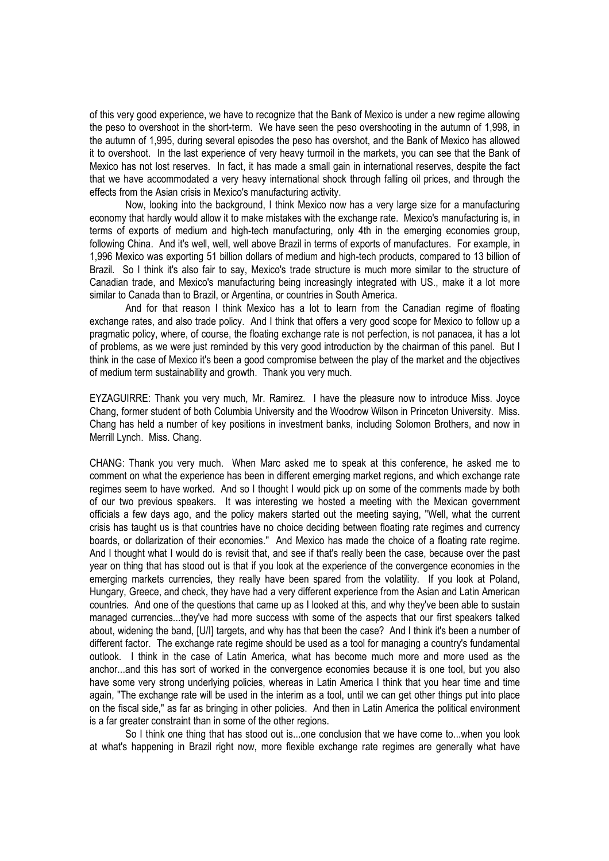of this very good experience, we have to recognize that the Bank of Mexico is under a new regime allowing the peso to overshoot in the short-term. We have seen the peso overshooting in the autumn of 1,998, in the autumn of 1,995, during several episodes the peso has overshot, and the Bank of Mexico has allowed it to overshoot. In the last experience of very heavy turmoil in the markets, you can see that the Bank of Mexico has not lost reserves. In fact, it has made a small gain in international reserves, despite the fact that we have accommodated a very heavy international shock through falling oil prices, and through the effects from the Asian crisis in Mexico's manufacturing activity.

 Now, looking into the background, I think Mexico now has a very large size for a manufacturing economy that hardly would allow it to make mistakes with the exchange rate. Mexico's manufacturing is, in terms of exports of medium and high-tech manufacturing, only 4th in the emerging economies group, following China. And it's well, well, well above Brazil in terms of exports of manufactures. For example, in 1,996 Mexico was exporting 51 billion dollars of medium and high-tech products, compared to 13 billion of Brazil. So I think it's also fair to say, Mexico's trade structure is much more similar to the structure of Canadian trade, and Mexico's manufacturing being increasingly integrated with US., make it a lot more similar to Canada than to Brazil, or Argentina, or countries in South America.

 And for that reason I think Mexico has a lot to learn from the Canadian regime of floating exchange rates, and also trade policy. And I think that offers a very good scope for Mexico to follow up a pragmatic policy, where, of course, the floating exchange rate is not perfection, is not panacea, it has a lot of problems, as we were just reminded by this very good introduction by the chairman of this panel. But I think in the case of Mexico it's been a good compromise between the play of the market and the objectives of medium term sustainability and growth. Thank you very much.

EYZAGUIRRE: Thank you very much, Mr. Ramirez. I have the pleasure now to introduce Miss. Joyce Chang, former student of both Columbia University and the Woodrow Wilson in Princeton University. Miss. Chang has held a number of key positions in investment banks, including Solomon Brothers, and now in Merrill Lynch. Miss. Chang.

CHANG: Thank you very much. When Marc asked me to speak at this conference, he asked me to comment on what the experience has been in different emerging market regions, and which exchange rate regimes seem to have worked. And so I thought I would pick up on some of the comments made by both of our two previous speakers. It was interesting we hosted a meeting with the Mexican government officials a few days ago, and the policy makers started out the meeting saying, "Well, what the current crisis has taught us is that countries have no choice deciding between floating rate regimes and currency boards, or dollarization of their economies." And Mexico has made the choice of a floating rate regime. And I thought what I would do is revisit that, and see if that's really been the case, because over the past year on thing that has stood out is that if you look at the experience of the convergence economies in the emerging markets currencies, they really have been spared from the volatility. If you look at Poland, Hungary, Greece, and check, they have had a very different experience from the Asian and Latin American countries. And one of the questions that came up as I looked at this, and why they've been able to sustain managed currencies...they've had more success with some of the aspects that our first speakers talked about, widening the band, [U/I] targets, and why has that been the case? And I think it's been a number of different factor. The exchange rate regime should be used as a tool for managing a country's fundamental outlook. I think in the case of Latin America, what has become much more and more used as the anchor...and this has sort of worked in the convergence economies because it is one tool, but you also have some very strong underlying policies, whereas in Latin America I think that you hear time and time again, "The exchange rate will be used in the interim as a tool, until we can get other things put into place on the fiscal side," as far as bringing in other policies. And then in Latin America the political environment is a far greater constraint than in some of the other regions.

 So I think one thing that has stood out is...one conclusion that we have come to...when you look at what's happening in Brazil right now, more flexible exchange rate regimes are generally what have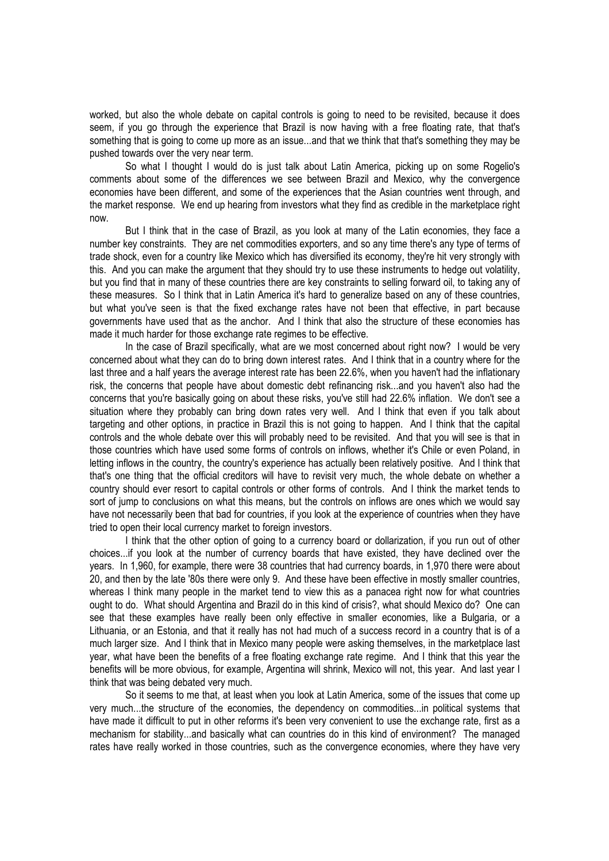worked, but also the whole debate on capital controls is going to need to be revisited, because it does seem, if you go through the experience that Brazil is now having with a free floating rate, that that's something that is going to come up more as an issue...and that we think that that's something they may be pushed towards over the very near term.

So what I thought I would do is just talk about Latin America, picking up on some Rogelio's comments about some of the differences we see between Brazil and Mexico, why the convergence economies have been different, and some of the experiences that the Asian countries went through, and the market response. We end up hearing from investors what they find as credible in the marketplace right now.

 But I think that in the case of Brazil, as you look at many of the Latin economies, they face a number key constraints. They are net commodities exporters, and so any time there's any type of terms of trade shock, even for a country like Mexico which has diversified its economy, they're hit very strongly with this. And you can make the argument that they should try to use these instruments to hedge out volatility, but you find that in many of these countries there are key constraints to selling forward oil, to taking any of these measures. So I think that in Latin America it's hard to generalize based on any of these countries, but what you've seen is that the fixed exchange rates have not been that effective, in part because governments have used that as the anchor. And I think that also the structure of these economies has made it much harder for those exchange rate regimes to be effective.

 In the case of Brazil specifically, what are we most concerned about right now? I would be very concerned about what they can do to bring down interest rates. And I think that in a country where for the last three and a half years the average interest rate has been 22.6%, when you haven't had the inflationary risk, the concerns that people have about domestic debt refinancing risk...and you haven't also had the concerns that you're basically going on about these risks, you've still had 22.6% inflation. We don't see a situation where they probably can bring down rates very well. And I think that even if you talk about targeting and other options, in practice in Brazil this is not going to happen. And I think that the capital controls and the whole debate over this will probably need to be revisited. And that you will see is that in those countries which have used some forms of controls on inflows, whether it's Chile or even Poland, in letting inflows in the country, the country's experience has actually been relatively positive. And I think that that's one thing that the official creditors will have to revisit very much, the whole debate on whether a country should ever resort to capital controls or other forms of controls. And I think the market tends to sort of jump to conclusions on what this means, but the controls on inflows are ones which we would say have not necessarily been that bad for countries, if you look at the experience of countries when they have tried to open their local currency market to foreign investors.

 I think that the other option of going to a currency board or dollarization, if you run out of other choices...if you look at the number of currency boards that have existed, they have declined over the years. In 1,960, for example, there were 38 countries that had currency boards, in 1,970 there were about 20, and then by the late '80s there were only 9. And these have been effective in mostly smaller countries, whereas I think many people in the market tend to view this as a panacea right now for what countries ought to do. What should Argentina and Brazil do in this kind of crisis?, what should Mexico do? One can see that these examples have really been only effective in smaller economies, like a Bulgaria, or a Lithuania, or an Estonia, and that it really has not had much of a success record in a country that is of a much larger size. And I think that in Mexico many people were asking themselves, in the marketplace last year, what have been the benefits of a free floating exchange rate regime. And I think that this year the benefits will be more obvious, for example, Argentina will shrink, Mexico will not, this year. And last year I think that was being debated very much.

 So it seems to me that, at least when you look at Latin America, some of the issues that come up very much...the structure of the economies, the dependency on commodities...in political systems that have made it difficult to put in other reforms it's been very convenient to use the exchange rate, first as a mechanism for stability...and basically what can countries do in this kind of environment? The managed rates have really worked in those countries, such as the convergence economies, where they have very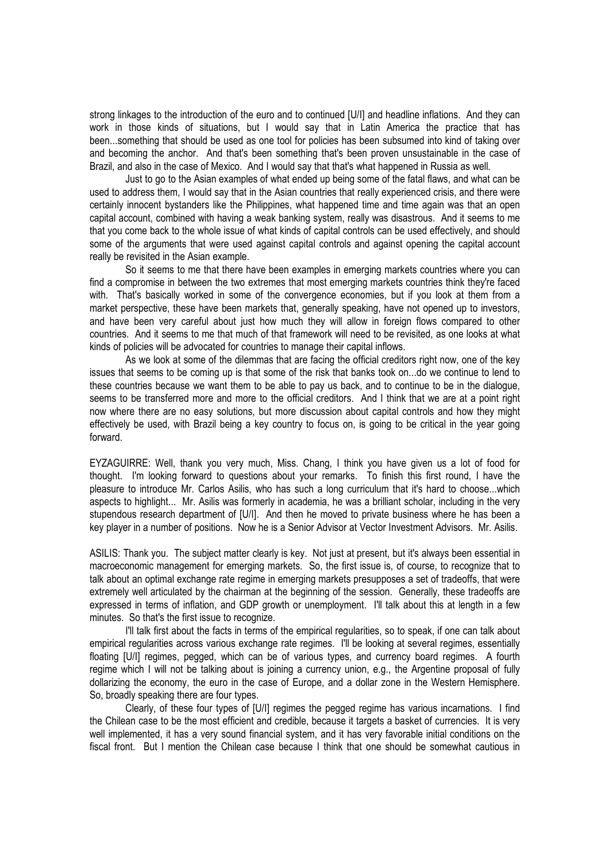strong linkages to the introduction of the euro and to continued [U/I] and headline inflations. And they can work in those kinds of situations, but I would say that in Latin America the practice that has been...something that should be used as one tool for policies has been subsumed into kind of taking over and becoming the anchor. And that's been something that's been proven unsustainable in the case of Brazil, and also in the case of Mexico. And I would say that that's what happened in Russia as well.

 Just to go to the Asian examples of what ended up being some of the fatal flaws, and what can be used to address them, I would say that in the Asian countries that really experienced crisis, and there were certainly innocent bystanders like the Philippines, what happened time and time again was that an open capital account, combined with having a weak banking system, really was disastrous. And it seems to me that you come back to the whole issue of what kinds of capital controls can be used effectively, and should some of the arguments that were used against capital controls and against opening the capital account really be revisited in the Asian example.

 So it seems to me that there have been examples in emerging markets countries where you can find a compromise in between the two extremes that most emerging markets countries think they're faced with. That's basically worked in some of the convergence economies, but if you look at them from a market perspective, these have been markets that, generally speaking, have not opened up to investors, and have been very careful about just how much they will allow in foreign flows compared to other countries. And it seems to me that much of that framework will need to be revisited, as one looks at what kinds of policies will be advocated for countries to manage their capital inflows.

 As we look at some of the dilemmas that are facing the official creditors right now, one of the key issues that seems to be coming up is that some of the risk that banks took on...do we continue to lend to these countries because we want them to be able to pay us back, and to continue to be in the dialogue, seems to be transferred more and more to the official creditors. And I think that we are at a point right now where there are no easy solutions, but more discussion about capital controls and how they might effectively be used, with Brazil being a key country to focus on, is going to be critical in the year going forward.

EYZAGUIRRE: Well, thank you very much, Miss. Chang, I think you have given us a lot of food for thought. I'm looking forward to questions about your remarks. To finish this first round, I have the pleasure to introduce Mr. Carlos Asilis, who has such a long curriculum that it's hard to choose...which aspects to highlight... Mr. Asilis was formerly in academia, he was a brilliant scholar, including in the very stupendous research department of [U/I]. And then he moved to private business where he has been a key player in a number of positions. Now he is a Senior Advisor at Vector Investment Advisors. Mr. Asilis.

ASILIS: Thank you. The subject matter clearly is key. Not just at present, but it's always been essential in macroeconomic management for emerging markets. So, the first issue is, of course, to recognize that to talk about an optimal exchange rate regime in emerging markets presupposes a set of tradeoffs, that were extremely well articulated by the chairman at the beginning of the session. Generally, these tradeoffs are expressed in terms of inflation, and GDP growth or unemployment. I'll talk about this at length in a few minutes. So that's the first issue to recognize.

 I'll talk first about the facts in terms of the empirical regularities, so to speak, if one can talk about empirical regularities across various exchange rate regimes. I'll be looking at several regimes, essentially floating [U/I] regimes, pegged, which can be of various types, and currency board regimes. A fourth regime which I will not be talking about is joining a currency union, e.g., the Argentine proposal of fully dollarizing the economy, the euro in the case of Europe, and a dollar zone in the Western Hemisphere. So, broadly speaking there are four types.

 Clearly, of these four types of [U/I] regimes the pegged regime has various incarnations. I find the Chilean case to be the most efficient and credible, because it targets a basket of currencies. It is very well implemented, it has a very sound financial system, and it has very favorable initial conditions on the fiscal front. But I mention the Chilean case because I think that one should be somewhat cautious in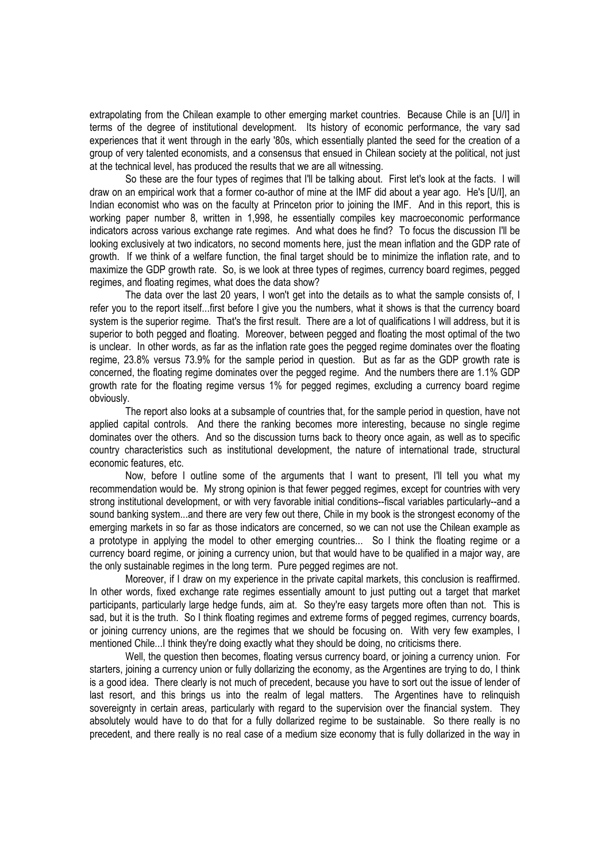extrapolating from the Chilean example to other emerging market countries. Because Chile is an [U/I] in terms of the degree of institutional development. Its history of economic performance, the vary sad experiences that it went through in the early '80s, which essentially planted the seed for the creation of a group of very talented economists, and a consensus that ensued in Chilean society at the political, not just at the technical level, has produced the results that we are all witnessing.

So these are the four types of regimes that I'll be talking about. First let's look at the facts. I will draw on an empirical work that a former co-author of mine at the IMF did about a year ago. He's [U/I], an Indian economist who was on the faculty at Princeton prior to joining the IMF. And in this report, this is working paper number 8, written in 1,998, he essentially compiles key macroeconomic performance indicators across various exchange rate regimes. And what does he find? To focus the discussion I'll be looking exclusively at two indicators, no second moments here, just the mean inflation and the GDP rate of growth. If we think of a welfare function, the final target should be to minimize the inflation rate, and to maximize the GDP growth rate. So, is we look at three types of regimes, currency board regimes, pegged regimes, and floating regimes, what does the data show?

 The data over the last 20 years, I won't get into the details as to what the sample consists of, I refer you to the report itself...first before I give you the numbers, what it shows is that the currency board system is the superior regime. That's the first result. There are a lot of qualifications I will address, but it is superior to both pegged and floating. Moreover, between pegged and floating the most optimal of the two is unclear. In other words, as far as the inflation rate goes the pegged regime dominates over the floating regime, 23.8% versus 73.9% for the sample period in question. But as far as the GDP growth rate is concerned, the floating regime dominates over the pegged regime. And the numbers there are 1.1% GDP growth rate for the floating regime versus 1% for pegged regimes, excluding a currency board regime obviously.

 The report also looks at a subsample of countries that, for the sample period in question, have not applied capital controls. And there the ranking becomes more interesting, because no single regime dominates over the others. And so the discussion turns back to theory once again, as well as to specific country characteristics such as institutional development, the nature of international trade, structural economic features, etc.

 Now, before I outline some of the arguments that I want to present, I'll tell you what my recommendation would be. My strong opinion is that fewer pegged regimes, except for countries with very strong institutional development, or with very favorable initial conditions--fiscal variables particularly--and a sound banking system...and there are very few out there, Chile in my book is the strongest economy of the emerging markets in so far as those indicators are concerned, so we can not use the Chilean example as a prototype in applying the model to other emerging countries... So I think the floating regime or a currency board regime, or joining a currency union, but that would have to be qualified in a major way, are the only sustainable regimes in the long term. Pure pegged regimes are not.

 Moreover, if I draw on my experience in the private capital markets, this conclusion is reaffirmed. In other words, fixed exchange rate regimes essentially amount to just putting out a target that market participants, particularly large hedge funds, aim at. So they're easy targets more often than not. This is sad, but it is the truth. So I think floating regimes and extreme forms of pegged regimes, currency boards, or joining currency unions, are the regimes that we should be focusing on. With very few examples, I mentioned Chile...I think they're doing exactly what they should be doing, no criticisms there.

 Well, the question then becomes, floating versus currency board, or joining a currency union. For starters, joining a currency union or fully dollarizing the economy, as the Argentines are trying to do, I think is a good idea. There clearly is not much of precedent, because you have to sort out the issue of lender of last resort, and this brings us into the realm of legal matters. The Argentines have to relinquish sovereignty in certain areas, particularly with regard to the supervision over the financial system. They absolutely would have to do that for a fully dollarized regime to be sustainable. So there really is no precedent, and there really is no real case of a medium size economy that is fully dollarized in the way in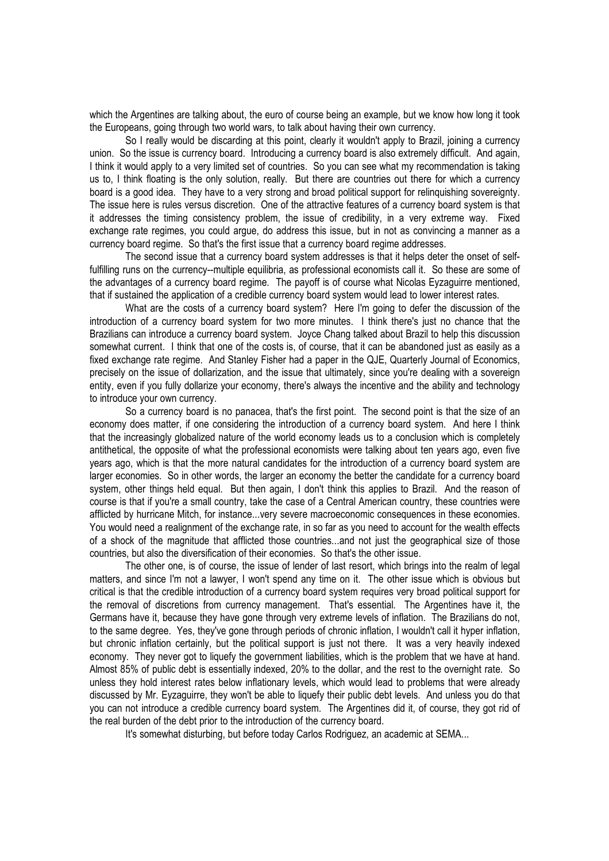which the Argentines are talking about, the euro of course being an example, but we know how long it took the Europeans, going through two world wars, to talk about having their own currency.

 So I really would be discarding at this point, clearly it wouldn't apply to Brazil, joining a currency union. So the issue is currency board. Introducing a currency board is also extremely difficult. And again, I think it would apply to a very limited set of countries. So you can see what my recommendation is taking us to, I think floating is the only solution, really. But there are countries out there for which a currency board is a good idea. They have to a very strong and broad political support for relinquishing sovereignty. The issue here is rules versus discretion. One of the attractive features of a currency board system is that it addresses the timing consistency problem, the issue of credibility, in a very extreme way. Fixed exchange rate regimes, you could argue, do address this issue, but in not as convincing a manner as a currency board regime. So that's the first issue that a currency board regime addresses.

 The second issue that a currency board system addresses is that it helps deter the onset of selffulfilling runs on the currency--multiple equilibria, as professional economists call it. So these are some of the advantages of a currency board regime. The payoff is of course what Nicolas Eyzaguirre mentioned, that if sustained the application of a credible currency board system would lead to lower interest rates.

 What are the costs of a currency board system? Here I'm going to defer the discussion of the introduction of a currency board system for two more minutes. I think there's just no chance that the Brazilians can introduce a currency board system. Joyce Chang talked about Brazil to help this discussion somewhat current. I think that one of the costs is, of course, that it can be abandoned just as easily as a fixed exchange rate regime. And Stanley Fisher had a paper in the QJE, Quarterly Journal of Economics, precisely on the issue of dollarization, and the issue that ultimately, since you're dealing with a sovereign entity, even if you fully dollarize your economy, there's always the incentive and the ability and technology to introduce your own currency.

 So a currency board is no panacea, that's the first point. The second point is that the size of an economy does matter, if one considering the introduction of a currency board system. And here I think that the increasingly globalized nature of the world economy leads us to a conclusion which is completely antithetical, the opposite of what the professional economists were talking about ten years ago, even five years ago, which is that the more natural candidates for the introduction of a currency board system are larger economies. So in other words, the larger an economy the better the candidate for a currency board system, other things held equal. But then again, I don't think this applies to Brazil. And the reason of course is that if you're a small country, take the case of a Central American country, these countries were afflicted by hurricane Mitch, for instance...very severe macroeconomic consequences in these economies. You would need a realignment of the exchange rate, in so far as you need to account for the wealth effects of a shock of the magnitude that afflicted those countries...and not just the geographical size of those countries, but also the diversification of their economies. So that's the other issue.

 The other one, is of course, the issue of lender of last resort, which brings into the realm of legal matters, and since I'm not a lawyer, I won't spend any time on it. The other issue which is obvious but critical is that the credible introduction of a currency board system requires very broad political support for the removal of discretions from currency management. That's essential. The Argentines have it, the Germans have it, because they have gone through very extreme levels of inflation. The Brazilians do not, to the same degree. Yes, they've gone through periods of chronic inflation, I wouldn't call it hyper inflation, but chronic inflation certainly, but the political support is just not there. It was a very heavily indexed economy. They never got to liquefy the government liabilities, which is the problem that we have at hand. Almost 85% of public debt is essentially indexed, 20% to the dollar, and the rest to the overnight rate. So unless they hold interest rates below inflationary levels, which would lead to problems that were already discussed by Mr. Eyzaguirre, they won't be able to liquefy their public debt levels. And unless you do that you can not introduce a credible currency board system. The Argentines did it, of course, they got rid of the real burden of the debt prior to the introduction of the currency board.

It's somewhat disturbing, but before today Carlos Rodriguez, an academic at SEMA...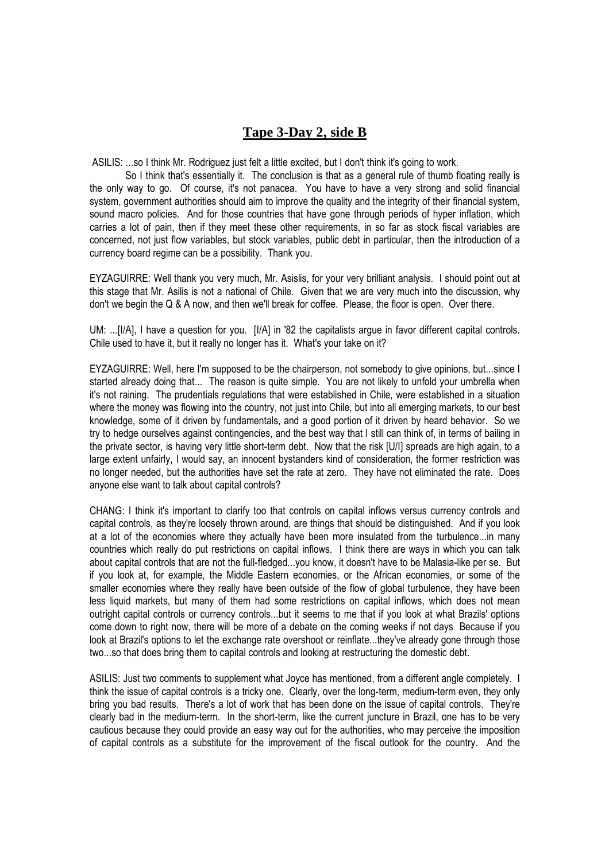# **Tape 3-Day 2, side B**

ASILIS: ...so I think Mr. Rodriguez just felt a little excited, but I don't think it's going to work.

 So I think that's essentially it. The conclusion is that as a general rule of thumb floating really is the only way to go. Of course, it's not panacea. You have to have a very strong and solid financial system, government authorities should aim to improve the quality and the integrity of their financial system, sound macro policies. And for those countries that have gone through periods of hyper inflation, which carries a lot of pain, then if they meet these other requirements, in so far as stock fiscal variables are concerned, not just flow variables, but stock variables, public debt in particular, then the introduction of a currency board regime can be a possibility. Thank you.

EYZAGUIRRE: Well thank you very much, Mr. Asislis, for your very brilliant analysis. I should point out at this stage that Mr. Asilis is not a national of Chile. Given that we are very much into the discussion, why don't we begin the Q & A now, and then we'll break for coffee. Please, the floor is open. Over there.

UM: ...[I/A], I have a question for you. [I/A] in '82 the capitalists argue in favor different capital controls. Chile used to have it, but it really no longer has it. What's your take on it?

EYZAGUIRRE: Well, here I'm supposed to be the chairperson, not somebody to give opinions, but...since I started already doing that... The reason is quite simple. You are not likely to unfold your umbrella when it's not raining. The prudentials regulations that were established in Chile, were established in a situation where the money was flowing into the country, not just into Chile, but into all emerging markets, to our best knowledge, some of it driven by fundamentals, and a good portion of it driven by heard behavior. So we try to hedge ourselves against contingencies, and the best way that I still can think of, in terms of bailing in the private sector, is having very little short-term debt. Now that the risk [U/I] spreads are high again, to a large extent unfairly, I would say, an innocent bystanders kind of consideration, the former restriction was no longer needed, but the authorities have set the rate at zero. They have not eliminated the rate. Does anyone else want to talk about capital controls?

CHANG: I think it's important to clarify too that controls on capital inflows versus currency controls and capital controls, as they're loosely thrown around, are things that should be distinguished. And if you look at a lot of the economies where they actually have been more insulated from the turbulence...in many countries which really do put restrictions on capital inflows. I think there are ways in which you can talk about capital controls that are not the full-fledged...you know, it doesn't have to be Malasia-like per se. But if you look at, for example, the Middle Eastern economies, or the African economies, or some of the smaller economies where they really have been outside of the flow of global turbulence, they have been less liquid markets, but many of them had some restrictions on capital inflows, which does not mean outright capital controls or currency controls...but it seems to me that if you look at what Brazils' options come down to right now, there will be more of a debate on the coming weeks if not days Because if you look at Brazil's options to let the exchange rate overshoot or reinflate...they've already gone through those two...so that does bring them to capital controls and looking at restructuring the domestic debt.

ASILIS: Just two comments to supplement what Joyce has mentioned, from a different angle completely. I think the issue of capital controls is a tricky one. Clearly, over the long-term, medium-term even, they only bring you bad results. There's a lot of work that has been done on the issue of capital controls. They're clearly bad in the medium-term. In the short-term, like the current juncture in Brazil, one has to be very cautious because they could provide an easy way out for the authorities, who may perceive the imposition of capital controls as a substitute for the improvement of the fiscal outlook for the country. And the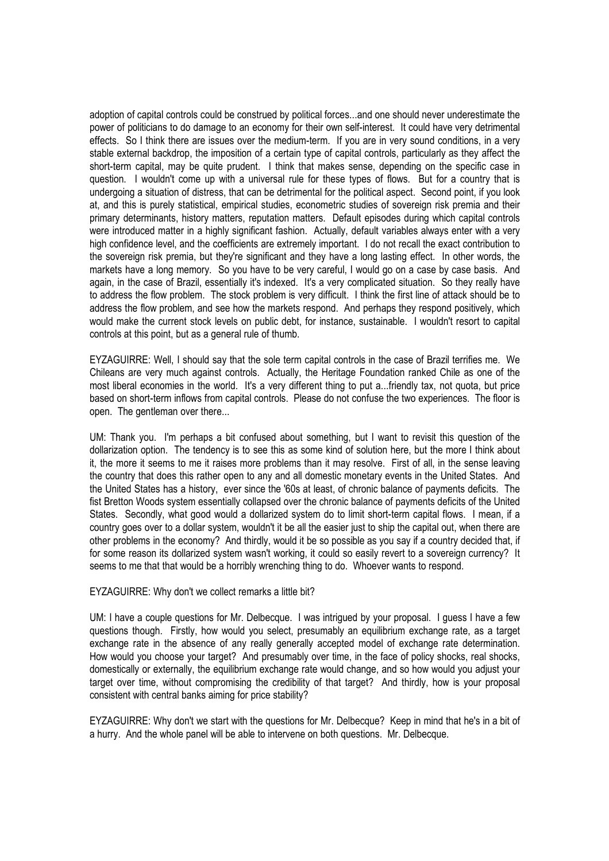adoption of capital controls could be construed by political forces...and one should never underestimate the power of politicians to do damage to an economy for their own self-interest. It could have very detrimental effects. So I think there are issues over the medium-term. If you are in very sound conditions, in a very stable external backdrop, the imposition of a certain type of capital controls, particularly as they affect the short-term capital, may be quite prudent. I think that makes sense, depending on the specific case in question. I wouldn't come up with a universal rule for these types of flows. But for a country that is undergoing a situation of distress, that can be detrimental for the political aspect. Second point, if you look at, and this is purely statistical, empirical studies, econometric studies of sovereign risk premia and their primary determinants, history matters, reputation matters. Default episodes during which capital controls were introduced matter in a highly significant fashion. Actually, default variables always enter with a very high confidence level, and the coefficients are extremely important. I do not recall the exact contribution to the sovereign risk premia, but they're significant and they have a long lasting effect. In other words, the markets have a long memory. So you have to be very careful, I would go on a case by case basis. And again, in the case of Brazil, essentially it's indexed. It's a very complicated situation. So they really have to address the flow problem. The stock problem is very difficult. I think the first line of attack should be to address the flow problem, and see how the markets respond. And perhaps they respond positively, which would make the current stock levels on public debt, for instance, sustainable. I wouldn't resort to capital controls at this point, but as a general rule of thumb.

EYZAGUIRRE: Well, I should say that the sole term capital controls in the case of Brazil terrifies me. We Chileans are very much against controls. Actually, the Heritage Foundation ranked Chile as one of the most liberal economies in the world. It's a very different thing to put a...friendly tax, not quota, but price based on short-term inflows from capital controls. Please do not confuse the two experiences. The floor is open. The gentleman over there...

UM: Thank you. I'm perhaps a bit confused about something, but I want to revisit this question of the dollarization option. The tendency is to see this as some kind of solution here, but the more I think about it, the more it seems to me it raises more problems than it may resolve. First of all, in the sense leaving the country that does this rather open to any and all domestic monetary events in the United States. And the United States has a history, ever since the '60s at least, of chronic balance of payments deficits. The fist Bretton Woods system essentially collapsed over the chronic balance of payments deficits of the United States. Secondly, what good would a dollarized system do to limit short-term capital flows. I mean, if a country goes over to a dollar system, wouldn't it be all the easier just to ship the capital out, when there are other problems in the economy? And thirdly, would it be so possible as you say if a country decided that, if for some reason its dollarized system wasn't working, it could so easily revert to a sovereign currency? It seems to me that that would be a horribly wrenching thing to do. Whoever wants to respond.

#### EYZAGUIRRE: Why don't we collect remarks a little bit?

UM: I have a couple questions for Mr. Delbecque. I was intrigued by your proposal. I guess I have a few questions though. Firstly, how would you select, presumably an equilibrium exchange rate, as a target exchange rate in the absence of any really generally accepted model of exchange rate determination. How would you choose your target? And presumably over time, in the face of policy shocks, real shocks, domestically or externally, the equilibrium exchange rate would change, and so how would you adjust your target over time, without compromising the credibility of that target? And thirdly, how is your proposal consistent with central banks aiming for price stability?

EYZAGUIRRE: Why don't we start with the questions for Mr. Delbecque? Keep in mind that he's in a bit of a hurry. And the whole panel will be able to intervene on both questions. Mr. Delbecque.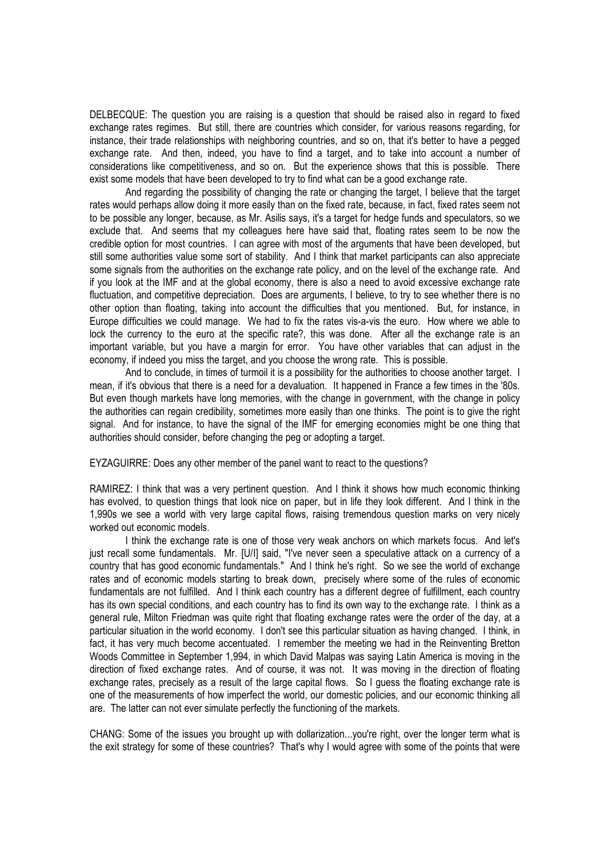DELBECQUE: The question you are raising is a question that should be raised also in regard to fixed exchange rates regimes. But still, there are countries which consider, for various reasons regarding, for instance, their trade relationships with neighboring countries, and so on, that it's better to have a pegged exchange rate. And then, indeed, you have to find a target, and to take into account a number of considerations like competitiveness, and so on. But the experience shows that this is possible. There exist some models that have been developed to try to find what can be a good exchange rate.

 And regarding the possibility of changing the rate or changing the target, I believe that the target rates would perhaps allow doing it more easily than on the fixed rate, because, in fact, fixed rates seem not to be possible any longer, because, as Mr. Asilis says, it's a target for hedge funds and speculators, so we exclude that. And seems that my colleagues here have said that, floating rates seem to be now the credible option for most countries. I can agree with most of the arguments that have been developed, but still some authorities value some sort of stability. And I think that market participants can also appreciate some signals from the authorities on the exchange rate policy, and on the level of the exchange rate. And if you look at the IMF and at the global economy, there is also a need to avoid excessive exchange rate fluctuation, and competitive depreciation. Does are arguments, I believe, to try to see whether there is no other option than floating, taking into account the difficulties that you mentioned. But, for instance, in Europe difficulties we could manage. We had to fix the rates vis-a-vis the euro. How where we able to lock the currency to the euro at the specific rate?, this was done. After all the exchange rate is an important variable, but you have a margin for error. You have other variables that can adjust in the economy, if indeed you miss the target, and you choose the wrong rate. This is possible.

 And to conclude, in times of turmoil it is a possibility for the authorities to choose another target. I mean, if it's obvious that there is a need for a devaluation. It happened in France a few times in the '80s. But even though markets have long memories, with the change in government, with the change in policy the authorities can regain credibility, sometimes more easily than one thinks. The point is to give the right signal. And for instance, to have the signal of the IMF for emerging economies might be one thing that authorities should consider, before changing the peg or adopting a target.

EYZAGUIRRE: Does any other member of the panel want to react to the questions?

RAMIREZ: I think that was a very pertinent question. And I think it shows how much economic thinking has evolved, to question things that look nice on paper, but in life they look different. And I think in the 1,990s we see a world with very large capital flows, raising tremendous question marks on very nicely worked out economic models.

 I think the exchange rate is one of those very weak anchors on which markets focus. And let's just recall some fundamentals. Mr. [U/I] said, "I've never seen a speculative attack on a currency of a country that has good economic fundamentals." And I think he's right. So we see the world of exchange rates and of economic models starting to break down, precisely where some of the rules of economic fundamentals are not fulfilled. And I think each country has a different degree of fulfillment, each country has its own special conditions, and each country has to find its own way to the exchange rate. I think as a general rule, Milton Friedman was quite right that floating exchange rates were the order of the day, at a particular situation in the world economy. I don't see this particular situation as having changed. I think, in fact, it has very much become accentuated. I remember the meeting we had in the Reinventing Bretton Woods Committee in September 1,994, in which David Malpas was saying Latin America is moving in the direction of fixed exchange rates. And of course, it was not. It was moving in the direction of floating exchange rates, precisely as a result of the large capital flows. So I quess the floating exchange rate is one of the measurements of how imperfect the world, our domestic policies, and our economic thinking all are. The latter can not ever simulate perfectly the functioning of the markets.

CHANG: Some of the issues you brought up with dollarization...you're right, over the longer term what is the exit strategy for some of these countries? That's why I would agree with some of the points that were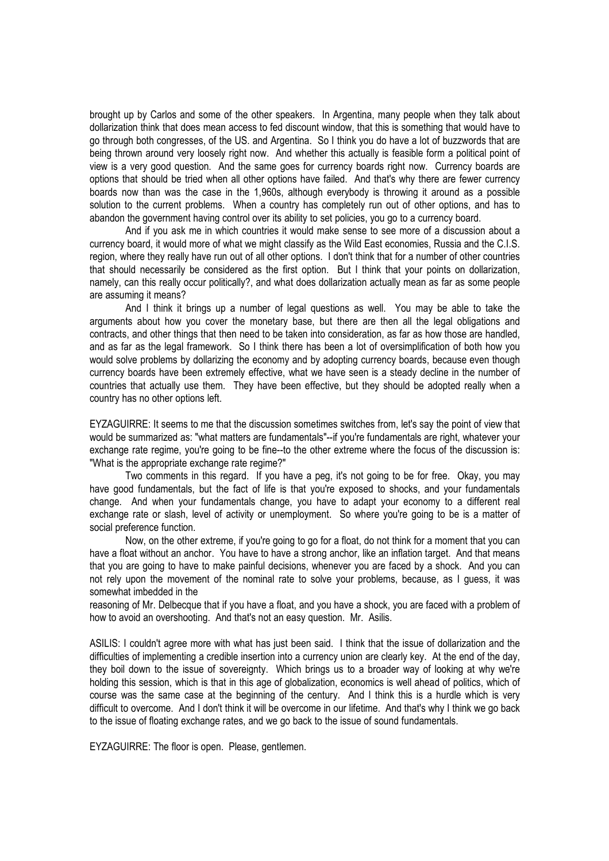brought up by Carlos and some of the other speakers. In Argentina, many people when they talk about dollarization think that does mean access to fed discount window, that this is something that would have to go through both congresses, of the US. and Argentina. So I think you do have a lot of buzzwords that are being thrown around very loosely right now. And whether this actually is feasible form a political point of view is a very good question. And the same goes for currency boards right now. Currency boards are options that should be tried when all other options have failed. And that's why there are fewer currency boards now than was the case in the 1,960s, although everybody is throwing it around as a possible solution to the current problems. When a country has completely run out of other options, and has to abandon the government having control over its ability to set policies, you go to a currency board.

 And if you ask me in which countries it would make sense to see more of a discussion about a currency board, it would more of what we might classify as the Wild East economies, Russia and the C.I.S. region, where they really have run out of all other options. I don't think that for a number of other countries that should necessarily be considered as the first option. But I think that your points on dollarization, namely, can this really occur politically?, and what does dollarization actually mean as far as some people are assuming it means?

 And I think it brings up a number of legal questions as well. You may be able to take the arguments about how you cover the monetary base, but there are then all the legal obligations and contracts, and other things that then need to be taken into consideration, as far as how those are handled, and as far as the legal framework. So I think there has been a lot of oversimplification of both how you would solve problems by dollarizing the economy and by adopting currency boards, because even though currency boards have been extremely effective, what we have seen is a steady decline in the number of countries that actually use them. They have been effective, but they should be adopted really when a country has no other options left.

EYZAGUIRRE: It seems to me that the discussion sometimes switches from, let's say the point of view that would be summarized as: "what matters are fundamentals"--if you're fundamentals are right, whatever your exchange rate regime, you're going to be fine--to the other extreme where the focus of the discussion is: "What is the appropriate exchange rate regime?"

 Two comments in this regard. If you have a peg, it's not going to be for free. Okay, you may have good fundamentals, but the fact of life is that you're exposed to shocks, and your fundamentals change. And when your fundamentals change, you have to adapt your economy to a different real exchange rate or slash, level of activity or unemployment. So where you're going to be is a matter of social preference function.

 Now, on the other extreme, if you're going to go for a float, do not think for a moment that you can have a float without an anchor. You have to have a strong anchor, like an inflation target. And that means that you are going to have to make painful decisions, whenever you are faced by a shock. And you can not rely upon the movement of the nominal rate to solve your problems, because, as I guess, it was somewhat imbedded in the

reasoning of Mr. Delbecque that if you have a float, and you have a shock, you are faced with a problem of how to avoid an overshooting. And that's not an easy question. Mr. Asilis.

ASILIS: I couldn't agree more with what has just been said. I think that the issue of dollarization and the difficulties of implementing a credible insertion into a currency union are clearly key. At the end of the day, they boil down to the issue of sovereignty. Which brings us to a broader way of looking at why we're holding this session, which is that in this age of globalization, economics is well ahead of politics, which of course was the same case at the beginning of the century. And I think this is a hurdle which is very difficult to overcome. And I don't think it will be overcome in our lifetime. And that's why I think we go back to the issue of floating exchange rates, and we go back to the issue of sound fundamentals.

EYZAGUIRRE: The floor is open. Please, gentlemen.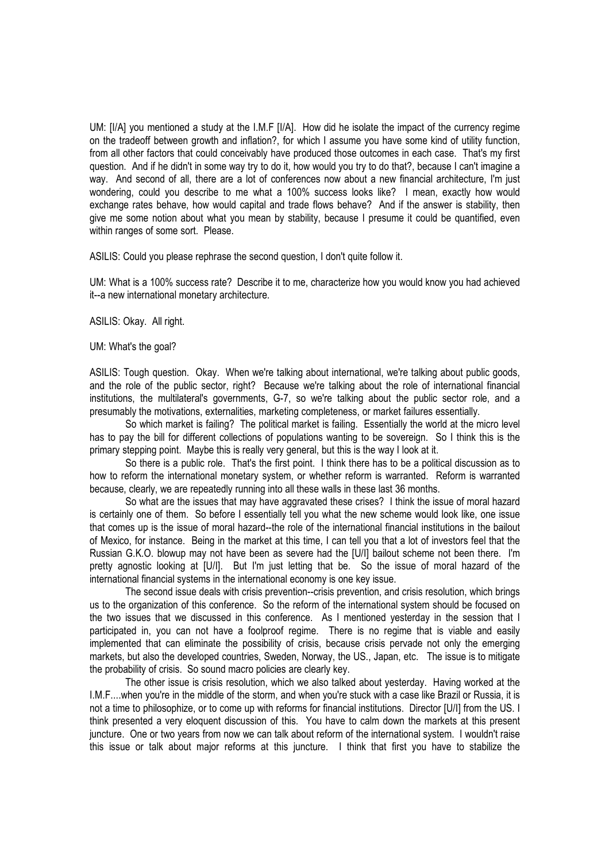UM: [I/A] you mentioned a study at the I.M.F [I/A]. How did he isolate the impact of the currency regime on the tradeoff between growth and inflation?, for which I assume you have some kind of utility function, from all other factors that could conceivably have produced those outcomes in each case. That's my first question. And if he didn't in some way try to do it, how would you try to do that?, because I can't imagine a way. And second of all, there are a lot of conferences now about a new financial architecture, I'm just wondering, could you describe to me what a 100% success looks like? I mean, exactly how would exchange rates behave, how would capital and trade flows behave? And if the answer is stability, then give me some notion about what you mean by stability, because I presume it could be quantified, even within ranges of some sort. Please.

ASILIS: Could you please rephrase the second question, I don't quite follow it.

UM: What is a 100% success rate? Describe it to me, characterize how you would know you had achieved it--a new international monetary architecture.

ASILIS: Okay. All right.

UM: What's the goal?

ASILIS: Tough question. Okay. When we're talking about international, we're talking about public goods, and the role of the public sector, right? Because we're talking about the role of international financial institutions, the multilateral's governments, G-7, so we're talking about the public sector role, and a presumably the motivations, externalities, marketing completeness, or market failures essentially.

 So which market is failing? The political market is failing. Essentially the world at the micro level has to pay the bill for different collections of populations wanting to be sovereign. So I think this is the primary stepping point. Maybe this is really very general, but this is the way I look at it.

 So there is a public role. That's the first point. I think there has to be a political discussion as to how to reform the international monetary system, or whether reform is warranted. Reform is warranted because, clearly, we are repeatedly running into all these walls in these last 36 months.

 So what are the issues that may have aggravated these crises? I think the issue of moral hazard is certainly one of them. So before I essentially tell you what the new scheme would look like, one issue that comes up is the issue of moral hazard--the role of the international financial institutions in the bailout of Mexico, for instance. Being in the market at this time, I can tell you that a lot of investors feel that the Russian G.K.O. blowup may not have been as severe had the [U/I] bailout scheme not been there. I'm pretty agnostic looking at [U/I]. But I'm just letting that be. So the issue of moral hazard of the international financial systems in the international economy is one key issue.

 The second issue deals with crisis prevention--crisis prevention, and crisis resolution, which brings us to the organization of this conference. So the reform of the international system should be focused on the two issues that we discussed in this conference. As I mentioned yesterday in the session that I participated in, you can not have a foolproof regime. There is no regime that is viable and easily implemented that can eliminate the possibility of crisis, because crisis pervade not only the emerging markets, but also the developed countries, Sweden, Norway, the US., Japan, etc. The issue is to mitigate the probability of crisis. So sound macro policies are clearly key.

 The other issue is crisis resolution, which we also talked about yesterday. Having worked at the I.M.F....when you're in the middle of the storm, and when you're stuck with a case like Brazil or Russia, it is not a time to philosophize, or to come up with reforms for financial institutions. Director [U/I] from the US. I think presented a very eloquent discussion of this. You have to calm down the markets at this present juncture. One or two years from now we can talk about reform of the international system. I wouldn't raise this issue or talk about major reforms at this juncture. I think that first you have to stabilize the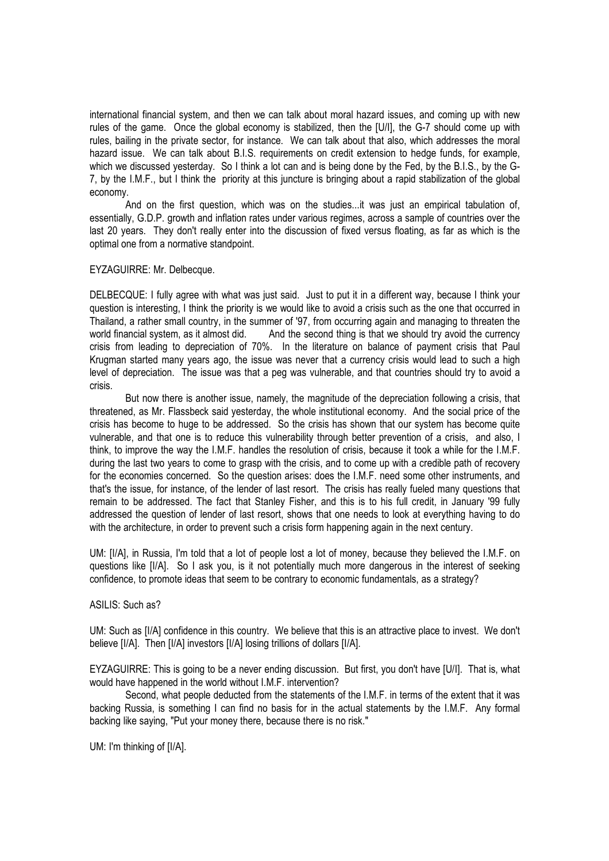international financial system, and then we can talk about moral hazard issues, and coming up with new rules of the game. Once the global economy is stabilized, then the [U/I], the G-7 should come up with rules, bailing in the private sector, for instance. We can talk about that also, which addresses the moral hazard issue. We can talk about B.I.S. requirements on credit extension to hedge funds, for example, which we discussed yesterday. So I think a lot can and is being done by the Fed, by the B.I.S., by the G-7, by the I.M.F., but I think the priority at this juncture is bringing about a rapid stabilization of the global economy.

 And on the first question, which was on the studies...it was just an empirical tabulation of, essentially, G.D.P. growth and inflation rates under various regimes, across a sample of countries over the last 20 years. They don't really enter into the discussion of fixed versus floating, as far as which is the optimal one from a normative standpoint.

#### EYZAGUIRRE: Mr. Delbecque.

DELBECQUE: I fully agree with what was just said. Just to put it in a different way, because I think your question is interesting, I think the priority is we would like to avoid a crisis such as the one that occurred in Thailand, a rather small country, in the summer of '97, from occurring again and managing to threaten the world financial system, as it almost did. And the second thing is that we should try avoid the currency crisis from leading to depreciation of 70%. In the literature on balance of payment crisis that Paul Krugman started many years ago, the issue was never that a currency crisis would lead to such a high level of depreciation. The issue was that a peg was vulnerable, and that countries should try to avoid a crisis.

 But now there is another issue, namely, the magnitude of the depreciation following a crisis, that threatened, as Mr. Flassbeck said yesterday, the whole institutional economy. And the social price of the crisis has become to huge to be addressed. So the crisis has shown that our system has become quite vulnerable, and that one is to reduce this vulnerability through better prevention of a crisis, and also, I think, to improve the way the I.M.F. handles the resolution of crisis, because it took a while for the I.M.F. during the last two years to come to grasp with the crisis, and to come up with a credible path of recovery for the economies concerned. So the question arises: does the I.M.F. need some other instruments, and that's the issue, for instance, of the lender of last resort. The crisis has really fueled many questions that remain to be addressed. The fact that Stanley Fisher, and this is to his full credit, in January '99 fully addressed the question of lender of last resort, shows that one needs to look at everything having to do with the architecture, in order to prevent such a crisis form happening again in the next century.

UM: [I/A], in Russia, I'm told that a lot of people lost a lot of money, because they believed the I.M.F. on questions like [I/A]. So I ask you, is it not potentially much more dangerous in the interest of seeking confidence, to promote ideas that seem to be contrary to economic fundamentals, as a strategy?

#### ASILIS: Such as?

UM: Such as [I/A] confidence in this country. We believe that this is an attractive place to invest. We don't believe [I/A]. Then [I/A] investors [I/A] losing trillions of dollars [I/A].

EYZAGUIRRE: This is going to be a never ending discussion. But first, you don't have [U/I]. That is, what would have happened in the world without I.M.F. intervention?

 Second, what people deducted from the statements of the I.M.F. in terms of the extent that it was backing Russia, is something I can find no basis for in the actual statements by the I.M.F. Any formal backing like saying, "Put your money there, because there is no risk."

UM: I'm thinking of [I/A].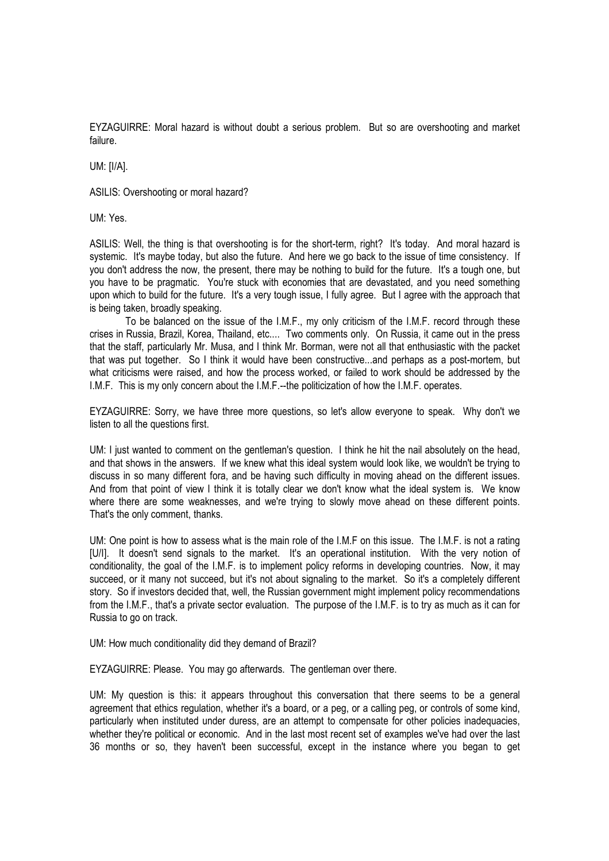EYZAGUIRRE: Moral hazard is without doubt a serious problem. But so are overshooting and market failure.

UM: [I/A].

ASILIS: Overshooting or moral hazard?

UM: Yes.

ASILIS: Well, the thing is that overshooting is for the short-term, right? It's today. And moral hazard is systemic. It's maybe today, but also the future. And here we go back to the issue of time consistency. If you don't address the now, the present, there may be nothing to build for the future. It's a tough one, but you have to be pragmatic. You're stuck with economies that are devastated, and you need something upon which to build for the future. It's a very tough issue, I fully agree. But I agree with the approach that is being taken, broadly speaking.

 To be balanced on the issue of the I.M.F., my only criticism of the I.M.F. record through these crises in Russia, Brazil, Korea, Thailand, etc.... Two comments only. On Russia, it came out in the press that the staff, particularly Mr. Musa, and I think Mr. Borman, were not all that enthusiastic with the packet that was put together. So I think it would have been constructive...and perhaps as a post-mortem, but what criticisms were raised, and how the process worked, or failed to work should be addressed by the I.M.F. This is my only concern about the I.M.F.--the politicization of how the I.M.F. operates.

EYZAGUIRRE: Sorry, we have three more questions, so let's allow everyone to speak. Why don't we listen to all the questions first.

UM: I just wanted to comment on the gentleman's question. I think he hit the nail absolutely on the head, and that shows in the answers. If we knew what this ideal system would look like, we wouldn't be trying to discuss in so many different fora, and be having such difficulty in moving ahead on the different issues. And from that point of view I think it is totally clear we don't know what the ideal system is. We know where there are some weaknesses, and we're trying to slowly move ahead on these different points. That's the only comment, thanks.

UM: One point is how to assess what is the main role of the I.M.F on this issue. The I.M.F. is not a rating [U/I]. It doesn't send signals to the market. It's an operational institution. With the very notion of conditionality, the goal of the I.M.F. is to implement policy reforms in developing countries. Now, it may succeed, or it many not succeed, but it's not about signaling to the market. So it's a completely different story. So if investors decided that, well, the Russian government might implement policy recommendations from the I.M.F., that's a private sector evaluation. The purpose of the I.M.F. is to try as much as it can for Russia to go on track.

UM: How much conditionality did they demand of Brazil?

EYZAGUIRRE: Please. You may go afterwards. The gentleman over there.

UM: My question is this: it appears throughout this conversation that there seems to be a general agreement that ethics regulation, whether it's a board, or a peg, or a calling peg, or controls of some kind, particularly when instituted under duress, are an attempt to compensate for other policies inadequacies, whether they're political or economic. And in the last most recent set of examples we've had over the last 36 months or so, they haven't been successful, except in the instance where you began to get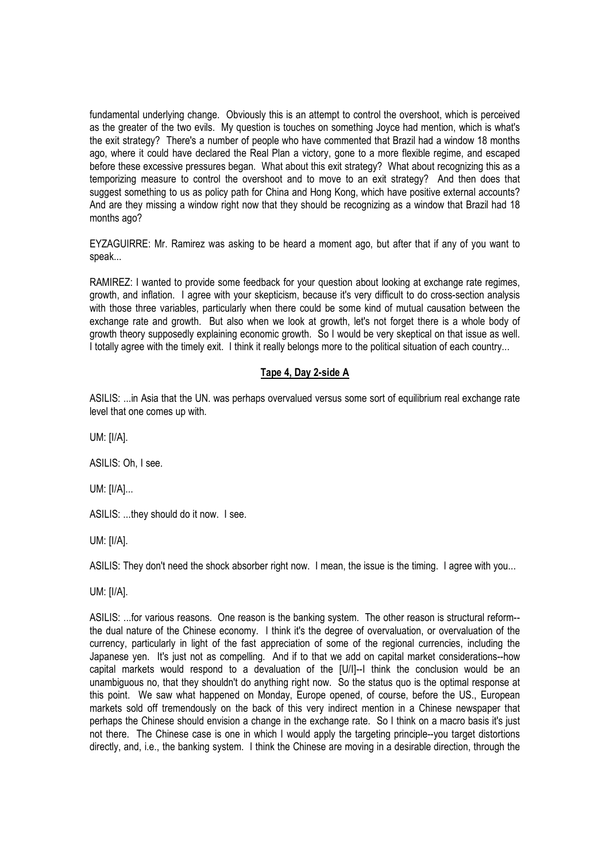fundamental underlying change. Obviously this is an attempt to control the overshoot, which is perceived as the greater of the two evils. My question is touches on something Joyce had mention, which is what's the exit strategy? There's a number of people who have commented that Brazil had a window 18 months ago, where it could have declared the Real Plan a victory, gone to a more flexible regime, and escaped before these excessive pressures began. What about this exit strategy? What about recognizing this as a temporizing measure to control the overshoot and to move to an exit strategy? And then does that suggest something to us as policy path for China and Hong Kong, which have positive external accounts? And are they missing a window right now that they should be recognizing as a window that Brazil had 18 months ago?

EYZAGUIRRE: Mr. Ramirez was asking to be heard a moment ago, but after that if any of you want to speak...

RAMIREZ: I wanted to provide some feedback for your question about looking at exchange rate regimes, growth, and inflation. I agree with your skepticism, because it's very difficult to do cross-section analysis with those three variables, particularly when there could be some kind of mutual causation between the exchange rate and growth. But also when we look at growth, let's not forget there is a whole body of growth theory supposedly explaining economic growth. So I would be very skeptical on that issue as well. I totally agree with the timely exit. I think it really belongs more to the political situation of each country...

## Tape 4, Day 2-side A

ASILIS: ...in Asia that the UN. was perhaps overvalued versus some sort of equilibrium real exchange rate level that one comes up with.

UM: [I/A].

ASILIS: Oh, I see.

UM: [I/A]...

ASILIS: ...they should do it now. I see.

UM: [I/A].

ASILIS: They don't need the shock absorber right now. I mean, the issue is the timing. I agree with you...

UM: [I/A].

ASILIS: ...for various reasons. One reason is the banking system. The other reason is structural reform- the dual nature of the Chinese economy. I think it's the degree of overvaluation, or overvaluation of the currency, particularly in light of the fast appreciation of some of the regional currencies, including the Japanese yen. It's just not as compelling. And if to that we add on capital market considerations--how capital markets would respond to a devaluation of the [U/I]--I think the conclusion would be an unambiguous no, that they shouldn't do anything right now. So the status quo is the optimal response at this point. We saw what happened on Monday, Europe opened, of course, before the US., European markets sold off tremendously on the back of this very indirect mention in a Chinese newspaper that perhaps the Chinese should envision a change in the exchange rate. So I think on a macro basis it's just not there. The Chinese case is one in which I would apply the targeting principle--you target distortions directly, and, i.e., the banking system. I think the Chinese are moving in a desirable direction, through the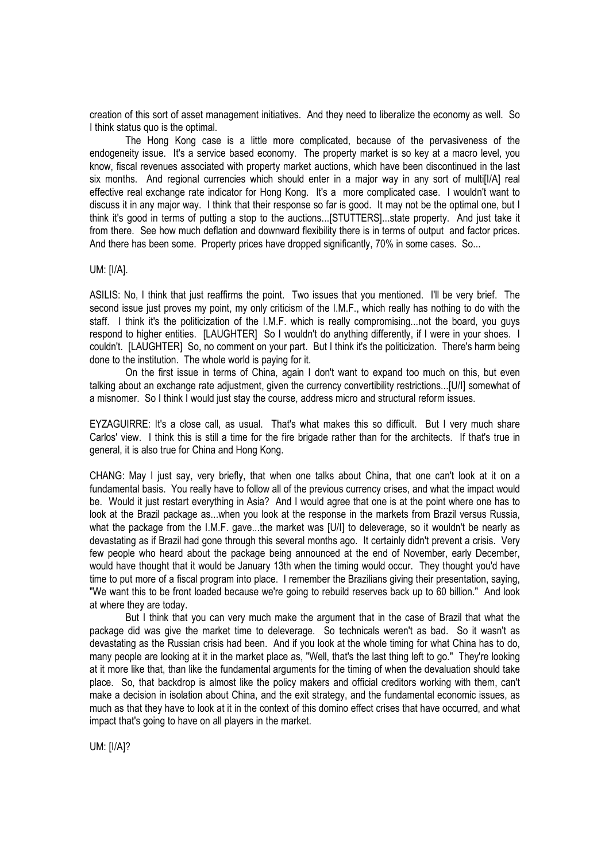creation of this sort of asset management initiatives. And they need to liberalize the economy as well. So I think status quo is the optimal.

 The Hong Kong case is a little more complicated, because of the pervasiveness of the endogeneity issue. It's a service based economy. The property market is so key at a macro level, you know, fiscal revenues associated with property market auctions, which have been discontinued in the last six months. And regional currencies which should enter in a major way in any sort of multi[I/A] real effective real exchange rate indicator for Hong Kong. It's a more complicated case. I wouldn't want to discuss it in any major way. I think that their response so far is good. It may not be the optimal one, but I think it's good in terms of putting a stop to the auctions...[STUTTERS]...state property. And just take it from there. See how much deflation and downward flexibility there is in terms of output and factor prices. And there has been some. Property prices have dropped significantly, 70% in some cases. So...

#### UM: [I/A].

ASILIS: No, I think that just reaffirms the point. Two issues that you mentioned. I'll be very brief. The second issue just proves my point, my only criticism of the I.M.F., which really has nothing to do with the staff. I think it's the politicization of the I.M.F. which is really compromising...not the board, you guys respond to higher entities. [LAUGHTER] So I wouldn't do anything differently, if I were in your shoes. I couldn't. [LAUGHTER] So, no comment on your part. But I think it's the politicization. There's harm being done to the institution. The whole world is paying for it.

 On the first issue in terms of China, again I don't want to expand too much on this, but even talking about an exchange rate adjustment, given the currency convertibility restrictions...[U/I] somewhat of a misnomer. So I think I would just stay the course, address micro and structural reform issues.

EYZAGUIRRE: It's a close call, as usual. That's what makes this so difficult. But I very much share Carlos' view. I think this is still a time for the fire brigade rather than for the architects. If that's true in general, it is also true for China and Hong Kong.

CHANG: May I just say, very briefly, that when one talks about China, that one can't look at it on a fundamental basis. You really have to follow all of the previous currency crises, and what the impact would be. Would it just restart everything in Asia? And I would agree that one is at the point where one has to look at the Brazil package as...when you look at the response in the markets from Brazil versus Russia, what the package from the I.M.F. gave...the market was [U/I] to deleverage, so it wouldn't be nearly as devastating as if Brazil had gone through this several months ago. It certainly didn't prevent a crisis. Very few people who heard about the package being announced at the end of November, early December, would have thought that it would be January 13th when the timing would occur. They thought you'd have time to put more of a fiscal program into place. I remember the Brazilians giving their presentation, saying, "We want this to be front loaded because we're going to rebuild reserves back up to 60 billion." And look at where they are today.

 But I think that you can very much make the argument that in the case of Brazil that what the package did was give the market time to deleverage. So technicals weren't as bad. So it wasn't as devastating as the Russian crisis had been. And if you look at the whole timing for what China has to do, many people are looking at it in the market place as, "Well, that's the last thing left to go." They're looking at it more like that, than like the fundamental arguments for the timing of when the devaluation should take place. So, that backdrop is almost like the policy makers and official creditors working with them, can't make a decision in isolation about China, and the exit strategy, and the fundamental economic issues, as much as that they have to look at it in the context of this domino effect crises that have occurred, and what impact that's going to have on all players in the market.

UM: [I/A]?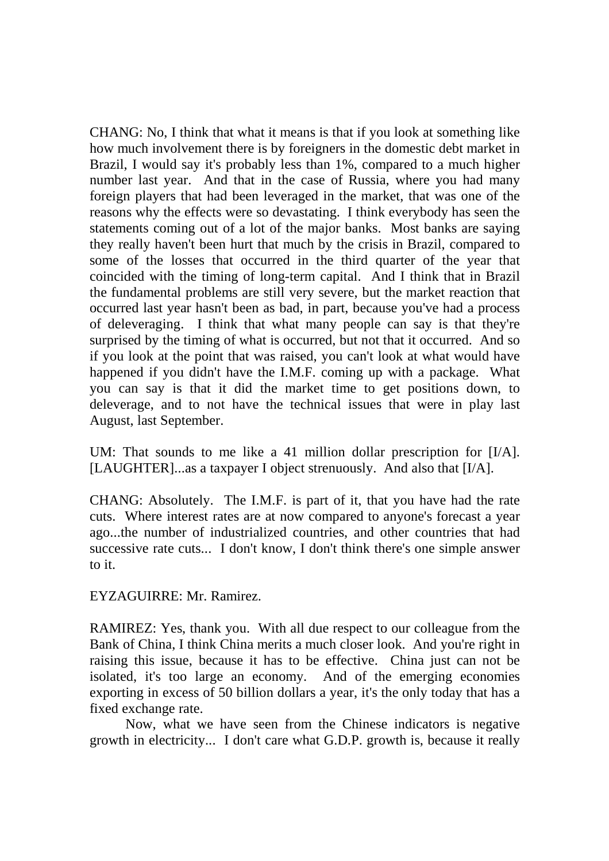CHANG: No, I think that what it means is that if you look at something like how much involvement there is by foreigners in the domestic debt market in Brazil, I would say it's probably less than 1%, compared to a much higher number last year. And that in the case of Russia, where you had many foreign players that had been leveraged in the market, that was one of the reasons why the effects were so devastating. I think everybody has seen the statements coming out of a lot of the major banks. Most banks are saying they really haven't been hurt that much by the crisis in Brazil, compared to some of the losses that occurred in the third quarter of the year that coincided with the timing of long-term capital. And I think that in Brazil the fundamental problems are still very severe, but the market reaction that occurred last year hasn't been as bad, in part, because you've had a process of deleveraging. I think that what many people can say is that they're surprised by the timing of what is occurred, but not that it occurred. And so if you look at the point that was raised, you can't look at what would have happened if you didn't have the I.M.F. coming up with a package. What you can say is that it did the market time to get positions down, to deleverage, and to not have the technical issues that were in play last August, last September.

UM: That sounds to me like a 41 million dollar prescription for [I/A]. [LAUGHTER]...as a taxpayer I object strenuously. And also that [I/A].

CHANG: Absolutely. The I.M.F. is part of it, that you have had the rate cuts. Where interest rates are at now compared to anyone's forecast a year ago...the number of industrialized countries, and other countries that had successive rate cuts... I don't know, I don't think there's one simple answer to it.

EYZAGUIRRE: Mr. Ramirez.

RAMIREZ: Yes, thank you. With all due respect to our colleague from the Bank of China, I think China merits a much closer look. And you're right in raising this issue, because it has to be effective. China just can not be isolated, it's too large an economy. And of the emerging economies exporting in excess of 50 billion dollars a year, it's the only today that has a fixed exchange rate.

 Now, what we have seen from the Chinese indicators is negative growth in electricity... I don't care what G.D.P. growth is, because it really